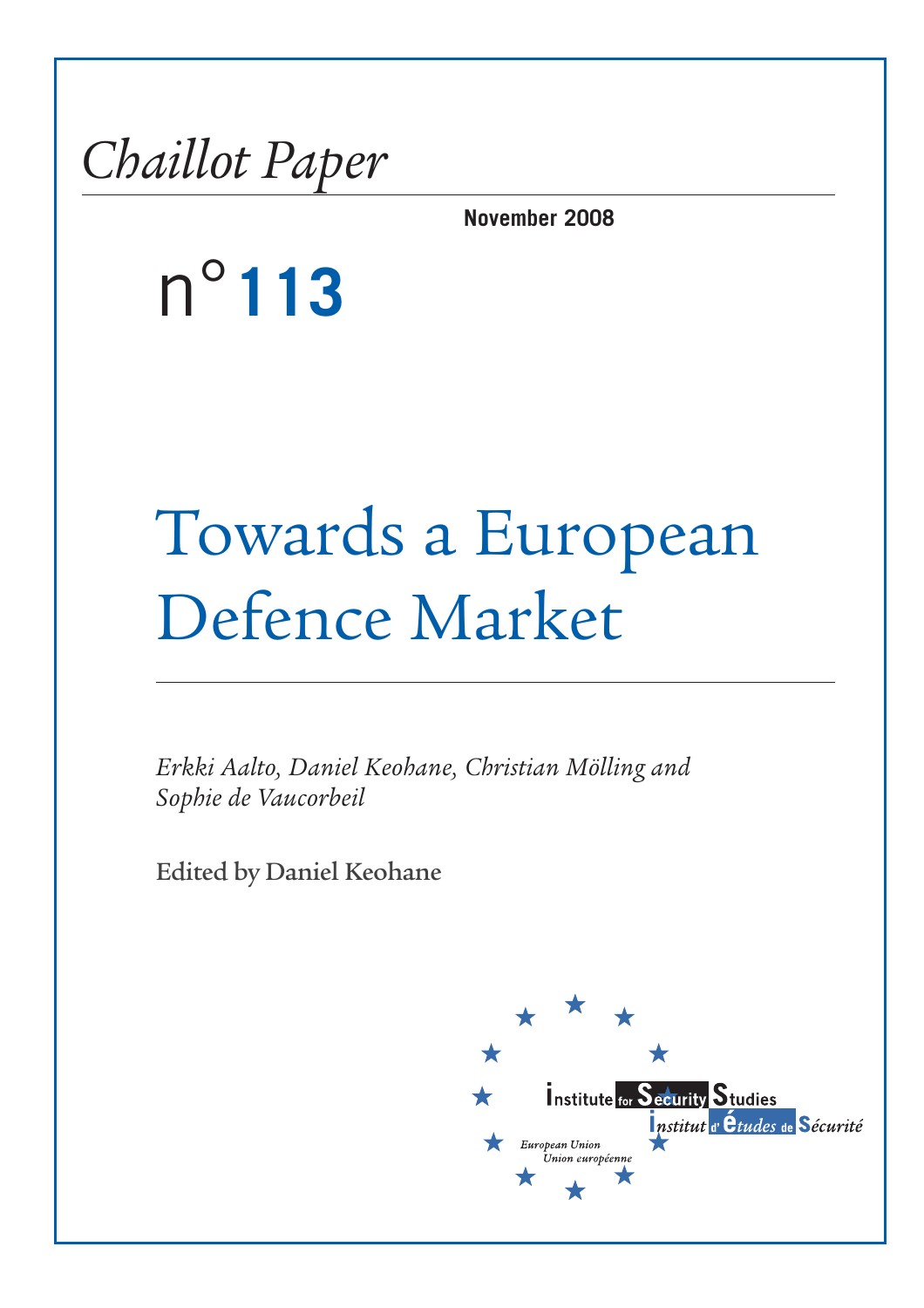

**November 2008**

# n°**113**

# Towards a European Defence Market

*Erkki Aalto, Daniel Keohane, Christian Mölling and Sophie de Vaucorbeil*

Edited by Daniel Keohane

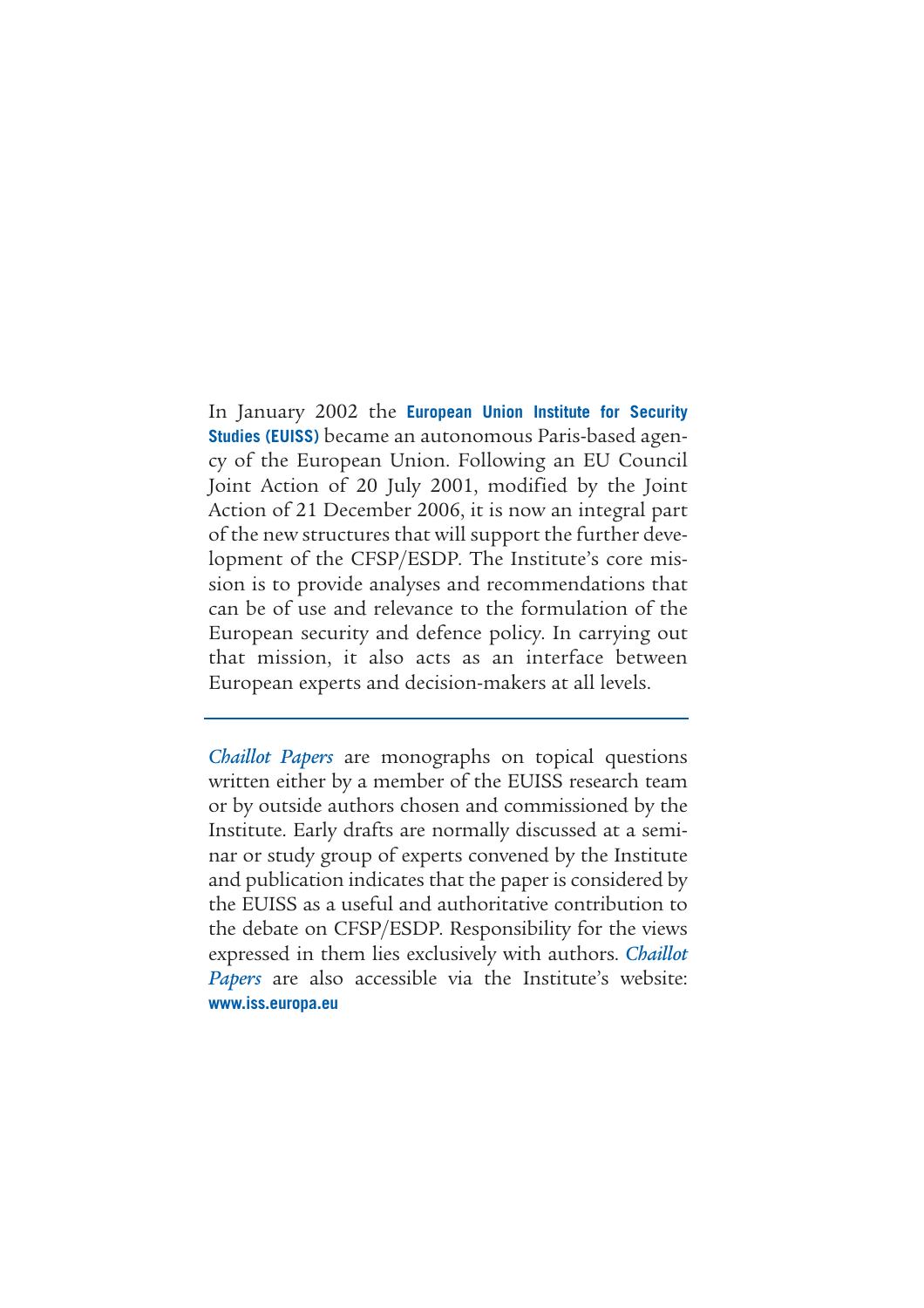In January 2002 the **European Union Institute for Security Studies (EUISS)** became an autonomous Paris-based agency of the European Union. Following an EU Council Joint Action of 20 July 2001, modified by the Joint Action of 21 December 2006, it is now an integral part of the new structures that will support the further development of the CFSP/ESDP. The Institute's core mission is to provide analyses and recommendations that can be of use and relevance to the formulation of the European security and defence policy. In carrying out that mission, it also acts as an interface between European experts and decision-makers at all levels.

*Chaillot Papers* are monographs on topical questions written either by a member of the EUISS research team or by outside authors chosen and commissioned by the Institute. Early drafts are normally discussed at a seminar or study group of experts convened by the Institute and publication indicates that the paper is considered by the EUISS as a useful and authoritative contribution to the debate on CFSP/ESDP. Responsibility for the views expressed in them lies exclusively with authors. *Chaillot Papers* are also accessible via the Institute's website: **www.iss.europa.eu**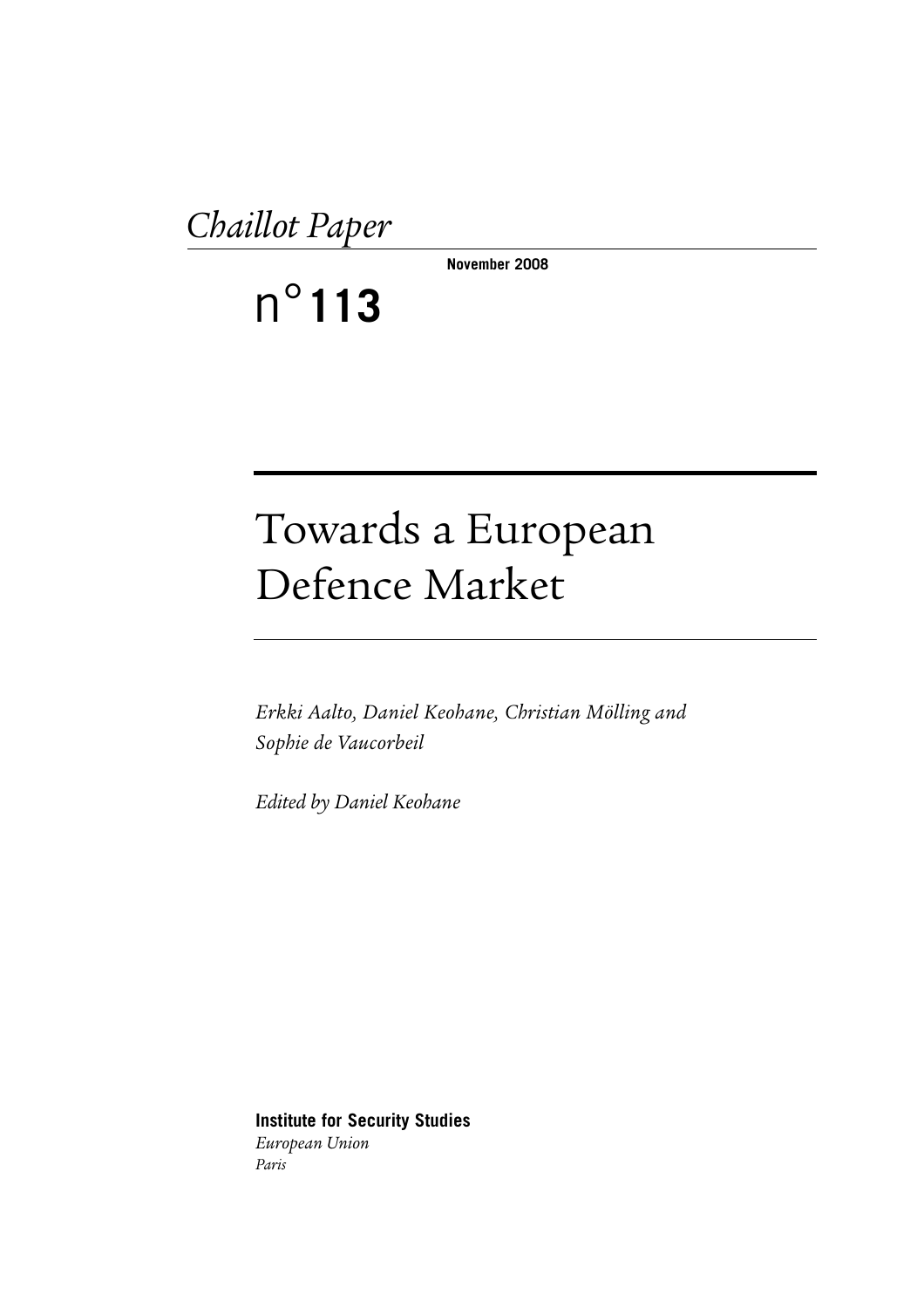*Chaillot Paper*

**November 2008**

n°**113**

# Towards a European Defence Market

*Erkki Aalto, Daniel Keohane, Christian Mölling and Sophie de Vaucorbeil*

*Edited by Daniel Keohane*

**Institute for Security Studies** *European Union Paris*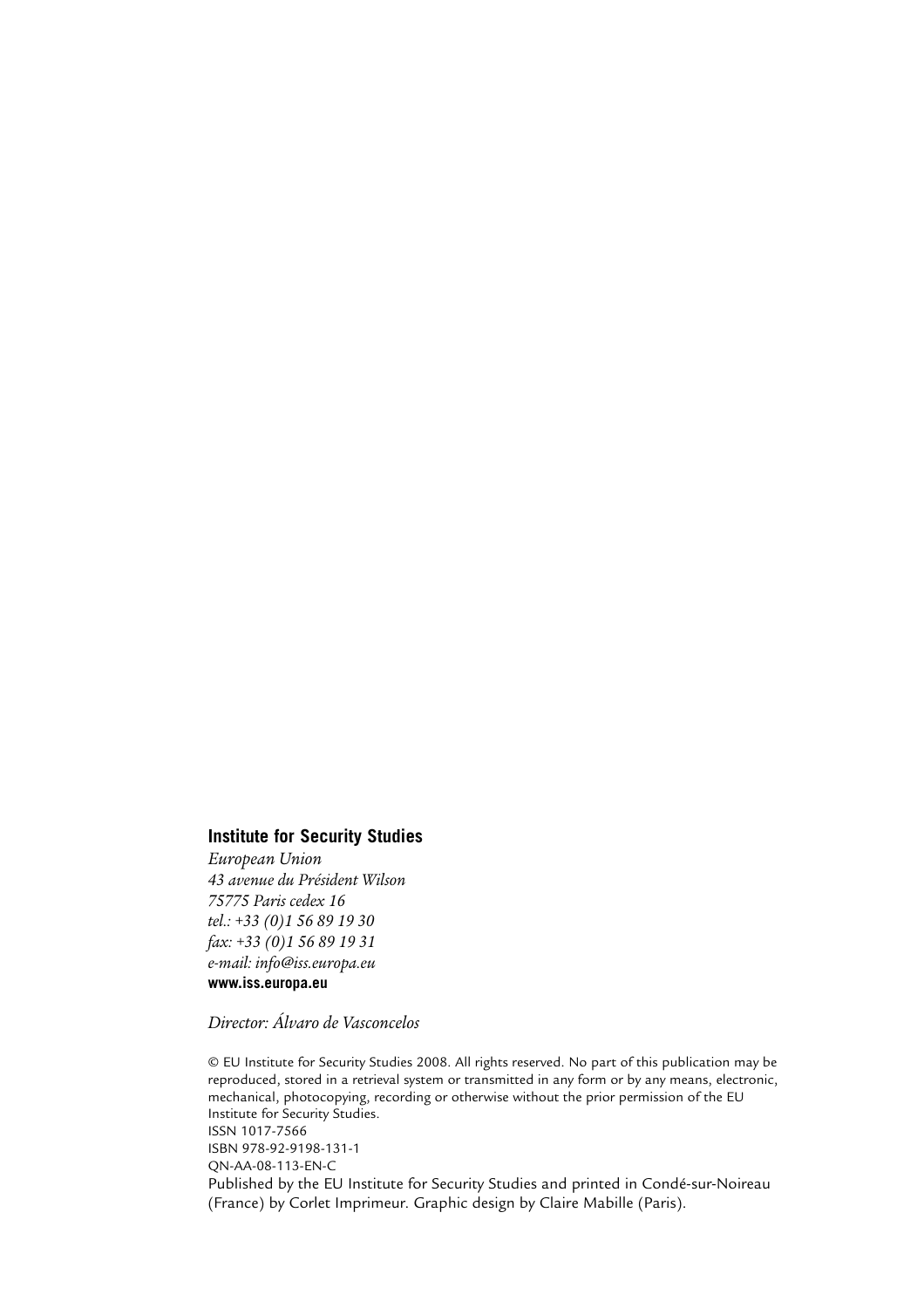### **Institute for Security Studies**

*European Union 43 avenue du Président Wilson 75775 Paris cedex 16 tel.: +33 (0)1 56 89 19 30 fax: +33 (0)1 56 89 19 31 e-mail: info@iss.europa.eu* **www.iss.europa.eu**

#### *Director: Álvaro de Vasconcelos*

© EU Institute for Security Studies 2008. All rights reserved. No part of this publication may be reproduced, stored in a retrieval system or transmitted in any form or by any means, electronic, mechanical, photocopying, recording or otherwise without the prior permission of the EU Institute for Security Studies. ISSN 1017-7566 ISBN 978-92-9198-131-1 QN-AA-08-113-EN-C Published by the EU Institute for Security Studies and printed in Condé-sur-Noireau (France) by Corlet Imprimeur. Graphic design by Claire Mabille (Paris).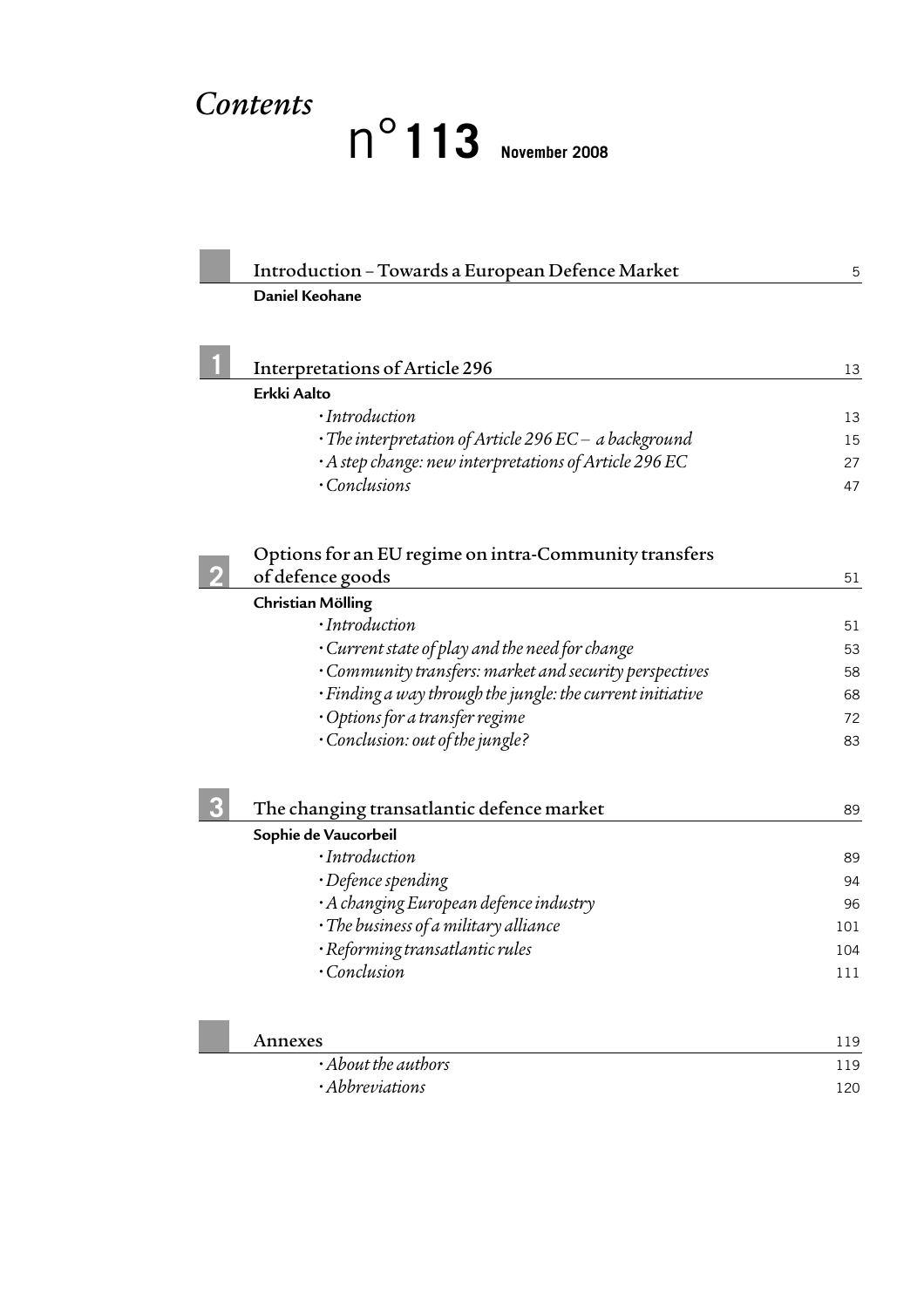# *Contents* n°**113 November 2008**

| Introduction - Towards a European Defence Market                 | 5   |
|------------------------------------------------------------------|-----|
| Daniel Keohane                                                   |     |
| Interpretations of Article 296                                   | 13  |
| Erkki Aalto                                                      |     |
| $\cdot$ Introduction                                             | 13  |
| $\cdot$ The interpretation of Article 296 EC – a background      | 15  |
| $\cdot$ A step change: new interpretations of Article 296 EC     | 27  |
| · Conclusions                                                    | 47  |
| Options for an EU regime on intra-Community transfers            |     |
| of defence goods                                                 | 51  |
| <b>Christian Mölling</b>                                         |     |
| $\cdot$ Introduction                                             | 51  |
| $\cdot$ Current state of play and the need for change            | 53  |
| Community transfers: market and security perspectives            | 58  |
| $\cdot$ Finding a way through the jungle: the current initiative | 68  |
| Options for a transfer regime                                    | 72  |
| • Conclusion: out of the jungle?                                 | 83  |
| The changing transatlantic defence market                        | 89  |
| Sophie de Vaucorbeil                                             |     |
| $\cdot$ Introduction                                             | 89  |
| · Defence spending                                               | 94  |
| · A changing European defence industry                           | 96  |
| $\cdot$ The business of a military alliance                      | 101 |
| · Reforming transatlantic rules                                  | 104 |
| $\cdot$ Conclusion                                               | 111 |
| Annexes                                                          | 119 |
| $\cdot$ About the authors                                        | 119 |

*•[Abbreviations](#page-121-0)* <sup>120</sup>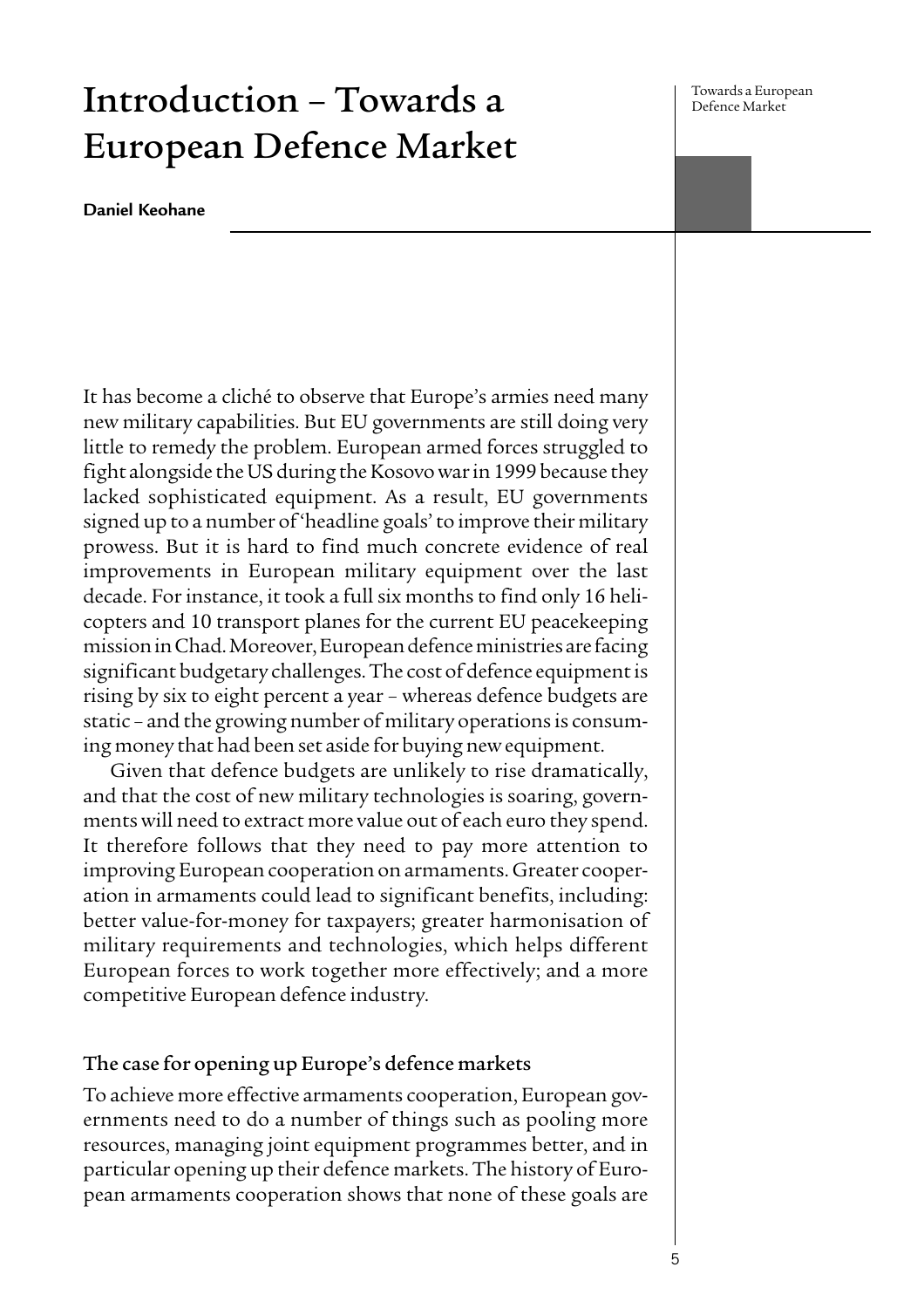# <span id="page-6-0"></span>Introduction – Towards a European Defence Market

**Daniel Keohane**

Towards a European Defence Market

It has become a cliché to observe that Europe's armies need many new military capabilities. But EU governments are still doing very little to remedy the problem. European armed forces struggled to fight alongside the US during the Kosovo war in 1999 because they lacked sophisticated equipment. As a result, EU governments signed up to a number of 'headline goals' to improve their military prowess. But it is hard to find much concrete evidence of real improvements in European military equipment over the last decade. For instance, it took a full six months to find only 16 helicopters and 10 transport planes for the current EU peacekeeping mission in Chad. Moreover, European defence ministries are facing significant budgetary challenges. The cost of defence equipment is rising by six to eight percent a year – whereas defence budgets are static – and the growing number of military operations is consuming money that had been set aside for buying new equipment.

Given that defence budgets are unlikely to rise dramatically, and that the cost of new military technologies is soaring, governments will need to extract more value out of each euro they spend. It therefore follows that they need to pay more attention to improving European cooperation on armaments. Greater cooperation in armaments could lead to significant benefits, including: better value-for-money for taxpayers; greater harmonisation of military requirements and technologies, which helps different European forces to work together more effectively; and a more competitive European defence industry.

# The case for opening up Europe's defence markets

To achieve more effective armaments cooperation, European governments need to do a number of things such as pooling more resources, managing joint equipment programmes better, and in particular opening up their defence markets. The history of European armaments cooperation shows that none of these goals are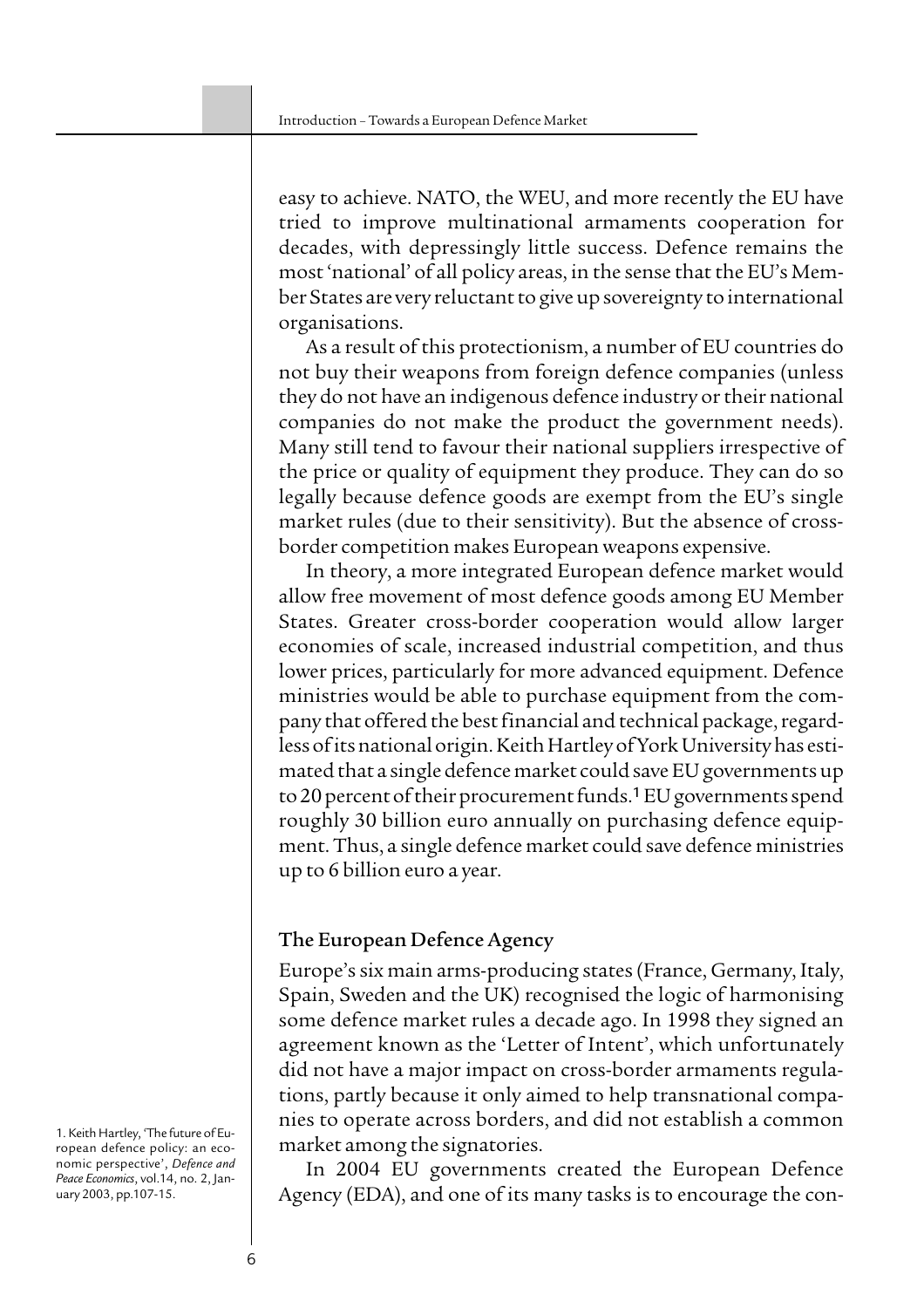easy to achieve. NATO, the WEU, and more recently the EU have tried to improve multinational armaments cooperation for decades, with depressingly little success. Defence remains the most 'national' of all policy areas, in the sense that the EU's Member States are very reluctant to give up sovereignty to international organisations.

As a result of this protectionism, a number of EU countries do not buy their weapons from foreign defence companies (unless they do not have an indigenous defence industry or their national companies do not make the product the government needs). Many still tend to favour their national suppliers irrespective of the price or quality of equipment they produce. They can do so legally because defence goods are exempt from the EU's single market rules (due to their sensitivity). But the absence of crossborder competition makes European weapons expensive.

In theory, a more integrated European defence market would allow free movement of most defence goods among EU Member States. Greater cross-border cooperation would allow larger economies of scale, increased industrial competition, and thus lower prices, particularly for more advanced equipment. Defence ministries would be able to purchase equipment from the company that offered the best financial and technical package, regardless of its national origin. Keith Hartley of York University has estimated that a single defence market could save EU governments up to 20 percent of their procurement funds.<sup>1</sup> EU governments spend roughly 30 billion euro annually on purchasing defence equipment. Thus, a single defence market could save defence ministries up to 6 billion euro a year.

# The European Defence Agency

Europe's six main arms-producing states (France, Germany, Italy, Spain, Sweden and the UK) recognised the logic of harmonising some defence market rules a decade ago. In 1998 they signed an agreement known as the 'Letter of Intent', which unfortunately did not have a major impact on cross-border armaments regulations, partly because it only aimed to help transnational companies to operate across borders, and did not establish a common market among the signatories.

In 2004 EU governments created the European Defence Agency (EDA), and one of its many tasks is to encourage the con-

<sup>1.</sup> Keith Hartley, 'The future of European defence policy: an economic perspective', *Defence and Peace Economics*, vol.14, no. 2, January 2003, pp.107-15.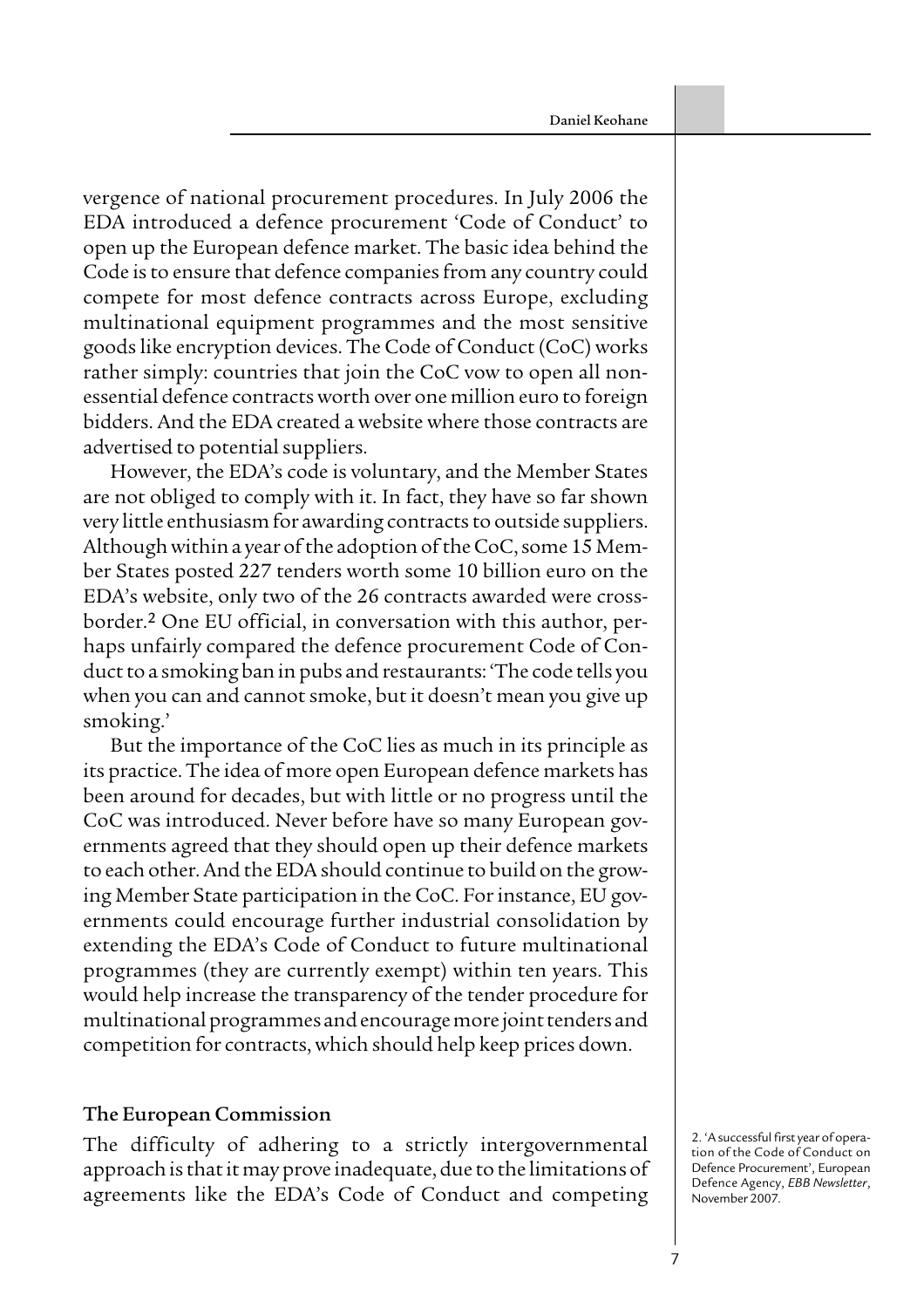vergence of national procurement procedures. In July 2006 the EDA introduced a defence procurement 'Code of Conduct' to open up the European defence market. The basic idea behind the Code is to ensure that defence companies from any country could compete for most defence contracts across Europe, excluding multinational equipment programmes and the most sensitive goods like encryption devices. The Code of Conduct (CoC) works rather simply: countries that join the CoC vow to open all nonessential defence contracts worth over one million euro to foreign bidders. And the EDA created a website where those contracts are advertised to potential suppliers.

However, the EDA's code is voluntary, and the Member States are not obliged to comply with it. In fact, they have so far shown very little enthusiasm for awarding contracts to outside suppliers. Although within a year of the adoption of the CoC, some 15 Member States posted 227 tenders worth some 10 billion euro on the EDA's website, only two of the 26 contracts awarded were crossborder.<sup>2</sup> One EU official, in conversation with this author, perhaps unfairly compared the defence procurement Code of Conduct to a smoking ban in pubs and restaurants: 'The code tells you when you can and cannot smoke, but it doesn't mean you give up smoking.'

But the importance of the CoC lies as much in its principle as its practice. The idea of more open European defence markets has been around for decades, but with little or no progress until the CoC was introduced. Never before have so many European governments agreed that they should open up their defence markets to each other. And the EDA should continue to build on the growing Member State participation in the CoC. For instance, EU governments could encourage further industrial consolidation by extending the EDA's Code of Conduct to future multinational programmes (they are currently exempt) within ten years. This would help increase the transparency of the tender procedure for multinational programmes and encourage more joint tenders and competition for contracts, which should help keep prices down.

### The European Commission

The difficulty of adhering to a strictly intergovernmental approach is that it may prove inadequate, due to the limitations of agreements like the EDA's Code of Conduct and competing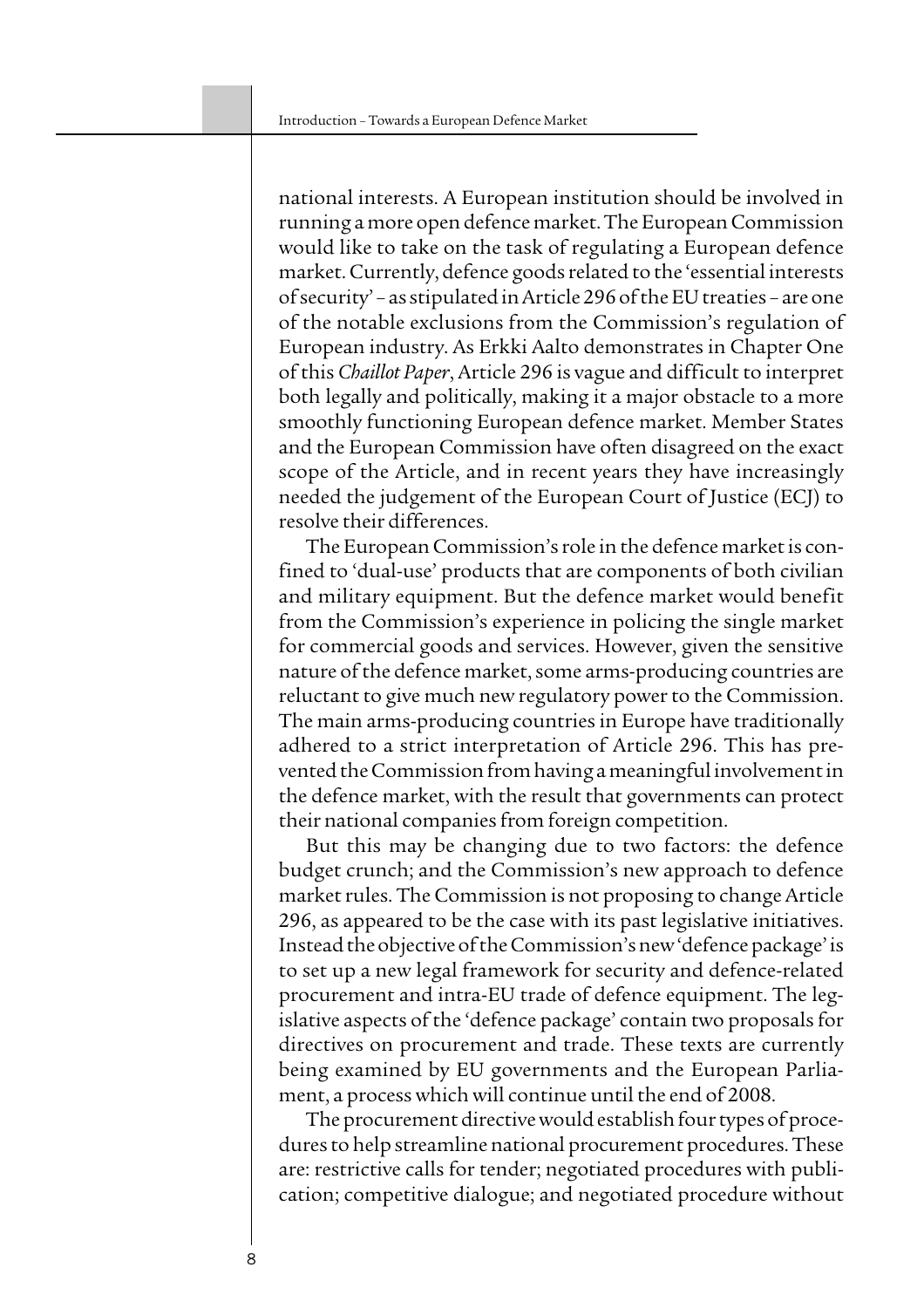national interests. A European institution should be involved in running a more open defence market. The European Commission would like to take on the task of regulating a European defence market. Currently, defence goods related to the 'essential interests of security' – as stipulated in Article 296 of the EU treaties – are one of the notable exclusions from the Commission's regulation of European industry. As Erkki Aalto demonstrates in Chapter One of this *Chaillot Paper*, Article 296 is vague and difficult to interpret both legally and politically, making it a major obstacle to a more smoothly functioning European defence market. Member States and the European Commission have often disagreed on the exact scope of the Article, and in recent years they have increasingly needed the judgement of the European Court of Justice (ECJ) to resolve their differences.

The European Commission's role in the defence market is confined to 'dual-use' products that are components of both civilian and military equipment. But the defence market would benefit from the Commission's experience in policing the single market for commercial goods and services. However, given the sensitive nature of the defence market, some arms-producing countries are reluctant to give much new regulatory power to the Commission. The main arms-producing countries in Europe have traditionally adhered to a strict interpretation of Article 296. This has prevented the Commission from having a meaningful involvement in the defence market, with the result that governments can protect their national companies from foreign competition.

But this may be changing due to two factors: the defence budget crunch; and the Commission's new approach to defence market rules. The Commission is not proposing to change Article 296, as appeared to be the case with its past legislative initiatives. Instead the objective of the Commission's new 'defence package' is to set up a new legal framework for security and defence-related procurement and intra-EU trade of defence equipment. The legislative aspects of the 'defence package' contain two proposals for directives on procurement and trade. These texts are currently being examined by EU governments and the European Parliament, a process which will continue until the end of 2008.

The procurement directive would establish four types of procedures to help streamline national procurement procedures. These are: restrictive calls for tender; negotiated procedures with publication; competitive dialogue; and negotiated procedure without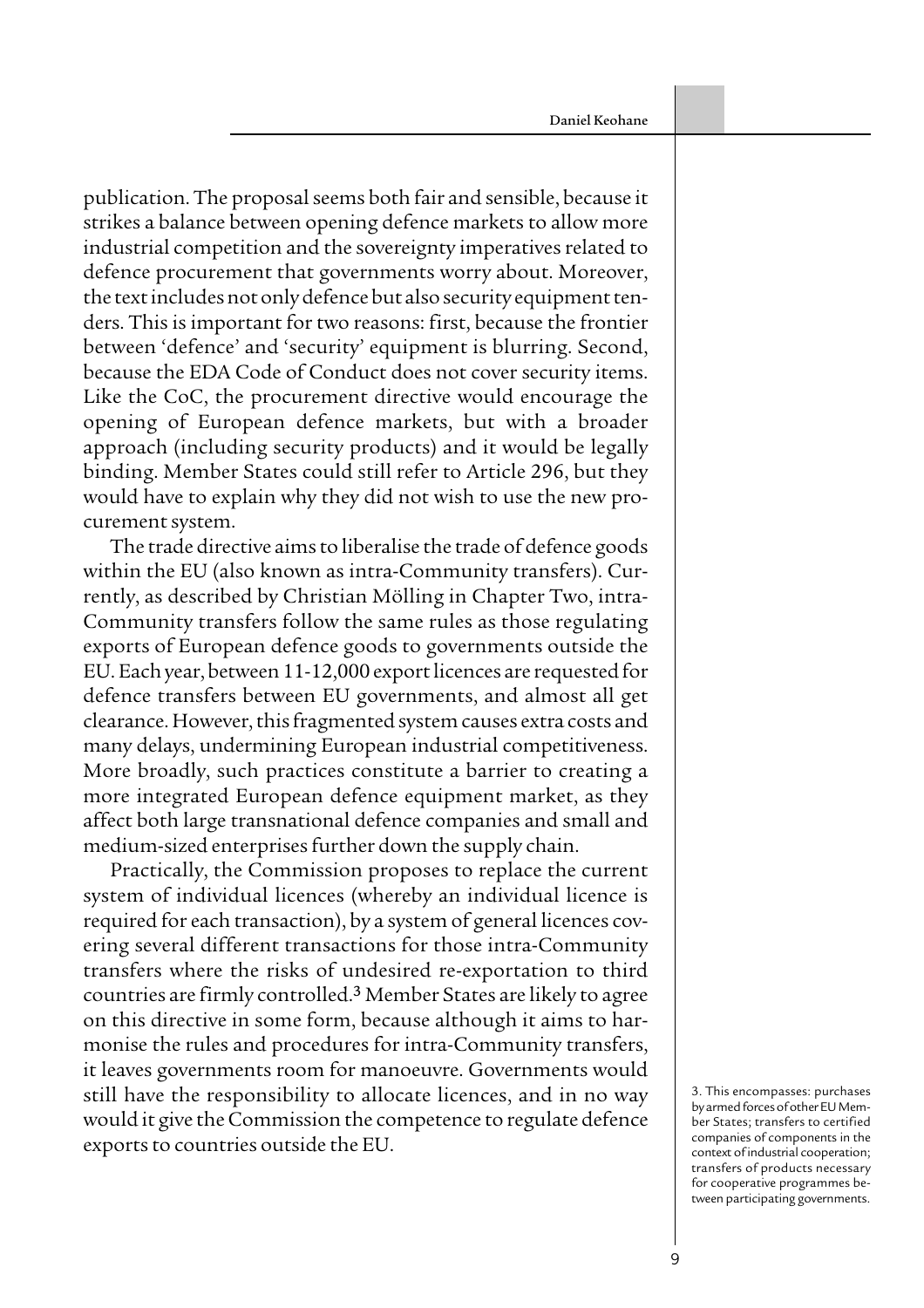publication. The proposal seems both fair and sensible, because it strikes a balance between opening defence markets to allow more industrial competition and the sovereignty imperatives related to defence procurement that governments worry about. Moreover, the text includes not only defence but also security equipment tenders. This is important for two reasons: first, because the frontier between 'defence' and 'security' equipment is blurring. Second, because the EDA Code of Conduct does not cover security items. Like the CoC, the procurement directive would encourage the opening of European defence markets, but with a broader approach (including security products) and it would be legally binding. Member States could still refer to Article 296, but they would have to explain why they did not wish to use the new procurement system.

The trade directive aims to liberalise the trade of defence goods within the EU (also known as intra-Community transfers). Currently, as described by Christian Mölling in Chapter Two, intra-Community transfers follow the same rules as those regulating exports of European defence goods to governments outside the EU. Each year, between 11-12,000 export licences are requested for defence transfers between EU governments, and almost all get clearance. However, this fragmented system causes extra costs and many delays, undermining European industrial competitiveness. More broadly, such practices constitute a barrier to creating a more integrated European defence equipment market, as they affect both large transnational defence companies and small and medium-sized enterprises further down the supply chain.

Practically, the Commission proposes to replace the current system of individual licences (whereby an individual licence is required for each transaction), by a system of general licences covering several different transactions for those intra-Community transfers where the risks of undesired re-exportation to third countries are firmly controlled.<sup>3</sup> Member States are likely to agree on this directive in some form, because although it aims to harmonise the rules and procedures for intra-Community transfers, it leaves governments room for manoeuvre. Governments would still have the responsibility to allocate licences, and in no way would it give the Commission the competence to regulate defence exports to countries outside the EU.

3. This encompasses: purchases by armed forces of other EU Member States; transfers to certified companies of components in the context of industrial cooperation; transfers of products necessary for cooperative programmes between participating governments.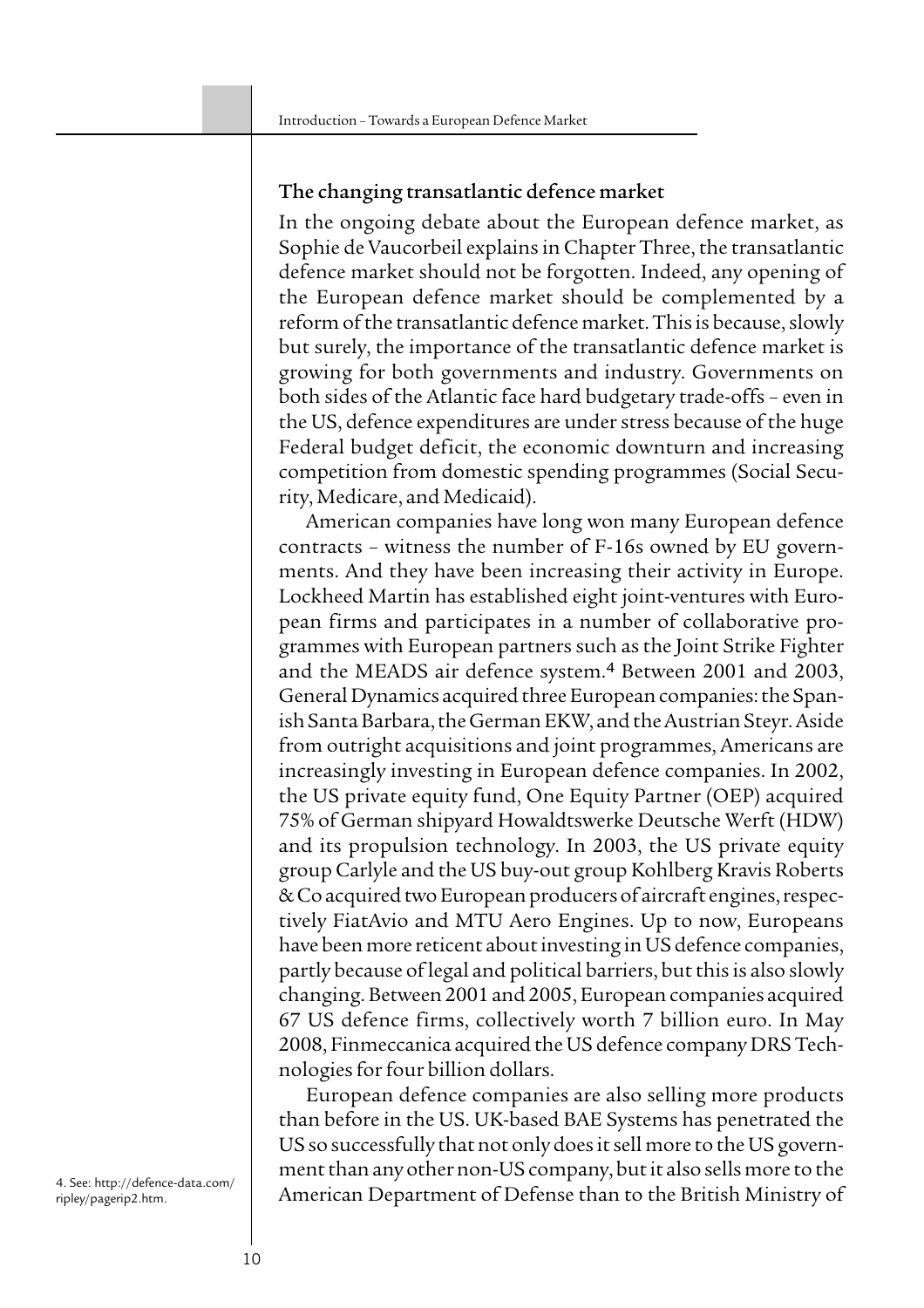# The changing transatlantic defence market

In the ongoing debate about the European defence market, as Sophie de Vaucorbeil explains in Chapter Three, the transatlantic defence market should not be forgotten. Indeed, any opening of the European defence market should be complemented by a reform of the transatlantic defence market. This is because, slowly but surely, the importance of the transatlantic defence market is growing for both governments and industry. Governments on both sides of the Atlantic face hard budgetary trade-offs – even in the US, defence expenditures are under stress because of the huge Federal budget deficit, the economic downturn and increasing competition from domestic spending programmes (Social Security, Medicare, and Medicaid).

American companies have long won many European defence contracts – witness the number of F-16s owned by EU governments. And they have been increasing their activity in Europe. Lockheed Martin has established eight joint-ventures with European firms and participates in a number of collaborative programmes with European partners such as the Joint Strike Fighter and the MEADS air defence system.<sup>4</sup> Between 2001 and 2003, General Dynamics acquired three European companies: the Spanish Santa Barbara, the German EKW, and the Austrian Steyr. Aside from outright acquisitions and joint programmes, Americans are increasingly investing in European defence companies. In 2002, the US private equity fund, One Equity Partner (OEP) acquired 75% of German shipyard Howaldtswerke Deutsche Werft (HDW) and its propulsion technology. In 2003, the US private equity group Carlyle and the US buy-out group Kohlberg Kravis Roberts & Co acquired two European producers of aircraft engines, respectively FiatAvio and MTU Aero Engines. Up to now, Europeans have been more reticent about investing in US defence companies, partly because of legal and political barriers, but this is also slowly changing. Between 2001 and 2005, European companies acquired 67 US defence firms, collectively worth 7 billion euro. In May 2008, Finmeccanica acquired the US defence company DRS Technologies for four billion dollars.

European defence companies are also selling more products than before in the US. UK-based BAE Systems has penetrated the US so successfully that not only does it sell more to the US government than any other non-US company, but it also sells more to the American Department of Defense than to the British Ministry of

4. See: http://defence-data.com/ ripley/pagerip2.htm.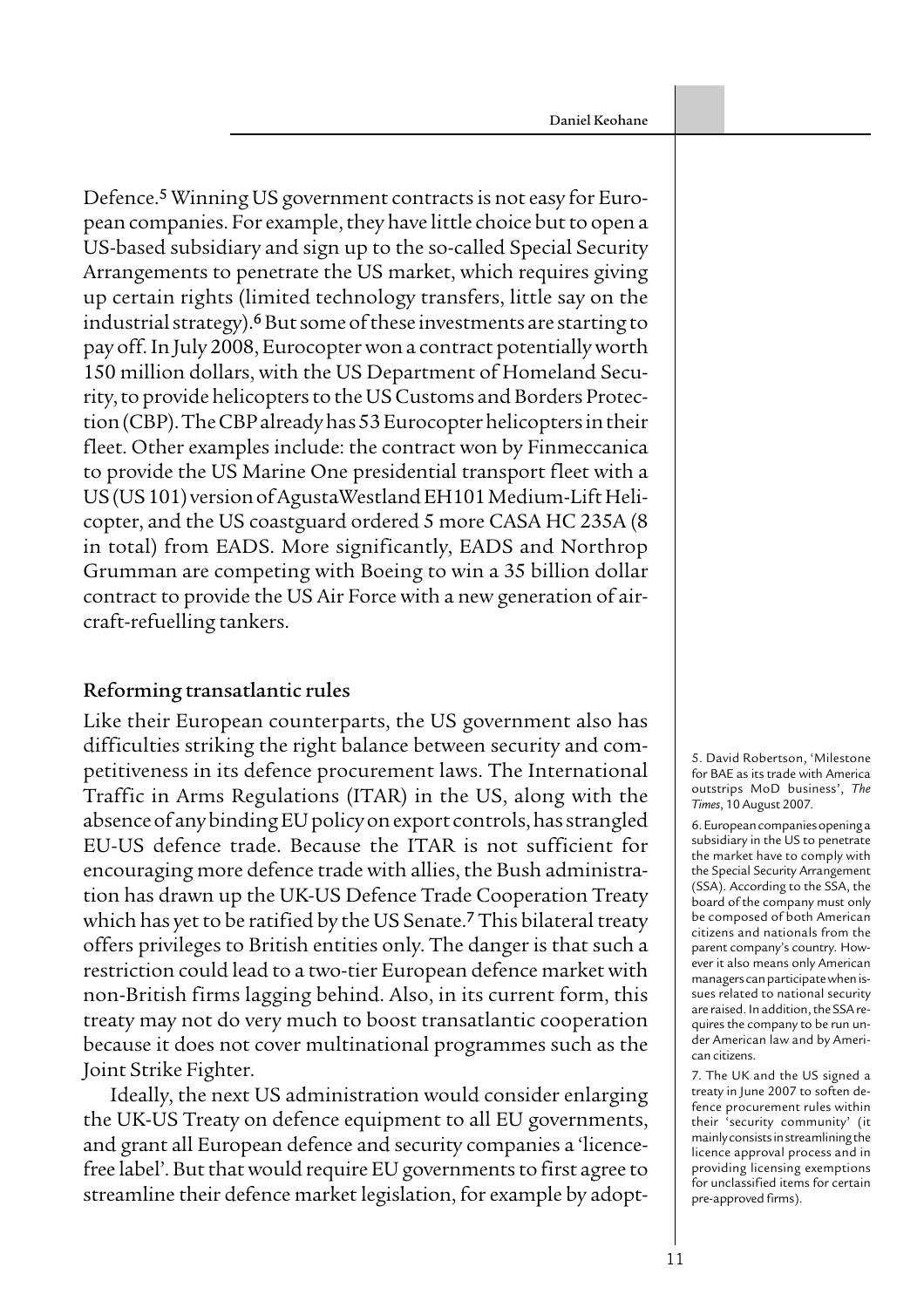Defence.<sup>5</sup> Winning US government contracts is not easy for European companies. For example, they have little choice but to open a US-based subsidiary and sign up to the so-called Special Security Arrangements to penetrate the US market, which requires giving up certain rights (limited technology transfers, little say on the industrial strategy).<sup>6</sup> But some of these investments are starting to pay off. In July 2008, Eurocopter won a contract potentially worth 150 million dollars, with the US Department of Homeland Security, to provide helicopters to the US Customs and Borders Protection (CBP). The CBP already has 53 Eurocopter helicopters in their fleet. Other examples include: the contract won by Finmeccanica to provide the US Marine One presidential transport fleet with a US (US 101) version of AgustaWestland EH101 Medium-Lift Helicopter, and the US coastguard ordered 5 more CASA HC 235A (8 in total) from EADS. More significantly, EADS and Northrop Grumman are competing with Boeing to win a 35 billion dollar contract to provide the US Air Force with a new generation of aircraft-refuelling tankers.

### Reforming transatlantic rules

Like their European counterparts, the US government also has difficulties striking the right balance between security and competitiveness in its defence procurement laws. The International Traffic in Arms Regulations (ITAR) in the US, along with the absence of any binding EU policy on export controls, has strangled EU-US defence trade. Because the ITAR is not sufficient for encouraging more defence trade with allies, the Bush administration has drawn up the UK-US Defence Trade Cooperation Treaty which has yet to be ratified by the US Senate.<sup>7</sup> This bilateral treaty offers privileges to British entities only. The danger is that such a restriction could lead to a two-tier European defence market with non-British firms lagging behind. Also, in its current form, this treaty may not do very much to boost transatlantic cooperation because it does not cover multinational programmes such as the Joint Strike Fighter.

Ideally, the next US administration would consider enlarging the UK-US Treaty on defence equipment to all EU governments, and grant all European defence and security companies a 'licencefree label'. But that would require EU governments to first agree to streamline their defence market legislation, for example by adopt-

5. David Robertson, 'Milestone for BAE as its trade with America outstrips MoD business', *The Times*, 10 August 2007.

6. European companies opening a subsidiary in the US to penetrate the market have to comply with the Special Security Arrangement (SSA). According to the SSA, the board of the company must only be composed of both American citizens and nationals from the parent company's country. However it also means only American managers can participate when issues related to national security are raised. In addition, the SSA requires the company to be run under American law and by American citizens.

7. The UK and the US signed a treaty in June 2007 to soften defence procurement rules within their 'security community' (it mainly consists in streamlining the licence approval process and in providing licensing exemptions for unclassified items for certain pre-approved firms).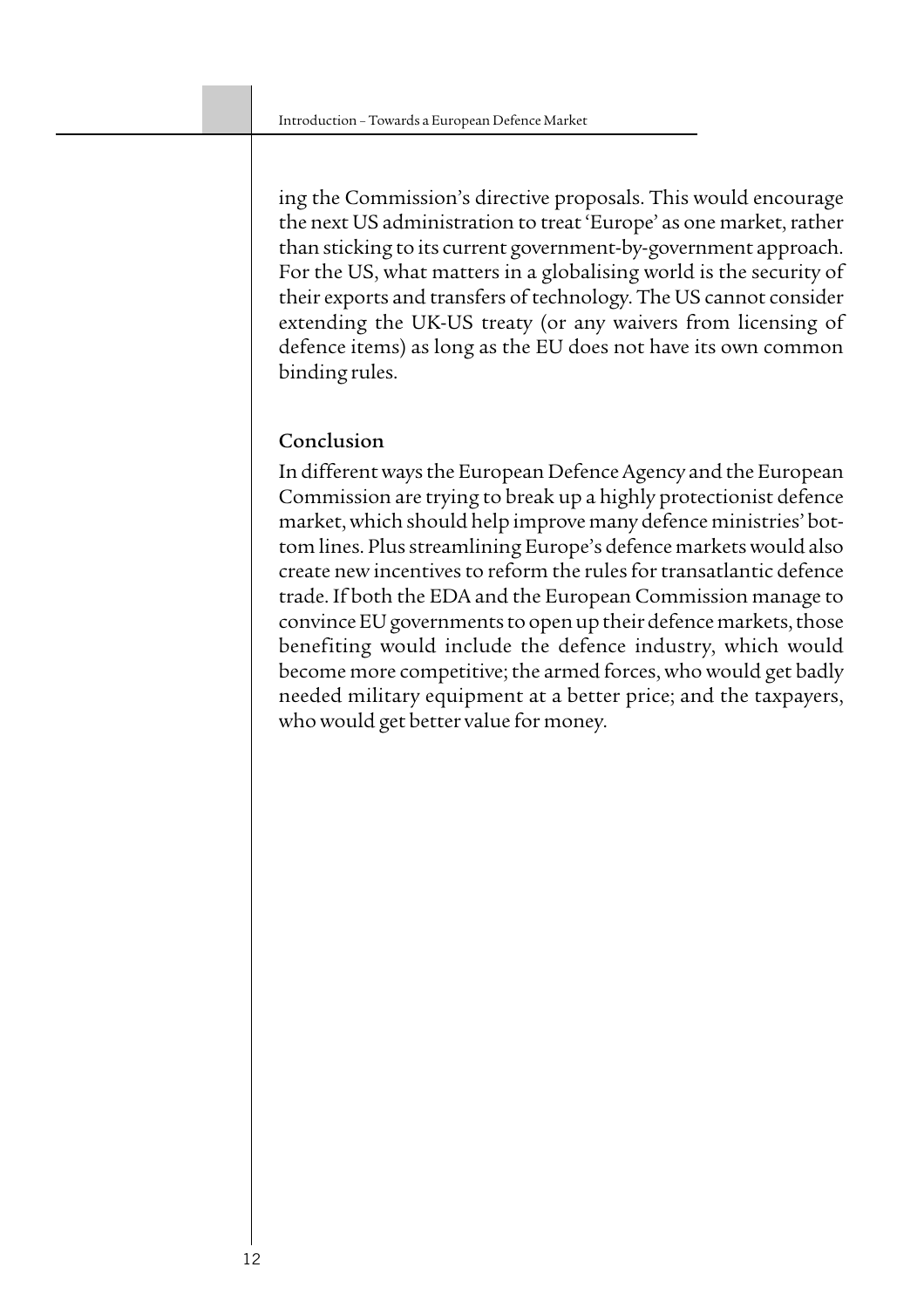ing the Commission's directive proposals. This would encourage the next US administration to treat 'Europe' as one market, rather than sticking to its current government-by-government approach. For the US, what matters in a globalising world is the security of their exports and transfers of technology. The US cannot consider extending the UK-US treaty (or any waivers from licensing of defence items) as long as the EU does not have its own common binding rules.

# Conclusion

In different ways the European Defence Agency and the European Commission are trying to break up a highly protectionist defence market, which should help improve many defence ministries' bottom lines. Plus streamlining Europe's defence markets would also create new incentives to reform the rules for transatlantic defence trade. If both the EDA and the European Commission manage to convince EU governments to open up their defence markets, those benefiting would include the defence industry, which would become more competitive; the armed forces, who would get badly needed military equipment at a better price; and the taxpayers, who would get better value for money.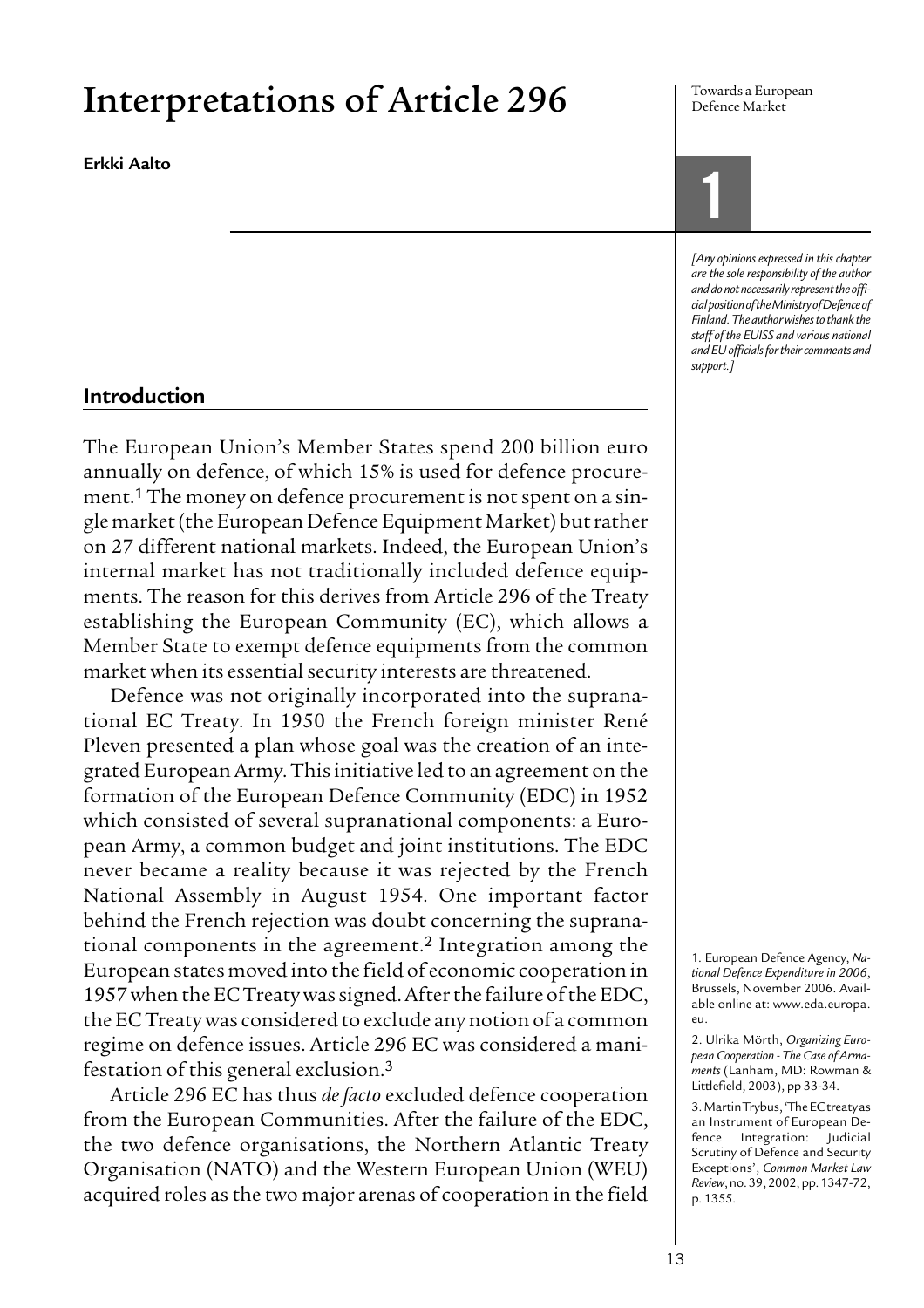# <span id="page-14-0"></span>Interpretations of Article 296

**Erkki Aalto**

# **Introduction**

The European Union's Member States spend 200 billion euro annually on defence, of which 15% is used for defence procurement.<sup>1</sup> The money on defence procurement is not spent on a single market (the European Defence Equipment Market) but rather on 27 different national markets. Indeed, the European Union's internal market has not traditionally included defence equipments. The reason for this derives from Article 296 of the Treaty establishing the European Community (EC), which allows a Member State to exempt defence equipments from the common market when its essential security interests are threatened.

Defence was not originally incorporated into the supranational EC Treaty. In 1950 the French foreign minister René Pleven presented a plan whose goal was the creation of an integrated European Army. This initiative led to an agreement on the formation of the European Defence Community (EDC) in 1952 which consisted of several supranational components: a European Army, a common budget and joint institutions. The EDC never became a reality because it was rejected by the French National Assembly in August 1954. One important factor behind the French rejection was doubt concerning the supranational components in the agreement.<sup>2</sup> Integration among the European states moved into the field of economic cooperation in 1957 when the EC Treaty was signed. After the failure of the EDC, the EC Treaty was considered to exclude any notion of a common regime on defence issues. Article 296 EC was considered a manifestation of this general exclusion.<sup>3</sup>

Article 296 EC has thus *de facto* excluded defence cooperation from the European Communities. After the failure of the EDC, the two defence organisations, the Northern Atlantic Treaty Organisation (NATO) and the Western European Union (WEU) acquired roles as the two major arenas of cooperation in the field Towards a European Defence Market

# **1**

*[Any opinions expressed in this chapter are the sole responsibility of the author and do not necessarily represent the official position of the Ministry of Defence of Finland. The author wishes to thank the staff of the EUISS and various national and EU officials for their comments and support.]*

1. European Defence Agency, *National Defence Expenditure in 2006*, Brussels, November 2006. Available online at: www.eda.europa. eu.

3. Martin Trybus, 'The EC treaty as an Instrument of European Defence Integration: Judicial Scrutiny of Defence and Security Exceptions', *Common Market Law Review*, no. 39, 2002, pp. 1347-72, p. 1355.

<sup>2.</sup> Ulrika Mörth, *Organizing European Cooperation - The Case of Armaments* (Lanham, MD: Rowman & Littlefield, 2003), pp 33-34.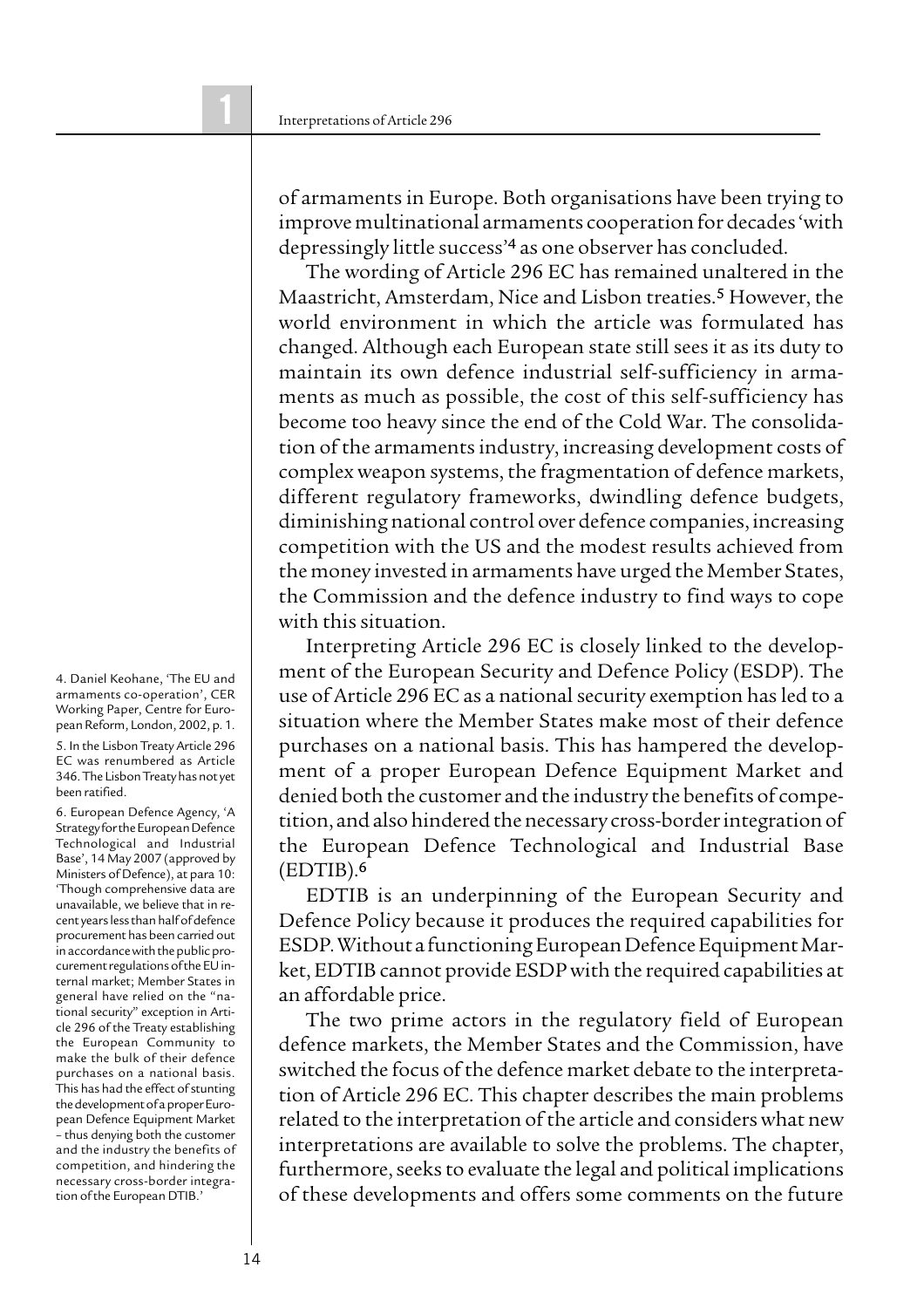of armaments in Europe. Both organisations have been trying to improve multinational armaments cooperation for decades 'with depressingly little success'<sup>4</sup> as one observer has concluded.

The wording of Article 296 EC has remained unaltered in the Maastricht, Amsterdam, Nice and Lisbon treaties.<sup>5</sup> However, the world environment in which the article was formulated has changed. Although each European state still sees it as its duty to maintain its own defence industrial self-sufficiency in armaments as much as possible, the cost of this self-sufficiency has become too heavy since the end of the Cold War. The consolidation of the armaments industry, increasing development costs of complex weapon systems, the fragmentation of defence markets, different regulatory frameworks, dwindling defence budgets, diminishing national control over defence companies, increasing competition with the US and the modest results achieved from the money invested in armaments have urged the Member States, the Commission and the defence industry to find ways to cope with this situation.

Interpreting Article 296 EC is closely linked to the development of the European Security and Defence Policy (ESDP). The use of Article 296 EC as a national security exemption has led to a situation where the Member States make most of their defence purchases on a national basis. This has hampered the development of a proper European Defence Equipment Market and denied both the customer and the industry the benefits of competition, and also hindered the necessary cross-border integration of the European Defence Technological and Industrial Base (EDTIB).<sup>6</sup>

EDTIB is an underpinning of the European Security and Defence Policy because it produces the required capabilities for ESDP. Without a functioning European Defence Equipment Market, EDTIB cannot provide ESDP with the required capabilities at an affordable price.

The two prime actors in the regulatory field of European defence markets, the Member States and the Commission, have switched the focus of the defence market debate to the interpretation of Article 296 EC. This chapter describes the main problems related to the interpretation of the article and considers what new interpretations are available to solve the problems. The chapter, furthermore, seeks to evaluate the legal and political implications of these developments and offers some comments on the future

4. Daniel Keohane, 'The EU and armaments co-operation', CER Working Paper, Centre for European Reform, London, 2002, p. 1.

5. In the Lisbon Treaty Article 296 EC was renumbered as Article 346. The Lisbon Treaty has not yet been ratified.

6. European Defence Agency, 'A Strategy for the European Defence Technological and Industrial Base', 14 May 2007 (approved by Ministers of Defence), at para 10: 'Though comprehensive data are unavailable, we believe that in recent years less than half of defence procurement has been carried out in accordance with the public procurement regulations of the EU internal market; Member States in general have relied on the "national security" exception in Article 296 of the Treaty establishing the European Community to make the bulk of their defence purchases on a national basis. This has had the effect of stunting the development of a proper European Defence Equipment Market – thus denying both the customer and the industry the benefits of competition, and hindering the necessary cross-border integration of the European DTIB.'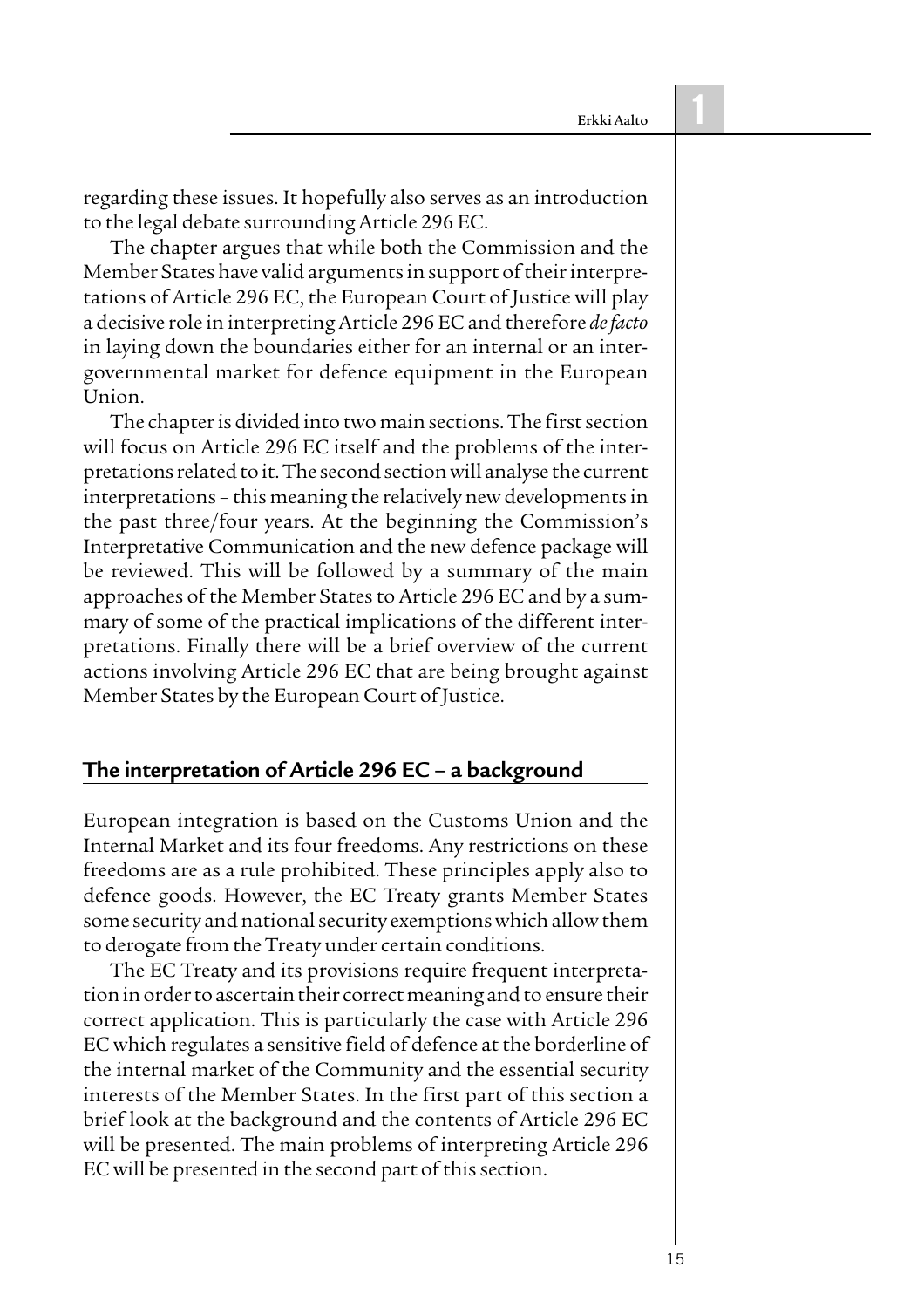<span id="page-16-0"></span>regarding these issues. It hopefully also serves as an introduction to the legal debate surrounding Article 296 EC.

The chapter argues that while both the Commission and the Member States have valid arguments in support of their interpretations of Article 296 EC, the European Court of Justice will play a decisive role in interpreting Article 296 EC and therefore *de facto* in laying down the boundaries either for an internal or an intergovernmental market for defence equipment in the European Union.

The chapter is divided into two main sections. The first section will focus on Article 296 EC itself and the problems of the interpretations related to it. The second section will analyse the current interpretations – this meaning the relatively new developments in the past three/four years. At the beginning the Commission's Interpretative Communication and the new defence package will be reviewed. This will be followed by a summary of the main approaches of the Member States to Article 296 EC and by a summary of some of the practical implications of the different interpretations. Finally there will be a brief overview of the current actions involving Article 296 EC that are being brought against Member States by the European Court of Justice.

# **The interpretation of Article 296 EC – a background**

European integration is based on the Customs Union and the Internal Market and its four freedoms. Any restrictions on these freedoms are as a rule prohibited. These principles apply also to defence goods. However, the EC Treaty grants Member States some security and national security exemptions which allow them to derogate from the Treaty under certain conditions.

The EC Treaty and its provisions require frequent interpretation in order to ascertain their correct meaning and to ensure their correct application. This is particularly the case with Article 296 EC which regulates a sensitive field of defence at the borderline of the internal market of the Community and the essential security interests of the Member States. In the first part of this section a brief look at the background and the contents of Article 296 EC will be presented. The main problems of interpreting Article 296 EC will be presented in the second part of this section.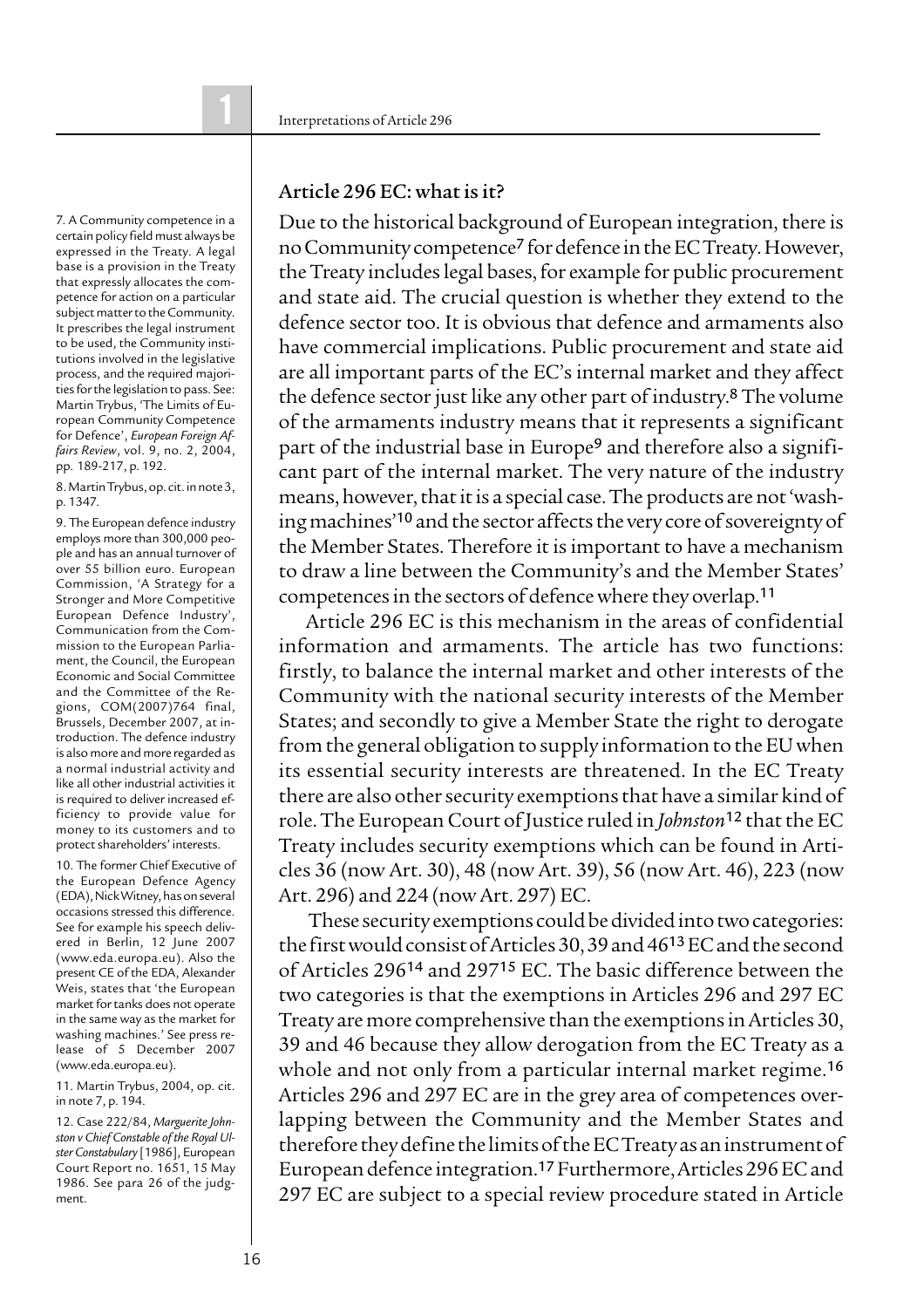7. A Community competence in a certain policy field must always be expressed in the Treaty. A legal base is a provision in the Treaty that expressly allocates the competence for action on a particular subject matter to the Community. It prescribes the legal instrument to be used, the Community institutions involved in the legislative process, and the required majorities for the legislation to pass. See: Martin Trybus, 'The Limits of European Community Competence for Defence', *European Foreign Affairs Review*, vol. 9, no. 2, 2004, pp. 189-217, p. 192.

**1**

#### 8. Martin Trybus, op. cit. in note 3, p. 1347.

9. The European defence industry employs more than 300,000 people and has an annual turnover of over 55 billion euro. European Commission, 'A Strategy for a Stronger and More Competitive European Defence Industry', Communication from the Commission to the European Parliament, the Council, the European Economic and Social Committee and the Committee of the Regions, COM(2007)764 final, Brussels, December 2007, at introduction. The defence industry is also more and more regarded as a normal industrial activity and like all other industrial activities it is required to deliver increased efficiency to provide value for money to its customers and to protect shareholders' interests.

10. The former Chief Executive of the European Defence Agency (EDA), Nick Witney, has on several occasions stressed this difference. See for example his speech delivered in Berlin, 12 June 2007 (www.eda.europa.eu). Also the present CE of the EDA, Alexander Weis, states that 'the European market for tanks does not operate in the same way as the market for washing machines.' See press release of 5 December 2007 (www.eda.europa.eu).

11. Martin Trybus, 2004, op. cit. in note 7, p. 194.

12. Case 222/84, *Marguerite Johnston v Chief Constable of the Royal Ulster Constabulary*[1986], European Court Report no. 1651, 15 May 1986. See para 26 of the judgment.

# Article 296 EC: what is it?

Due to the historical background of European integration, there is no Community competence<sup>7</sup> for defence in the EC Treaty. However, the Treaty includes legal bases, for example for public procurement and state aid. The crucial question is whether they extend to the defence sector too. It is obvious that defence and armaments also have commercial implications. Public procurement and state aid are all important parts of the EC's internal market and they affect the defence sector just like any other part of industry.<sup>8</sup> The volume of the armaments industry means that it represents a significant part of the industrial base in Europe<sup>9</sup> and therefore also a significant part of the internal market. The very nature of the industry means, however, that it is a special case. The products are not 'washing machines'<sup>10</sup> and the sector affects the very core of sovereignty of the Member States. Therefore it is important to have a mechanism to draw a line between the Community's and the Member States' competences in the sectors of defence where they overlap.<sup>11</sup>

Article 296 EC is this mechanism in the areas of confidential information and armaments. The article has two functions: firstly, to balance the internal market and other interests of the Community with the national security interests of the Member States; and secondly to give a Member State the right to derogate from the general obligation to supply information to the EU when its essential security interests are threatened. In the EC Treaty there are also other security exemptions that have a similar kind of role. The European Court of Justice ruled in *Johnston*<sup>12</sup> that the EC Treaty includes security exemptions which can be found in Articles 36 (now Art. 30), 48 (now Art. 39), 56 (now Art. 46), 223 (now Art. 296) and 224 (now Art. 297) EC.

These security exemptions could be divided into two categories: the first would consist of Articles 30, 39 and 46<sup>13</sup> EC and the second of Articles 296<sup>14</sup> and 297<sup>15</sup> EC. The basic difference between the two categories is that the exemptions in Articles 296 and 297 EC Treaty are more comprehensive than the exemptions in Articles 30, 39 and 46 because they allow derogation from the EC Treaty as a whole and not only from a particular internal market regime.<sup>16</sup> Articles 296 and 297 EC are in the grey area of competences overlapping between the Community and the Member States and therefore they define the limits of the EC Treaty as an instrument of European defence integration.<sup>17</sup> Furthermore, Articles 296 EC and 297 EC are subject to a special review procedure stated in Article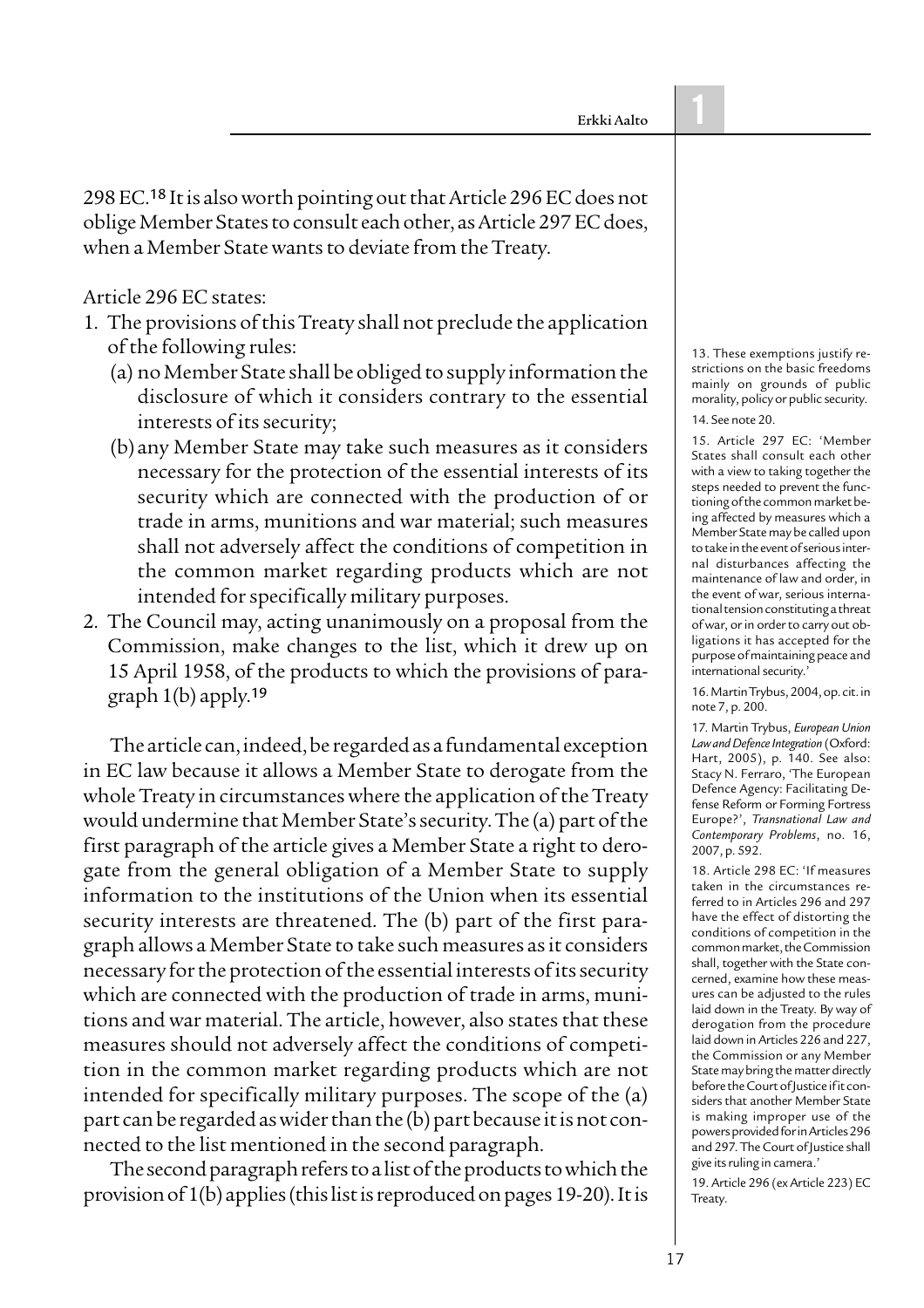298 EC.<sup>18</sup> It is also worth pointing out that Article 296 EC does not oblige Member States to consult each other, as Article 297 EC does, when a Member State wants to deviate from the Treaty.

Article 296 EC states:

- 1. The provisions of this Treaty shall not preclude the application of the following rules:
	- (a) no Member State shall be obliged to supply information the disclosure of which it considers contrary to the essential interests of its security;
	- (b) any Member State may take such measures as it considers necessary for the protection of the essential interests of its security which are connected with the production of or trade in arms, munitions and war material; such measures shall not adversely affect the conditions of competition in the common market regarding products which are not intended for specifically military purposes.
- 2. The Council may, acting unanimously on a proposal from the Commission, make changes to the list, which it drew up on 15 April 1958, of the products to which the provisions of paragraph 1(b) apply.<sup>19</sup>

The article can, indeed, be regarded as a fundamental exception in EC law because it allows a Member State to derogate from the whole Treaty in circumstances where the application of the Treaty would undermine that Member State's security. The (a) part of the first paragraph of the article gives a Member State a right to derogate from the general obligation of a Member State to supply information to the institutions of the Union when its essential security interests are threatened. The (b) part of the first paragraph allows a Member State to take such measures as it considers necessary for the protection of the essential interests of its security which are connected with the production of trade in arms, munitions and war material. The article, however, also states that these measures should not adversely affect the conditions of competition in the common market regarding products which are not intended for specifically military purposes. The scope of the (a) part can be regarded as wider than the (b) part because it is not connected to the list mentioned in the second paragraph.

The second paragraph refers to a list of the products to which the provision of 1(b) applies (this list is reproduced on pages 19-20). It is

13. These exemptions justify restrictions on the basic freedoms mainly on grounds of public morality, policy or public security. 14. See note 20.

15. Article 297 EC: 'Member States shall consult each other with a view to taking together the steps needed to prevent the functioning of the common market being affected by measures which a Member State may be called upon to take in the event of serious internal disturbances affecting the maintenance of law and order, in the event of war, serious international tension constituting a threat of war, or in order to carry out obligations it has accepted for the purpose of maintaining peace and international security.

16. Martin Trybus, 2004, op. cit. in note 7, p. 200.

17. Martin Trybus, *European Union Law and Defence Integration* (Oxford: Hart, 2005), p. 140. See also: Stacy N. Ferraro, 'The European Defence Agency: Facilitating Defense Reform or Forming Fortress Europe?', *Transnational Law and Contemporary Problems*, no. 16, 2007, p. 592.

18. Article 298 EC: 'If measures taken in the circumstances referred to in Articles 296 and 297 have the effect of distorting the conditions of competition in the common market, the Commission shall, together with the State concerned, examine how these measures can be adjusted to the rules laid down in the Treaty. By way of derogation from the procedure laid down in Articles 226 and 227, the Commission or any Member State may bring the matter directly before the Court of Justice if it considers that another Member State is making improper use of the powers provided for in Articles 296 and 297. The Court of Justice shall give its ruling in camera.'

19. Article 296 (ex Article 223) EC Treaty.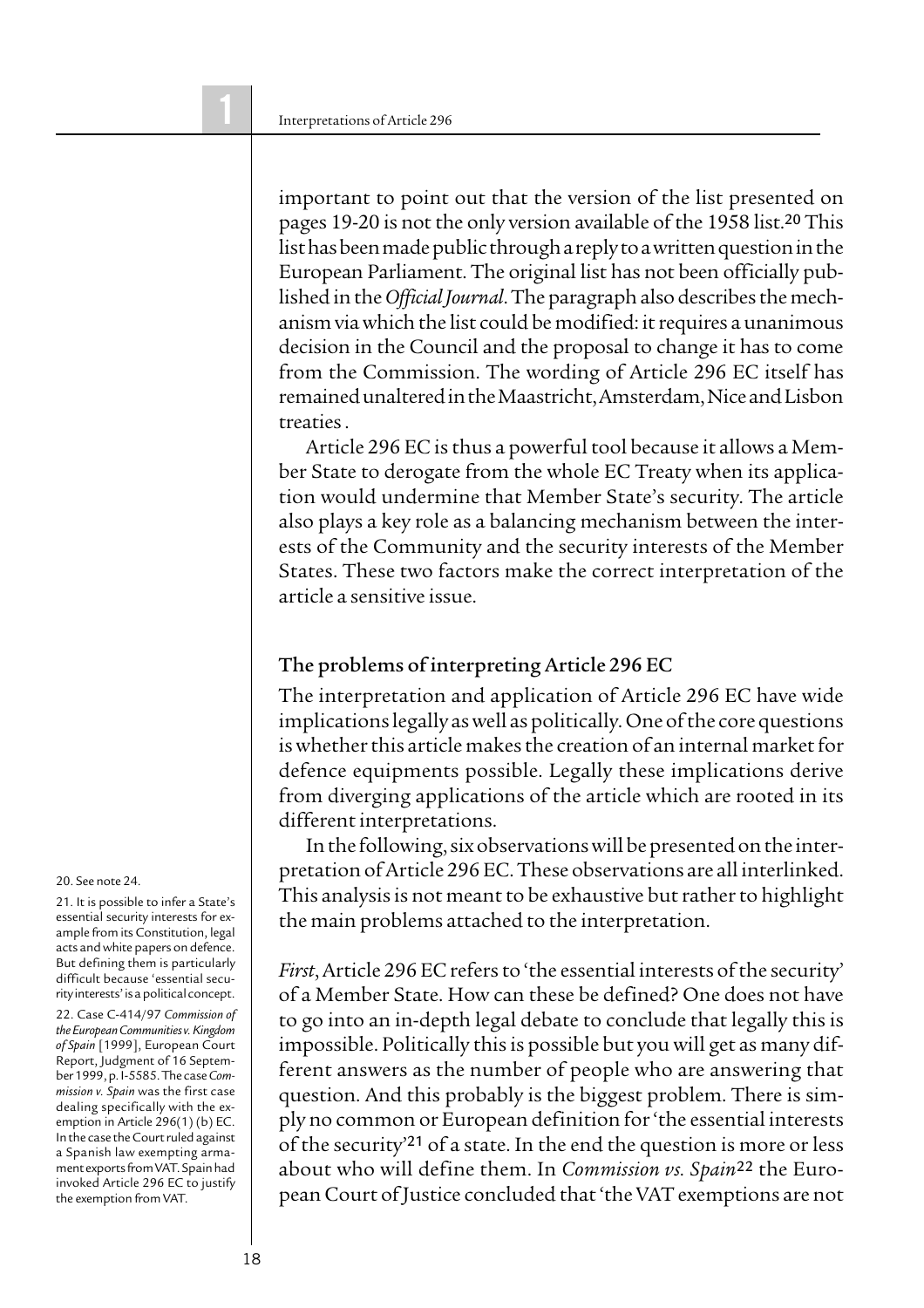important to point out that the version of the list presented on pages 19-20 is not the only version available of the 1958 list.<sup>20</sup> This list has been made public through a reply to a written question in the European Parliament. The original list has not been officially published in the *Official Journal*. The paragraph also describes the mechanism via which the list could be modified: it requires a unanimous decision in the Council and the proposal to change it has to come from the Commission. The wording of Article 296 EC itself has remained unaltered in the Maastricht, Amsterdam, Nice and Lisbon treaties .

Article 296 EC is thus a powerful tool because it allows a Member State to derogate from the whole EC Treaty when its application would undermine that Member State's security. The article also plays a key role as a balancing mechanism between the interests of the Community and the security interests of the Member States. These two factors make the correct interpretation of the article a sensitive issue.

# The problems of interpreting Article 296 EC

The interpretation and application of Article 296 EC have wide implications legally as well as politically. One of the core questions is whether this article makes the creation of an internal market for defence equipments possible. Legally these implications derive from diverging applications of the article which are rooted in its different interpretations.

In the following, six observations will be presented on the interpretation of Article 296 EC. These observations are all interlinked. This analysis is not meant to be exhaustive but rather to highlight the main problems attached to the interpretation.

*First*, Article 296 EC refers to 'the essential interests of the security' of a Member State. How can these be defined? One does not have to go into an in-depth legal debate to conclude that legally this is impossible. Politically this is possible but you will get as many different answers as the number of people who are answering that question. And this probably is the biggest problem. There is simply no common or European definition for 'the essential interests of the security'<sup>21</sup> of a state. In the end the question is more or less about who will define them. In *Commission vs. Spain*<sup>22</sup> the European Court of Justice concluded that 'the VAT exemptions are not

#### 20. See note 24.

21. It is possible to infer a State's essential security interests for example from its Constitution, legal acts and white papers on defence. But defining them is particularly difficult because 'essential security interests' is a political concept.

22. Case C-414/97 *Commission of the European Communities v. Kingdom of Spain* [1999], European Court Report, Judgment of 16 September 1999, p. I-5585. The case *Commission v. Spain* was the first case dealing specifically with the exemption in Article 296(1) (b) EC. In the case the Court ruled against a Spanish law exempting armament exports from VAT. Spain had invoked Article 296 EC to justify the exemption from VAT.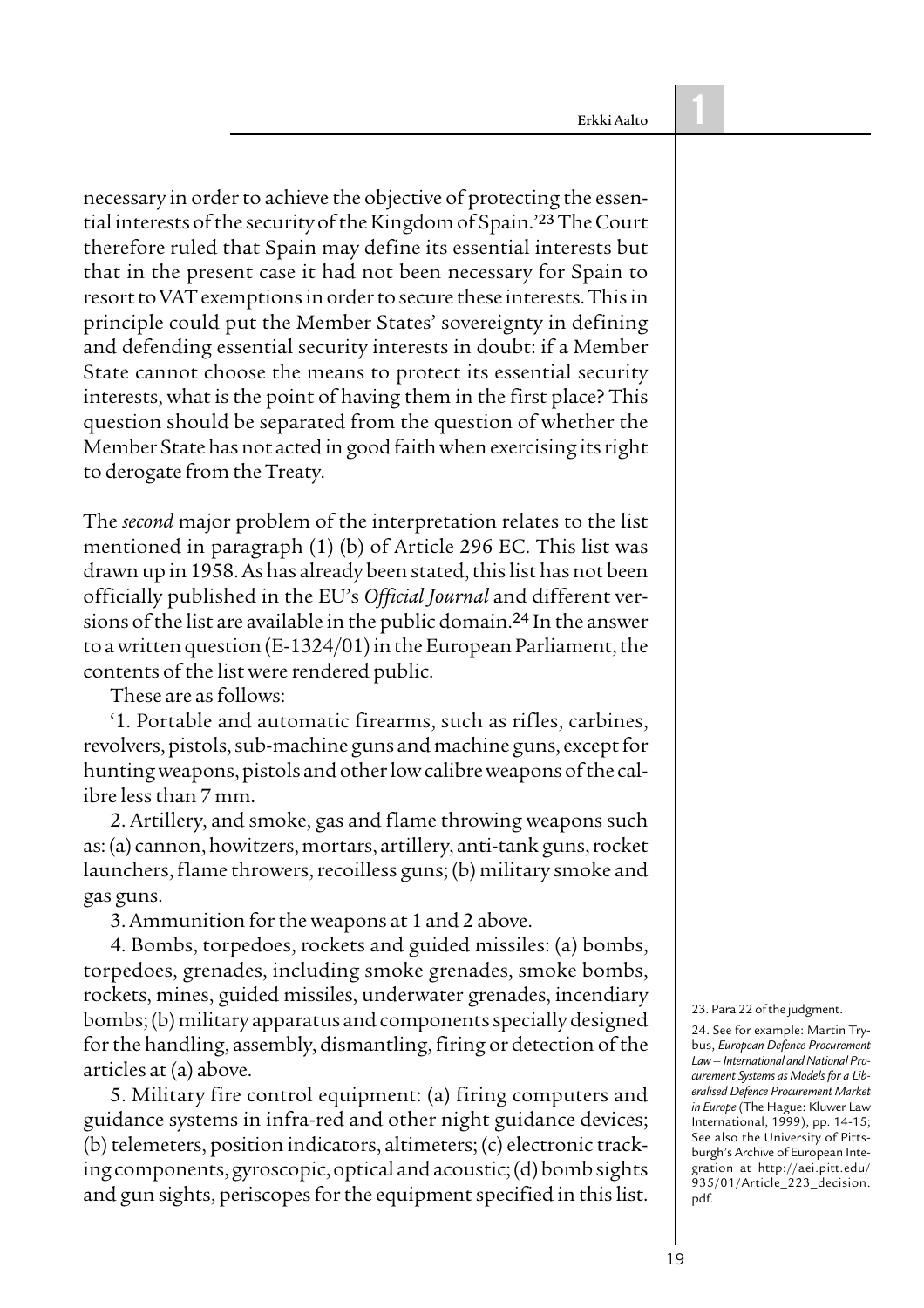necessary in order to achieve the objective of protecting the essential interests of the security of the Kingdom of Spain.'23The Court therefore ruled that Spain may define its essential interests but that in the present case it had not been necessary for Spain to resort to VAT exemptions in order to secure these interests. This in principle could put the Member States' sovereignty in defining and defending essential security interests in doubt: if a Member State cannot choose the means to protect its essential security interests, what is the point of having them in the first place? This question should be separated from the question of whether the Member State has not acted in good faith when exercising its right to derogate from the Treaty.

The *second* major problem of the interpretation relates to the list mentioned in paragraph (1) (b) of Article 296 EC. This list was drawn up in 1958. As has already been stated, this list has not been officially published in the EU's *Official Journal* and different versions of the list are available in the public domain.<sup>24</sup> In the answer to a written question (E-1324/01) in the European Parliament, the contents of the list were rendered public.

These are as follows:

'1. Portable and automatic firearms, such as rifles, carbines, revolvers, pistols, sub-machine guns and machine guns, except for hunting weapons, pistols and other low calibre weapons of the calibre less than 7 mm.

2. Artillery, and smoke, gas and flame throwing weapons such as: (a) cannon, howitzers, mortars, artillery, anti-tank guns, rocket launchers, flame throwers, recoilless guns; (b) military smoke and gas guns.

3. Ammunition for the weapons at 1 and 2 above.

4. Bombs, torpedoes, rockets and guided missiles: (a) bombs, torpedoes, grenades, including smoke grenades, smoke bombs, rockets, mines, guided missiles, underwater grenades, incendiary bombs; (b) military apparatus and components specially designed for the handling, assembly, dismantling, firing or detection of the articles at (a) above.

5. Military fire control equipment: (a) firing computers and guidance systems in infra-red and other night guidance devices; (b) telemeters, position indicators, altimeters; (c) electronic tracking components, gyroscopic, optical and acoustic; (d) bomb sights and gun sights, periscopes for the equipment specified in this list. 23. Para 22 of the judgment.

<sup>24.</sup> See for example: Martin Trybus, *European Defence Procurement Law – International and National Procurement Systems as Models for a Liberalised Defence Procurement Market in Europe* (The Hague: Kluwer Law International, 1999), pp. 14-15; See also the University of Pittsburgh's Archive of European Integration at http://aei.pitt.edu/ 935/01/Article\_223\_decision. pdf.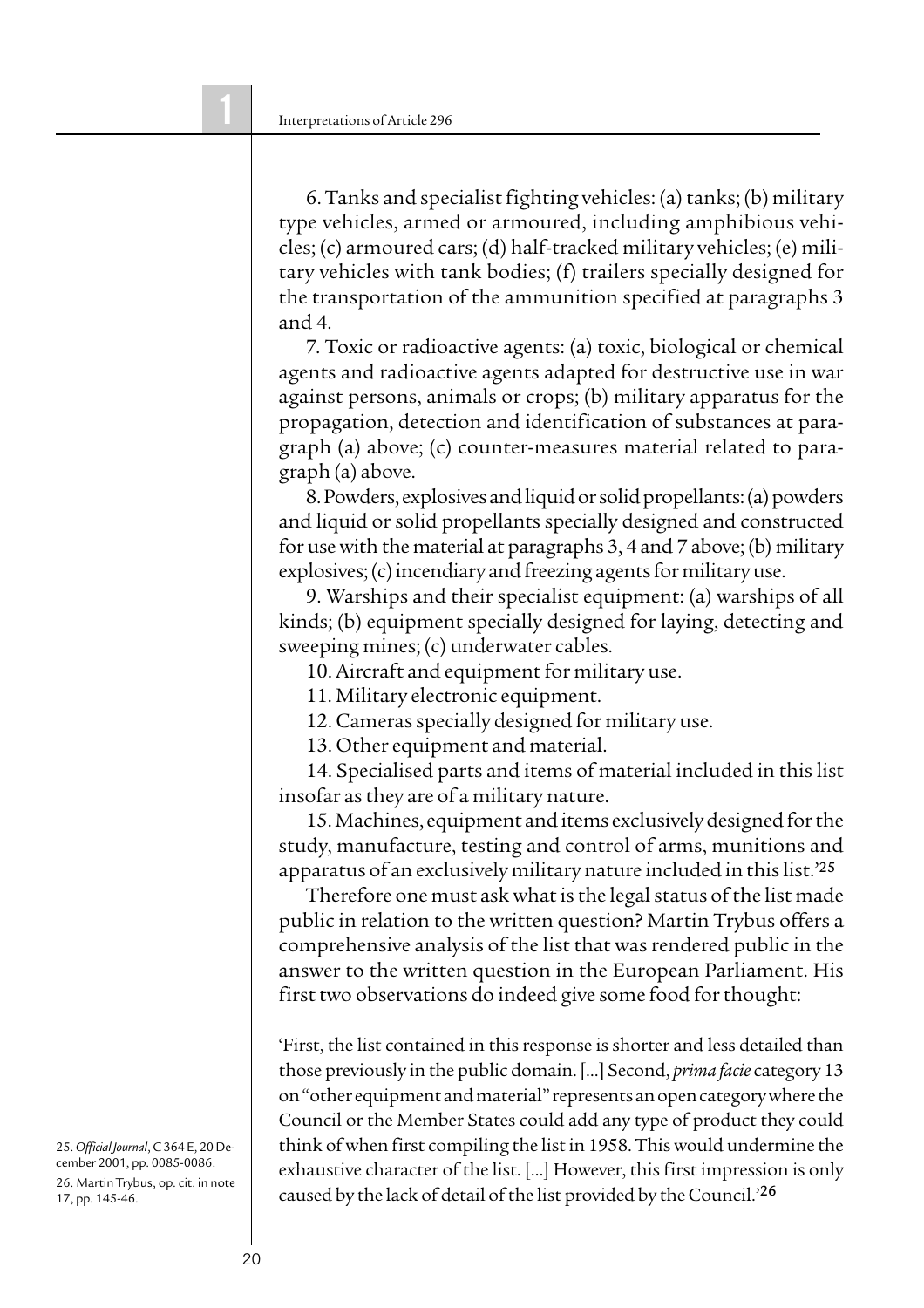6. Tanks and specialist fighting vehicles: (a) tanks; (b) military type vehicles, armed or armoured, including amphibious vehicles; (c) armoured cars; (d) half-tracked military vehicles; (e) military vehicles with tank bodies; (f) trailers specially designed for the transportation of the ammunition specified at paragraphs 3 and 4.

7. Toxic or radioactive agents: (a) toxic, biological or chemical agents and radioactive agents adapted for destructive use in war against persons, animals or crops; (b) military apparatus for the propagation, detection and identification of substances at paragraph (a) above; (c) counter-measures material related to paragraph (a) above.

8. Powders, explosives and liquid or solid propellants: (a) powders and liquid or solid propellants specially designed and constructed for use with the material at paragraphs 3, 4 and 7 above; (b) military explosives; (c) incendiary and freezing agents for military use.

9. Warships and their specialist equipment: (a) warships of all kinds; (b) equipment specially designed for laying, detecting and sweeping mines; (c) underwater cables.

10. Aircraft and equipment for military use.

11. Military electronic equipment.

12. Cameras specially designed for military use.

13. Other equipment and material.

14. Specialised parts and items of material included in this list insofar as they are of a military nature.

15. Machines, equipment and items exclusively designed for the study, manufacture, testing and control of arms, munitions and apparatus of an exclusively military nature included in this list.'<sup>25</sup>

Therefore one must ask what is the legal status of the list made public in relation to the written question? Martin Trybus offers a comprehensive analysis of the list that was rendered public in the answer to the written question in the European Parliament. His first two observations do indeed give some food for thought:

'First, the list contained in this response is shorter and less detailed than those previously in the public domain. […] Second, *prima facie* category 13 on "other equipment and material" represents an open category where the Council or the Member States could add any type of product they could think of when first compiling the list in 1958. This would undermine the exhaustive character of the list. […] However, this first impression is only caused by the lack of detail of the list provided by the Council.'26

25.*Official Journal*, C 364 E, 20 December 2001, pp. 0085-0086.

26. Martin Trybus, op. cit. in note 17, pp. 145-46.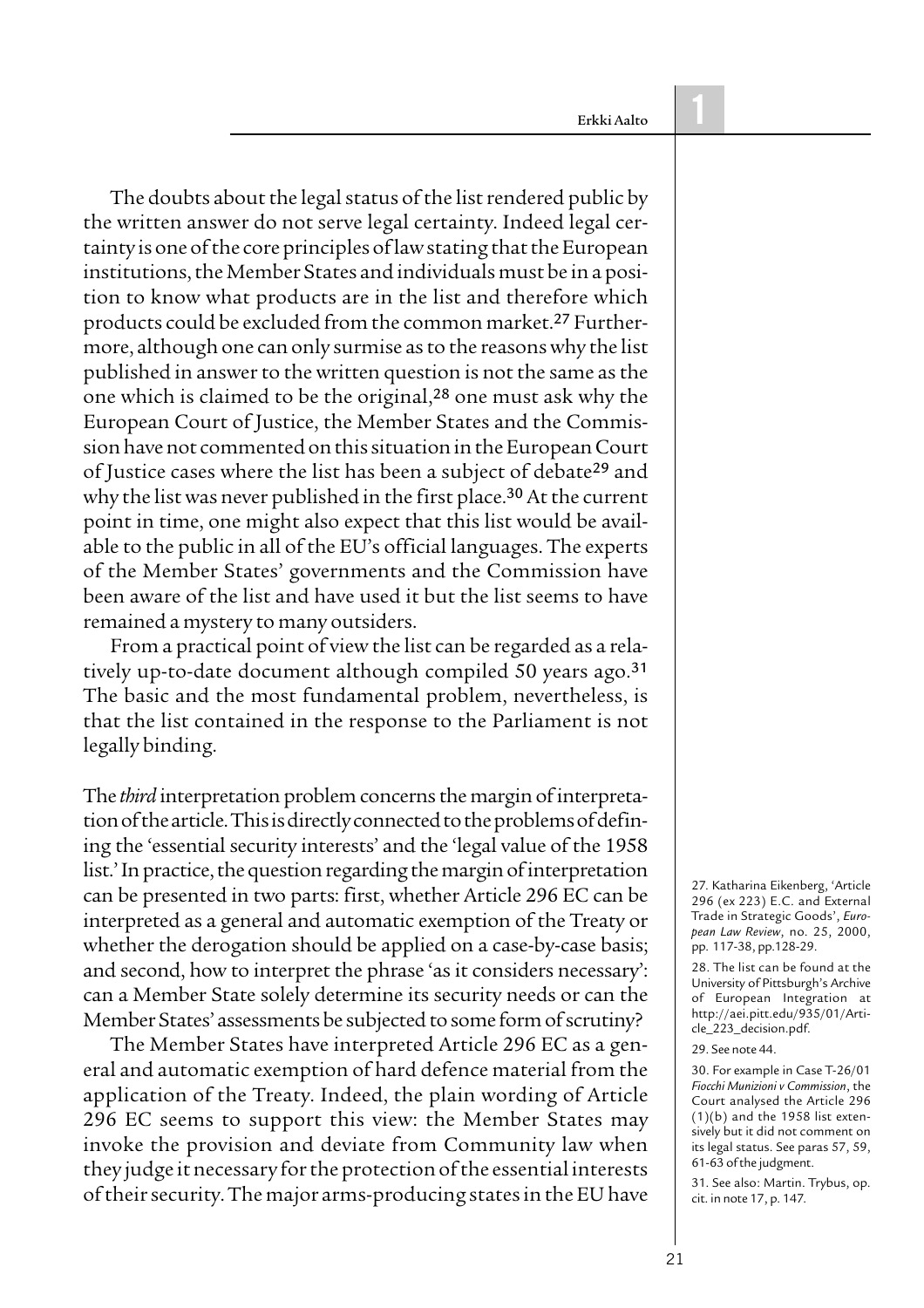The doubts about the legal status of the list rendered public by the written answer do not serve legal certainty. Indeed legal certainty is one of the core principles of law stating that the European institutions, the Member States and individuals must be in a position to know what products are in the list and therefore which products could be excluded from the common market.<sup>27</sup> Furthermore, although one can only surmise as to the reasons why the list published in answer to the written question is not the same as the one which is claimed to be the original,<sup>28</sup> one must ask why the European Court of Justice, the Member States and the Commission have not commented on this situation in the European Court of Justice cases where the list has been a subject of debate<sup>29</sup> and why the list was never published in the first place.<sup>30</sup> At the current point in time, one might also expect that this list would be available to the public in all of the EU's official languages. The experts of the Member States' governments and the Commission have been aware of the list and have used it but the list seems to have remained a mystery to many outsiders.

From a practical point of view the list can be regarded as a relatively up-to-date document although compiled 50 years ago.<sup>31</sup> The basic and the most fundamental problem, nevertheless, is that the list contained in the response to the Parliament is not legally binding.

The *third* interpretation problem concerns the margin of interpretation of the article. This is directly connected to the problems of defining the 'essential security interests' and the 'legal value of the 1958 list.' In practice, the question regarding the margin of interpretation can be presented in two parts: first, whether Article 296 EC can be interpreted as a general and automatic exemption of the Treaty or whether the derogation should be applied on a case-by-case basis; and second, how to interpret the phrase 'as it considers necessary': can a Member State solely determine its security needs or can the Member States' assessments be subjected to some form of scrutiny?

The Member States have interpreted Article 296 EC as a general and automatic exemption of hard defence material from the application of the Treaty. Indeed, the plain wording of Article 296 EC seems to support this view: the Member States may invoke the provision and deviate from Community law when they judge it necessary for the protection of the essential interests of their security. The major arms-producing states in the EU have

27. Katharina Eikenberg, 'Article 296 (ex 223) E.C. and External Trade in Strategic Goods', *European Law Review*, no. 25, 2000, pp. 117-38, pp.128-29.

28. The list can be found at the University of Pittsburgh's Archive of European Integration at http://aei.pitt.edu/935/01/Article\_223\_decision.pdf.

29. See note 44.

30. For example in Case T-26/01 *Fiocchi Munizioni v Commission*, the Court analysed the Article 296 (1)(b) and the 1958 list extensively but it did not comment on its legal status. See paras 57, 59, 61-63 of the judgment.

31. See also: Martin. Trybus, op. cit. in note 17, p. 147.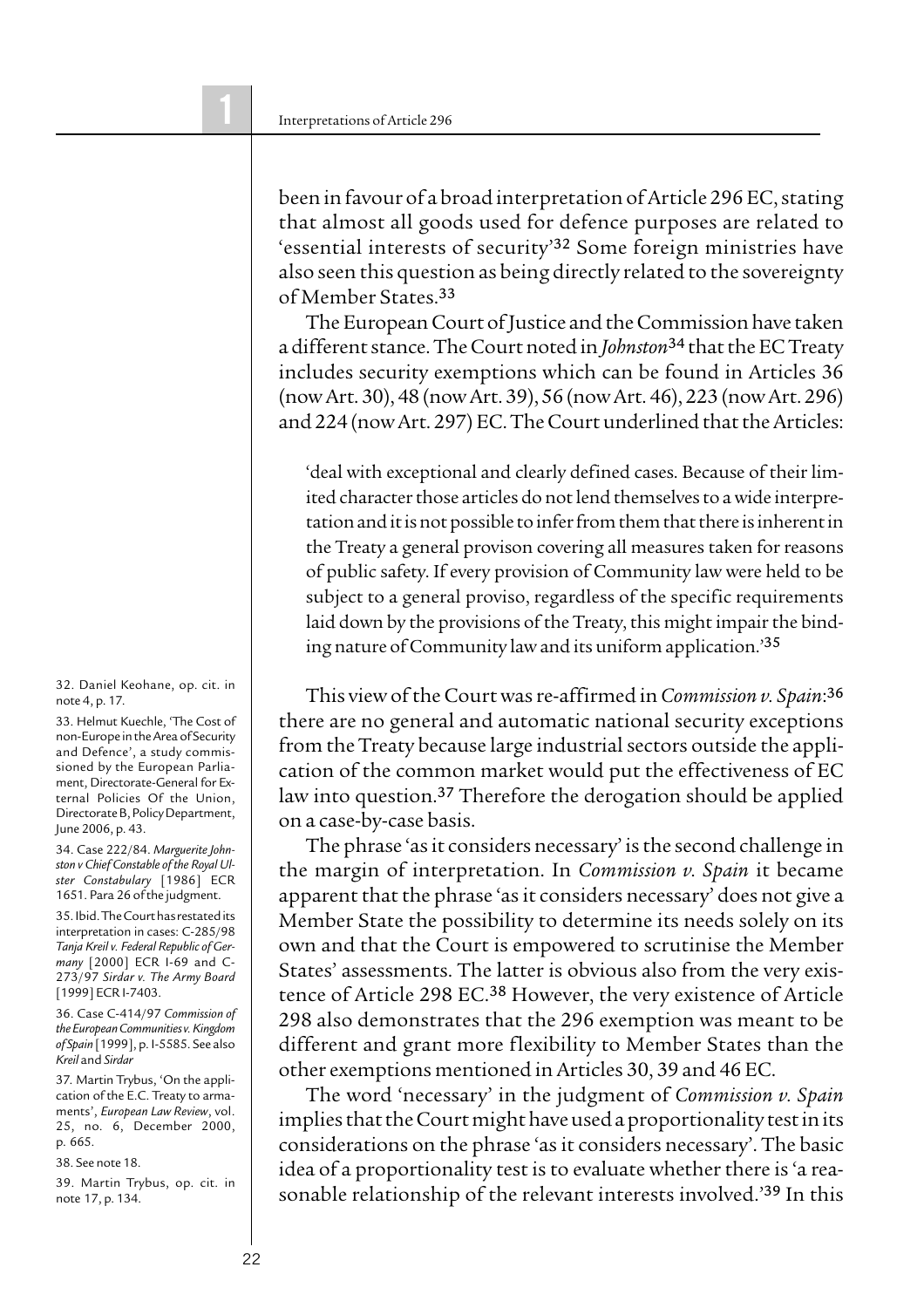been in favour of a broad interpretation of Article 296 EC, stating that almost all goods used for defence purposes are related to 'essential interests of security'<sup>32</sup> Some foreign ministries have also seen this question as being directly related to the sovereignty of Member States.<sup>33</sup>

The European Court of Justice and the Commission have taken a different stance. The Court noted in *Johnston*<sup>34</sup> that the EC Treaty includes security exemptions which can be found in Articles 36 (now Art. 30), 48 (now Art. 39), 56 (now Art. 46), 223 (now Art. 296) and 224 (now Art. 297) EC. The Court underlined that the Articles:

'deal with exceptional and clearly defined cases. Because of their limited character those articles do not lend themselves to a wide interpretation and it is not possible to infer from them that there is inherent in the Treaty a general provison covering all measures taken for reasons of public safety. If every provision of Community law were held to be subject to a general proviso, regardless of the specific requirements laid down by the provisions of the Treaty, this might impair the binding nature of Community law and its uniform application.'35

This view of the Court was re-affirmed in *Commission v. Spain*: 36 there are no general and automatic national security exceptions from the Treaty because large industrial sectors outside the application of the common market would put the effectiveness of EC law into question.<sup>37</sup> Therefore the derogation should be applied on a case-by-case basis.

The phrase 'as it considers necessary' is the second challenge in the margin of interpretation. In *Commission v. Spain* it became apparent that the phrase 'as it considers necessary' does not give a Member State the possibility to determine its needs solely on its own and that the Court is empowered to scrutinise the Member States' assessments. The latter is obvious also from the very existence of Article 298 EC.<sup>38</sup> However, the very existence of Article 298 also demonstrates that the 296 exemption was meant to be different and grant more flexibility to Member States than the other exemptions mentioned in Articles 30, 39 and 46 EC.

The word 'necessary' in the judgment of *Commission v. Spain* implies that the Court might have used a proportionality test in its considerations on the phrase 'as it considers necessary'. The basic idea of a proportionality test is to evaluate whether there is 'a reasonable relationship of the relevant interests involved.'<sup>39</sup> In this

32. Daniel Keohane, op. cit. in note 4, p. 17.

33. Helmut Kuechle, 'The Cost of non-Europe in the Area of Security and Defence', a study commissioned by the European Parliament, Directorate-General for External Policies Of the Union, Directorate B, Policy Department, June 2006, p. 43.

34. Case 222/84. *Marguerite Johnston v Chief Constable of the Royal Ulster Constabulary* [1986] ECR 1651. Para 26 of the judgment.

35. Ibid. The Court has restated its interpretation in cases: C-285/98 *Tanja Kreil v. Federal Republic of Germany* [2000] ECR I-69 and C-273/97 *Sirdar v. The Army Board* [1999] ECR I-7403.

36. Case C-414/97 *Commission of the European Communities v. Kingdom of Spain* [1999], p. I-5585. See also *Kreil* and *Sirdar*

37. Martin Trybus, 'On the application of the E.C. Treaty to armaments', *European Law Review*, vol. 25, no. 6, December 2000, p. 665.

38. See note 18.

39. Martin Trybus, op. cit. in note 17, p. 134.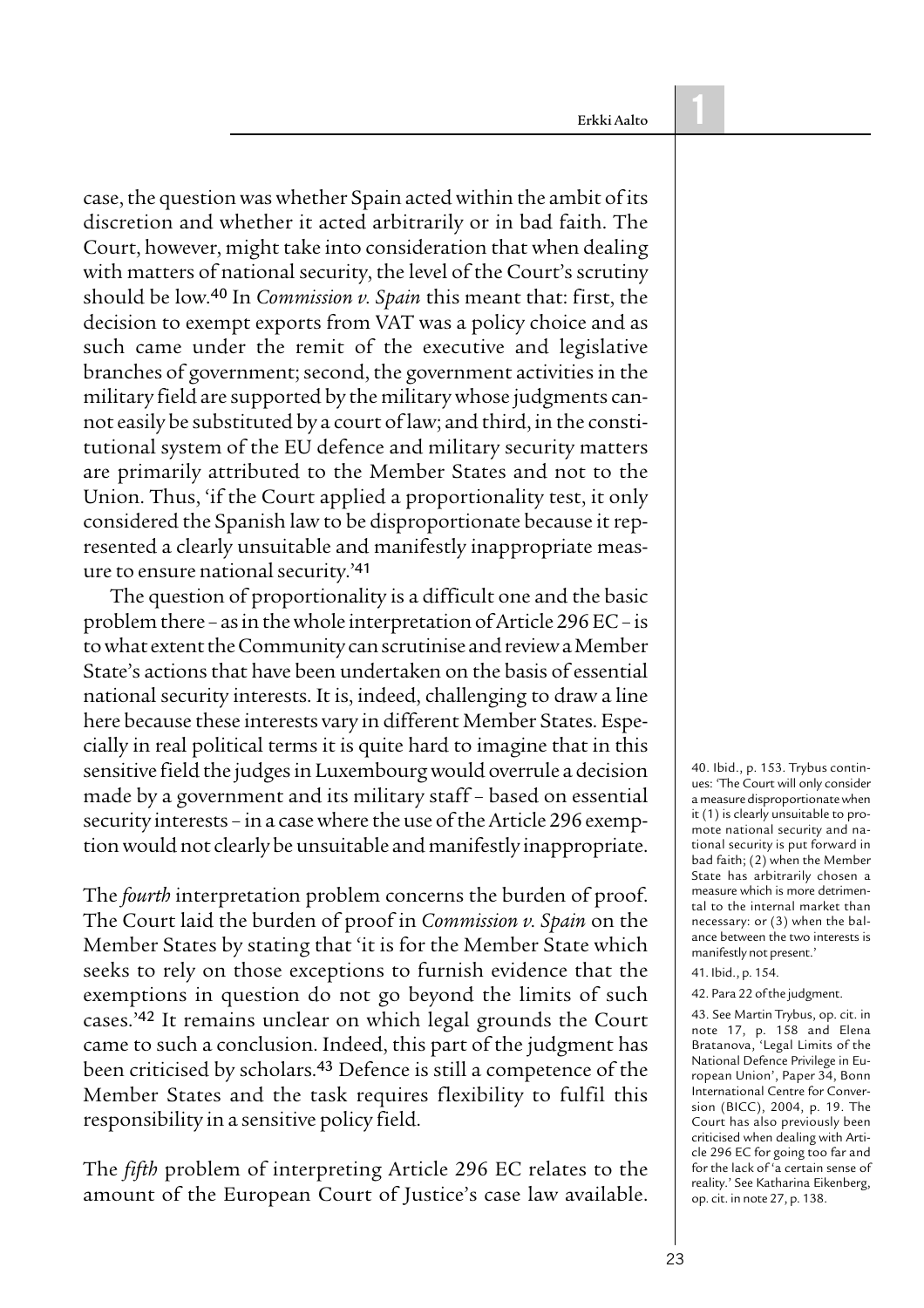case, the question was whether Spain acted within the ambit of its discretion and whether it acted arbitrarily or in bad faith. The Court, however, might take into consideration that when dealing with matters of national security, the level of the Court's scrutiny should be low.<sup>40</sup> In *Commission v. Spain* this meant that: first, the decision to exempt exports from VAT was a policy choice and as such came under the remit of the executive and legislative branches of government; second, the government activities in the military field are supported by the military whose judgments cannot easily be substituted by a court of law; and third, in the constitutional system of the EU defence and military security matters are primarily attributed to the Member States and not to the Union. Thus, 'if the Court applied a proportionality test, it only considered the Spanish law to be disproportionate because it represented a clearly unsuitable and manifestly inappropriate measure to ensure national security.'<sup>41</sup>

The question of proportionality is a difficult one and the basic problem there – as in the whole interpretation of Article 296 EC – is to what extent the Community can scrutinise and review a Member State's actions that have been undertaken on the basis of essential national security interests. It is, indeed, challenging to draw a line here because these interests vary in different Member States. Especially in real political terms it is quite hard to imagine that in this sensitive field the judges in Luxembourg would overrule a decision made by a government and its military staff – based on essential security interests – in a case where the use of the Article 296 exemption would not clearly be unsuitable and manifestly inappropriate.

The *fourth* interpretation problem concerns the burden of proof. The Court laid the burden of proof in *Commission v. Spain* on the Member States by stating that 'it is for the Member State which seeks to rely on those exceptions to furnish evidence that the exemptions in question do not go beyond the limits of such cases.'<sup>42</sup> It remains unclear on which legal grounds the Court came to such a conclusion. Indeed, this part of the judgment has been criticised by scholars.<sup>43</sup> Defence is still a competence of the Member States and the task requires flexibility to fulfil this responsibility in a sensitive policy field.

The *fifth* problem of interpreting Article 296 EC relates to the amount of the European Court of Justice's case law available. 40. Ibid., p. 153. Trybus continues: 'The Court will only consider a measure disproportionate when it (1) is clearly unsuitable to promote national security and national security is put forward in bad faith; (2) when the Member State has arbitrarily chosen a measure which is more detrimental to the internal market than necessary: or (3) when the balance between the two interests is manifestly not present.'

41. Ibid., p. 154.

42. Para 22 of the judgment.

43. See Martin Trybus, op. cit. in note 17, p. 158 and Elena Bratanova, 'Legal Limits of the National Defence Privilege in European Union', Paper 34, Bonn International Centre for Conversion (BICC), 2004, p. 19. The Court has also previously been criticised when dealing with Article 296 EC for going too far and for the lack of 'a certain sense of reality.' See Katharina Eikenberg, op. cit. in note 27, p. 138.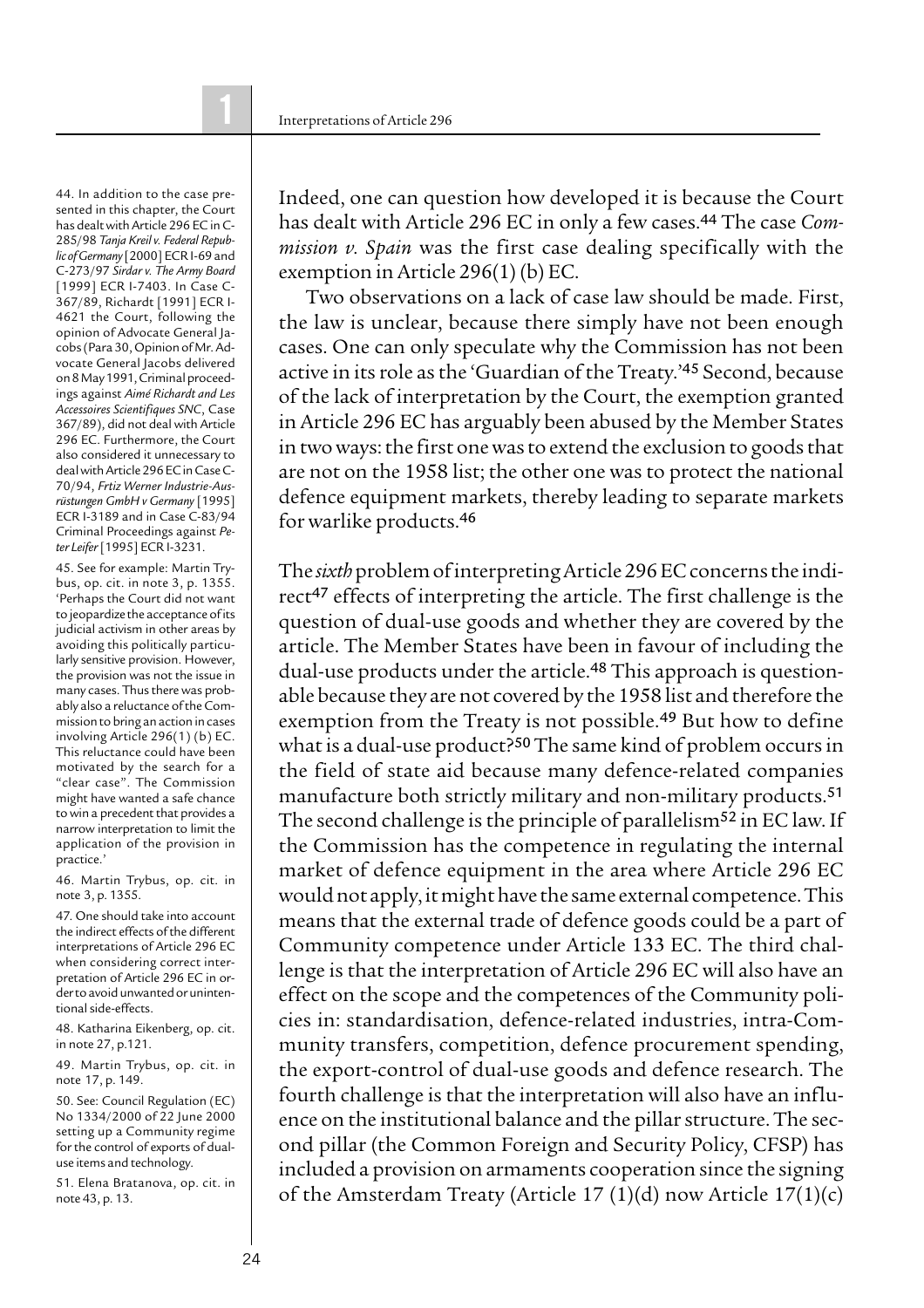44. In addition to the case presented in this chapter, the Court has dealt with Article 296 EC in C-285/98 *Tanja Kreil v. Federal Republic of Germany* [2000] ECR I-69 and C-273/97 *Sirdar v. The Army Board* [1999] ECR I-7403. In Case C-367/89, Richardt [1991] ECR I-4621 the Court, following the opinion of Advocate General Jacobs (Para 30, Opinion of Mr. Advocate General Jacobs delivered on 8 May 1991, Criminal proceedings against *Aimé Richardt and Les Accessoires Scientifiques SNC*, Case 367/89), did not deal with Article 296 EC. Furthermore, the Court also considered it unnecessary to deal with Article 296 EC in Case C-70/94, *Frtiz Werner Industrie-Ausrüstungen GmbH v Germany* [1995] ECR I-3189 and in Case C-83/94 Criminal Proceedings against *Peter Leifer*[1995] ECR I-3231.

**1**

45. See for example: Martin Trybus, op. cit. in note 3, p. 1355. 'Perhaps the Court did not want to jeopardize the acceptance of its judicial activism in other areas by avoiding this politically particularly sensitive provision. However, the provision was not the issue in many cases. Thus there was probably also a reluctance of the Commission to bring an action in cases involving Article 296(1) (b) EC. This reluctance could have been motivated by the search for a "clear case". The Commission might have wanted a safe chance to win a precedent that provides a narrow interpretation to limit the application of the provision in practice.'

46. Martin Trybus, op. cit. in note 3, p. 1355.

47. One should take into account the indirect effects of the different interpretations of Article 296 EC when considering correct interpretation of Article 296 EC in order to avoid unwanted or unintentional side-effects.

48. Katharina Eikenberg, op. cit. in note 27, p.121.

49. Martin Trybus, op. cit. in note 17, p. 149.

50. See: Council Regulation (EC) No 1334/2000 of 22 June 2000 setting up a Community regime for the control of exports of dualuse items and technology.

51. Elena Bratanova, op. cit. in note 43, p. 13.

Indeed, one can question how developed it is because the Court has dealt with Article 296 EC in only a few cases.<sup>44</sup> The case *Commission v. Spain* was the first case dealing specifically with the exemption in Article 296(1) (b) EC.

Two observations on a lack of case law should be made. First, the law is unclear, because there simply have not been enough cases. One can only speculate why the Commission has not been active in its role as the 'Guardian of the Treaty.'<sup>45</sup> Second, because of the lack of interpretation by the Court, the exemption granted in Article 296 EC has arguably been abused by the Member States in two ways: the first one was to extend the exclusion to goods that are not on the 1958 list; the other one was to protect the national defence equipment markets, thereby leading to separate markets for warlike products.<sup>46</sup>

The *sixth* problem of interpreting Article 296 EC concerns the indirect<sup>47</sup> effects of interpreting the article. The first challenge is the question of dual-use goods and whether they are covered by the article. The Member States have been in favour of including the dual-use products under the article.<sup>48</sup> This approach is questionable because they are not covered by the 1958 list and therefore the exemption from the Treaty is not possible.<sup>49</sup> But how to define what is a dual-use product?<sup>50</sup> The same kind of problem occurs in the field of state aid because many defence-related companies manufacture both strictly military and non-military products.<sup>51</sup> The second challenge is the principle of parallelism<sup>52</sup> in EC law. If the Commission has the competence in regulating the internal market of defence equipment in the area where Article 296 EC would not apply, it might have the same external competence. This means that the external trade of defence goods could be a part of Community competence under Article 133 EC. The third challenge is that the interpretation of Article 296 EC will also have an effect on the scope and the competences of the Community policies in: standardisation, defence-related industries, intra-Community transfers, competition, defence procurement spending, the export-control of dual-use goods and defence research. The fourth challenge is that the interpretation will also have an influence on the institutional balance and the pillar structure. The second pillar (the Common Foreign and Security Policy, CFSP) has included a provision on armaments cooperation since the signing of the Amsterdam Treaty (Article 17 (1)(d) now Article 17(1)(c)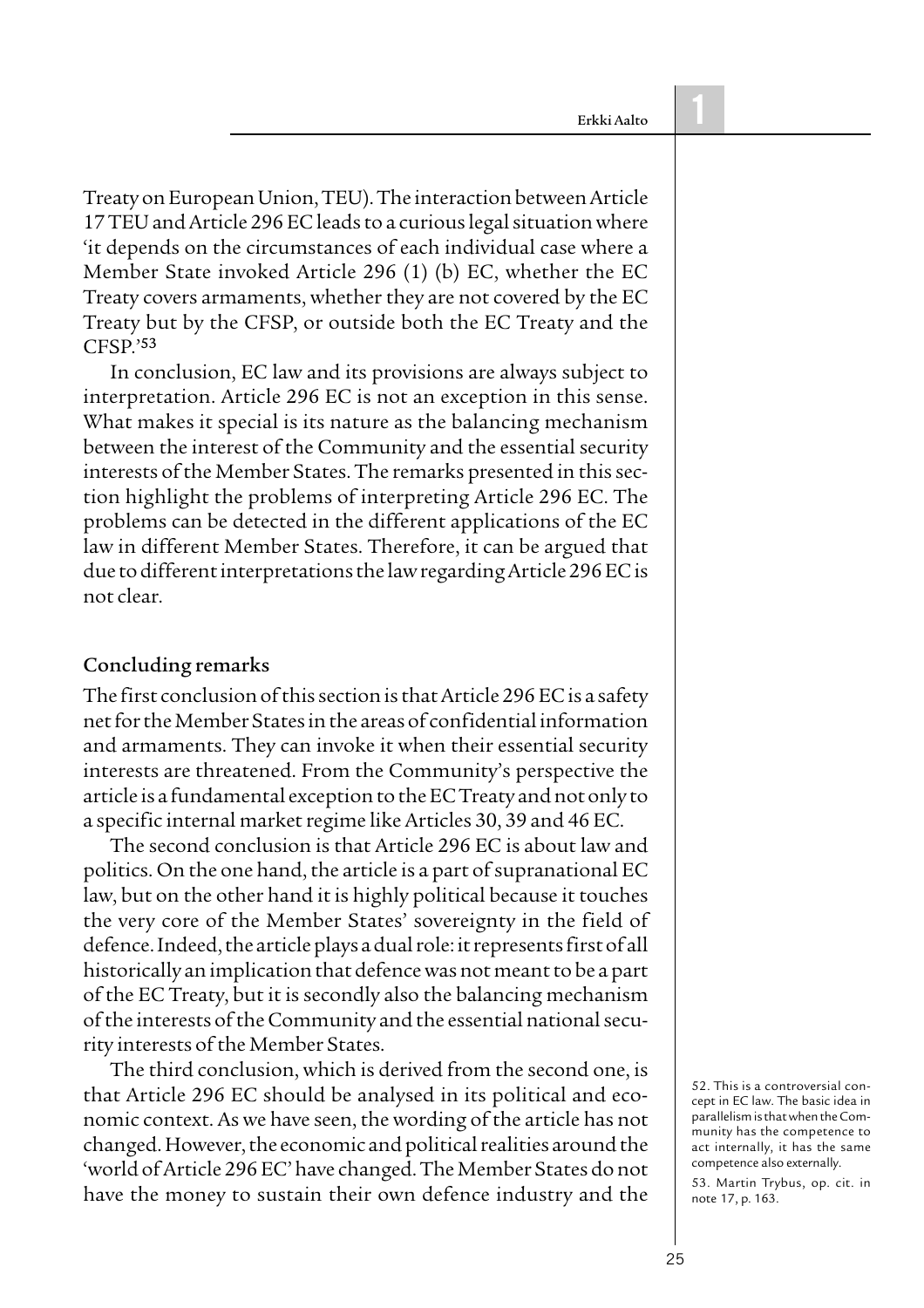Treaty on European Union, TEU). The interaction between Article 17 TEU and Article 296 EC leads to a curious legal situation where 'it depends on the circumstances of each individual case where a Member State invoked Article 296 (1) (b) EC, whether the EC Treaty covers armaments, whether they are not covered by the EC Treaty but by the CFSP, or outside both the EC Treaty and the CFSP.'<sup>53</sup>

In conclusion, EC law and its provisions are always subject to interpretation. Article 296 EC is not an exception in this sense. What makes it special is its nature as the balancing mechanism between the interest of the Community and the essential security interests of the Member States. The remarks presented in this section highlight the problems of interpreting Article 296 EC. The problems can be detected in the different applications of the EC law in different Member States. Therefore, it can be argued that due to different interpretations the law regarding Article 296 EC is not clear.

# Concluding remarks

The first conclusion of this section is that Article 296 EC is a safety net for the Member States in the areas of confidential information and armaments. They can invoke it when their essential security interests are threatened. From the Community's perspective the article is a fundamental exception to the EC Treaty and not only to a specific internal market regime like Articles 30, 39 and 46 EC.

The second conclusion is that Article 296 EC is about law and politics. On the one hand, the article is a part of supranational EC law, but on the other hand it is highly political because it touches the very core of the Member States' sovereignty in the field of defence. Indeed, the article plays a dual role: it represents first of all historically an implication that defence was not meant to be a part of the EC Treaty, but it is secondly also the balancing mechanism of the interests of the Community and the essential national security interests of the Member States.

The third conclusion, which is derived from the second one, is that Article 296 EC should be analysed in its political and economic context. As we have seen, the wording of the article has not changed. However, the economic and political realities around the 'world of Article 296 EC' have changed. The Member States do not have the money to sustain their own defence industry and the

<sup>53.</sup> Martin Trybus, op. cit. in note 17, p. 163.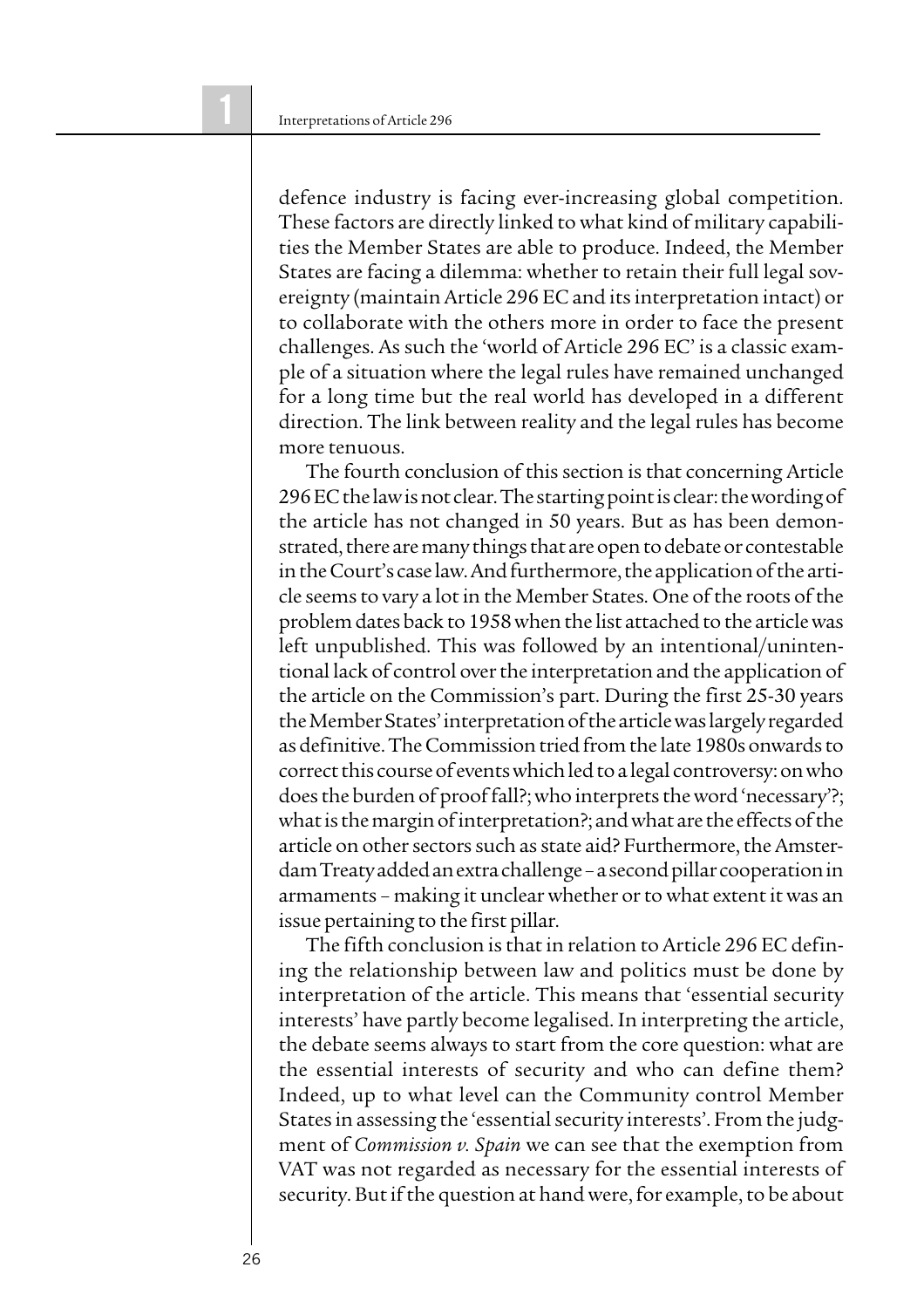defence industry is facing ever-increasing global competition. These factors are directly linked to what kind of military capabilities the Member States are able to produce. Indeed, the Member States are facing a dilemma: whether to retain their full legal sovereignty (maintain Article 296 EC and its interpretation intact) or to collaborate with the others more in order to face the present challenges. As such the 'world of Article 296 EC' is a classic example of a situation where the legal rules have remained unchanged for a long time but the real world has developed in a different direction. The link between reality and the legal rules has become more tenuous.

The fourth conclusion of this section is that concerning Article 296 EC the law is not clear. The starting point is clear: the wording of the article has not changed in 50 years. But as has been demonstrated, there are many things that are open to debate or contestable in the Court's case law. And furthermore, the application of the article seems to vary a lot in the Member States. One of the roots of the problem dates back to 1958 when the list attached to the article was left unpublished. This was followed by an intentional/unintentional lack of control over the interpretation and the application of the article on the Commission's part. During the first 25-30 years the Member States' interpretation of the article was largely regarded as definitive. The Commission tried from the late 1980s onwards to correct this course of events which led to a legal controversy: on who does the burden of proof fall?; who interprets the word 'necessary'?; what is the margin of interpretation?; and what are the effects of the article on other sectors such as state aid? Furthermore, the Amsterdam Treaty added an extra challenge – a second pillar cooperation in armaments – making it unclear whether or to what extent it was an issue pertaining to the first pillar.

The fifth conclusion is that in relation to Article 296 EC defining the relationship between law and politics must be done by interpretation of the article. This means that 'essential security interests' have partly become legalised. In interpreting the article, the debate seems always to start from the core question: what are the essential interests of security and who can define them? Indeed, up to what level can the Community control Member States in assessing the 'essential security interests'. From the judgment of *Commission v. Spain* we can see that the exemption from VAT was not regarded as necessary for the essential interests of security. But if the question at hand were, for example, to be about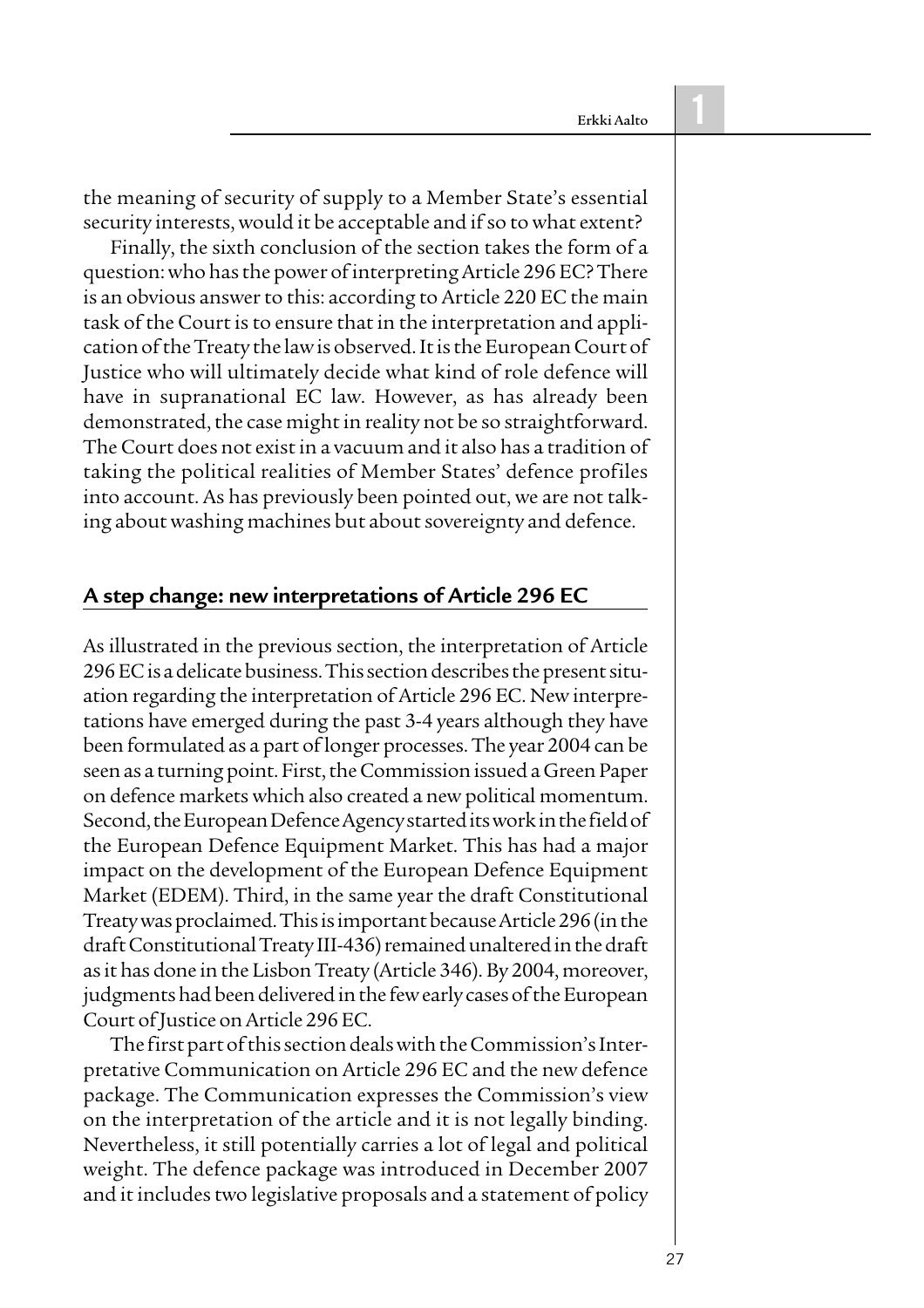<span id="page-28-0"></span>the meaning of security of supply to a Member State's essential security interests, would it be acceptable and if so to what extent?

Finally, the sixth conclusion of the section takes the form of a question: who has the power of interpreting Article 296 EC? There is an obvious answer to this: according to Article 220 EC the main task of the Court is to ensure that in the interpretation and application of the Treaty the law is observed. It is the European Court of Justice who will ultimately decide what kind of role defence will have in supranational EC law. However, as has already been demonstrated, the case might in reality not be so straightforward. The Court does not exist in a vacuum and it also has a tradition of taking the political realities of Member States' defence profiles into account. As has previously been pointed out, we are not talking about washing machines but about sovereignty and defence.

# **A step change: new interpretations of Article 296 EC**

As illustrated in the previous section, the interpretation of Article 296 EC is a delicate business. This section describes the present situation regarding the interpretation of Article 296 EC. New interpretations have emerged during the past 3-4 years although they have been formulated as a part of longer processes. The year 2004 can be seen as a turning point. First, the Commission issued a Green Paper on defence markets which also created a new political momentum. Second, the European Defence Agency started its work in the field of the European Defence Equipment Market. This has had a major impact on the development of the European Defence Equipment Market (EDEM). Third, in the same year the draft Constitutional Treaty was proclaimed. This is important because Article 296 (in the draft Constitutional Treaty III-436) remained unaltered in the draft as it has done in the Lisbon Treaty (Article 346). By 2004, moreover, judgments had been delivered in the few early cases of the European Court of Justice on Article 296 EC.

The first part of this section deals with the Commission's Interpretative Communication on Article 296 EC and the new defence package. The Communication expresses the Commission's view on the interpretation of the article and it is not legally binding. Nevertheless, it still potentially carries a lot of legal and political weight. The defence package was introduced in December 2007 and it includes two legislative proposals and a statement of policy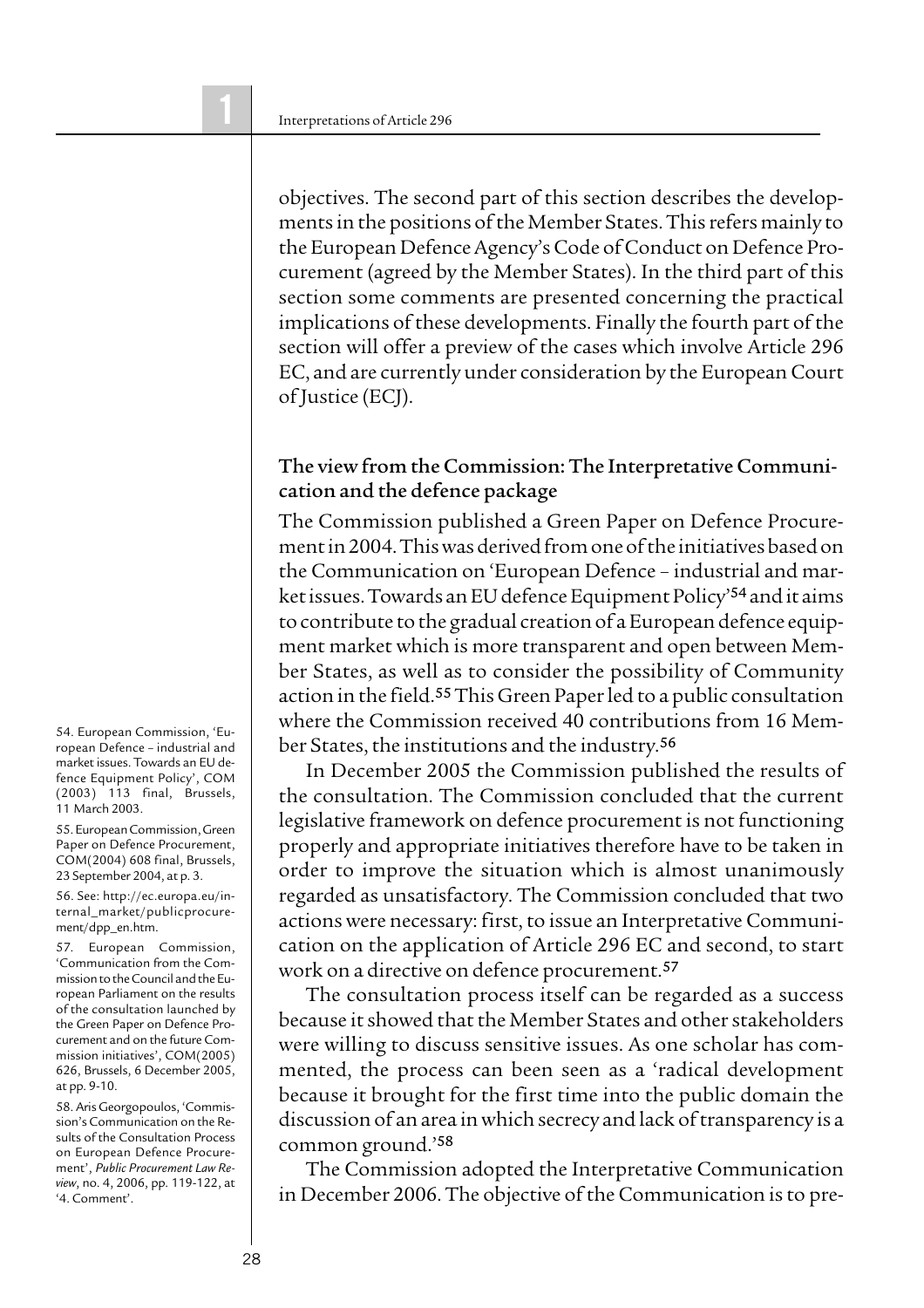objectives. The second part of this section describes the developments in the positions of the Member States. This refers mainly to the European Defence Agency's Code of Conduct on Defence Procurement (agreed by the Member States). In the third part of this section some comments are presented concerning the practical implications of these developments. Finally the fourth part of the section will offer a preview of the cases which involve Article 296 EC, and are currently under consideration by the European Court of Justice (ECJ).

# The view from the Commission: The Interpretative Communication and the defence package

The Commission published a Green Paper on Defence Procurement in 2004. This was derived from one of the initiatives based on the Communication on 'European Defence – industrial and market issues. Towards an EU defence Equipment Policy'<sup>54</sup> and it aims to contribute to the gradual creation of a European defence equipment market which is more transparent and open between Member States, as well as to consider the possibility of Community action in the field.<sup>55</sup> This Green Paper led to a public consultation where the Commission received 40 contributions from 16 Member States, the institutions and the industry.<sup>56</sup>

In December 2005 the Commission published the results of the consultation. The Commission concluded that the current legislative framework on defence procurement is not functioning properly and appropriate initiatives therefore have to be taken in order to improve the situation which is almost unanimously regarded as unsatisfactory. The Commission concluded that two actions were necessary: first, to issue an Interpretative Communication on the application of Article 296 EC and second, to start work on a directive on defence procurement.<sup>57</sup>

The consultation process itself can be regarded as a success because it showed that the Member States and other stakeholders were willing to discuss sensitive issues. As one scholar has commented, the process can been seen as a 'radical development because it brought for the first time into the public domain the discussion of an area in which secrecy and lack of transparency is a common ground.'<sup>58</sup>

The Commission adopted the Interpretative Communication in December 2006. The objective of the Communication is to pre-

54. European Commission, 'European Defence – industrial and market issues. Towards an EU defence Equipment Policy', COM (2003) 113 final, Brussels, 11 March 2003.

55. European Commission, Green Paper on Defence Procurement, COM(2004) 608 final, Brussels, 23 September 2004, at p. 3.

56. See: http://ec.europa.eu/internal\_market/publicprocurement/dpp\_en.htm.

57. European Commission, 'Communication from the Commission to the Council and the European Parliament on the results of the consultation launched by the Green Paper on Defence Procurement and on the future Commission initiatives', COM(2005) 626, Brussels, 6 December 2005, at pp. 9-10.

58. Aris Georgopoulos, 'Commission's Communication on the Results of the Consultation Process on European Defence Procurement', *Public Procurement Law Review*, no. 4, 2006, pp. 119-122, at '4. Comment'.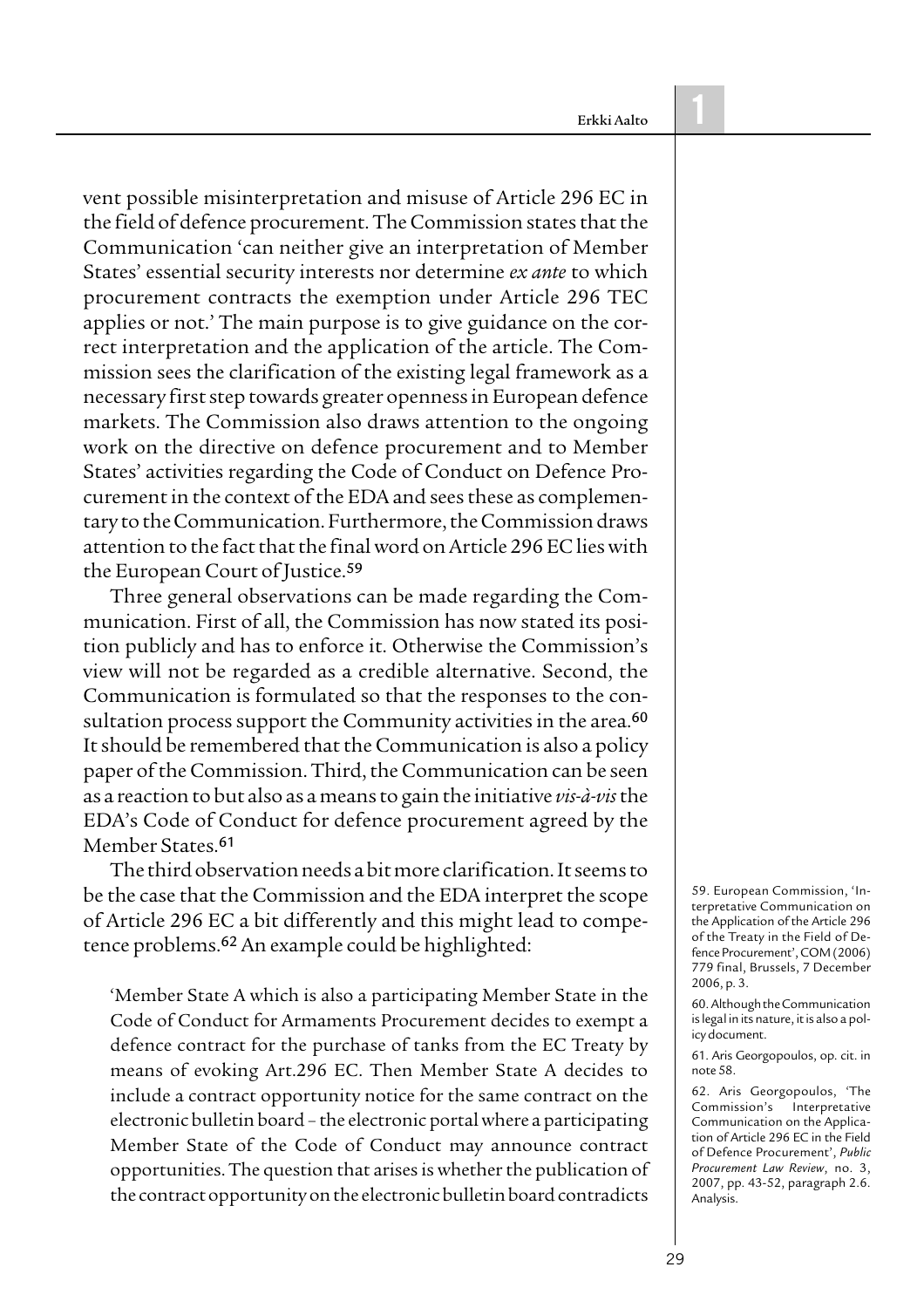vent possible misinterpretation and misuse of Article 296 EC in the field of defence procurement. The Commission states that the Communication 'can neither give an interpretation of Member States' essential security interests nor determine *ex ante* to which procurement contracts the exemption under Article 296 TEC applies or not.' The main purpose is to give guidance on the correct interpretation and the application of the article. The Commission sees the clarification of the existing legal framework as a necessary first step towards greater openness in European defence markets. The Commission also draws attention to the ongoing work on the directive on defence procurement and to Member States' activities regarding the Code of Conduct on Defence Procurement in the context of the EDA and sees these as complementary to the Communication. Furthermore, the Commission draws attention to the fact that the final word on Article 296 EC lies with the European Court of Justice.<sup>59</sup>

Three general observations can be made regarding the Communication. First of all, the Commission has now stated its position publicly and has to enforce it. Otherwise the Commission's view will not be regarded as a credible alternative. Second, the Communication is formulated so that the responses to the consultation process support the Community activities in the area.<sup>60</sup> It should be remembered that the Communication is also a policy paper of the Commission. Third, the Communication can be seen as a reaction to but also as a means to gain the initiative *vis-à-vis*the EDA's Code of Conduct for defence procurement agreed by the Member States.<sup>61</sup>

The third observation needs a bit more clarification. It seems to be the case that the Commission and the EDA interpret the scope of Article 296 EC a bit differently and this might lead to competence problems.<sup>62</sup> An example could be highlighted:

'Member State A which is also a participating Member State in the Code of Conduct for Armaments Procurement decides to exempt a defence contract for the purchase of tanks from the EC Treaty by means of evoking Art.296 EC. Then Member State A decides to include a contract opportunity notice for the same contract on the electronic bulletin board – the electronic portal where a participating Member State of the Code of Conduct may announce contract opportunities. The question that arises is whether the publication of the contract opportunity on the electronic bulletin board contradicts

59. European Commission, 'Interpretative Communication on the Application of the Article 296 of the Treaty in the Field of Defence Procurement', COM (2006) 779 final, Brussels, 7 December 2006, p. 3.

60. Although the Communication is legal in its nature, it is also a policy document.

61. Aris Georgopoulos, op. cit. in note 58.

62. Aris Georgopoulos, 'The Commission's Interpretative Communication on the Application of Article 296 EC in the Field of Defence Procurement', *Public Procurement Law Review*, no. 3, 2007, pp. 43-52, paragraph 2.6. Analysis.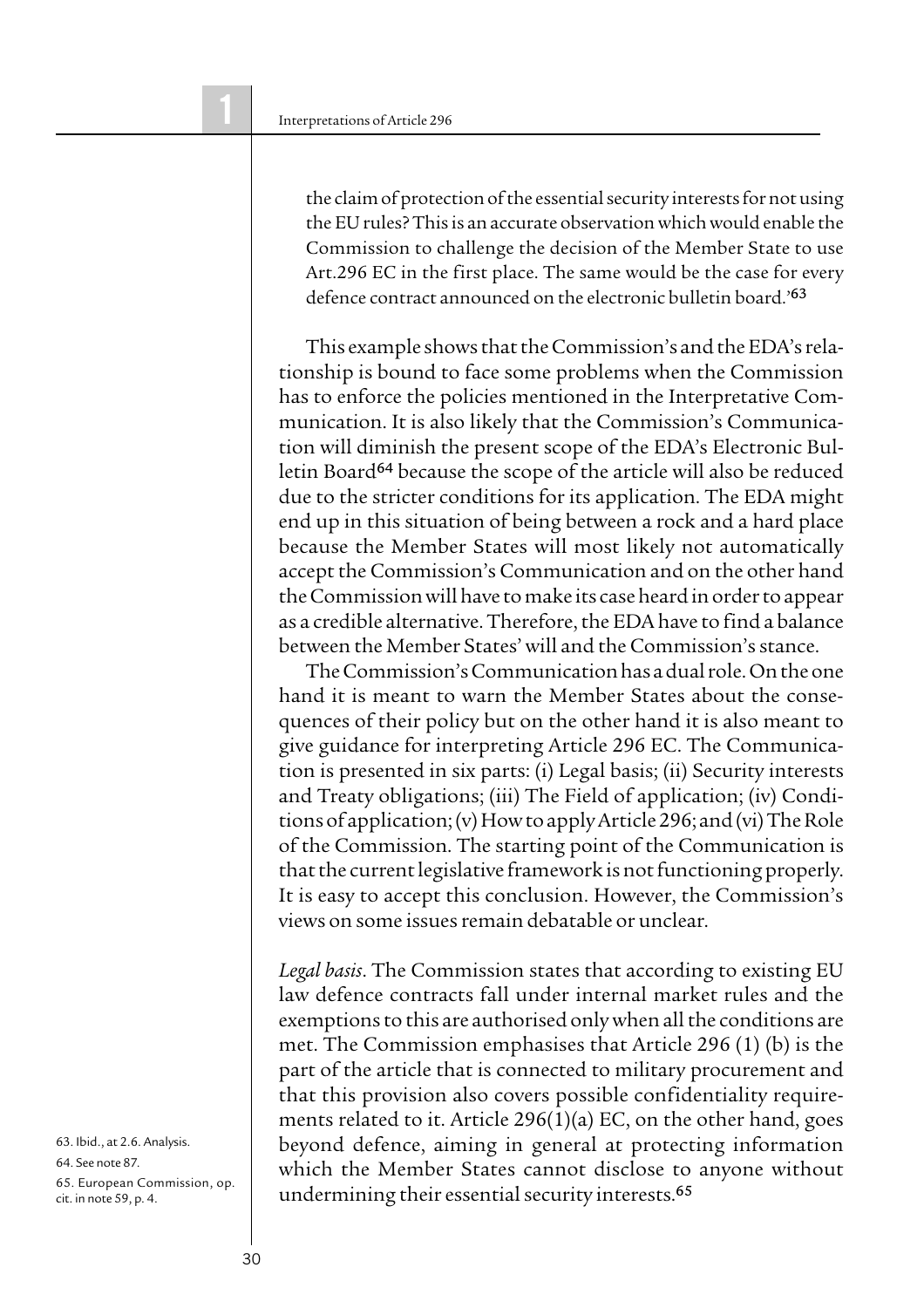the claim of protection of the essential security interests for not using the EU rules? This is an accurate observation which would enable the Commission to challenge the decision of the Member State to use Art.296 EC in the first place. The same would be the case for every defence contract announced on the electronic bulletin board.'63

This example shows that the Commission's and the EDA's relationship is bound to face some problems when the Commission has to enforce the policies mentioned in the Interpretative Communication. It is also likely that the Commission's Communication will diminish the present scope of the EDA's Electronic Bulletin Board<sup>64</sup> because the scope of the article will also be reduced due to the stricter conditions for its application. The EDA might end up in this situation of being between a rock and a hard place because the Member States will most likely not automatically accept the Commission's Communication and on the other hand the Commission will have to make its case heard in order to appear as a credible alternative. Therefore, the EDA have to find a balance between the Member States' will and the Commission's stance.

The Commission's Communication has a dual role. On the one hand it is meant to warn the Member States about the consequences of their policy but on the other hand it is also meant to give guidance for interpreting Article 296 EC. The Communication is presented in six parts: (i) Legal basis; (ii) Security interests and Treaty obligations; (iii) The Field of application; (iv) Conditions of application; (v) How to apply Article 296; and (vi) The Role of the Commission. The starting point of the Communication is that the current legislative framework is not functioning properly. It is easy to accept this conclusion. However, the Commission's views on some issues remain debatable or unclear.

*Legal basis*. The Commission states that according to existing EU law defence contracts fall under internal market rules and the exemptions to this are authorised only when all the conditions are met. The Commission emphasises that Article 296 (1) (b) is the part of the article that is connected to military procurement and that this provision also covers possible confidentiality requirements related to it. Article 296(1)(a) EC, on the other hand, goes beyond defence, aiming in general at protecting information which the Member States cannot disclose to anyone without undermining their essential security interests.<sup>65</sup>

63. Ibid., at 2.6. Analysis. 64. See note 87. 65. European Commission, op. cit. in note 59, p. 4.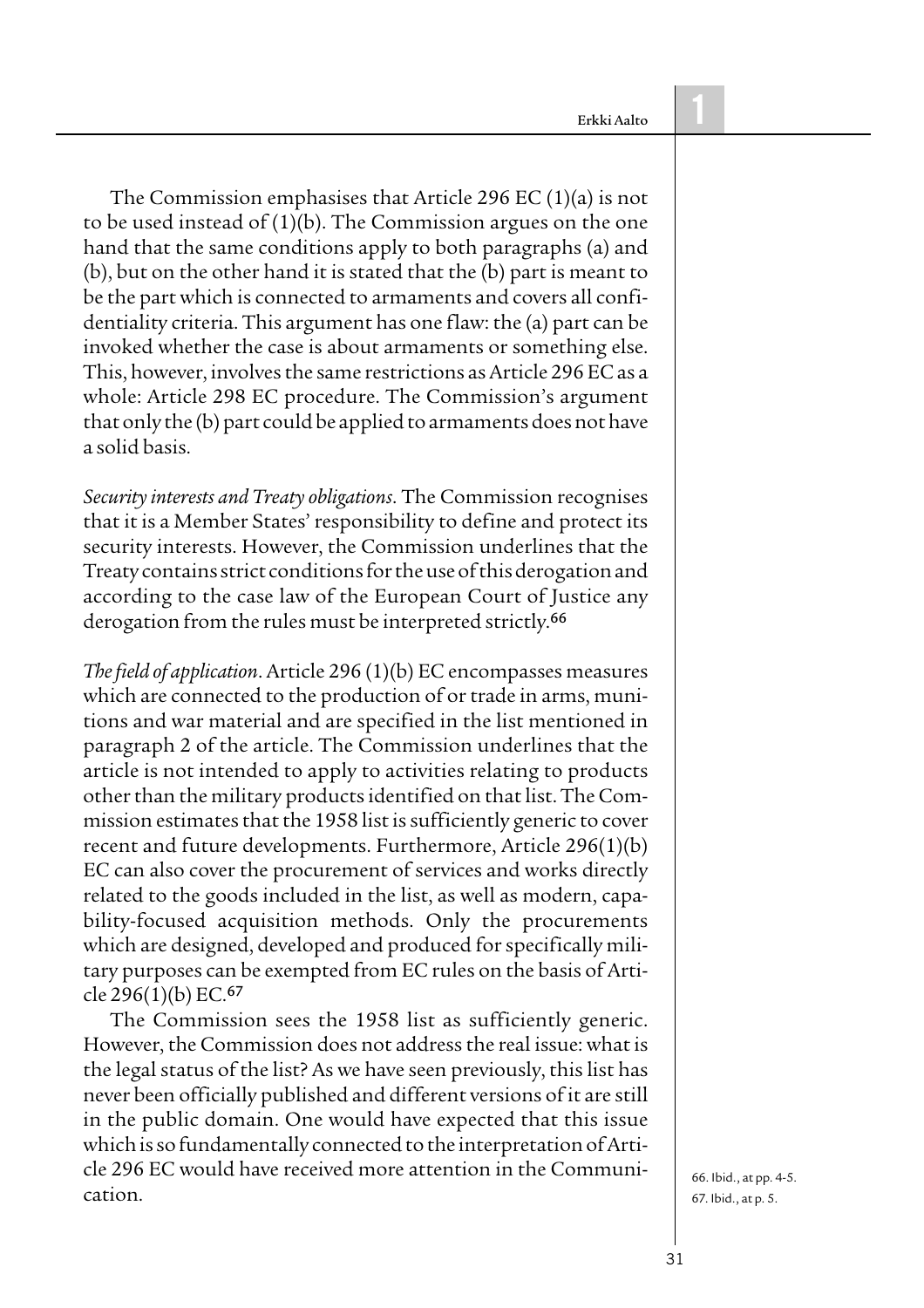The Commission emphasises that Article 296 EC (1)(a) is not to be used instead of (1)(b). The Commission argues on the one hand that the same conditions apply to both paragraphs (a) and (b), but on the other hand it is stated that the (b) part is meant to be the part which is connected to armaments and covers all confidentiality criteria. This argument has one flaw: the (a) part can be invoked whether the case is about armaments or something else. This, however, involves the same restrictions as Article 296 EC as a whole: Article 298 EC procedure. The Commission's argument that only the (b) part could be applied to armaments does not have a solid basis.

*Security interests and Treaty obligations*. The Commission recognises that it is a Member States' responsibility to define and protect its security interests. However, the Commission underlines that the Treaty contains strict conditions for the use of this derogation and according to the case law of the European Court of Justice any derogation from the rules must be interpreted strictly.<sup>66</sup>

*The field of application*. Article 296 (1)(b) EC encompasses measures which are connected to the production of or trade in arms, munitions and war material and are specified in the list mentioned in paragraph 2 of the article. The Commission underlines that the article is not intended to apply to activities relating to products other than the military products identified on that list. The Commission estimates that the 1958 list is sufficiently generic to cover recent and future developments. Furthermore, Article 296(1)(b) EC can also cover the procurement of services and works directly related to the goods included in the list, as well as modern, capability-focused acquisition methods. Only the procurements which are designed, developed and produced for specifically military purposes can be exempted from EC rules on the basis of Article 296(1)(b) EC.<sup>67</sup>

The Commission sees the 1958 list as sufficiently generic. However, the Commission does not address the real issue: what is the legal status of the list? As we have seen previously, this list has never been officially published and different versions of it are still in the public domain. One would have expected that this issue which is so fundamentally connected to the interpretation of Article 296 EC would have received more attention in the Communication.

66. Ibid., at pp. 4-5. 67. Ibid., at p. 5.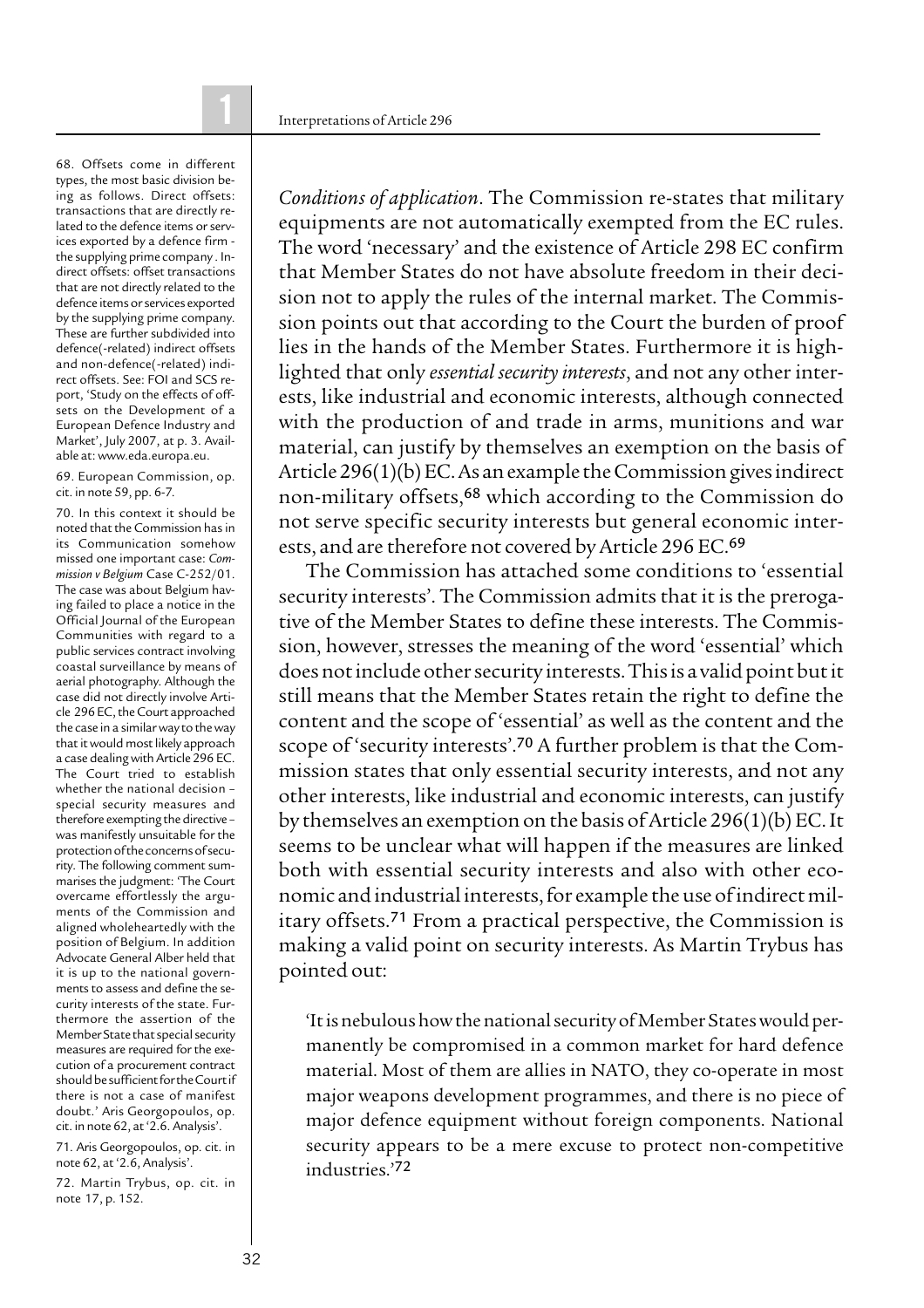68. Offsets come in different types, the most basic division being as follows. Direct offsets: transactions that are directly related to the defence items or services exported by a defence firm the supplying prime company . Indirect offsets: offset transactions that are not directly related to the defence items or services exported by the supplying prime company. These are further subdivided into defence(-related) indirect offsets and non-defence(-related) indirect offsets. See: FOI and SCS report, 'Study on the effects of offsets on the Development of a European Defence Industry and Market', July 2007, at p. 3. Available at: www.eda.europa.eu.

**1**

#### 69. European Commission, op. cit. in note 59, pp. 6-7.

70. In this context it should be noted that the Commission has in its Communication somehow missed one important case: *Commission v Belgium* Case C-252/01. The case was about Belgium having failed to place a notice in the Official Journal of the European Communities with regard to a public services contract involving coastal surveillance by means of aerial photography. Although the case did not directly involve Article 296 EC, the Court approached the case in a similar way to the way that it would most likely approach a case dealing with Article 296 EC. The Court tried to establish whether the national decision – special security measures and therefore exempting the directive – was manifestly unsuitable for the protection of the concerns of security. The following comment summarises the judgment: 'The Court overcame effortlessly the arguments of the Commission and aligned wholeheartedly with the position of Belgium. In addition Advocate General Alber held that it is up to the national governments to assess and define the security interests of the state. Furthermore the assertion of the Member State that special security measures are required for the execution of a procurement contract should be sufficient for the Court if there is not a case of manifest doubt.' Aris Georgopoulos, op. cit. in note 62, at '2.6. Analysis'.

71. Aris Georgopoulos, op. cit. in note 62, at '2.6, Analysis'.

72. Martin Trybus, op. cit. in note 17, p. 152.

*Conditions of application*. The Commission re-states that military equipments are not automatically exempted from the EC rules. The word 'necessary' and the existence of Article 298 EC confirm that Member States do not have absolute freedom in their decision not to apply the rules of the internal market. The Commission points out that according to the Court the burden of proof lies in the hands of the Member States. Furthermore it is highlighted that only *essential security interests*, and not any other interests, like industrial and economic interests, although connected with the production of and trade in arms, munitions and war material, can justify by themselves an exemption on the basis of Article 296(1)(b) EC. As an example the Commission gives indirect non-military offsets,<sup>68</sup> which according to the Commission do not serve specific security interests but general economic interests, and are therefore not covered by Article 296 EC.<sup>69</sup>

The Commission has attached some conditions to 'essential security interests'. The Commission admits that it is the prerogative of the Member States to define these interests. The Commission, however, stresses the meaning of the word 'essential' which does not include other security interests. This is a valid point but it still means that the Member States retain the right to define the content and the scope of 'essential' as well as the content and the scope of 'security interests'.<sup>70</sup> A further problem is that the Commission states that only essential security interests, and not any other interests, like industrial and economic interests, can justify by themselves an exemption on the basis of Article 296(1)(b) EC. It seems to be unclear what will happen if the measures are linked both with essential security interests and also with other economic and industrial interests, for example the use of indirect military offsets.<sup>71</sup> From a practical perspective, the Commission is making a valid point on security interests. As Martin Trybus has pointed out:

'It is nebulous how the national security of Member States would permanently be compromised in a common market for hard defence material. Most of them are allies in NATO, they co-operate in most major weapons development programmes, and there is no piece of major defence equipment without foreign components. National security appears to be a mere excuse to protect non-competitive industries.'72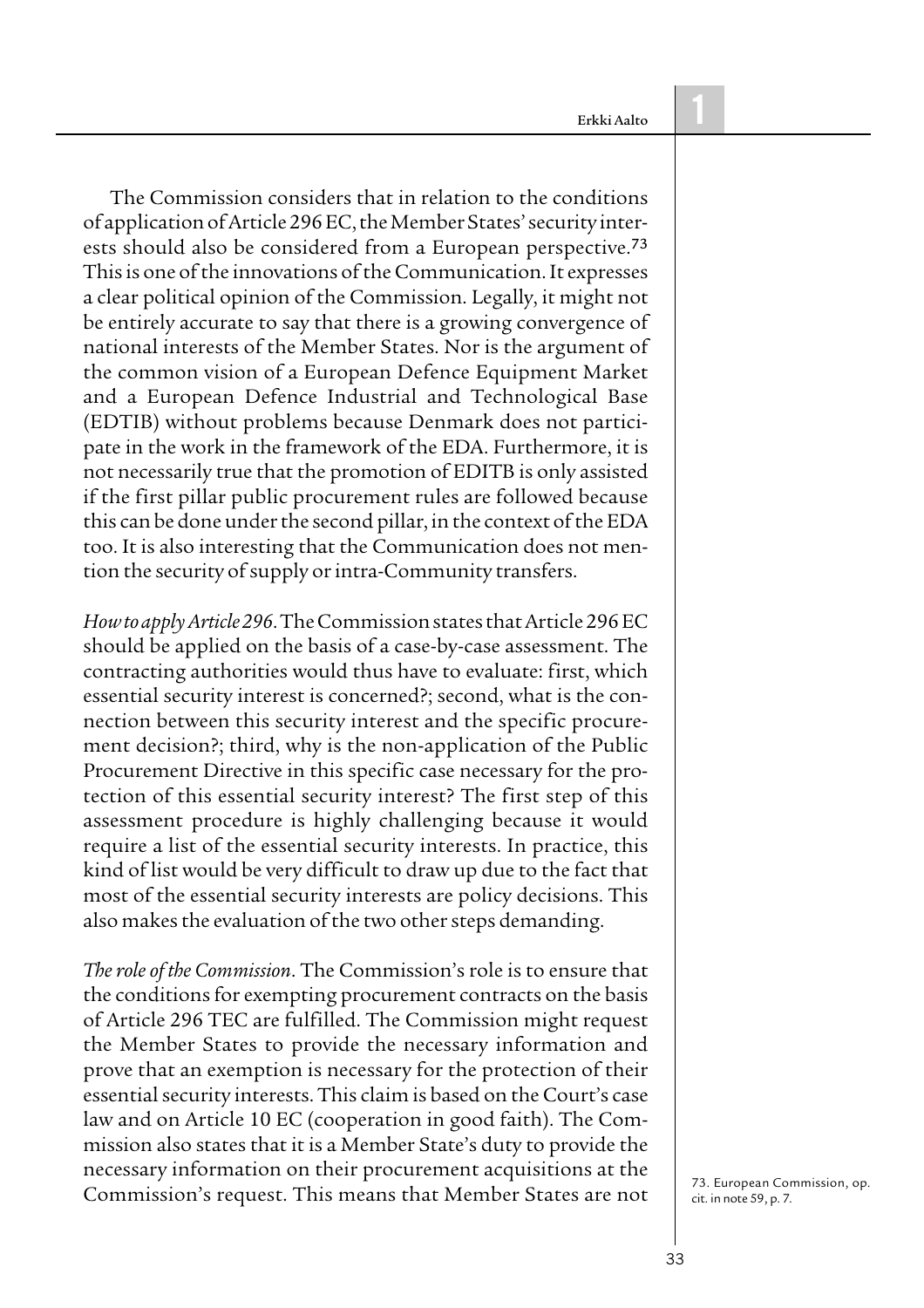The Commission considers that in relation to the conditions of application of Article 296 EC, the Member States' security interests should also be considered from a European perspective.<sup>73</sup> This is one of the innovations of the Communication. It expresses a clear political opinion of the Commission. Legally, it might not be entirely accurate to say that there is a growing convergence of national interests of the Member States. Nor is the argument of the common vision of a European Defence Equipment Market and a European Defence Industrial and Technological Base (EDTIB) without problems because Denmark does not participate in the work in the framework of the EDA. Furthermore, it is not necessarily true that the promotion of EDITB is only assisted if the first pillar public procurement rules are followed because this can be done under the second pillar, in the context of the EDA too. It is also interesting that the Communication does not mention the security of supply or intra-Community transfers.

*How to apply Article 296*. The Commission states that Article 296 EC should be applied on the basis of a case-by-case assessment. The contracting authorities would thus have to evaluate: first, which essential security interest is concerned?; second, what is the connection between this security interest and the specific procurement decision?; third, why is the non-application of the Public Procurement Directive in this specific case necessary for the protection of this essential security interest? The first step of this assessment procedure is highly challenging because it would require a list of the essential security interests. In practice, this kind of list would be very difficult to draw up due to the fact that most of the essential security interests are policy decisions. This also makes the evaluation of the two other steps demanding.

*The role of the Commission*. The Commission's role is to ensure that the conditions for exempting procurement contracts on the basis of Article 296 TEC are fulfilled. The Commission might request the Member States to provide the necessary information and prove that an exemption is necessary for the protection of their essential security interests. This claim is based on the Court's case law and on Article 10 EC (cooperation in good faith). The Commission also states that it is a Member State's duty to provide the necessary information on their procurement acquisitions at the Commission's request. This means that Member States are not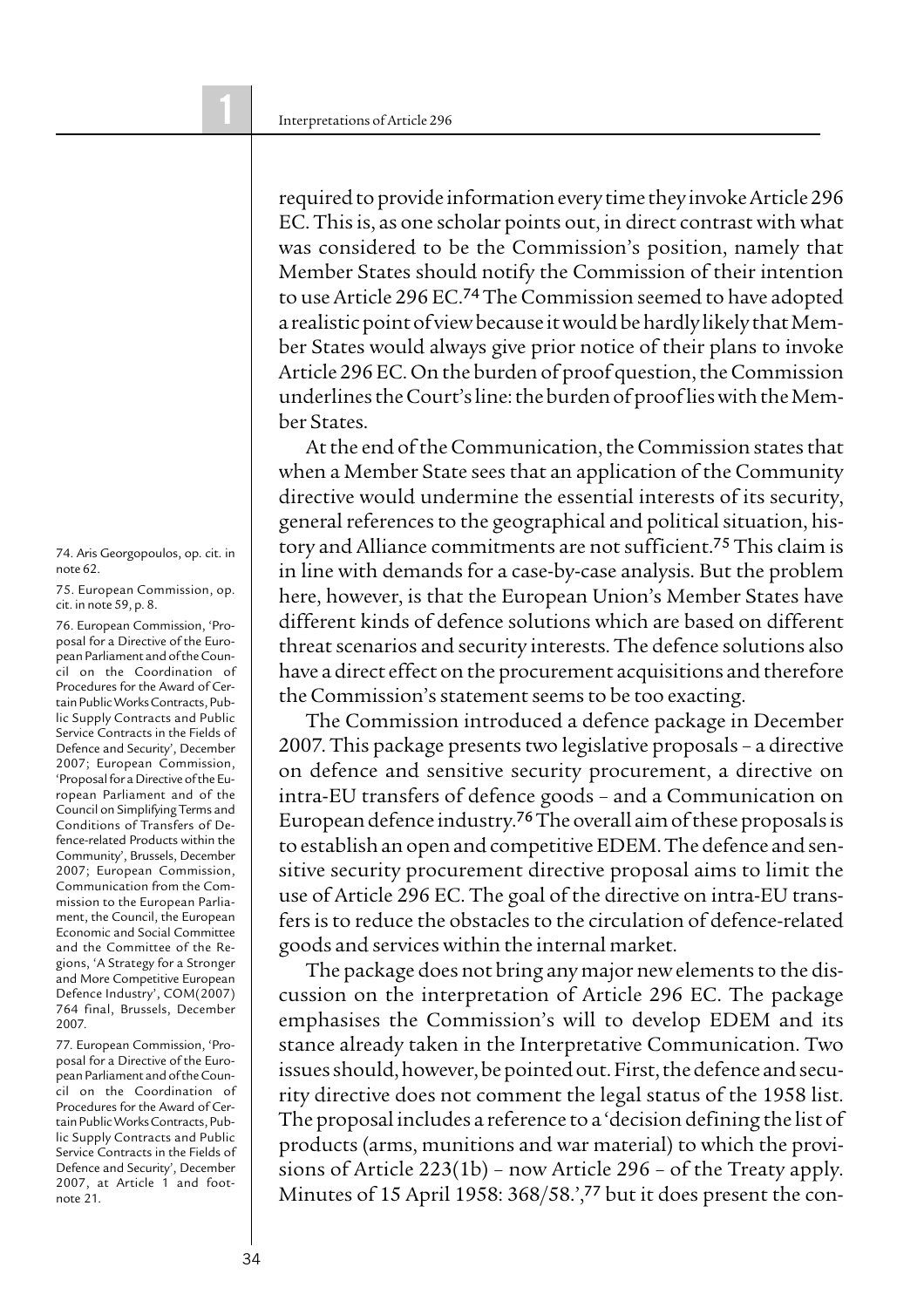74. Aris Georgopoulos, op. cit. in note 62.

75. European Commission, op. cit. in note 59, p. 8.

76. European Commission, 'Proposal for a Directive of the European Parliament and of the Council on the Coordination of Procedures for the Award of Certain Public Works Contracts, Public Supply Contracts and Public Service Contracts in the Fields of Defence and Security', December 2007; European Commission, 'Proposal for a Directive of the European Parliament and of the Council on Simplifying Terms and Conditions of Transfers of Defence-related Products within the Community', Brussels, December 2007; European Commission, Communication from the Commission to the European Parliament, the Council, the European Economic and Social Committee and the Committee of the Regions, 'A Strategy for a Stronger and More Competitive European Defence Industry', COM(2007) 764 final, Brussels, December 2007.

77. European Commission, 'Proposal for a Directive of the European Parliament and of the Council on the Coordination of Procedures for the Award of Certain Public Works Contracts, Public Supply Contracts and Public Service Contracts in the Fields of Defence and Security', December 2007, at Article 1 and footnote 21.

required to provide information every time they invoke Article 296 EC. This is, as one scholar points out, in direct contrast with what was considered to be the Commission's position, namely that Member States should notify the Commission of their intention to use Article 296 EC.<sup>74</sup> The Commission seemed to have adopted a realistic point of view because it would be hardly likely that Member States would always give prior notice of their plans to invoke Article 296 EC. On the burden of proof question, the Commission underlines the Court's line: the burden of proof lies with the Member States.

At the end of the Communication, the Commission states that when a Member State sees that an application of the Community directive would undermine the essential interests of its security, general references to the geographical and political situation, history and Alliance commitments are not sufficient.<sup>75</sup> This claim is in line with demands for a case-by-case analysis. But the problem here, however, is that the European Union's Member States have different kinds of defence solutions which are based on different threat scenarios and security interests. The defence solutions also have a direct effect on the procurement acquisitions and therefore the Commission's statement seems to be too exacting.

The Commission introduced a defence package in December 2007. This package presents two legislative proposals – a directive on defence and sensitive security procurement, a directive on intra-EU transfers of defence goods – and a Communication on European defence industry.76The overall aim of these proposals is to establish an open and competitive EDEM. The defence and sensitive security procurement directive proposal aims to limit the use of Article 296 EC. The goal of the directive on intra-EU transfers is to reduce the obstacles to the circulation of defence-related goods and services within the internal market.

The package does not bring any major new elements to the discussion on the interpretation of Article 296 EC. The package emphasises the Commission's will to develop EDEM and its stance already taken in the Interpretative Communication. Two issues should, however, be pointed out. First, the defence and security directive does not comment the legal status of the 1958 list. The proposal includes a reference to a 'decision defining the list of products (arms, munitions and war material) to which the provisions of Article 223(1b) – now Article 296 – of the Treaty apply. Minutes of 15 April 1958: 368/58.',<sup>77</sup> but it does present the con-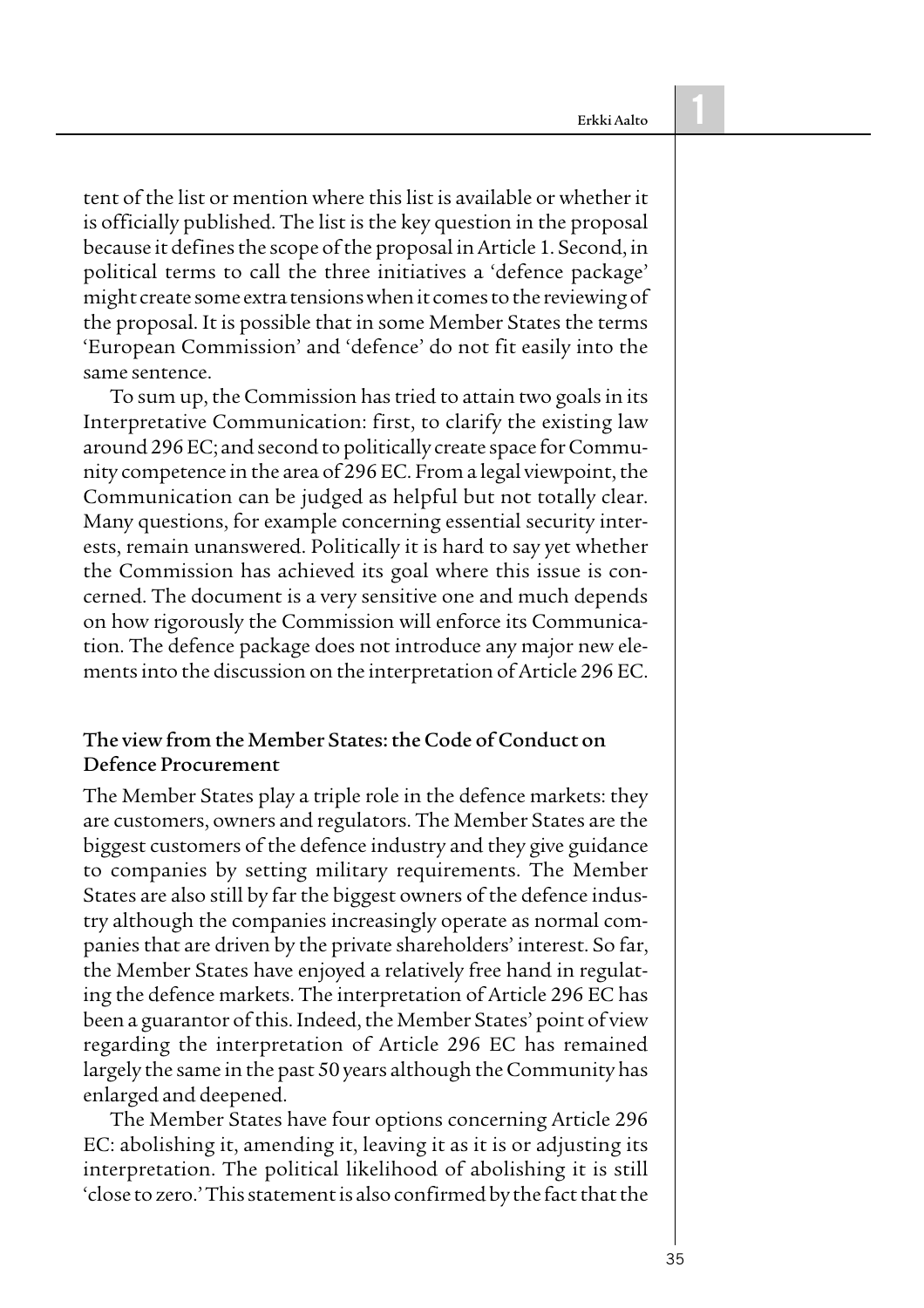tent of the list or mention where this list is available or whether it is officially published. The list is the key question in the proposal because it defines the scope of the proposal in Article 1. Second, in political terms to call the three initiatives a 'defence package' might create some extra tensions when it comes to the reviewing of the proposal. It is possible that in some Member States the terms 'European Commission' and 'defence' do not fit easily into the same sentence.

To sum up, the Commission has tried to attain two goals in its Interpretative Communication: first, to clarify the existing law around 296 EC; and second to politically create space for Community competence in the area of 296 EC. From a legal viewpoint, the Communication can be judged as helpful but not totally clear. Many questions, for example concerning essential security interests, remain unanswered. Politically it is hard to say yet whether the Commission has achieved its goal where this issue is concerned. The document is a very sensitive one and much depends on how rigorously the Commission will enforce its Communication. The defence package does not introduce any major new elements into the discussion on the interpretation of Article 296 EC.

#### The view from the Member States: the Code of Conduct on Defence Procurement

The Member States play a triple role in the defence markets: they are customers, owners and regulators. The Member States are the biggest customers of the defence industry and they give guidance to companies by setting military requirements. The Member States are also still by far the biggest owners of the defence industry although the companies increasingly operate as normal companies that are driven by the private shareholders' interest. So far, the Member States have enjoyed a relatively free hand in regulating the defence markets. The interpretation of Article 296 EC has been a guarantor of this. Indeed, the Member States' point of view regarding the interpretation of Article 296 EC has remained largely the same in the past 50 years although the Community has enlarged and deepened.

The Member States have four options concerning Article 296 EC: abolishing it, amending it, leaving it as it is or adjusting its interpretation. The political likelihood of abolishing it is still 'close to zero.' This statement is also confirmed by the fact that the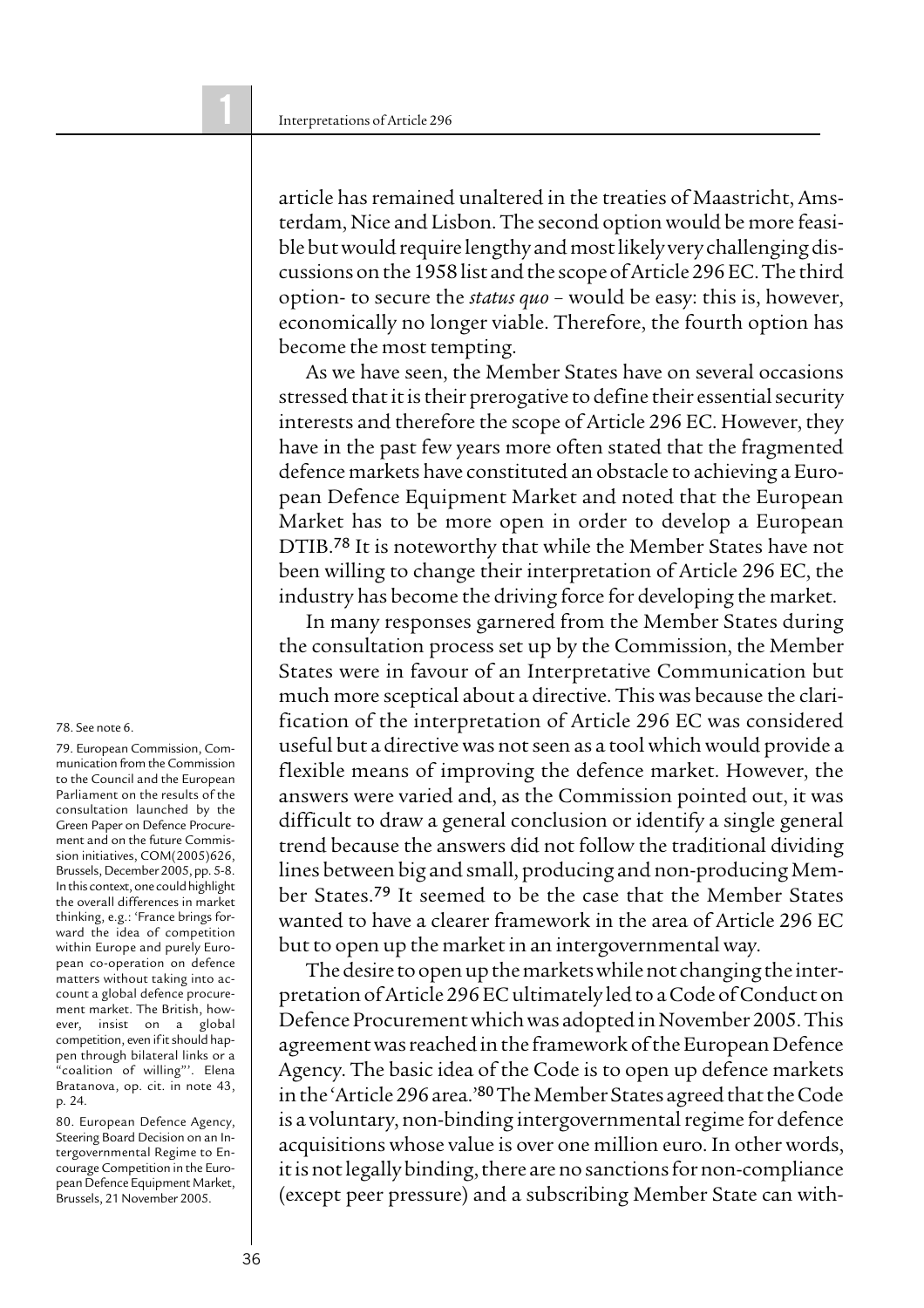article has remained unaltered in the treaties of Maastricht, Amsterdam, Nice and Lisbon. The second option would be more feasible but would require lengthy and most likely very challenging discussions on the 1958 list and the scope of Article 296 EC. The third option- to secure the *status quo* – would be easy: this is, however, economically no longer viable. Therefore, the fourth option has become the most tempting.

As we have seen, the Member States have on several occasions stressed that it is their prerogative to define their essential security interests and therefore the scope of Article 296 EC. However, they have in the past few years more often stated that the fragmented defence markets have constituted an obstacle to achieving a European Defence Equipment Market and noted that the European Market has to be more open in order to develop a European DTIB.<sup>78</sup> It is noteworthy that while the Member States have not been willing to change their interpretation of Article 296 EC, the industry has become the driving force for developing the market.

In many responses garnered from the Member States during the consultation process set up by the Commission, the Member States were in favour of an Interpretative Communication but much more sceptical about a directive. This was because the clarification of the interpretation of Article 296 EC was considered useful but a directive was not seen as a tool which would provide a flexible means of improving the defence market. However, the answers were varied and, as the Commission pointed out, it was difficult to draw a general conclusion or identify a single general trend because the answers did not follow the traditional dividing lines between big and small, producing and non-producing Member States.<sup>79</sup> It seemed to be the case that the Member States wanted to have a clearer framework in the area of Article 296 EC but to open up the market in an intergovernmental way.

The desire to open up the markets while not changing the interpretation of Article 296 EC ultimately led to a Code of Conduct on Defence Procurement which was adopted in November 2005. This agreement was reached in the framework of the European Defence Agency. The basic idea of the Code is to open up defence markets in the 'Article 296 area.'80The Member States agreed that the Code is a voluntary, non-binding intergovernmental regime for defence acquisitions whose value is over one million euro. In other words, it is not legally binding, there are no sanctions for non-compliance (except peer pressure) and a subscribing Member State can with-

#### 78. See note 6.

79. European Commission, Communication from the Commission to the Council and the European Parliament on the results of the consultation launched by the Green Paper on Defence Procurement and on the future Commission initiatives, COM(2005)626, Brussels, December 2005, pp. 5-8. In this context, one could highlight the overall differences in market thinking, e.g.: 'France brings forward the idea of competition within Europe and purely European co-operation on defence matters without taking into account a global defence procurement market. The British, however, insist on a global competition, even if it should happen through bilateral links or a "coalition of willing"'. Elena Bratanova, op. cit. in note 43, p. 24.

80. European Defence Agency, Steering Board Decision on an Intergovernmental Regime to Encourage Competition in the European Defence Equipment Market, Brussels, 21 November 2005.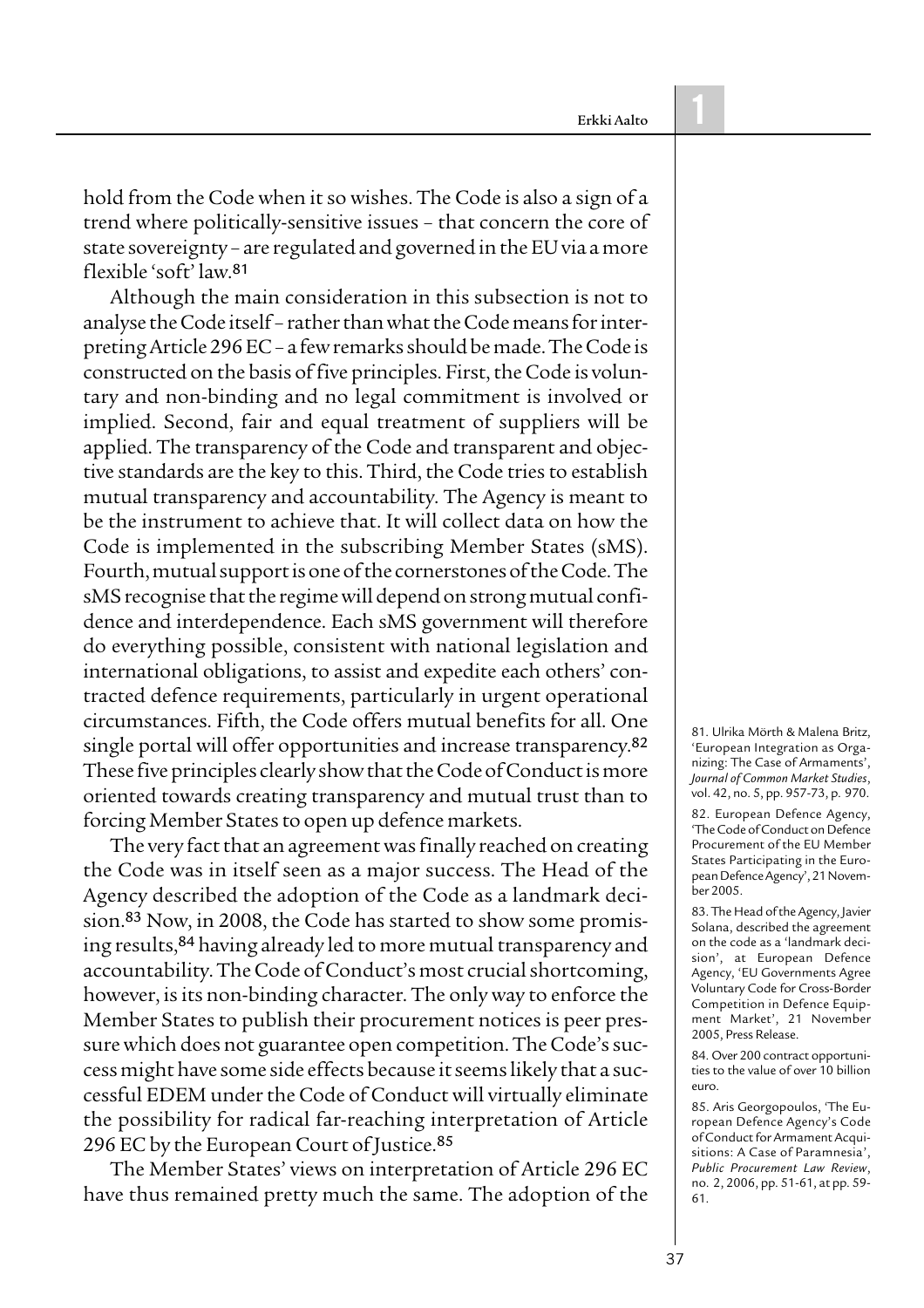hold from the Code when it so wishes. The Code is also a sign of a trend where politically-sensitive issues – that concern the core of state sovereignty – are regulated and governed in the EU via a more flexible 'soft' law.<sup>81</sup>

Although the main consideration in this subsection is not to analyse the Code itself – rather than what the Code means for interpreting Article 296 EC – a few remarks should be made. The Code is constructed on the basis of five principles. First, the Code is voluntary and non-binding and no legal commitment is involved or implied. Second, fair and equal treatment of suppliers will be applied. The transparency of the Code and transparent and objective standards are the key to this. Third, the Code tries to establish mutual transparency and accountability. The Agency is meant to be the instrument to achieve that. It will collect data on how the Code is implemented in the subscribing Member States (sMS). Fourth, mutual support is one of the cornerstones of the Code. The sMS recognise that the regime will depend on strong mutual confidence and interdependence. Each sMS government will therefore do everything possible, consistent with national legislation and international obligations, to assist and expedite each others' contracted defence requirements, particularly in urgent operational circumstances. Fifth, the Code offers mutual benefits for all. One single portal will offer opportunities and increase transparency.<sup>82</sup> These five principles clearly show that the Code of Conduct is more oriented towards creating transparency and mutual trust than to forcing Member States to open up defence markets.

The very fact that an agreement was finally reached on creating the Code was in itself seen as a major success. The Head of the Agency described the adoption of the Code as a landmark decision.<sup>83</sup> Now, in 2008, the Code has started to show some promising results,<sup>84</sup> having already led to more mutual transparency and accountability. The Code of Conduct's most crucial shortcoming, however, is its non-binding character. The only way to enforce the Member States to publish their procurement notices is peer pressure which does not guarantee open competition. The Code's success might have some side effects because it seems likely that a successful EDEM under the Code of Conduct will virtually eliminate the possibility for radical far-reaching interpretation of Article 296 EC by the European Court of Justice.<sup>85</sup>

The Member States' views on interpretation of Article 296 EC have thus remained pretty much the same. The adoption of the

81. Ulrika Mörth & Malena Britz, 'European Integration as Organizing: The Case of Armaments', *Journal of Common Market Studies*, vol. 42, no. 5, pp. 957-73, p. 970.

83. The Head of the Agency, Javier Solana, described the agreement on the code as a 'landmark decision', at European Defence Agency, 'EU Governments Agree Voluntary Code for Cross-Border Competition in Defence Equipment Market', 21 November 2005, Press Release.

84. Over 200 contract opportunities to the value of over 10 billion euro.

85. Aris Georgopoulos, 'The European Defence Agency's Code of Conduct for Armament Acquisitions: A Case of Paramnesia', *Public Procurement Law Review*, no. 2, 2006, pp. 51-61, at pp. 59- 61.

<sup>82.</sup> European Defence Agency, 'The Code of Conduct on Defence Procurement of the EU Member States Participating in the European Defence Agency', 21 November 2005.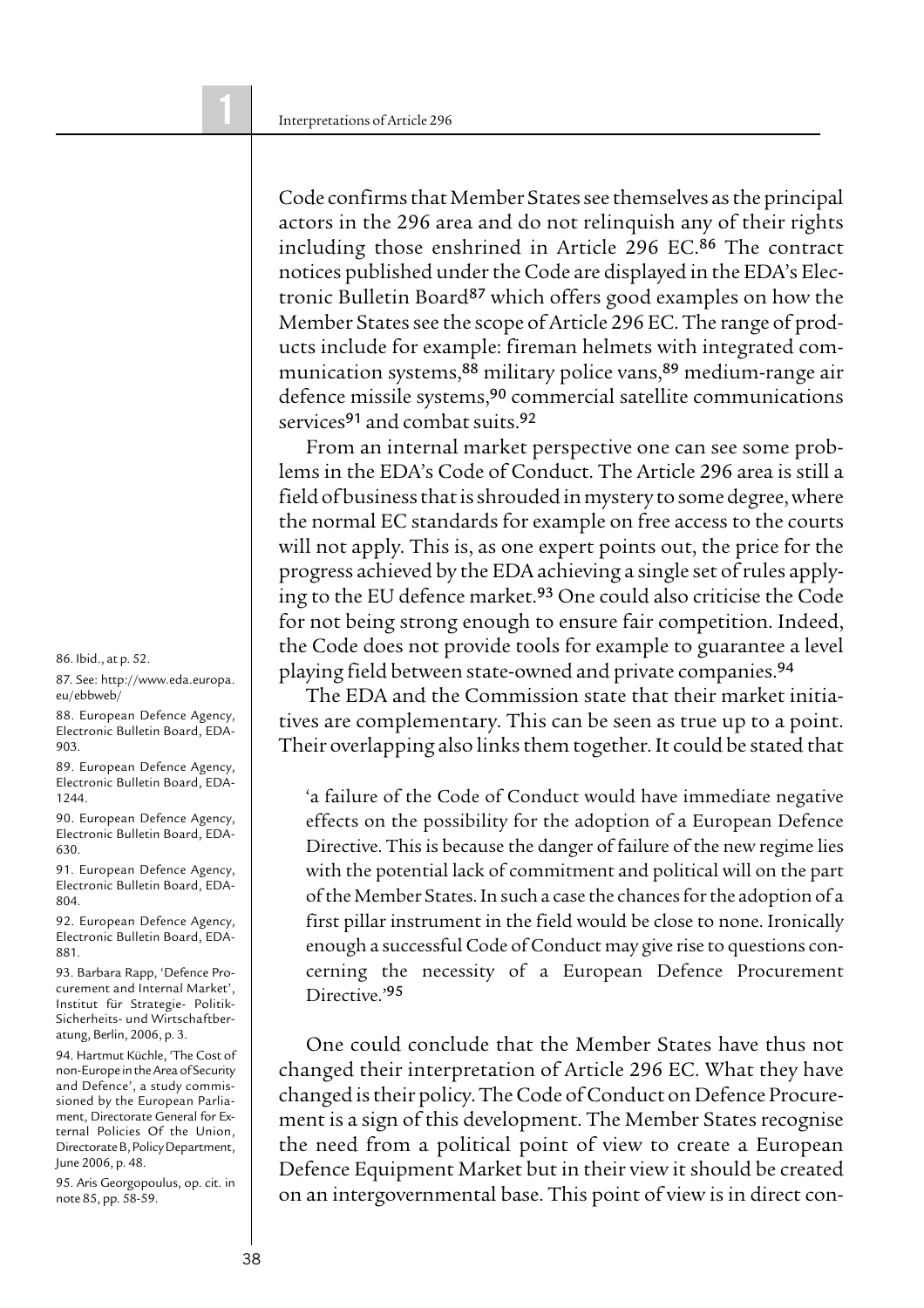Code confirms that Member States see themselves as the principal actors in the 296 area and do not relinquish any of their rights including those enshrined in Article 296 EC.<sup>86</sup> The contract notices published under the Code are displayed in the EDA's Electronic Bulletin Board<sup>87</sup> which offers good examples on how the Member States see the scope of Article 296 EC. The range of products include for example: fireman helmets with integrated communication systems,<sup>88</sup> military police vans,<sup>89</sup> medium-range air defence missile systems,<sup>90</sup> commercial satellite communications services<sup>91</sup> and combat suits.<sup>92</sup>

From an internal market perspective one can see some problems in the EDA's Code of Conduct. The Article 296 area is still a field of business that is shrouded in mystery to some degree, where the normal EC standards for example on free access to the courts will not apply. This is, as one expert points out, the price for the progress achieved by the EDA achieving a single set of rules applying to the EU defence market.<sup>93</sup> One could also criticise the Code for not being strong enough to ensure fair competition. Indeed, the Code does not provide tools for example to guarantee a level playing field between state-owned and private companies.<sup>94</sup>

The EDA and the Commission state that their market initiatives are complementary. This can be seen as true up to a point. Their overlapping also links them together. It could be stated that

'a failure of the Code of Conduct would have immediate negative effects on the possibility for the adoption of a European Defence Directive. This is because the danger of failure of the new regime lies with the potential lack of commitment and political will on the part of the Member States. In such a case the chances for the adoption of a first pillar instrument in the field would be close to none. Ironically enough a successful Code of Conduct may give rise to questions concerning the necessity of a European Defence Procurement Directive.'95

One could conclude that the Member States have thus not changed their interpretation of Article 296 EC. What they have changed is their policy. The Code of Conduct on Defence Procurement is a sign of this development. The Member States recognise the need from a political point of view to create a European Defence Equipment Market but in their view it should be created on an intergovernmental base. This point of view is in direct con-

86. Ibid., at p. 52.

87. See: http://www.eda.europa. eu/ebbweb/

88. European Defence Agency, Electronic Bulletin Board, EDA-903.

89. European Defence Agency, Electronic Bulletin Board, EDA-1244.

90. European Defence Agency, Electronic Bulletin Board, EDA-630.

91. European Defence Agency, Electronic Bulletin Board, EDA-804.

92. European Defence Agency, Electronic Bulletin Board, EDA-881.

93. Barbara Rapp, 'Defence Procurement and Internal Market', Institut für Strategie- Politik-Sicherheits- und Wirtschaftberatung, Berlin, 2006, p. 3.

94. Hartmut Küchle, 'The Cost of non-Europe in the Area of Security and Defence', a study commissioned by the European Parliament, Directorate General for External Policies Of the Union, Directorate B, Policy Department, June 2006, p. 48.

95. Aris Georgopoulus, op. cit. in note 85, pp. 58-59.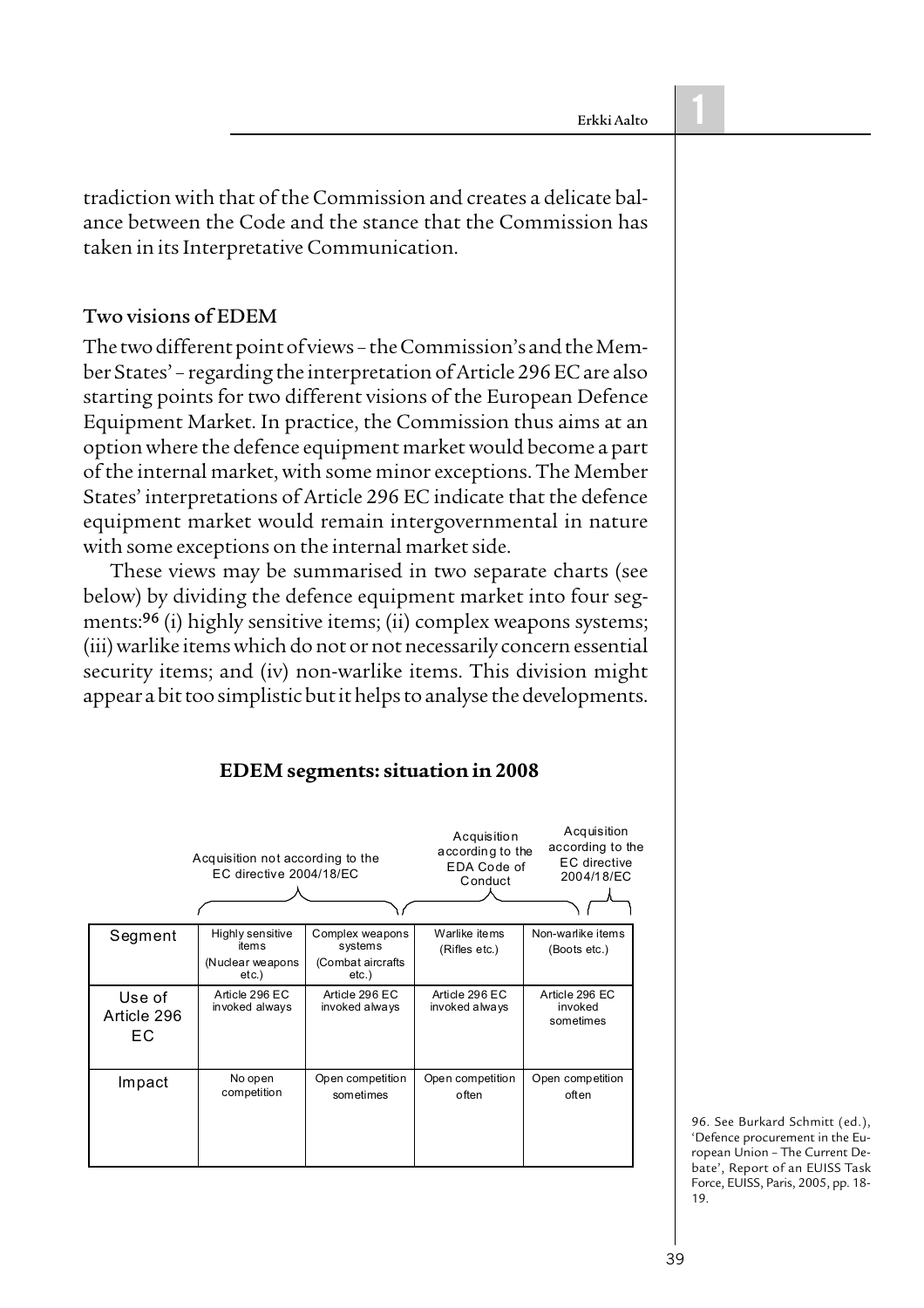tradiction with that of the Commission and creates a delicate balance between the Code and the stance that the Commission has taken in its Interpretative Communication.

#### Two visions of EDEM

The two different point of views – the Commission's and the Member States' – regarding the interpretation of Article 296 EC are also starting points for two different visions of the European Defence Equipment Market. In practice, the Commission thus aims at an option where the defence equipment market would become a part of the internal market, with some minor exceptions. The Member States' interpretations of Article 296 EC indicate that the defence equipment market would remain intergovernmental in nature with some exceptions on the internal market side.

These views may be summarised in two separate charts (see below) by dividing the defence equipment market into four segments:<sup>96</sup> (i) highly sensitive items; (ii) complex weapons systems; (iii) warlike items which do not or not necessarily concern essential security items; and (iv) non-warlike items. This division might appear a bit too simplistic but it helps to analyse the developments.

| Acquisition not according to the<br>EC directive 2004/18/EC |                                  |                                  | Acquisition<br>according to the<br>EDA Code of<br>Conduct | Acquisition<br>according to the<br><b>EC</b> directive<br>2004/18/EC |
|-------------------------------------------------------------|----------------------------------|----------------------------------|-----------------------------------------------------------|----------------------------------------------------------------------|
| Segment                                                     | Highly sensitive<br>items        | Complex weapons<br>systems       | Warlike items<br>(Rifles etc.)                            | Non-warlike items<br>(Boots etc.)                                    |
|                                                             | (Nuclear weapons<br>$etc.$ )     | (Combat aircrafts<br>etc.)       |                                                           |                                                                      |
| Use of<br>Article 296<br>EC                                 | Article 296 EC<br>invoked always | Article 296 EC<br>invoked always | Article 296 EC<br>invoked always                          | Article 296 EC<br>invoked<br>sometimes                               |
| Impact                                                      | No open<br>competition           | Open competition<br>sometimes    | Open competition<br>often                                 | Open competition<br>often                                            |

**EDEM segments: situation in 2008**

96. See Burkard Schmitt (ed.), 'Defence procurement in the European Union – The Current Debate', Report of an EUISS Task Force, EUISS, Paris, 2005, pp. 18- 19.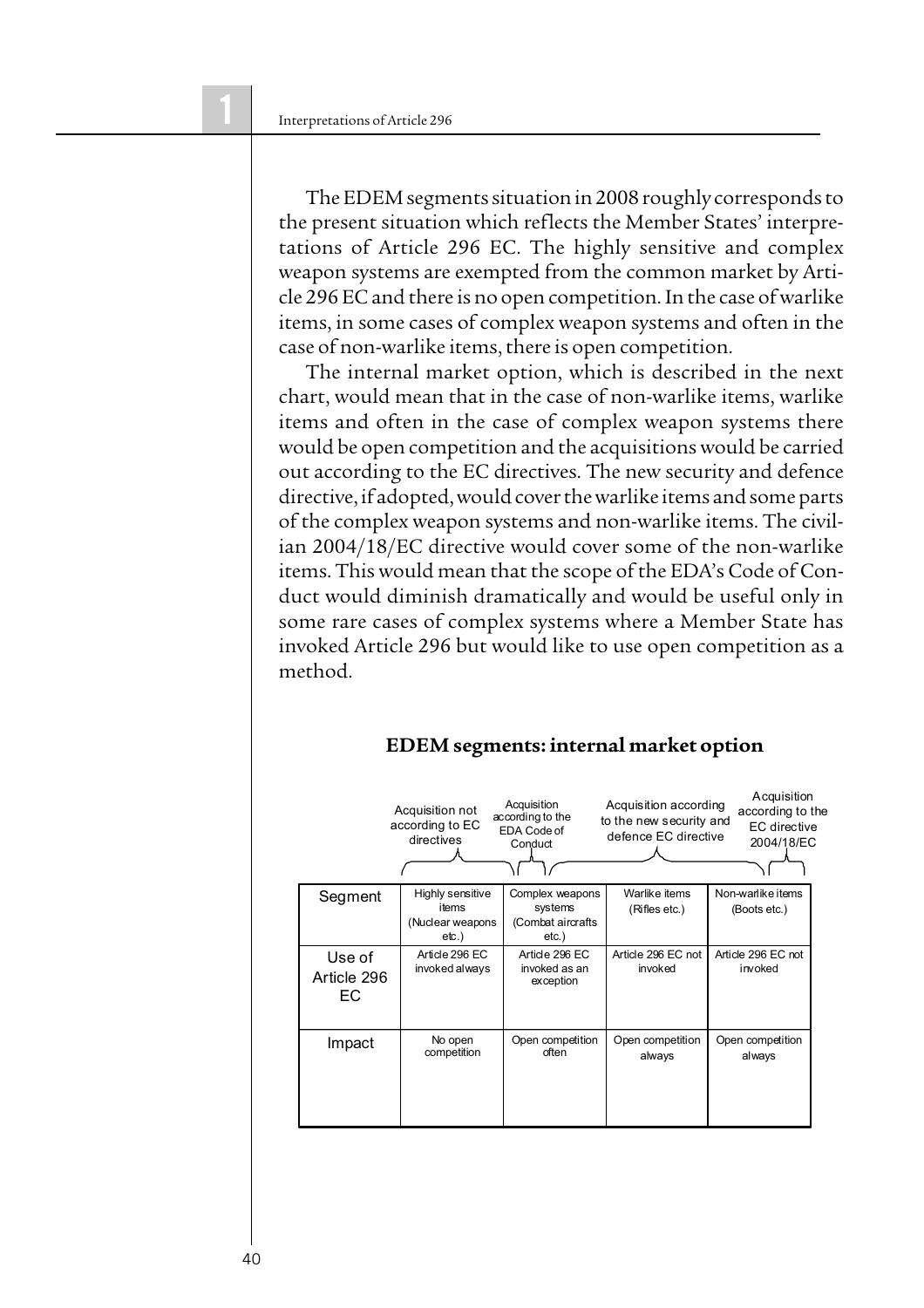The EDEM segments situation in 2008 roughly corresponds to the present situation which reflects the Member States' interpretations of Article 296 EC. The highly sensitive and complex weapon systems are exempted from the common market by Article 296 EC and there is no open competition. In the case of warlike items, in some cases of complex weapon systems and often in the case of non-warlike items, there is open competition.

The internal market option, which is described in the next chart, would mean that in the case of non-warlike items, warlike items and often in the case of complex weapon systems there would be open competition and the acquisitions would be carried out according to the EC directives. The new security and defence directive, if adopted, would cover the warlike items and some parts of the complex weapon systems and non-warlike items. The civilian 2004/18/EC directive would cover some of the non-warlike items. This would mean that the scope of the EDA's Code of Conduct would diminish dramatically and would be useful only in some rare cases of complex systems where a Member State has invoked Article 296 but would like to use open competition as a method.

|                             | Acquisition not<br>according to EC<br>directives          | Acquisition<br>according to the<br>EDA Code of<br>Conduct   | Acquisition according<br>to the new security and<br>defence EC directive | Acquisition<br>according to the<br>EC directive<br>2004/18/EC |
|-----------------------------|-----------------------------------------------------------|-------------------------------------------------------------|--------------------------------------------------------------------------|---------------------------------------------------------------|
| Segment                     | Highly sensitive<br>items<br>(Nuclear weapons<br>$etc.$ ) | Complex weapons<br>systems<br>(Combat aircrafts<br>$etc.$ ) | Warlike items<br>(Rifles etc.)                                           | Non-warlike items<br>(Boots etc.)                             |
| Use of<br>Article 296<br>EС | Article 296 EC<br>invoked always                          | Article 296 EC<br>invoked as an<br>exception                | Article 296 EC not<br>invoked                                            | Article 296 EC not<br>invoked                                 |
| Impact                      | No open<br>competition                                    | Open competition<br>often                                   | Open competition<br>always                                               | Open competition<br>always                                    |

#### **EDEM segments: internal market option**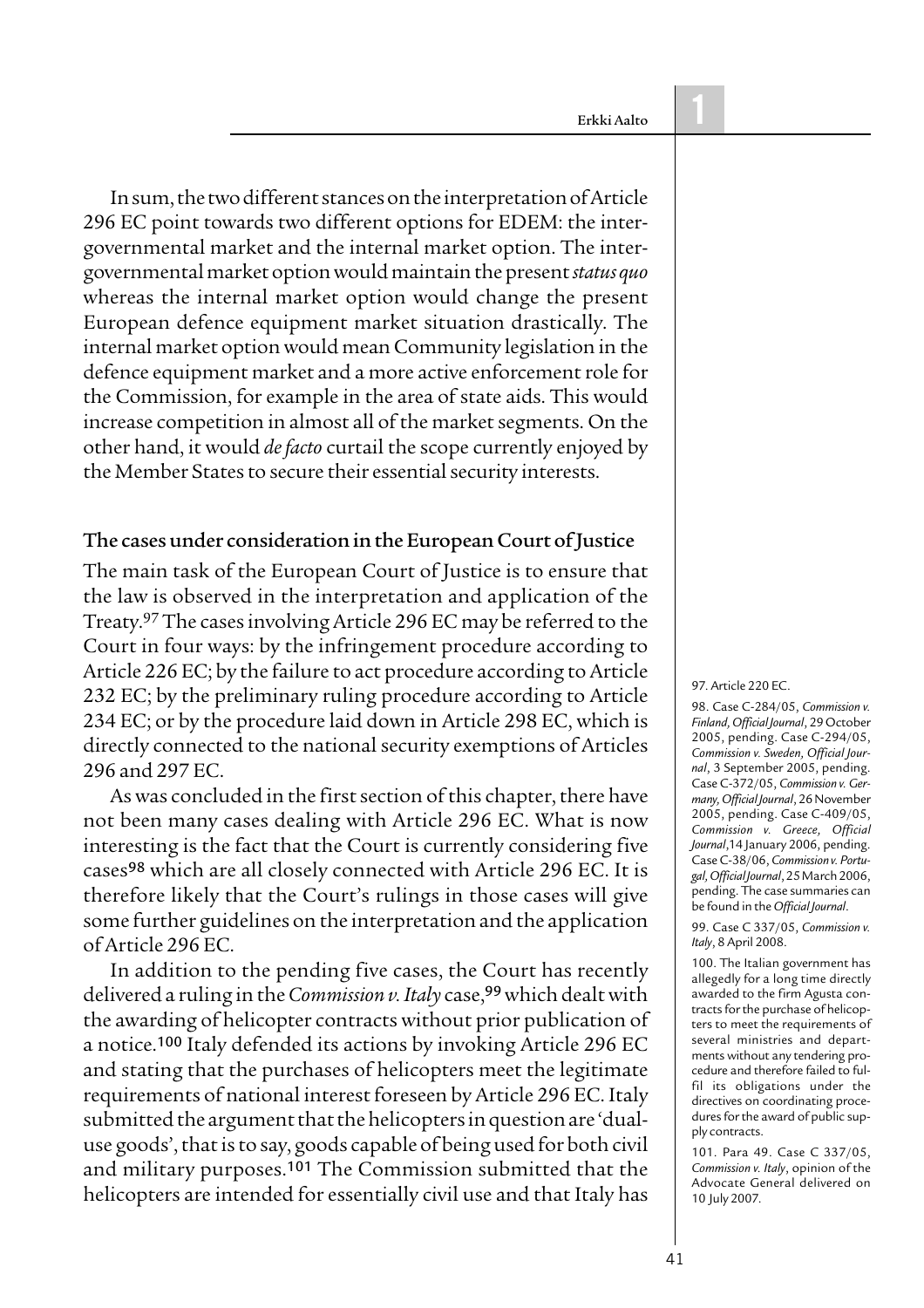In sum, the two different stances on the interpretation of Article 296 EC point towards two different options for EDEM: the intergovernmental market and the internal market option. The intergovernmental market option would maintain the present *status quo* whereas the internal market option would change the present European defence equipment market situation drastically. The internal market option would mean Community legislation in the defence equipment market and a more active enforcement role for the Commission, for example in the area of state aids. This would increase competition in almost all of the market segments. On the other hand, it would *de facto* curtail the scope currently enjoyed by the Member States to secure their essential security interests.

#### The cases under consideration in the European Court of Justice

The main task of the European Court of Justice is to ensure that the law is observed in the interpretation and application of the Treaty.97 The cases involving Article 296 EC may be referred to the Court in four ways: by the infringement procedure according to Article 226 EC; by the failure to act procedure according to Article 232 EC; by the preliminary ruling procedure according to Article 234 EC; or by the procedure laid down in Article 298 EC, which is directly connected to the national security exemptions of Articles 296 and 297 EC.

As was concluded in the first section of this chapter, there have not been many cases dealing with Article 296 EC. What is now interesting is the fact that the Court is currently considering five cases<sup>98</sup> which are all closely connected with Article 296 EC. It is therefore likely that the Court's rulings in those cases will give some further guidelines on the interpretation and the application of Article 296 EC.

In addition to the pending five cases, the Court has recently delivered a ruling in the *Commission v. Italy* case,<sup>99</sup> which dealt with the awarding of helicopter contracts without prior publication of a notice.<sup>100</sup> Italy defended its actions by invoking Article 296 EC and stating that the purchases of helicopters meet the legitimate requirements of national interest foreseen by Article 296 EC. Italy submitted the argument that the helicopters in question are 'dualuse goods', that is to say, goods capable of being used for both civil and military purposes.<sup>101</sup> The Commission submitted that the helicopters are intended for essentially civil use and that Italy has

97. Article 220 EC.

98. Case C-284/05, *Commission v. Finland, Official Journal*, 29 October 2005, pending. Case C-294/05, *Commission v. Sweden, Official Journal*, 3 September 2005, pending. Case C-372/05, *Commission v. Germany, Official Journal*, 26 November 2005, pending. Case C-409/05, *Commission v. Greece, Official Journal*,14 January 2006, pending. Case C-38/06, *Commission v. Portugal, Official Journal*, 25 March 2006, pending. The case summaries can be found in the *Official Journal*.

99. Case C 337/05, *Commission v. Italy*, 8 April 2008.

100. The Italian government has allegedly for a long time directly awarded to the firm Agusta contracts for the purchase of helicopters to meet the requirements of several ministries and departments without any tendering procedure and therefore failed to fulfil its obligations under the directives on coordinating procedures for the award of public supply contracts.

101. Para 49. Case C 337/05, *Commission v. Italy*, opinion of the Advocate General delivered on 10 July 2007.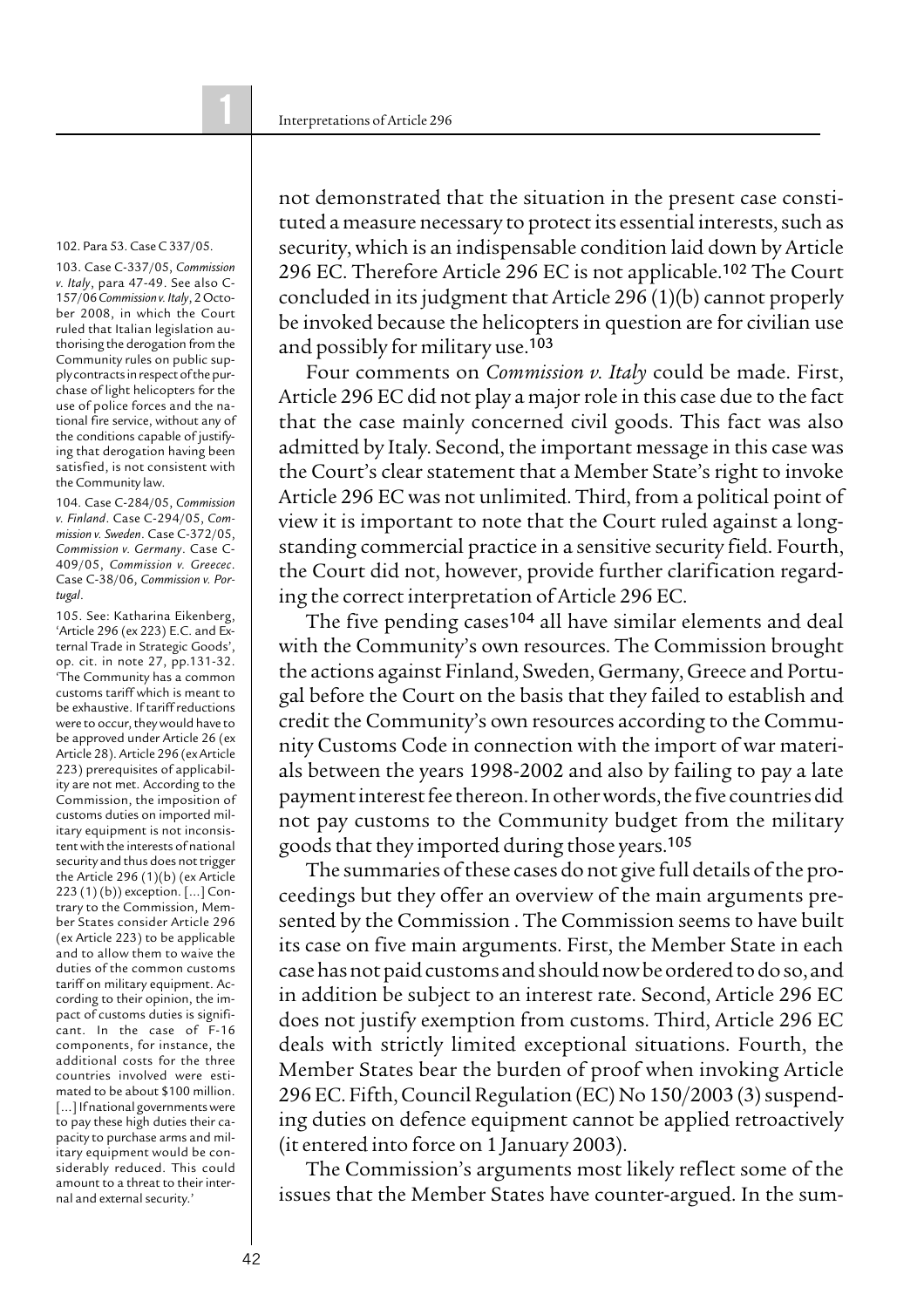#### 102. Para 53. Case C 337/05.

**1**

103. Case C-337/05, *Commission v. Italy*, para 47-49. See also C-157/06*Commission v. Italy*, 2 October 2008, in which the Court ruled that Italian legislation authorising the derogation from the Community rules on public supply contracts in respect of the purchase of light helicopters for the use of police forces and the national fire service, without any of the conditions capable of justifying that derogation having been satisfied, is not consistent with the Community law.

104. Case C-284/05, *Commission v. Finland*. Case C-294/05, *Commission v. Sweden*. Case C-372/05, *Commission v. Germany*. Case C-409/05, *Commission v. Greecec*. Case C-38/06, *Commission v. Portugal*.

105. See: Katharina Eikenberg, 'Article 296 (ex 223) E.C. and External Trade in Strategic Goods', op. cit. in note 27, pp.131-32. 'The Community has a common customs tariff which is meant to be exhaustive. If tariff reductions were to occur, they would have to be approved under Article 26 (ex Article 28). Article 296 (ex Article 223) prerequisites of applicability are not met. According to the Commission, the imposition of customs duties on imported military equipment is not inconsistent with the interests of national security and thus does not trigger the Article 296 (1)(b) (ex Article 223 (1) (b)) exception. […] Contrary to the Commission, Member States consider Article 296 (ex Article 223) to be applicable and to allow them to waive the duties of the common customs tariff on military equipment. According to their opinion, the impact of customs duties is significant. In the case of F-16 components, for instance, the additional costs for the three countries involved were estimated to be about \$100 million. [...] If national governments were to pay these high duties their capacity to purchase arms and military equipment would be considerably reduced. This could amount to a threat to their internal and external security.'

not demonstrated that the situation in the present case constituted a measure necessary to protect its essential interests, such as security, which is an indispensable condition laid down by Article 296 EC. Therefore Article 296 EC is not applicable.<sup>102</sup> The Court concluded in its judgment that Article 296 (1)(b) cannot properly be invoked because the helicopters in question are for civilian use and possibly for military use.<sup>103</sup>

Four comments on *Commission v. Italy* could be made. First, Article 296 EC did not play a major role in this case due to the fact that the case mainly concerned civil goods. This fact was also admitted by Italy. Second, the important message in this case was the Court's clear statement that a Member State's right to invoke Article 296 EC was not unlimited. Third, from a political point of view it is important to note that the Court ruled against a longstanding commercial practice in a sensitive security field. Fourth, the Court did not, however, provide further clarification regarding the correct interpretation of Article 296 EC.

The five pending cases<sup>104</sup> all have similar elements and deal with the Community's own resources. The Commission brought the actions against Finland, Sweden, Germany, Greece and Portugal before the Court on the basis that they failed to establish and credit the Community's own resources according to the Community Customs Code in connection with the import of war materials between the years 1998-2002 and also by failing to pay a late payment interest fee thereon. In other words, the five countries did not pay customs to the Community budget from the military goods that they imported during those years.<sup>105</sup>

The summaries of these cases do not give full details of the proceedings but they offer an overview of the main arguments presented by the Commission . The Commission seems to have built its case on five main arguments. First, the Member State in each case has not paid customs and should now be ordered to do so, and in addition be subject to an interest rate. Second, Article 296 EC does not justify exemption from customs. Third, Article 296 EC deals with strictly limited exceptional situations. Fourth, the Member States bear the burden of proof when invoking Article 296 EC. Fifth, Council Regulation (EC) No 150/2003 (3) suspending duties on defence equipment cannot be applied retroactively (it entered into force on 1 January 2003).

The Commission's arguments most likely reflect some of the issues that the Member States have counter-argued. In the sum-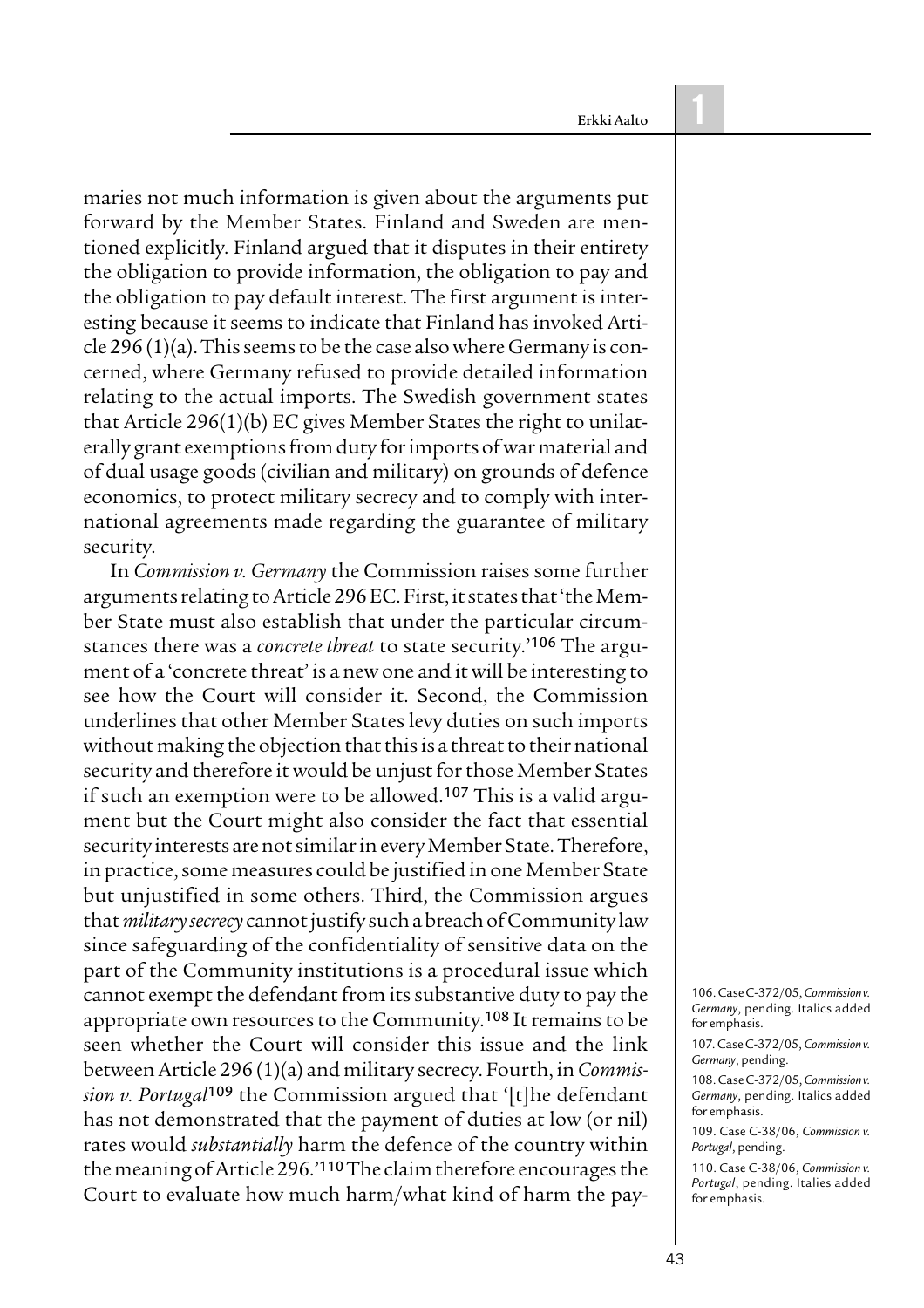maries not much information is given about the arguments put forward by the Member States. Finland and Sweden are mentioned explicitly. Finland argued that it disputes in their entirety the obligation to provide information, the obligation to pay and the obligation to pay default interest. The first argument is interesting because it seems to indicate that Finland has invoked Article 296 (1)(a). This seems to be the case also where Germany is concerned, where Germany refused to provide detailed information relating to the actual imports. The Swedish government states that Article 296(1)(b) EC gives Member States the right to unilaterally grant exemptions from duty for imports of war material and of dual usage goods (civilian and military) on grounds of defence economics, to protect military secrecy and to comply with international agreements made regarding the guarantee of military security.

In *Commission v. Germany* the Commission raises some further arguments relating to Article 296 EC. First, it states that 'the Member State must also establish that under the particular circumstances there was a *concrete threat* to state security.'<sup>106</sup> The argument of a 'concrete threat' is a new one and it will be interesting to see how the Court will consider it. Second, the Commission underlines that other Member States levy duties on such imports without making the objection that this is a threat to their national security and therefore it would be unjust for those Member States if such an exemption were to be allowed.<sup>107</sup> This is a valid argument but the Court might also consider the fact that essential security interests are not similar in every Member State. Therefore, in practice, some measures could be justified in one Member State but unjustified in some others. Third, the Commission argues that*military secrecy* cannot justify such a breach of Community law since safeguarding of the confidentiality of sensitive data on the part of the Community institutions is a procedural issue which cannot exempt the defendant from its substantive duty to pay the appropriate own resources to the Community.<sup>108</sup> It remains to be seen whether the Court will consider this issue and the link between Article 296 (1)(a) and military secrecy. Fourth, in *Commission v. Portugal*<sup>109</sup> the Commission argued that '[t]he defendant has not demonstrated that the payment of duties at low (or nil) rates would *substantially* harm the defence of the country within the meaning of Article 296.'110The claim therefore encourages the Court to evaluate how much harm/what kind of harm the pay-

<sup>106.</sup> Case C-372/05, *Commission v. Germany*, pending. Italics added for emphasis.

<sup>107.</sup> Case C-372/05, *Commission v. Germany*, pending.

<sup>108.</sup> Case C-372/05, *Commission v. Germany*, pending. Italics added for emphasis.

<sup>109.</sup> Case C-38/06, *Commission v. Portugal*, pending.

<sup>110.</sup> Case C-38/06, *Commission v. Portugal*, pending. Italies added for emphasis.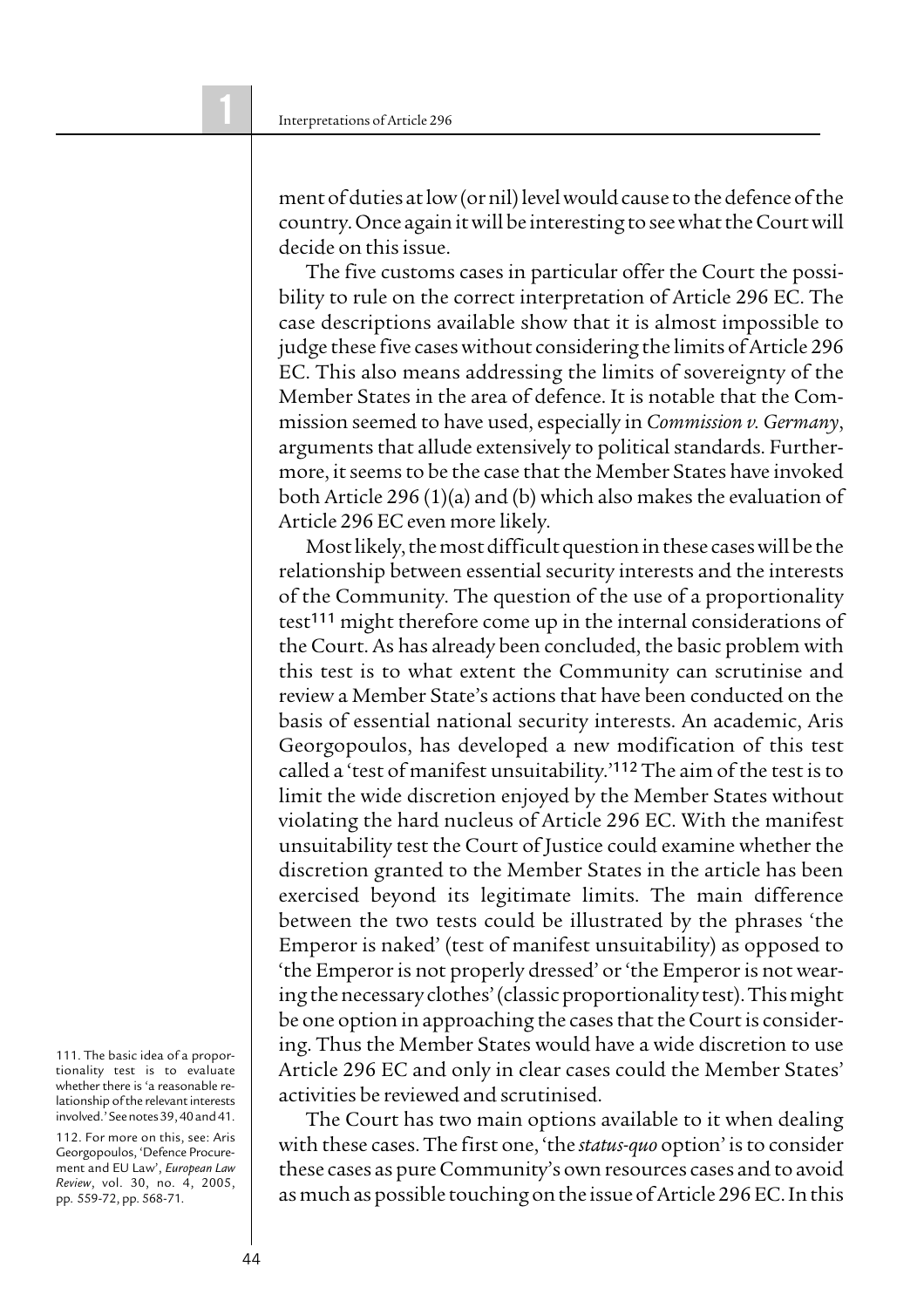ment of duties at low (or nil) level would cause to the defence of the country. Once again it will be interesting to see what the Court will decide on this issue.

The five customs cases in particular offer the Court the possibility to rule on the correct interpretation of Article 296 EC. The case descriptions available show that it is almost impossible to judge these five cases without considering the limits of Article 296 EC. This also means addressing the limits of sovereignty of the Member States in the area of defence. It is notable that the Commission seemed to have used, especially in *Commission v. Germany*, arguments that allude extensively to political standards. Furthermore, it seems to be the case that the Member States have invoked both Article 296 (1)(a) and (b) which also makes the evaluation of Article 296 EC even more likely.

Most likely, the most difficult question in these cases will be the relationship between essential security interests and the interests of the Community. The question of the use of a proportionality test<sup>111</sup> might therefore come up in the internal considerations of the Court. As has already been concluded, the basic problem with this test is to what extent the Community can scrutinise and review a Member State's actions that have been conducted on the basis of essential national security interests. An academic, Aris Georgopoulos, has developed a new modification of this test called a 'test of manifest unsuitability.'<sup>112</sup> The aim of the test is to limit the wide discretion enjoyed by the Member States without violating the hard nucleus of Article 296 EC. With the manifest unsuitability test the Court of Justice could examine whether the discretion granted to the Member States in the article has been exercised beyond its legitimate limits. The main difference between the two tests could be illustrated by the phrases 'the Emperor is naked' (test of manifest unsuitability) as opposed to 'the Emperor is not properly dressed' or 'the Emperor is not wearing the necessary clothes' (classic proportionality test). This might be one option in approaching the cases that the Court is considering. Thus the Member States would have a wide discretion to use Article 296 EC and only in clear cases could the Member States' activities be reviewed and scrutinised.

The Court has two main options available to it when dealing with these cases. The first one, 'the *status-quo* option' is to consider these cases as pure Community's own resources cases and to avoid as much as possible touching on the issue of Article 296 EC. In this

112. For more on this, see: Aris Georgopoulos, 'Defence Procurement and EU Law', *European Law Review*, vol. 30, no. 4, 2005, pp. 559-72, pp. 568-71.

<sup>111.</sup> The basic idea of a proportionality test is to evaluate whether there is 'a reasonable relationship of the relevant interests involved.' See notes 39, 40 and 41.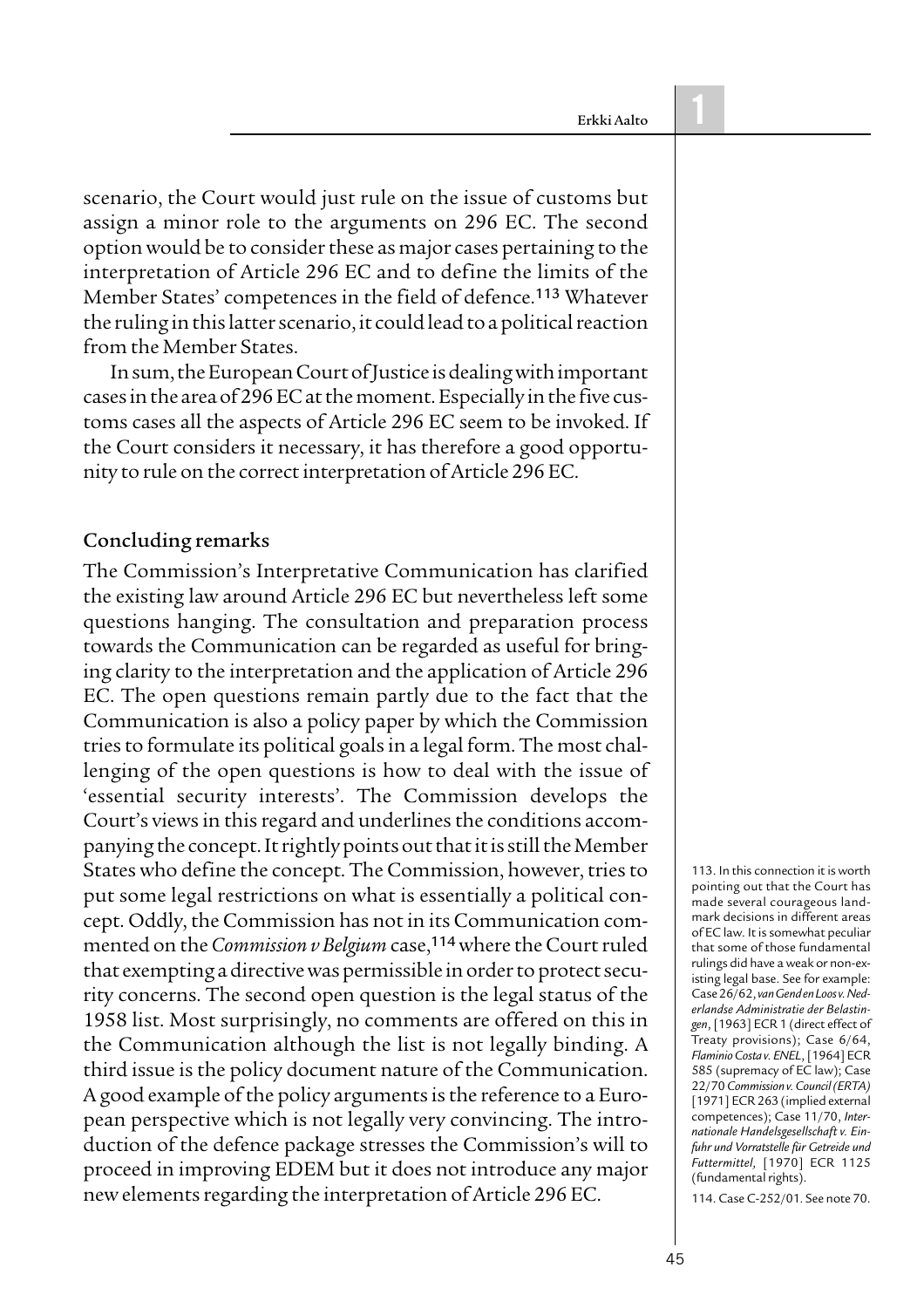scenario, the Court would just rule on the issue of customs but assign a minor role to the arguments on 296 EC. The second option would be to consider these as major cases pertaining to the interpretation of Article 296 EC and to define the limits of the Member States' competences in the field of defence.<sup>113</sup> Whatever the ruling in this latter scenario, it could lead to a political reaction from the Member States.

In sum, the European Court of Justice is dealing with important cases in the area of 296 EC at the moment. Especially in the five customs cases all the aspects of Article 296 EC seem to be invoked. If the Court considers it necessary, it has therefore a good opportunity to rule on the correct interpretation of Article 296 EC.

#### Concluding remarks

The Commission's Interpretative Communication has clarified the existing law around Article 296 EC but nevertheless left some questions hanging. The consultation and preparation process towards the Communication can be regarded as useful for bringing clarity to the interpretation and the application of Article 296 EC. The open questions remain partly due to the fact that the Communication is also a policy paper by which the Commission tries to formulate its political goals in a legal form. The most challenging of the open questions is how to deal with the issue of 'essential security interests'. The Commission develops the Court's views in this regard and underlines the conditions accompanying the concept. It rightly points out that it is still the Member States who define the concept. The Commission, however, tries to put some legal restrictions on what is essentially a political concept. Oddly, the Commission has not in its Communication commented on the *Commission v Belgium* case,<sup>114</sup> where the Court ruled that exempting a directive was permissible in order to protect security concerns. The second open question is the legal status of the 1958 list. Most surprisingly, no comments are offered on this in the Communication although the list is not legally binding. A third issue is the policy document nature of the Communication. A good example of the policy arguments is the reference to a European perspective which is not legally very convincing. The introduction of the defence package stresses the Commission's will to proceed in improving EDEM but it does not introduce any major new elements regarding the interpretation of Article 296 EC.

113. In this connection it is worth pointing out that the Court has made several courageous landmark decisions in different areas of EC law. It is somewhat peculiar that some of those fundamental rulings did have a weak or non-existing legal base. See for example: Case 26/62, *van Gend en Loos v. Nederlandse Administratie der Belastingen*, [1963] ECR 1 (direct effect of Treaty provisions); Case 6/64, *Flaminio Costa v. ENEL*, [1964] ECR 585 (supremacy of EC law); Case 22/70*Commission v. Council (ERTA)* [1971] ECR 263 (implied external competences); Case 11/70, *Internationale Handelsgesellschaft v. Einfuhr und Vorratstelle für Getreide und Futtermittel,* [1970] ECR 1125

## **1**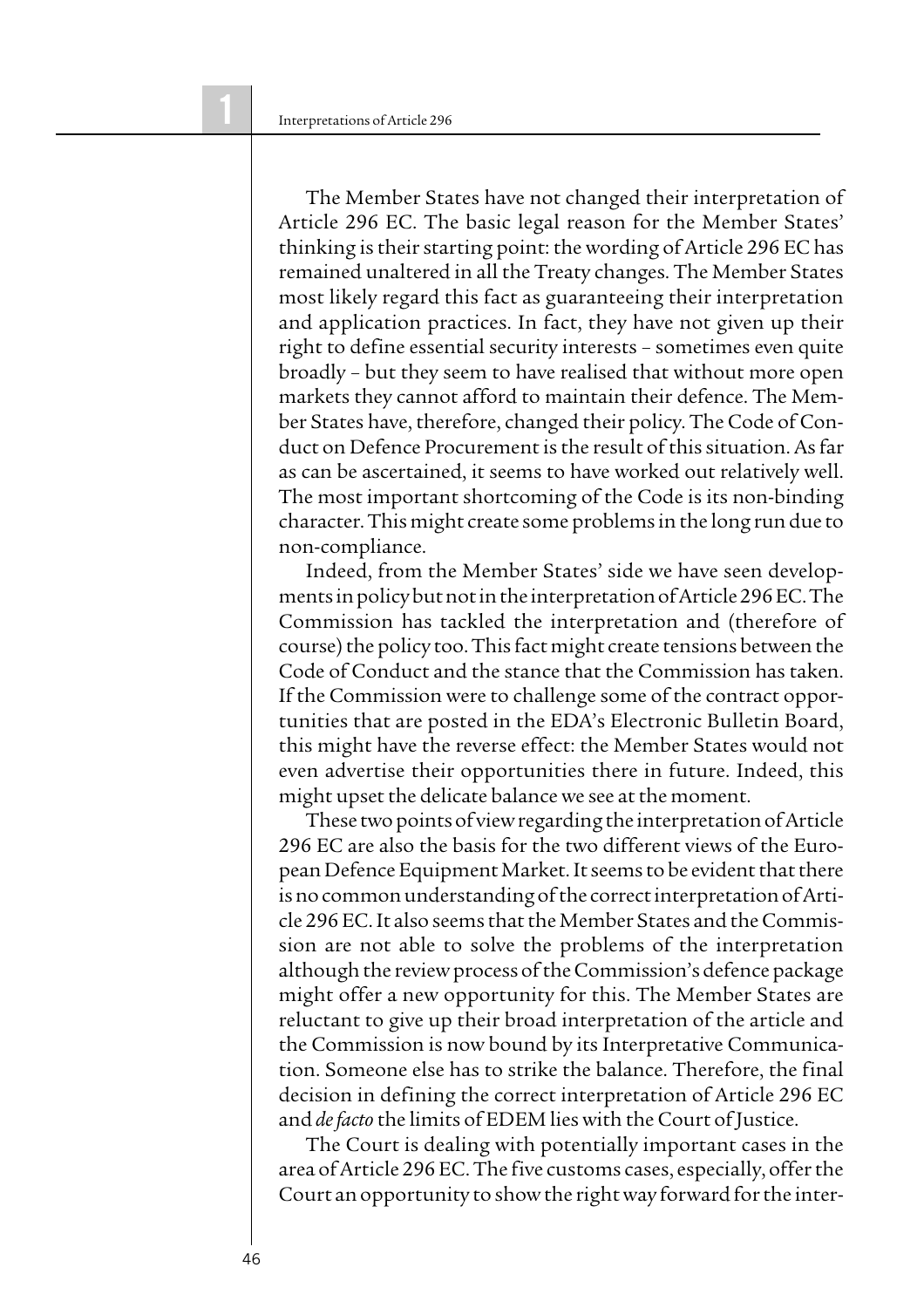The Member States have not changed their interpretation of Article 296 EC. The basic legal reason for the Member States' thinking is their starting point: the wording of Article 296 EC has remained unaltered in all the Treaty changes. The Member States most likely regard this fact as guaranteeing their interpretation and application practices. In fact, they have not given up their right to define essential security interests – sometimes even quite broadly – but they seem to have realised that without more open markets they cannot afford to maintain their defence. The Member States have, therefore, changed their policy. The Code of Conduct on Defence Procurement is the result of this situation. As far as can be ascertained, it seems to have worked out relatively well. The most important shortcoming of the Code is its non-binding character. This might create some problems in the long run due to non-compliance.

Indeed, from the Member States' side we have seen developments in policy but not in the interpretation of Article 296 EC. The Commission has tackled the interpretation and (therefore of course) the policy too. This fact might create tensions between the Code of Conduct and the stance that the Commission has taken. If the Commission were to challenge some of the contract opportunities that are posted in the EDA's Electronic Bulletin Board, this might have the reverse effect: the Member States would not even advertise their opportunities there in future. Indeed, this might upset the delicate balance we see at the moment.

These two points of view regarding the interpretation of Article 296 EC are also the basis for the two different views of the European Defence Equipment Market. It seems to be evident that there is no common understanding of the correct interpretation of Article 296 EC. It also seems that the Member States and the Commission are not able to solve the problems of the interpretation although the review process of the Commission's defence package might offer a new opportunity for this. The Member States are reluctant to give up their broad interpretation of the article and the Commission is now bound by its Interpretative Communication. Someone else has to strike the balance. Therefore, the final decision in defining the correct interpretation of Article 296 EC and *de facto* the limits of EDEM lies with the Court of Justice.

The Court is dealing with potentially important cases in the area of Article 296 EC. The five customs cases, especially, offer the Court an opportunity to show the right way forward for the inter-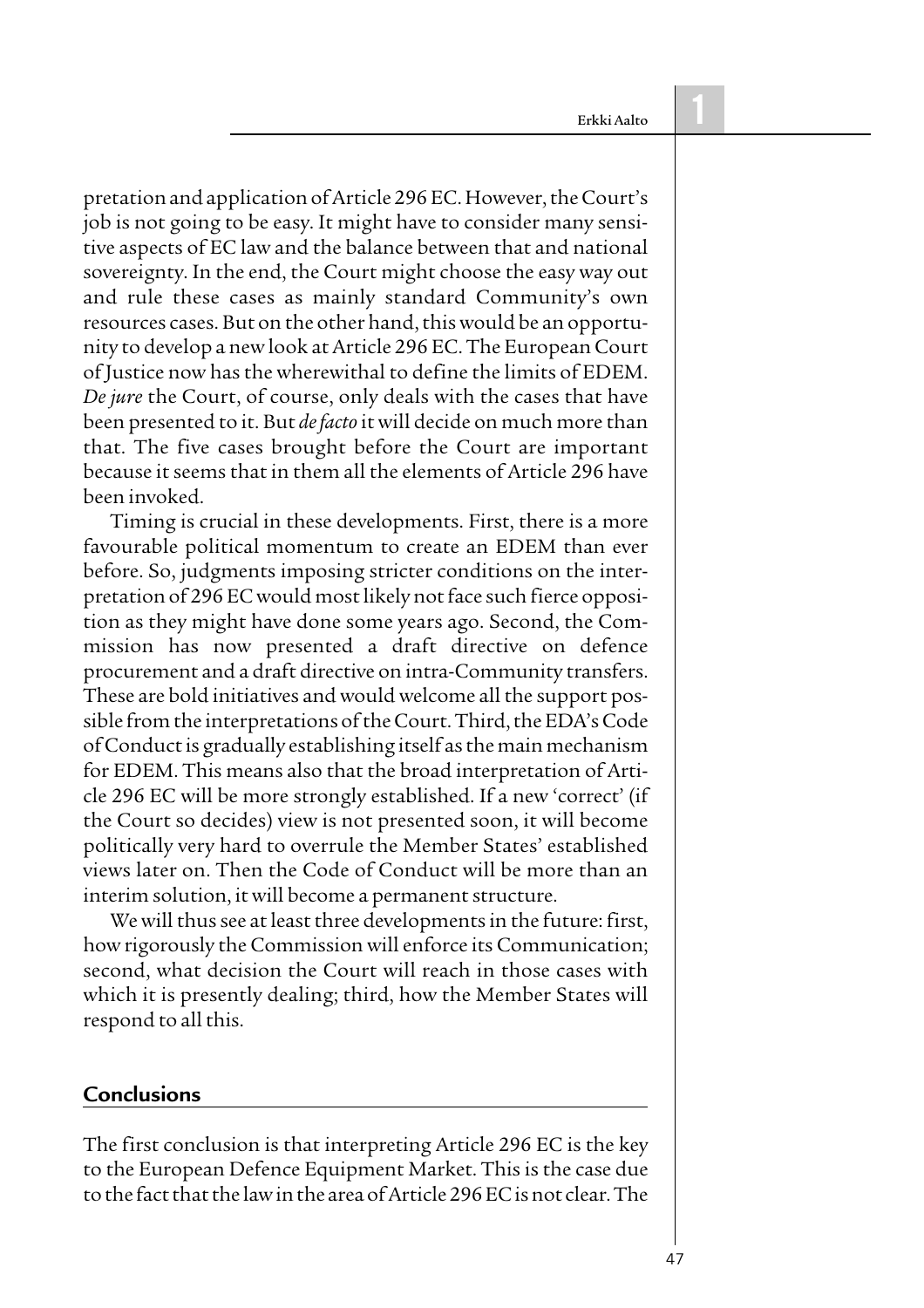pretation and application of Article 296 EC. However, the Court's job is not going to be easy. It might have to consider many sensitive aspects of EC law and the balance between that and national sovereignty. In the end, the Court might choose the easy way out and rule these cases as mainly standard Community's own resources cases. But on the other hand, this would be an opportunity to develop a new look at Article 296 EC. The European Court of Justice now has the wherewithal to define the limits of EDEM. *De jure* the Court, of course, only deals with the cases that have been presented to it. But *de facto* it will decide on much more than that. The five cases brought before the Court are important because it seems that in them all the elements of Article 296 have been invoked.

Timing is crucial in these developments. First, there is a more favourable political momentum to create an EDEM than ever before. So, judgments imposing stricter conditions on the interpretation of 296 EC would most likely not face such fierce opposition as they might have done some years ago. Second, the Commission has now presented a draft directive on defence procurement and a draft directive on intra-Community transfers. These are bold initiatives and would welcome all the support possible from the interpretations of the Court. Third, the EDA's Code of Conduct is gradually establishing itself as the main mechanism for EDEM. This means also that the broad interpretation of Article 296 EC will be more strongly established. If a new 'correct' (if the Court so decides) view is not presented soon, it will become politically very hard to overrule the Member States' established views later on. Then the Code of Conduct will be more than an interim solution, it will become a permanent structure.

We will thus see at least three developments in the future: first, how rigorously the Commission will enforce its Communication; second, what decision the Court will reach in those cases with which it is presently dealing; third, how the Member States will respond to all this.

#### **Conclusions**

The first conclusion is that interpreting Article 296 EC is the key to the European Defence Equipment Market. This is the case due to the fact that the law in the area of Article 296 EC is not clear. The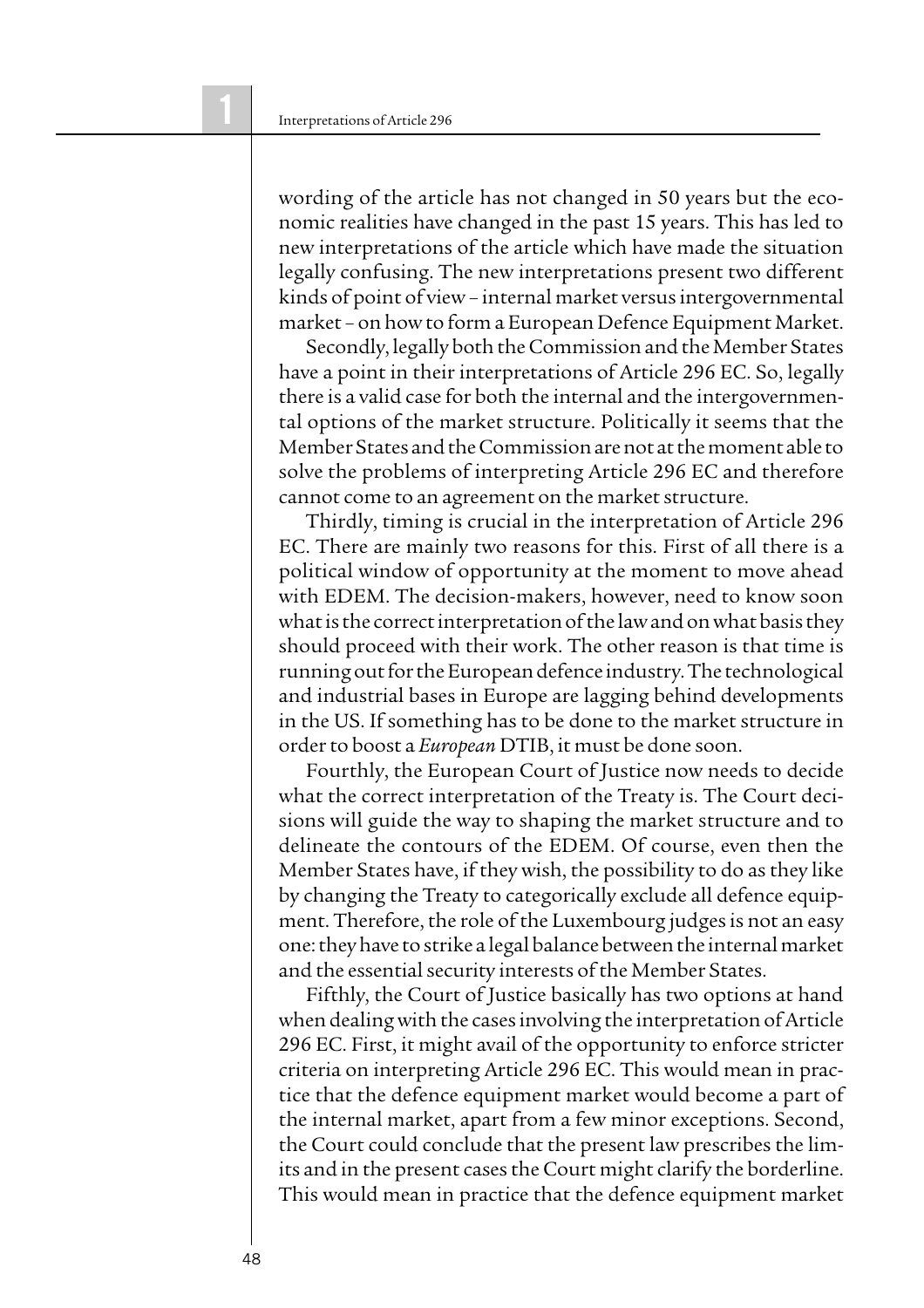wording of the article has not changed in 50 years but the economic realities have changed in the past 15 years. This has led to new interpretations of the article which have made the situation legally confusing. The new interpretations present two different kinds of point of view – internal market versus intergovernmental market – on how to form a European Defence Equipment Market.

Secondly, legally both the Commission and the Member States have a point in their interpretations of Article 296 EC. So, legally there is a valid case for both the internal and the intergovernmental options of the market structure. Politically it seems that the Member States and the Commission are not at the moment able to solve the problems of interpreting Article 296 EC and therefore cannot come to an agreement on the market structure.

Thirdly, timing is crucial in the interpretation of Article 296 EC. There are mainly two reasons for this. First of all there is a political window of opportunity at the moment to move ahead with EDEM. The decision-makers, however, need to know soon what is the correct interpretation of the law and on what basis they should proceed with their work. The other reason is that time is running out for the European defence industry. The technological and industrial bases in Europe are lagging behind developments in the US. If something has to be done to the market structure in order to boost a *European* DTIB, it must be done soon.

Fourthly, the European Court of Justice now needs to decide what the correct interpretation of the Treaty is. The Court decisions will guide the way to shaping the market structure and to delineate the contours of the EDEM. Of course, even then the Member States have, if they wish, the possibility to do as they like by changing the Treaty to categorically exclude all defence equipment. Therefore, the role of the Luxembourg judges is not an easy one: they have to strike a legal balance between the internal market and the essential security interests of the Member States.

Fifthly, the Court of Justice basically has two options at hand when dealing with the cases involving the interpretation of Article 296 EC. First, it might avail of the opportunity to enforce stricter criteria on interpreting Article 296 EC. This would mean in practice that the defence equipment market would become a part of the internal market, apart from a few minor exceptions. Second, the Court could conclude that the present law prescribes the limits and in the present cases the Court might clarify the borderline. This would mean in practice that the defence equipment market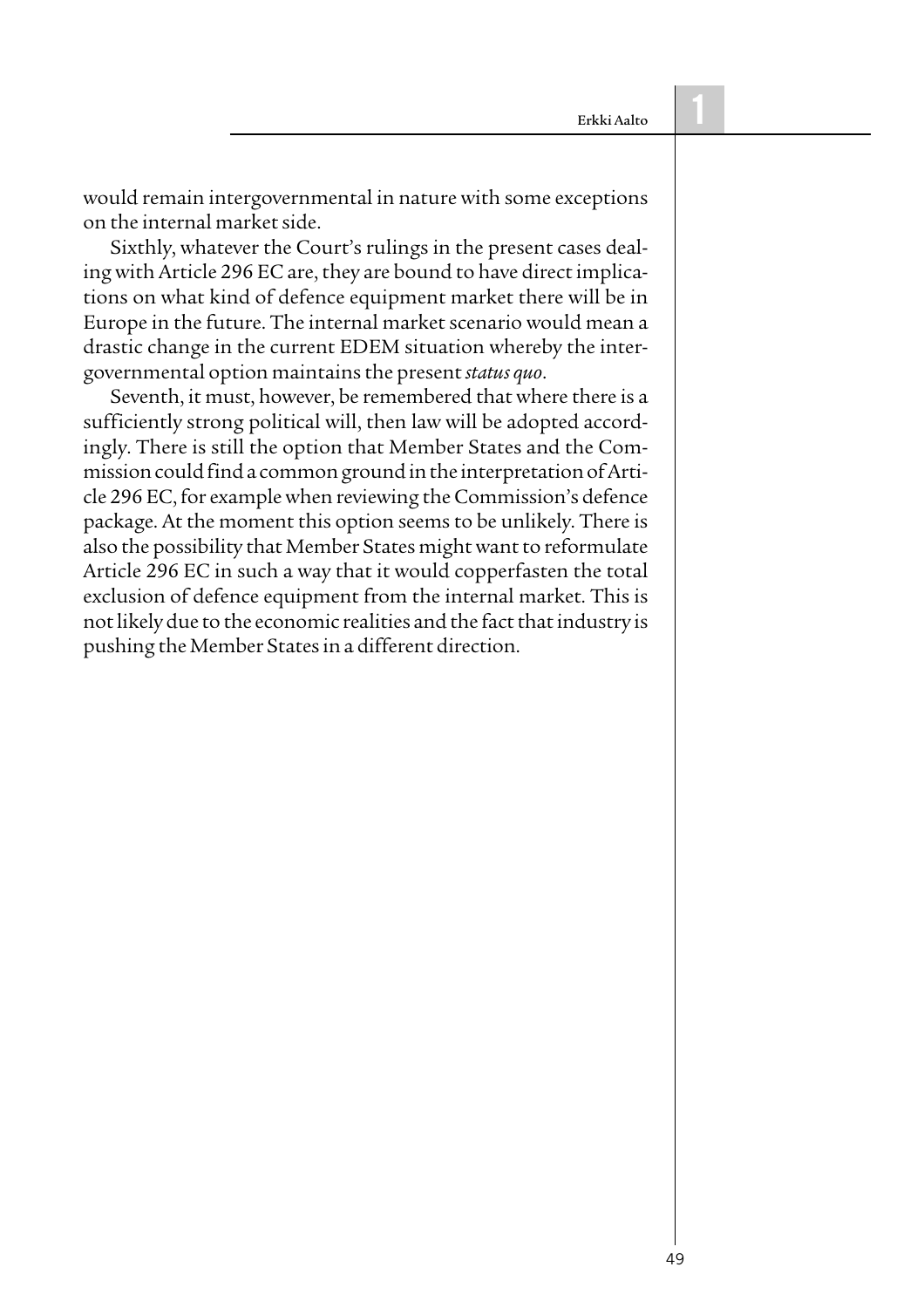would remain intergovernmental in nature with some exceptions on the internal market side.

Sixthly, whatever the Court's rulings in the present cases dealing with Article 296 EC are, they are bound to have direct implications on what kind of defence equipment market there will be in Europe in the future. The internal market scenario would mean a drastic change in the current EDEM situation whereby the intergovernmental option maintains the present *status quo*.

Seventh, it must, however, be remembered that where there is a sufficiently strong political will, then law will be adopted accordingly. There is still the option that Member States and the Commission could find a common ground in the interpretation of Article 296 EC, for example when reviewing the Commission's defence package. At the moment this option seems to be unlikely. There is also the possibility that Member States might want to reformulate Article 296 EC in such a way that it would copperfasten the total exclusion of defence equipment from the internal market. This is not likely due to the economic realities and the fact that industry is pushing the Member States in a different direction.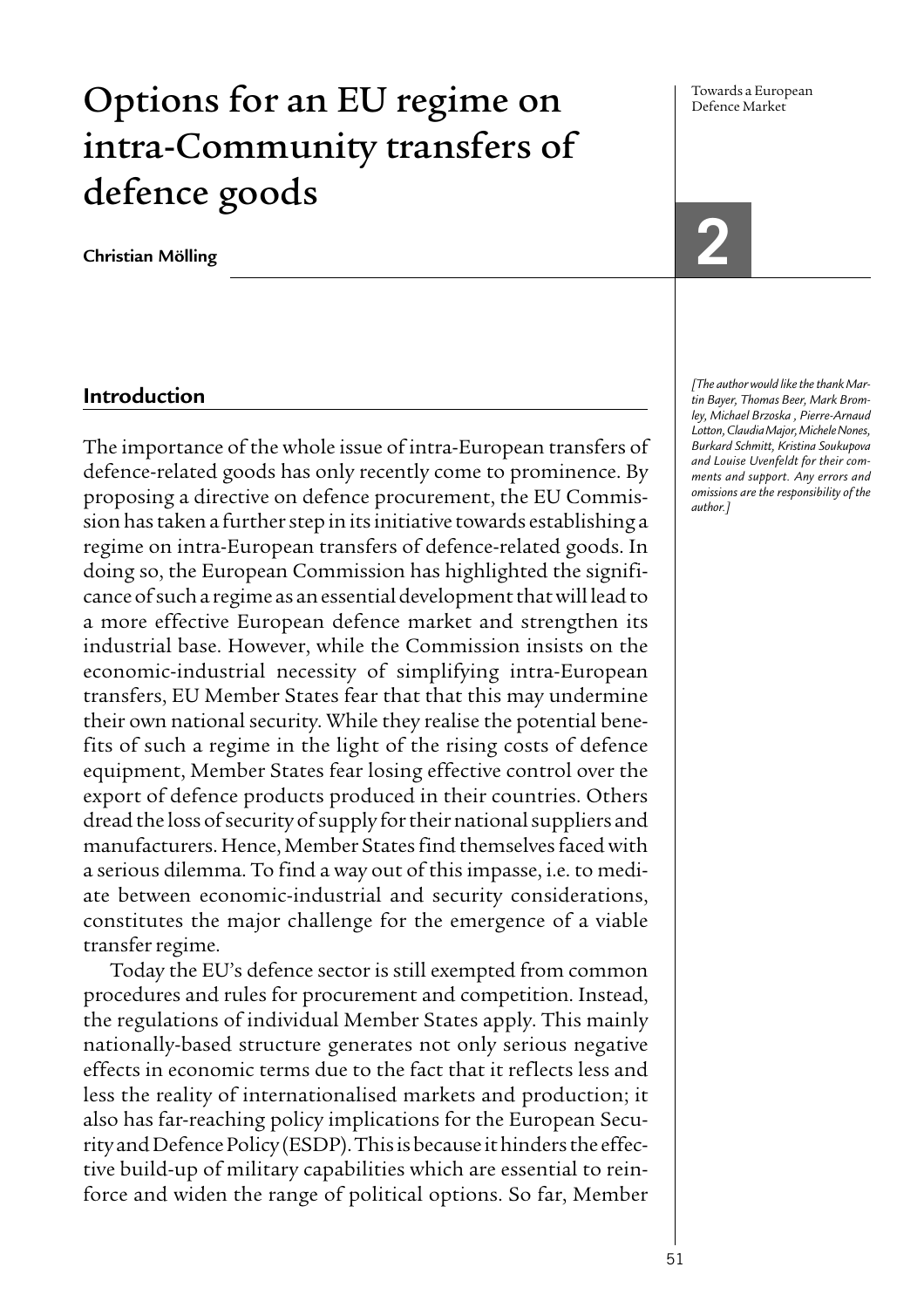### Options for an EU regime on intra-Community transfers of defence goods

**Christian Mölling**

#### Towards a European Defence Market

# **2**

#### **Introduction**

The importance of the whole issue of intra-European transfers of defence-related goods has only recently come to prominence. By proposing a directive on defence procurement, the EU Commission has taken a further step in its initiative towards establishing a regime on intra-European transfers of defence-related goods. In doing so, the European Commission has highlighted the significance of such a regime as an essential development that will lead to a more effective European defence market and strengthen its industrial base. However, while the Commission insists on the economic-industrial necessity of simplifying intra-European transfers, EU Member States fear that that this may undermine their own national security. While they realise the potential benefits of such a regime in the light of the rising costs of defence equipment, Member States fear losing effective control over the export of defence products produced in their countries. Others dread the loss of security of supply for their national suppliers and manufacturers. Hence, Member States find themselves faced with a serious dilemma. To find a way out of this impasse, i.e. to mediate between economic-industrial and security considerations, constitutes the major challenge for the emergence of a viable transfer regime.

Today the EU's defence sector is still exempted from common procedures and rules for procurement and competition. Instead, the regulations of individual Member States apply. This mainly nationally-based structure generates not only serious negative effects in economic terms due to the fact that it reflects less and less the reality of internationalised markets and production; it also has far-reaching policy implications for the European Security and Defence Policy (ESDP). This is because it hinders the effective build-up of military capabilities which are essential to reinforce and widen the range of political options. So far, Member

*[The author would like the thank Martin Bayer, Thomas Beer, Mark Bromley, Michael Brzoska , Pierre-Arnaud Lotton, Claudia Major, Michele Nones, Burkard Schmitt, Kristina Soukupova and Louise Uvenfeldt for their comments and support. Any errors and omissions are the responsibility of the author.]*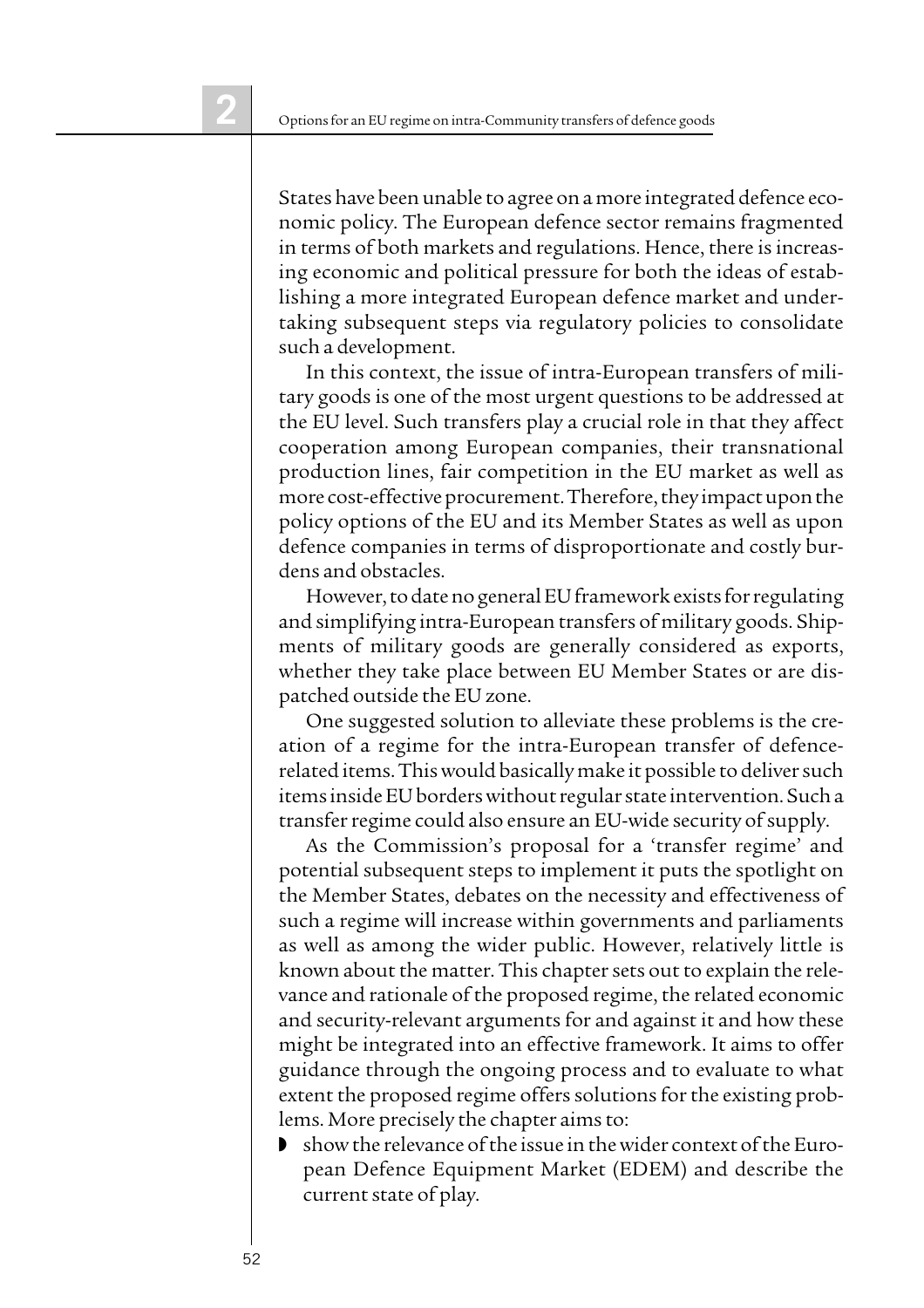States have been unable to agree on a more integrated defence economic policy. The European defence sector remains fragmented in terms of both markets and regulations. Hence, there is increasing economic and political pressure for both the ideas of establishing a more integrated European defence market and undertaking subsequent steps via regulatory policies to consolidate such a development.

In this context, the issue of intra-European transfers of military goods is one of the most urgent questions to be addressed at the EU level. Such transfers play a crucial role in that they affect cooperation among European companies, their transnational production lines, fair competition in the EU market as well as more cost-effective procurement. Therefore, they impact upon the policy options of the EU and its Member States as well as upon defence companies in terms of disproportionate and costly burdens and obstacles.

However, to date no general EU framework exists for regulating and simplifying intra-European transfers of military goods. Shipments of military goods are generally considered as exports, whether they take place between EU Member States or are dispatched outside the EU zone.

One suggested solution to alleviate these problems is the creation of a regime for the intra-European transfer of defencerelated items. This would basically make it possible to deliver such items inside EU borders without regular state intervention. Such a transfer regime could also ensure an EU-wide security of supply.

As the Commission's proposal for a 'transfer regime' and potential subsequent steps to implement it puts the spotlight on the Member States, debates on the necessity and effectiveness of such a regime will increase within governments and parliaments as well as among the wider public. However, relatively little is known about the matter. This chapter sets out to explain the relevance and rationale of the proposed regime, the related economic and security-relevant arguments for and against it and how these might be integrated into an effective framework. It aims to offer guidance through the ongoing process and to evaluate to what extent the proposed regime offers solutions for the existing problems. More precisely the chapter aims to:

 $\bullet$  show the relevance of the issue in the wider context of the European Defence Equipment Market (EDEM) and describe the current state of play.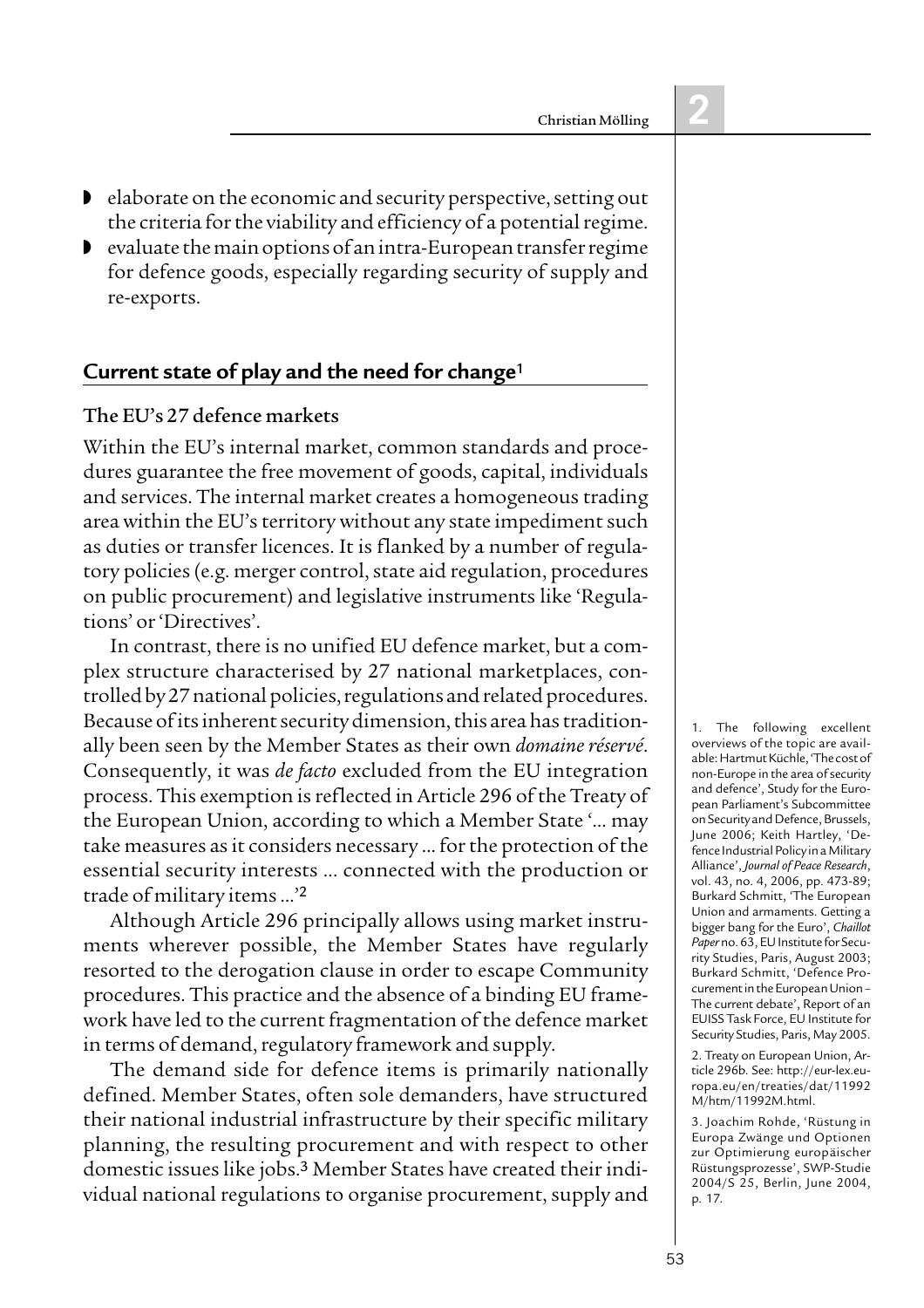- $\bullet$  elaborate on the economic and security perspective, setting out the criteria for the viability and efficiency of a potential regime.
- $\bullet$  evaluate the main options of an intra-European transfer regime for defence goods, especially regarding security of supply and re-exports.

#### **Current state of play and the need for change**<sup>1</sup>

#### The EU's 27 defence markets

Within the EU's internal market, common standards and procedures guarantee the free movement of goods, capital, individuals and services. The internal market creates a homogeneous trading area within the EU's territory without any state impediment such as duties or transfer licences. It is flanked by a number of regulatory policies (e.g. merger control, state aid regulation, procedures on public procurement) and legislative instruments like 'Regulations' or 'Directives'.

In contrast, there is no unified EU defence market, but a complex structure characterised by 27 national marketplaces, controlled by 27 national policies, regulations and related procedures. Because of its inherent security dimension, this area has traditionally been seen by the Member States as their own *domaine réservé*. Consequently, it was *de facto* excluded from the EU integration process. This exemption is reflected in Article 296 of the Treaty of the European Union, according to which a Member State '… may take measures as it considers necessary … for the protection of the essential security interests ... connected with the production or trade of military items …'<sup>2</sup>

Although Article 296 principally allows using market instruments wherever possible, the Member States have regularly resorted to the derogation clause in order to escape Community procedures. This practice and the absence of a binding EU framework have led to the current fragmentation of the defence market in terms of demand, regulatory framework and supply.

The demand side for defence items is primarily nationally defined. Member States, often sole demanders, have structured their national industrial infrastructure by their specific military planning, the resulting procurement and with respect to other domestic issues like jobs.<sup>3</sup> Member States have created their individual national regulations to organise procurement, supply and

1. The following excellent overviews of the topic are available: Hartmut Küchle, 'The cost of non-Europe in the area of security and defence', Study for the European Parliament's Subcommittee on Security and Defence, Brussels, June 2006; Keith Hartley, 'Defence Industrial Policy in a Military Alliance', *Journal of Peace Research*, vol. 43, no. 4, 2006, pp. 473-89; Burkard Schmitt, 'The European Union and armaments. Getting a bigger bang for the Euro', *Chaillot Paper*no. 63, EU Institute for Security Studies, Paris, August 2003; Burkard Schmitt, 'Defence Procurement in the European Union – The current debate', Report of an EUISS Task Force, EU Institute for Security Studies, Paris, May 2005.

2. Treaty on European Union, Article 296b. See: http://eur-lex.europa.eu/en/treaties/dat/11992 M/htm/11992M.html.

3. Joachim Rohde, 'Rüstung in Europa Zwänge und Optionen zur Optimierung europäischer Rüstungsprozesse', SWP-Studie 2004/S 25, Berlin, June 2004, p. 17.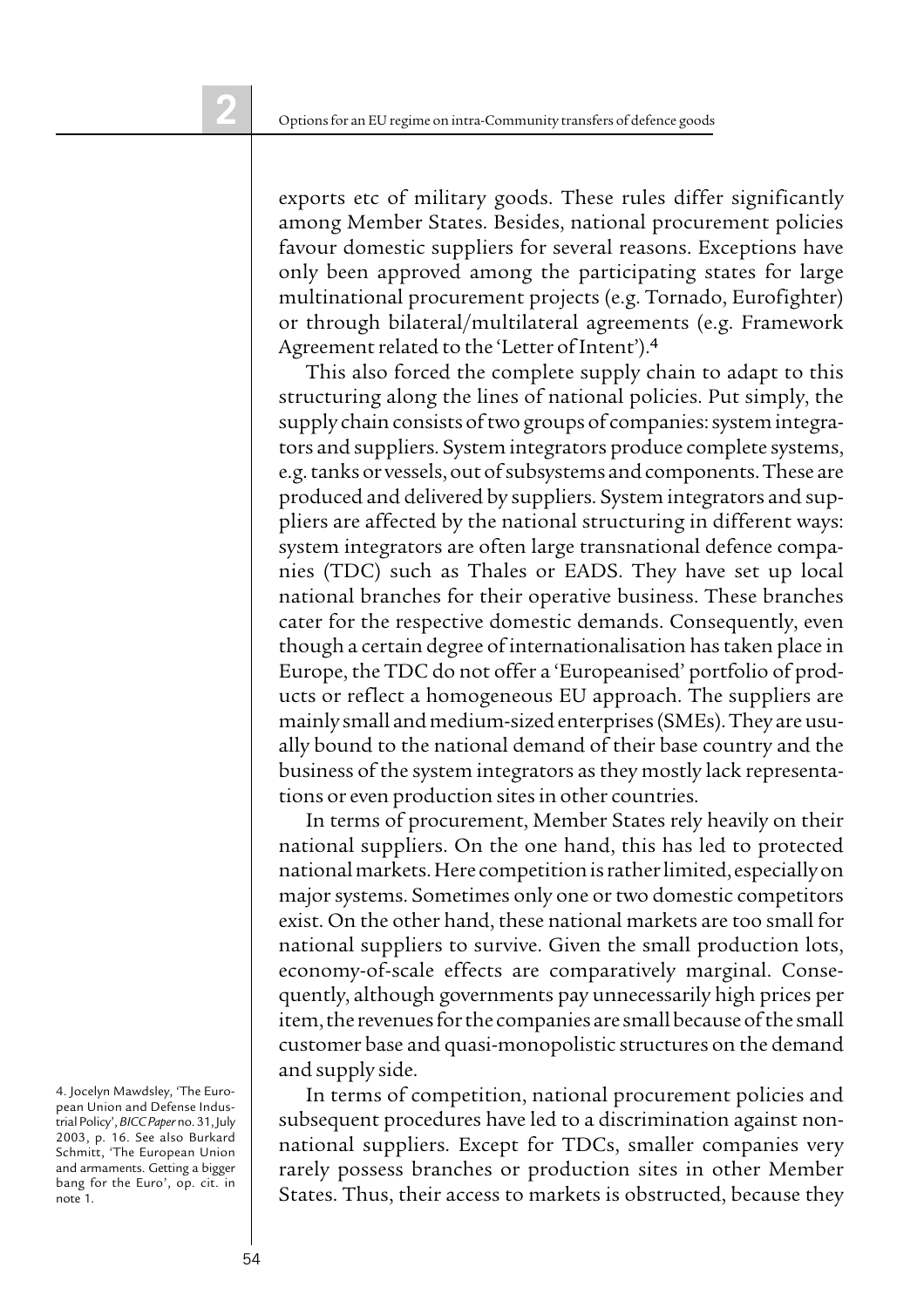exports etc of military goods. These rules differ significantly among Member States. Besides, national procurement policies favour domestic suppliers for several reasons. Exceptions have only been approved among the participating states for large multinational procurement projects (e.g. Tornado, Eurofighter) or through bilateral/multilateral agreements (e.g. Framework Agreement related to the 'Letter of Intent').<sup>4</sup>

This also forced the complete supply chain to adapt to this structuring along the lines of national policies. Put simply, the supply chain consists of two groups of companies: system integrators and suppliers. System integrators produce complete systems, e.g. tanks or vessels, out of subsystems and components. These are produced and delivered by suppliers. System integrators and suppliers are affected by the national structuring in different ways: system integrators are often large transnational defence companies (TDC) such as Thales or EADS. They have set up local national branches for their operative business. These branches cater for the respective domestic demands. Consequently, even though a certain degree of internationalisation has taken place in Europe, the TDC do not offer a 'Europeanised' portfolio of products or reflect a homogeneous EU approach. The suppliers are mainly small and medium-sized enterprises (SMEs). They are usually bound to the national demand of their base country and the business of the system integrators as they mostly lack representations or even production sites in other countries.

In terms of procurement, Member States rely heavily on their national suppliers. On the one hand, this has led to protected national markets. Here competition is rather limited, especially on major systems. Sometimes only one or two domestic competitors exist. On the other hand, these national markets are too small for national suppliers to survive. Given the small production lots, economy-of-scale effects are comparatively marginal. Consequently, although governments pay unnecessarily high prices per item, the revenues for the companies are small because of the small customer base and quasi-monopolistic structures on the demand and supply side.

In terms of competition, national procurement policies and subsequent procedures have led to a discrimination against nonnational suppliers. Except for TDCs, smaller companies very rarely possess branches or production sites in other Member States. Thus, their access to markets is obstructed, because they

**2**

<sup>4.</sup> Jocelyn Mawdsley, 'The European Union and Defense Industrial Policy', *BICC Paper*no. 31, July 2003, p. 16. See also Burkard Schmitt, 'The European Union and armaments. Getting a bigger bang for the Euro', op. cit. in note 1.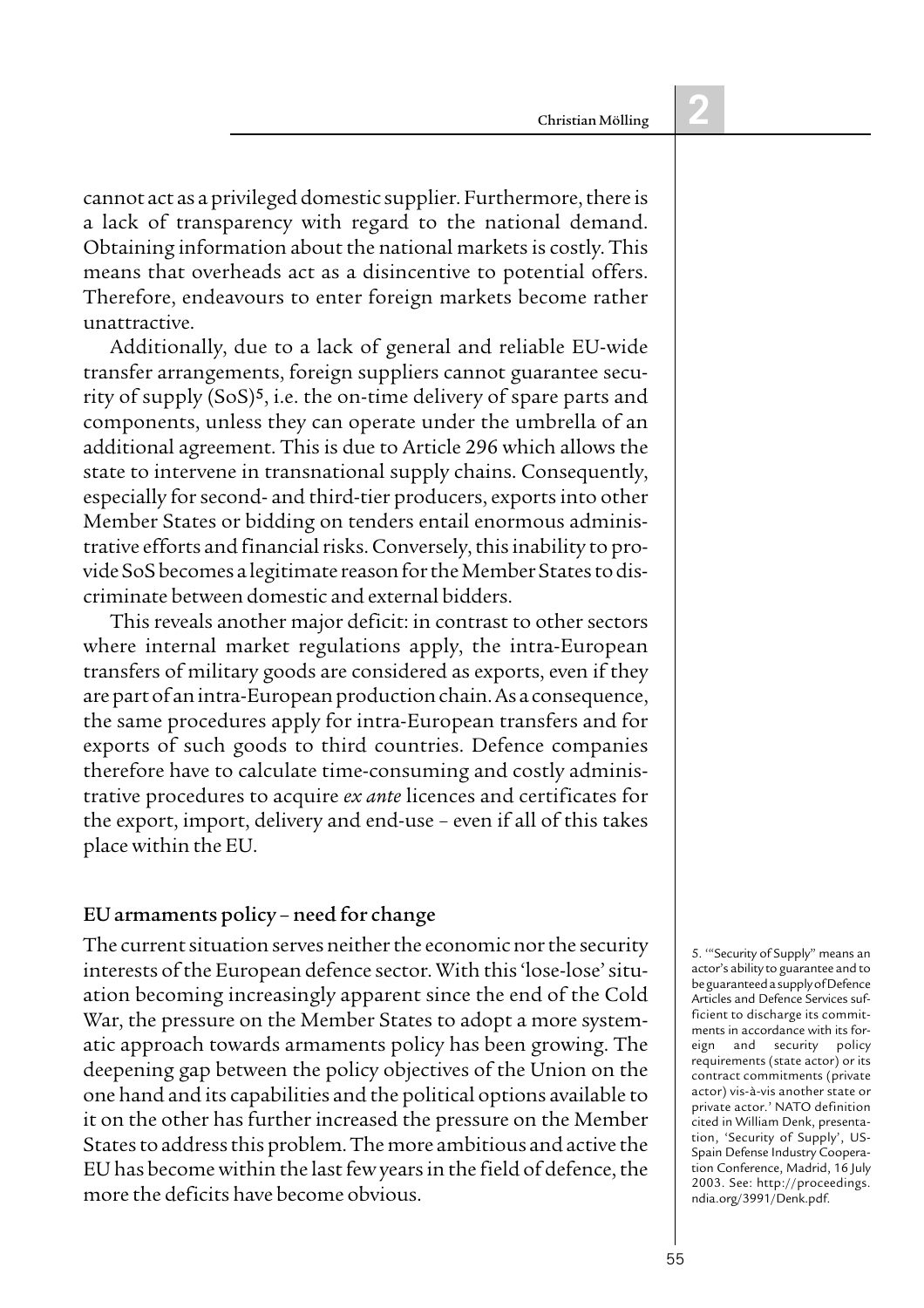cannot act as a privileged domestic supplier. Furthermore, there is a lack of transparency with regard to the national demand. Obtaining information about the national markets is costly. This means that overheads act as a disincentive to potential offers. Therefore, endeavours to enter foreign markets become rather unattractive.

Additionally, due to a lack of general and reliable EU-wide transfer arrangements, foreign suppliers cannot guarantee security of supply (SoS)5, i.e. the on-time delivery of spare parts and components, unless they can operate under the umbrella of an additional agreement. This is due to Article 296 which allows the state to intervene in transnational supply chains. Consequently, especially for second- and third-tier producers, exports into other Member States or bidding on tenders entail enormous administrative efforts and financial risks. Conversely, this inability to provide SoS becomes a legitimate reason for the Member States to discriminate between domestic and external bidders.

This reveals another major deficit: in contrast to other sectors where internal market regulations apply, the intra-European transfers of military goods are considered as exports, even if they are part of an intra-European production chain. As a consequence, the same procedures apply for intra-European transfers and for exports of such goods to third countries. Defence companies therefore have to calculate time-consuming and costly administrative procedures to acquire *ex ante* licences and certificates for the export, import, delivery and end-use – even if all of this takes place within the EU.

#### EU armaments policy – need for change

The current situation serves neither the economic nor the security interests of the European defence sector. With this 'lose-lose' situation becoming increasingly apparent since the end of the Cold War, the pressure on the Member States to adopt a more systematic approach towards armaments policy has been growing. The deepening gap between the policy objectives of the Union on the one hand and its capabilities and the political options available to it on the other has further increased the pressure on the Member States to address this problem. The more ambitious and active the EU has become within the last few years in the field of defence, the more the deficits have become obvious.

5. '"Security of Supply" means an actor's ability to guarantee and to be guaranteed a supply of Defence Articles and Defence Services sufficient to discharge its commitments in accordance with its foreign and security policy requirements (state actor) or its contract commitments (private actor) vis-à-vis another state or private actor.' NATO definition cited in William Denk, presentation, 'Security of Supply', US-Spain Defense Industry Cooperation Conference, Madrid, 16 July 2003. See: http://proceedings. ndia.org/3991/Denk.pdf.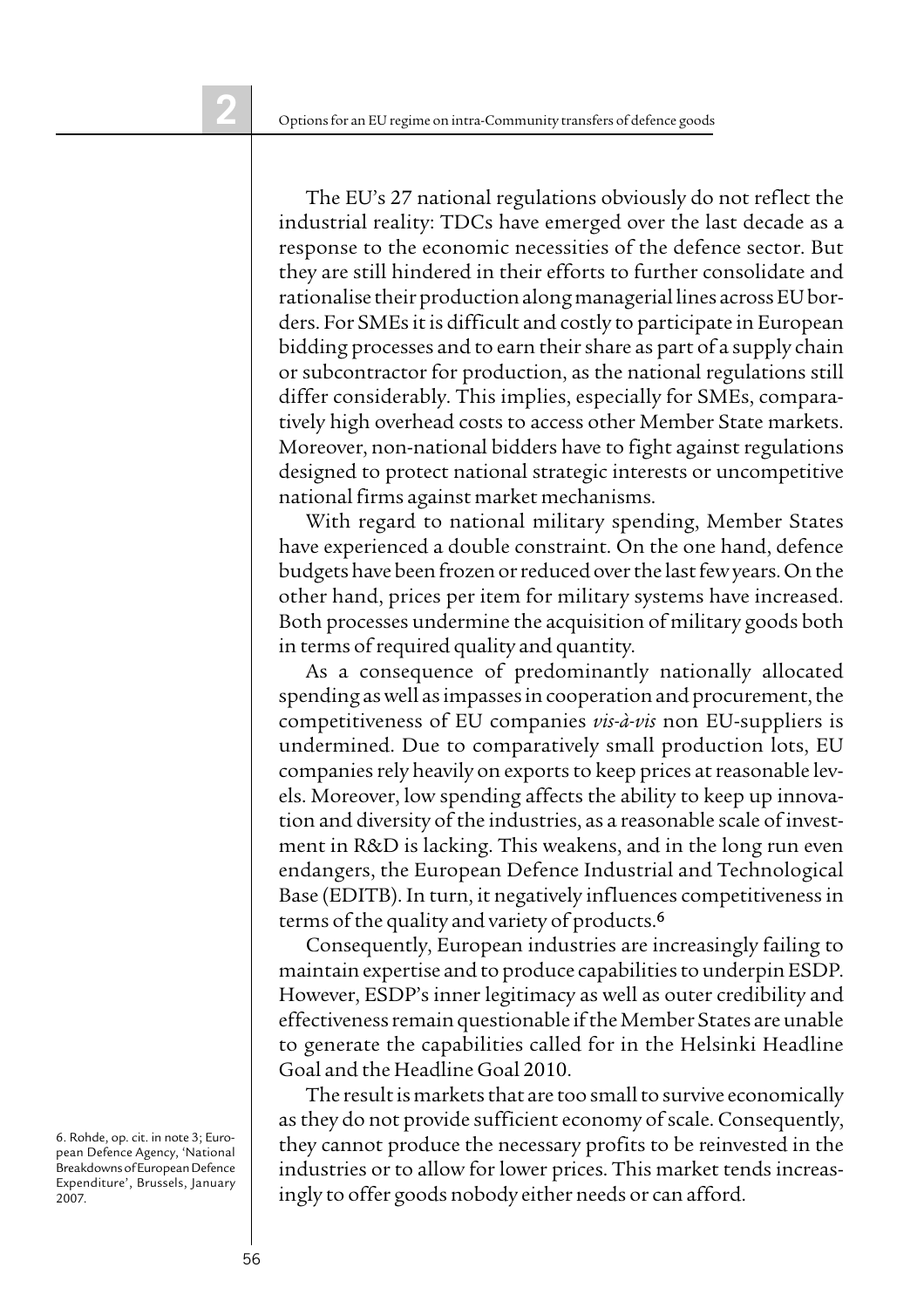The EU's 27 national regulations obviously do not reflect the industrial reality: TDCs have emerged over the last decade as a response to the economic necessities of the defence sector. But they are still hindered in their efforts to further consolidate and rationalise their production along managerial lines across EU borders. For SMEs it is difficult and costly to participate in European bidding processes and to earn their share as part of a supply chain or subcontractor for production, as the national regulations still differ considerably. This implies, especially for SMEs, comparatively high overhead costs to access other Member State markets. Moreover, non-national bidders have to fight against regulations designed to protect national strategic interests or uncompetitive national firms against market mechanisms.

With regard to national military spending, Member States have experienced a double constraint. On the one hand, defence budgets have been frozen or reduced over the last few years. On the other hand, prices per item for military systems have increased. Both processes undermine the acquisition of military goods both in terms of required quality and quantity.

As a consequence of predominantly nationally allocated spending as well as impasses in cooperation and procurement, the competitiveness of EU companies *vis-à-vis* non EU-suppliers is undermined. Due to comparatively small production lots, EU companies rely heavily on exports to keep prices at reasonable levels. Moreover, low spending affects the ability to keep up innovation and diversity of the industries, as a reasonable scale of investment in R&D is lacking. This weakens, and in the long run even endangers, the European Defence Industrial and Technological Base (EDITB). In turn, it negatively influences competitiveness in terms of the quality and variety of products.<sup>6</sup>

Consequently, European industries are increasingly failing to maintain expertise and to produce capabilities to underpin ESDP. However, ESDP's inner legitimacy as well as outer credibility and effectiveness remain questionable if the Member States are unable to generate the capabilities called for in the Helsinki Headline Goal and the Headline Goal 2010.

The result is markets that are too small to survive economically as they do not provide sufficient economy of scale. Consequently, they cannot produce the necessary profits to be reinvested in the industries or to allow for lower prices. This market tends increasingly to offer goods nobody either needs or can afford.

<sup>6.</sup> Rohde, op. cit. in note 3; European Defence Agency, 'National Breakdowns of European Defence Expenditure', Brussels, January 2007.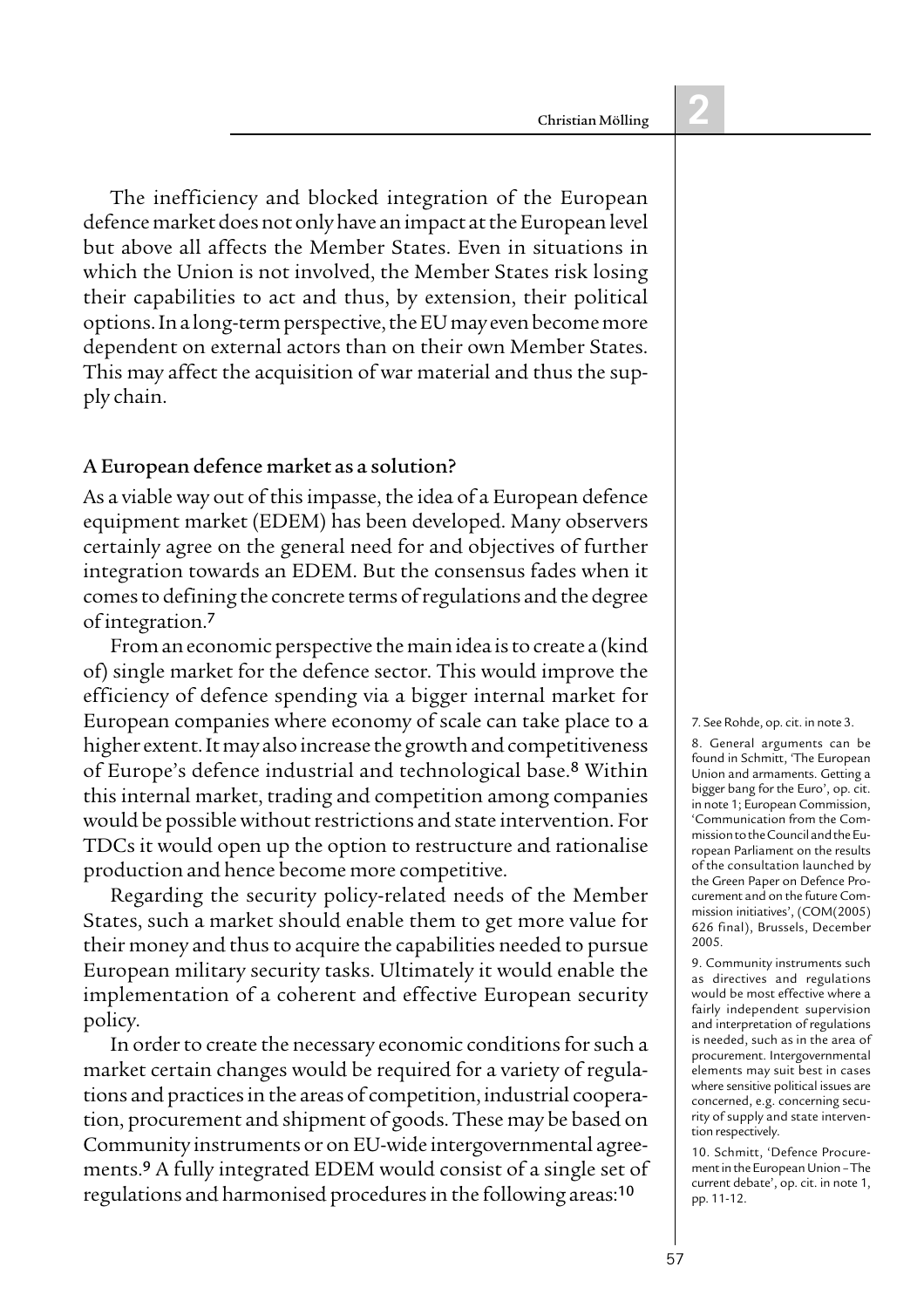The inefficiency and blocked integration of the European defence market does not only have an impact at the European level but above all affects the Member States. Even in situations in which the Union is not involved, the Member States risk losing their capabilities to act and thus, by extension, their political options. In a long-term perspective, the EU may even become more dependent on external actors than on their own Member States. This may affect the acquisition of war material and thus the supply chain.

#### A European defence market as a solution?

As a viable way out of this impasse, the idea of a European defence equipment market (EDEM) has been developed. Many observers certainly agree on the general need for and objectives of further integration towards an EDEM. But the consensus fades when it comes to defining the concrete terms of regulations and the degree of integration.<sup>7</sup>

From an economic perspective the main idea is to create a (kind of) single market for the defence sector. This would improve the efficiency of defence spending via a bigger internal market for European companies where economy of scale can take place to a higher extent. It may also increase the growth and competitiveness of Europe's defence industrial and technological base.<sup>8</sup> Within this internal market, trading and competition among companies would be possible without restrictions and state intervention. For TDCs it would open up the option to restructure and rationalise production and hence become more competitive.

Regarding the security policy-related needs of the Member States, such a market should enable them to get more value for their money and thus to acquire the capabilities needed to pursue European military security tasks. Ultimately it would enable the implementation of a coherent and effective European security policy.

In order to create the necessary economic conditions for such a market certain changes would be required for a variety of regulations and practices in the areas of competition, industrial cooperation, procurement and shipment of goods. These may be based on Community instruments or on EU-wide intergovernmental agreements.<sup>9</sup> A fully integrated EDEM would consist of a single set of regulations and harmonised procedures in the following areas:<sup>10</sup>

7. See Rohde, op. cit. in note 3.

8. General arguments can be found in Schmitt, 'The European Union and armaments. Getting a bigger bang for the Euro', op. cit. in note 1; European Commission, 'Communication from the Commission to the Council and the European Parliament on the results of the consultation launched by the Green Paper on Defence Procurement and on the future Commission initiatives', (COM(2005) 626 final), Brussels, December 2005.

9. Community instruments such as directives and regulations would be most effective where a fairly independent supervision and interpretation of regulations is needed, such as in the area of procurement. Intergovernmental elements may suit best in cases where sensitive political issues are concerned, e.g. concerning security of supply and state intervention respectively.

10. Schmitt, 'Defence Procurement in the European Union – The current debate', op. cit. in note 1, pp. 11-12.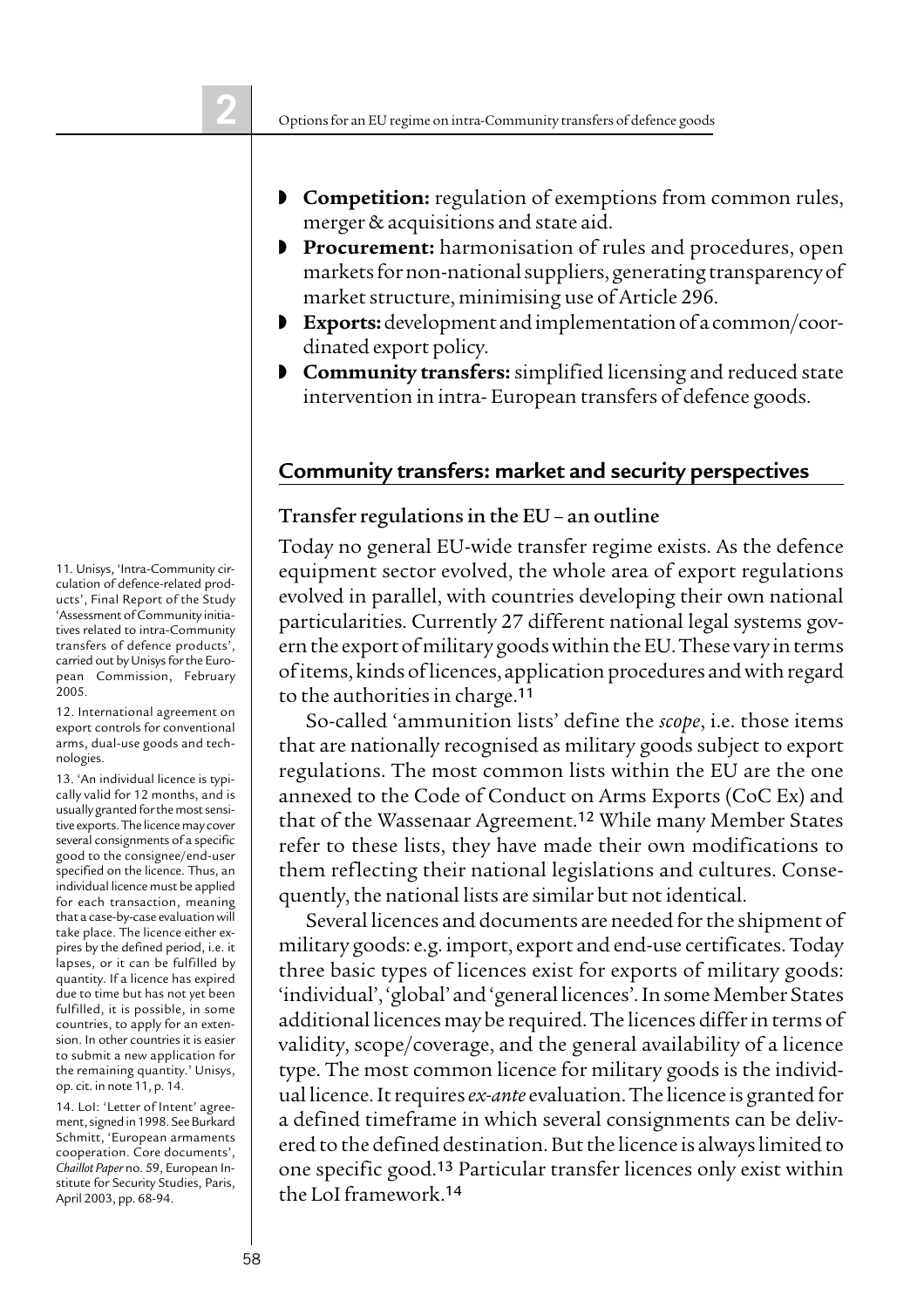- **Competition:** regulation of exemptions from common rules, merger & acquisitions and state aid.
- **Procurement:** harmonisation of rules and procedures, open markets for non-national suppliers, generating transparency of market structure, minimising use of Article 296.
- **Exports:** development and implementation of a common/coordinated export policy.
- **Community transfers:** simplified licensing and reduced state intervention in intra- European transfers of defence goods.

#### **Community transfers: market and security perspectives**

#### Transfer regulations in the EU – an outline

Today no general EU-wide transfer regime exists. As the defence equipment sector evolved, the whole area of export regulations evolved in parallel, with countries developing their own national particularities. Currently 27 different national legal systems govern the export of military goods within the EU. These vary in terms of items, kinds of licences, application procedures and with regard to the authorities in charge.<sup>11</sup>

So-called 'ammunition lists' define the *scope*, i.e. those items that are nationally recognised as military goods subject to export regulations. The most common lists within the EU are the one annexed to the Code of Conduct on Arms Exports (CoC Ex) and that of the Wassenaar Agreement.<sup>12</sup> While many Member States refer to these lists, they have made their own modifications to them reflecting their national legislations and cultures. Consequently, the national lists are similar but not identical.

Several licences and documents are needed for the shipment of military goods: e.g. import, export and end-use certificates. Today three basic types of licences exist for exports of military goods: 'individual', 'global' and 'general licences'. In some Member States additional licences may be required. The licences differ in terms of validity, scope/coverage, and the general availability of a licence type. The most common licence for military goods is the individual licence. It requires *ex-ante* evaluation. The licence is granted for a defined timeframe in which several consignments can be delivered to the defined destination. But the licence is always limited to one specific good.<sup>13</sup> Particular transfer licences only exist within the LoI framework.<sup>14</sup>

11. Unisys, 'Intra-Community circulation of defence-related products', Final Report of the Study 'Assessment of Community initiatives related to intra-Community transfers of defence products', carried out by Unisys for the European Commission, February 2005.

12. International agreement on export controls for conventional arms, dual-use goods and technologies.

13. 'An individual licence is typically valid for 12 months, and is usually granted for the most sensitive exports. The licence may cover several consignments of a specific good to the consignee/end-user specified on the licence. Thus, an individual licence must be applied for each transaction, meaning that a case-by-case evaluation will take place. The licence either expires by the defined period, i.e. it lapses, or it can be fulfilled by quantity. If a licence has expired due to time but has not yet been fulfilled, it is possible, in some countries, to apply for an extension. In other countries it is easier to submit a new application for the remaining quantity.' Unisys, op. cit. in note 11, p. 14.

14. LoI: 'Letter of Intent' agreement, signed in 1998. See Burkard Schmitt, 'European armaments cooperation. Core documents', *Chaillot Paper* no. 59, European Institute for Security Studies, Paris, April 2003, pp. 68-94.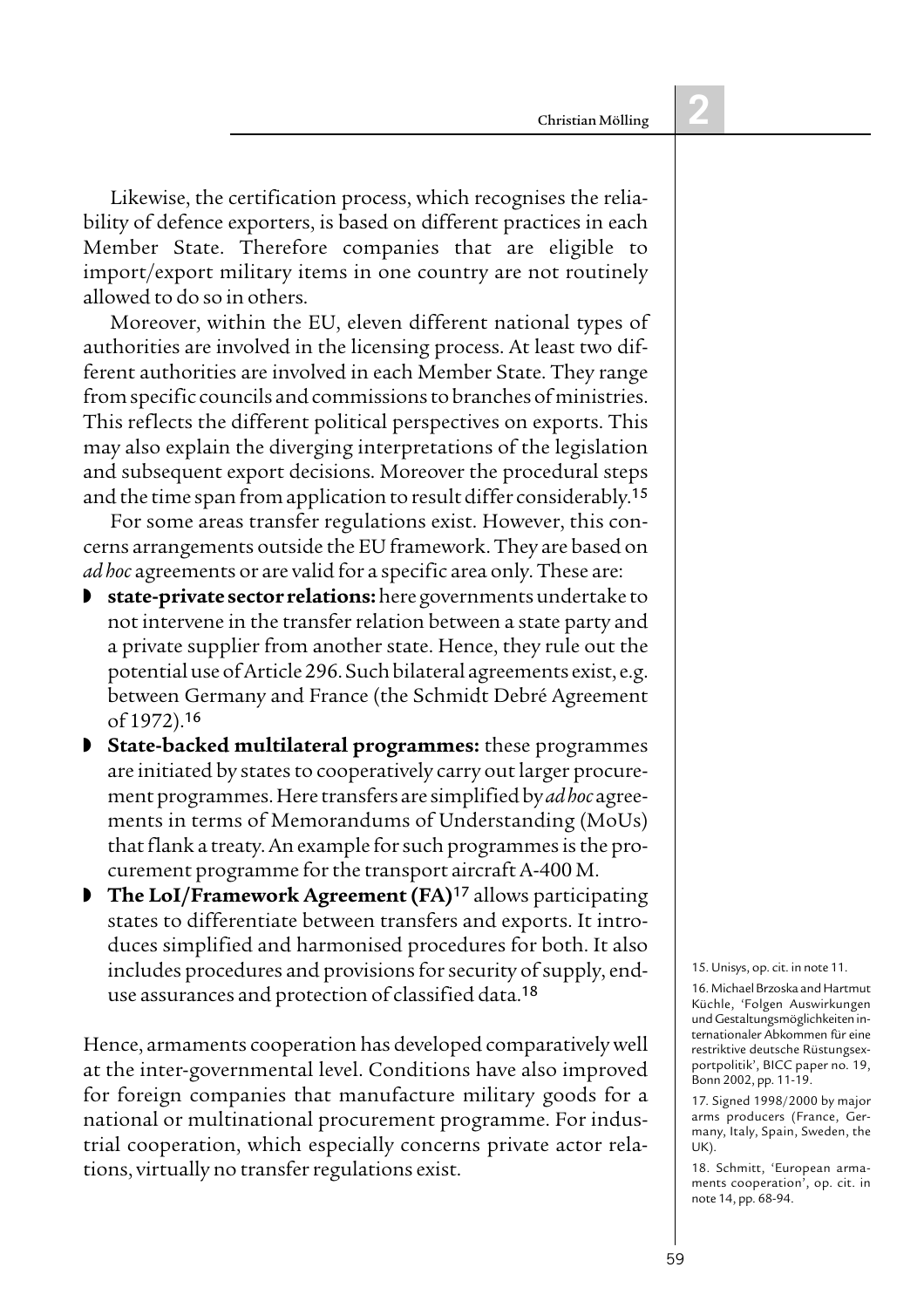Likewise, the certification process, which recognises the reliability of defence exporters, is based on different practices in each Member State. Therefore companies that are eligible to import/export military items in one country are not routinely allowed to do so in others.

Moreover, within the EU, eleven different national types of authorities are involved in the licensing process. At least two different authorities are involved in each Member State. They range from specific councils and commissions to branches of ministries. This reflects the different political perspectives on exports. This may also explain the diverging interpretations of the legislation and subsequent export decisions. Moreover the procedural steps and the time span from application to result differ considerably.<sup>15</sup>

For some areas transfer regulations exist. However, this concerns arrangements outside the EU framework. They are based on *ad hoc* agreements or are valid for a specific area only. These are:

- **I** state-private sector relations: here governments undertake to not intervene in the transfer relation between a state party and a private supplier from another state. Hence, they rule out the potential use of Article 296. Such bilateral agreements exist, e.g. between Germany and France (the Schmidt Debré Agreement of 1972).<sup>16</sup>
- **B** State-backed multilateral programmes: these programmes are initiated by states to cooperatively carry out larger procurement programmes. Here transfers are simplified by *ad hoc* agreements in terms of Memorandums of Understanding (MoUs) that flank a treaty. An example for such programmes is the procurement programme for the transport aircraft A-400 M.
- The LoI/Framework Agreement (FA)<sup>17</sup> allows participating states to differentiate between transfers and exports. It introduces simplified and harmonised procedures for both. It also includes procedures and provisions for security of supply, enduse assurances and protection of classified data.<sup>18</sup>

Hence, armaments cooperation has developed comparatively well at the inter-governmental level. Conditions have also improved for foreign companies that manufacture military goods for a national or multinational procurement programme. For industrial cooperation, which especially concerns private actor relations, virtually no transfer regulations exist.

15. Unisys, op. cit. in note 11.

16. Michael Brzoska and Hartmut Küchle, 'Folgen Auswirkungen und Gestaltungsmöglichkeiten internationaler Abkommen für eine restriktive deutsche Rüstungsexportpolitik', BICC paper no. 19, Bonn 2002, pp. 11-19.

<sup>17.</sup> Signed 1998/2000 by major arms producers (France, Germany, Italy, Spain, Sweden, the UK).

<sup>18.</sup> Schmitt, 'European armaments cooperation', op. cit. in note 14, pp. 68-94.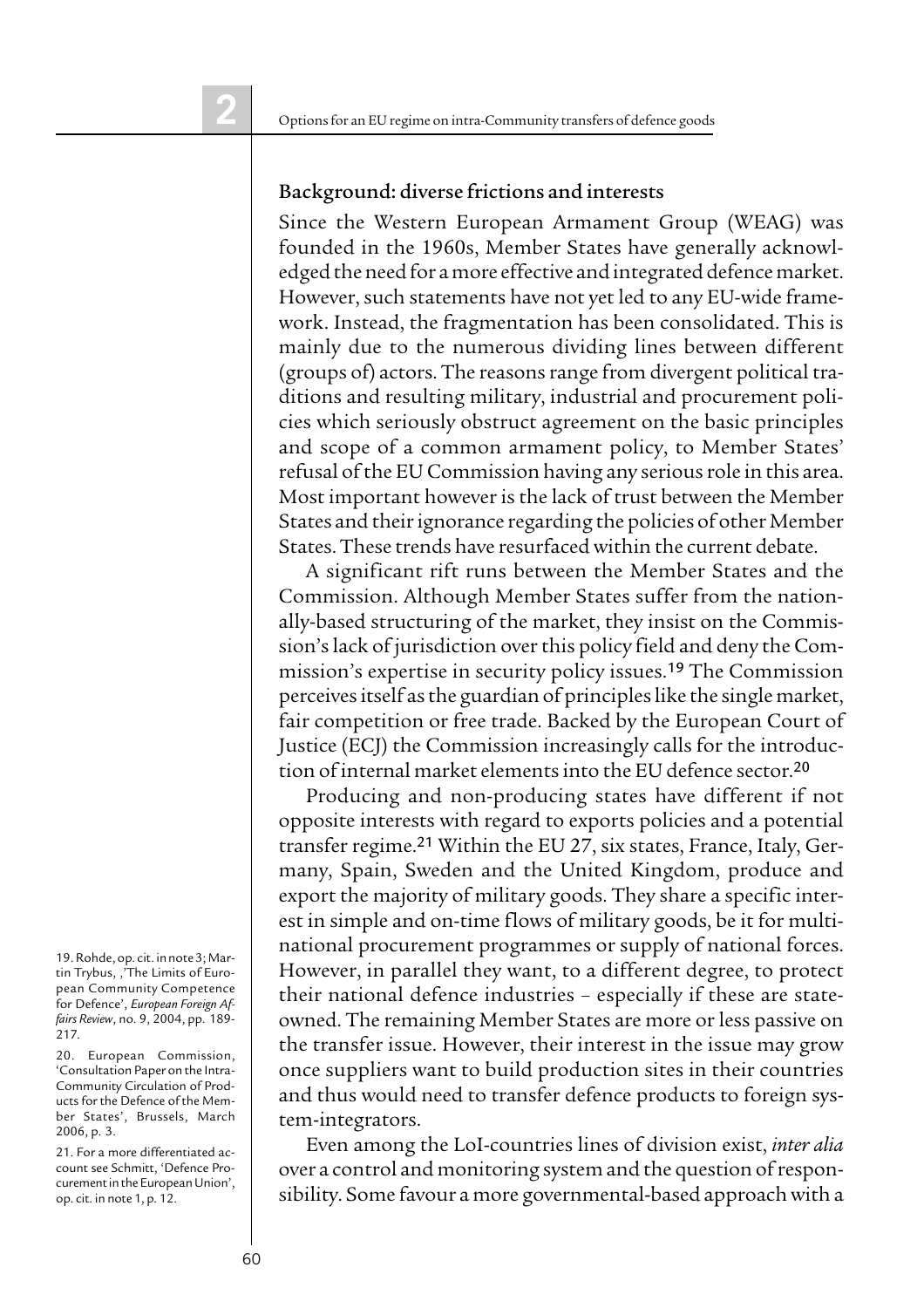#### Background: diverse frictions and interests

Since the Western European Armament Group (WEAG) was founded in the 1960s, Member States have generally acknowledged the need for a more effective and integrated defence market. However, such statements have not yet led to any EU-wide framework. Instead, the fragmentation has been consolidated. This is mainly due to the numerous dividing lines between different (groups of) actors. The reasons range from divergent political traditions and resulting military, industrial and procurement policies which seriously obstruct agreement on the basic principles and scope of a common armament policy, to Member States' refusal of the EU Commission having any serious role in this area. Most important however is the lack of trust between the Member States and their ignorance regarding the policies of other Member States. These trends have resurfaced within the current debate.

A significant rift runs between the Member States and the Commission. Although Member States suffer from the nationally-based structuring of the market, they insist on the Commission's lack of jurisdiction over this policy field and deny the Commission's expertise in security policy issues.<sup>19</sup> The Commission perceives itself as the guardian of principles like the single market, fair competition or free trade. Backed by the European Court of Justice (ECJ) the Commission increasingly calls for the introduction of internal market elements into the EU defence sector.<sup>20</sup>

Producing and non-producing states have different if not opposite interests with regard to exports policies and a potential transfer regime.<sup>21</sup> Within the EU 27, six states, France, Italy, Germany, Spain, Sweden and the United Kingdom, produce and export the majority of military goods. They share a specific interest in simple and on-time flows of military goods, be it for multinational procurement programmes or supply of national forces. However, in parallel they want, to a different degree, to protect their national defence industries – especially if these are stateowned. The remaining Member States are more or less passive on the transfer issue. However, their interest in the issue may grow once suppliers want to build production sites in their countries and thus would need to transfer defence products to foreign system-integrators.

Even among the LoI-countries lines of division exist, *inter alia* over a control and monitoring system and the question of responsibility. Some favour a more governmental-based approach with a

20. European Commission, 'Consultation Paper on the Intra-Community Circulation of Products for the Defence of the Member States', Brussels, March 2006, p. 3.

21. For a more differentiated account see Schmitt, 'Defence Procurement in the European Union', op. cit. in note 1, p. 12.

<sup>19.</sup> Rohde, op. cit. in note 3; Martin Trybus, ,'The Limits of European Community Competence for Defence', *European Foreign Affairs Review*, no. 9, 2004, pp. 189- 217.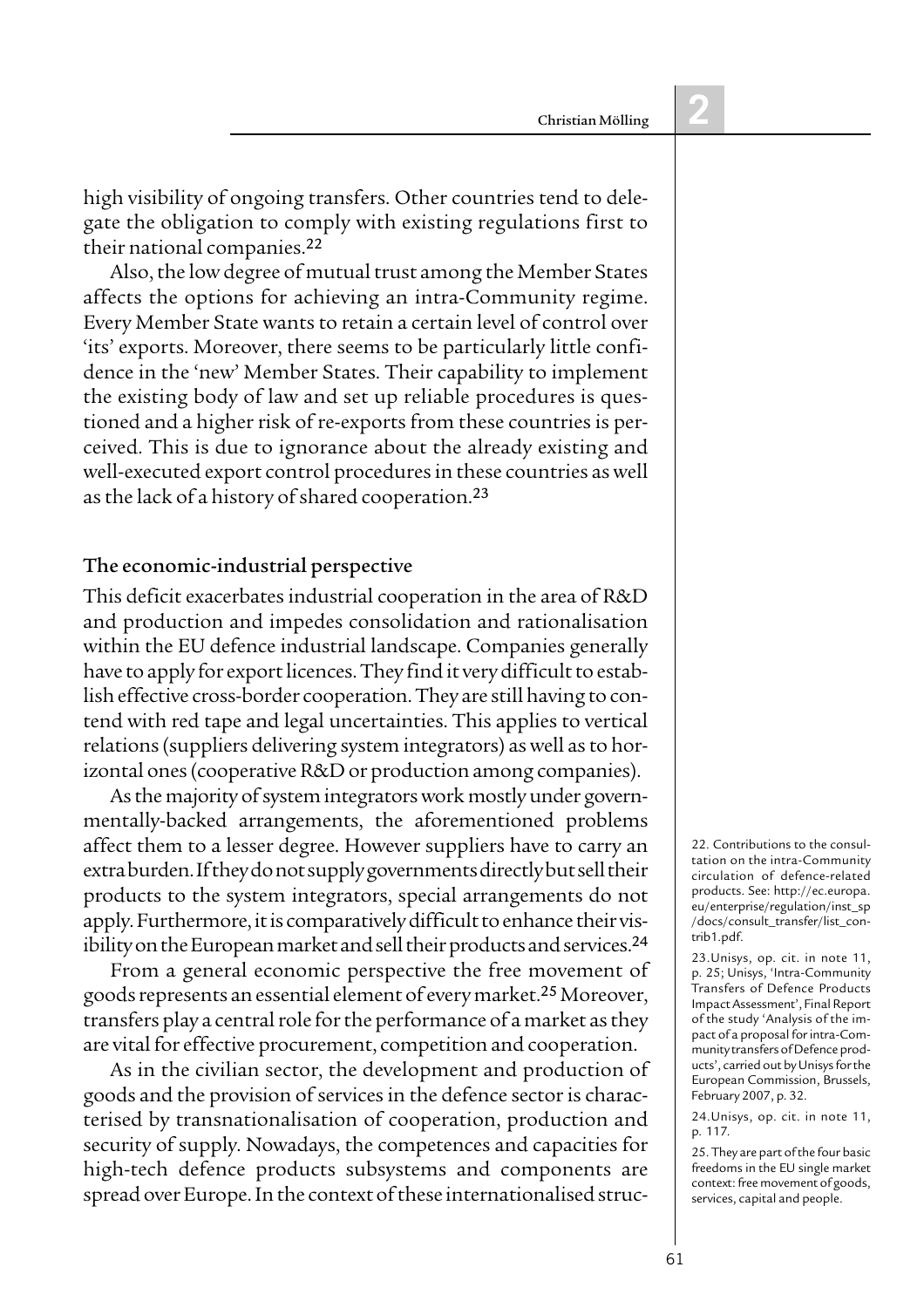high visibility of ongoing transfers. Other countries tend to delegate the obligation to comply with existing regulations first to their national companies.<sup>22</sup>

Also, the low degree of mutual trust among the Member States affects the options for achieving an intra-Community regime. Every Member State wants to retain a certain level of control over 'its' exports. Moreover, there seems to be particularly little confidence in the 'new' Member States. Their capability to implement the existing body of law and set up reliable procedures is questioned and a higher risk of re-exports from these countries is perceived. This is due to ignorance about the already existing and well-executed export control procedures in these countries as well as the lack of a history of shared cooperation.<sup>23</sup>

#### The economic-industrial perspective

This deficit exacerbates industrial cooperation in the area of R&D and production and impedes consolidation and rationalisation within the EU defence industrial landscape. Companies generally have to apply for export licences. They find it very difficult to establish effective cross-border cooperation. They are still having to contend with red tape and legal uncertainties. This applies to vertical relations (suppliers delivering system integrators) as well as to horizontal ones (cooperative R&D or production among companies).

As the majority of system integrators work mostly under governmentally-backed arrangements, the aforementioned problems affect them to a lesser degree. However suppliers have to carry an extra burden. If they do not supply governments directly but sell their products to the system integrators, special arrangements do not apply. Furthermore, it is comparatively difficult to enhance their visibility on the European market and sell their products and services.<sup>24</sup>

From a general economic perspective the free movement of goods represents an essential element of every market.25Moreover, transfers play a central role for the performance of a market as they are vital for effective procurement, competition and cooperation.

As in the civilian sector, the development and production of goods and the provision of services in the defence sector is characterised by transnationalisation of cooperation, production and security of supply. Nowadays, the competences and capacities for high-tech defence products subsystems and components are spread over Europe. In the context of these internationalised struc22. Contributions to the consultation on the intra-Community circulation of defence-related products. See: http://ec.europa. eu/enterprise/regulation/inst\_sp /docs/consult\_transfer/list\_contrib1.pdf.

23.Unisys, op. cit. in note 11, p. 25; Unisys, 'Intra-Community Transfers of Defence Products Impact Assessment', Final Report of the study 'Analysis of the impact of a proposal for intra-Community transfers of Defence products', carried out by Unisys for the European Commission, Brussels, February 2007, p. 32.

24.Unisys, op. cit. in note 11, p. 117.

25. They are part of the four basic freedoms in the EU single market context: free movement of goods, services, capital and people.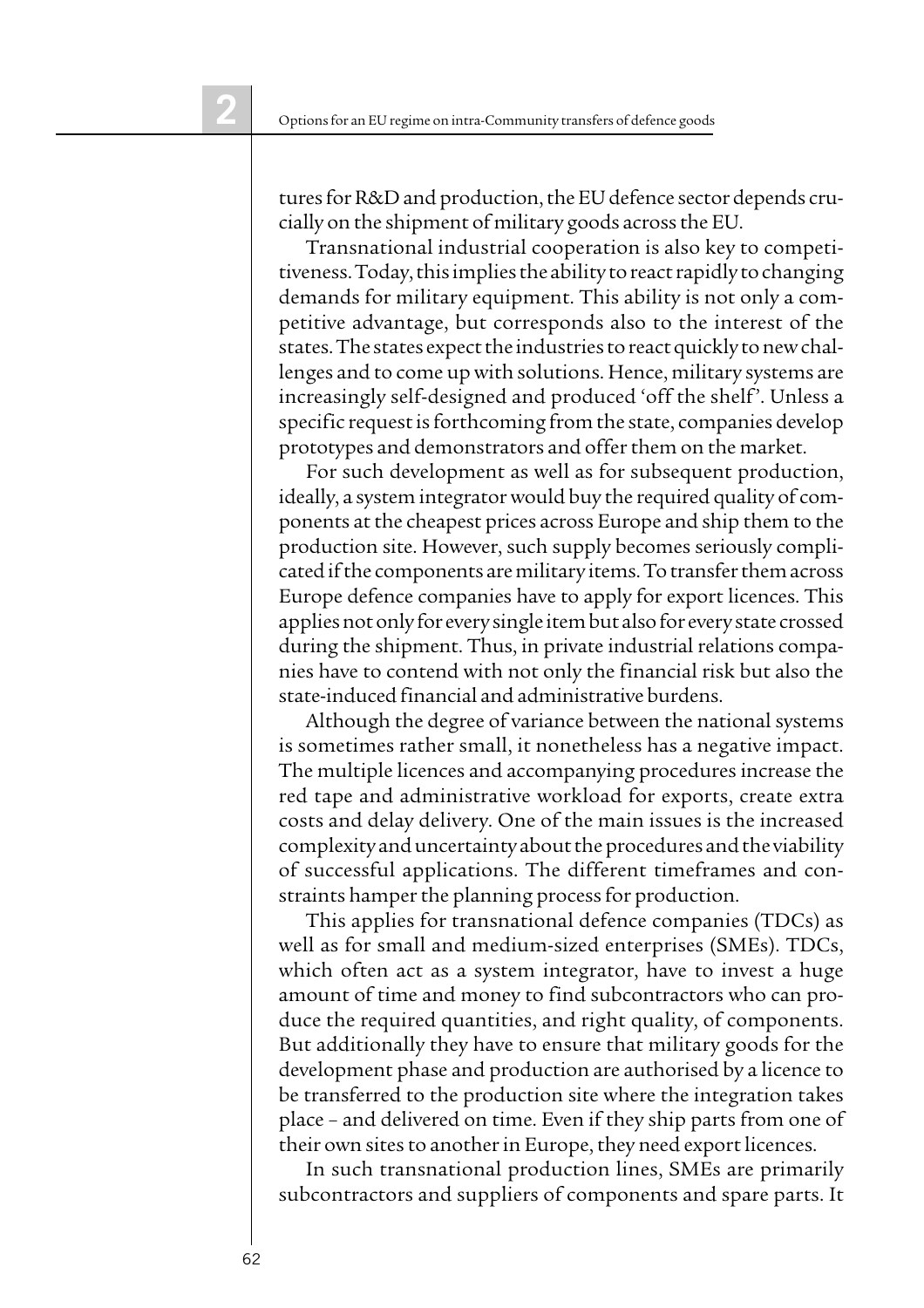Transnational industrial cooperation is also key to competitiveness. Today, this implies the ability to react rapidly to changing demands for military equipment. This ability is not only a competitive advantage, but corresponds also to the interest of the states. The states expect the industries to react quickly to new challenges and to come up with solutions. Hence, military systems are increasingly self-designed and produced 'off the shelf'. Unless a specific request is forthcoming from the state, companies develop prototypes and demonstrators and offer them on the market.

For such development as well as for subsequent production, ideally, a system integrator would buy the required quality of components at the cheapest prices across Europe and ship them to the production site. However, such supply becomes seriously complicated if the components are military items. To transfer them across Europe defence companies have to apply for export licences. This applies not only for every single item but also for every state crossed during the shipment. Thus, in private industrial relations companies have to contend with not only the financial risk but also the state-induced financial and administrative burdens.

Although the degree of variance between the national systems is sometimes rather small, it nonetheless has a negative impact. The multiple licences and accompanying procedures increase the red tape and administrative workload for exports, create extra costs and delay delivery. One of the main issues is the increased complexity and uncertainty about the procedures and the viability of successful applications. The different timeframes and constraints hamper the planning process for production.

This applies for transnational defence companies (TDCs) as well as for small and medium-sized enterprises (SMEs). TDCs, which often act as a system integrator, have to invest a huge amount of time and money to find subcontractors who can produce the required quantities, and right quality, of components. But additionally they have to ensure that military goods for the development phase and production are authorised by a licence to be transferred to the production site where the integration takes place – and delivered on time. Even if they ship parts from one of their own sites to another in Europe, they need export licences.

In such transnational production lines, SMEs are primarily subcontractors and suppliers of components and spare parts. It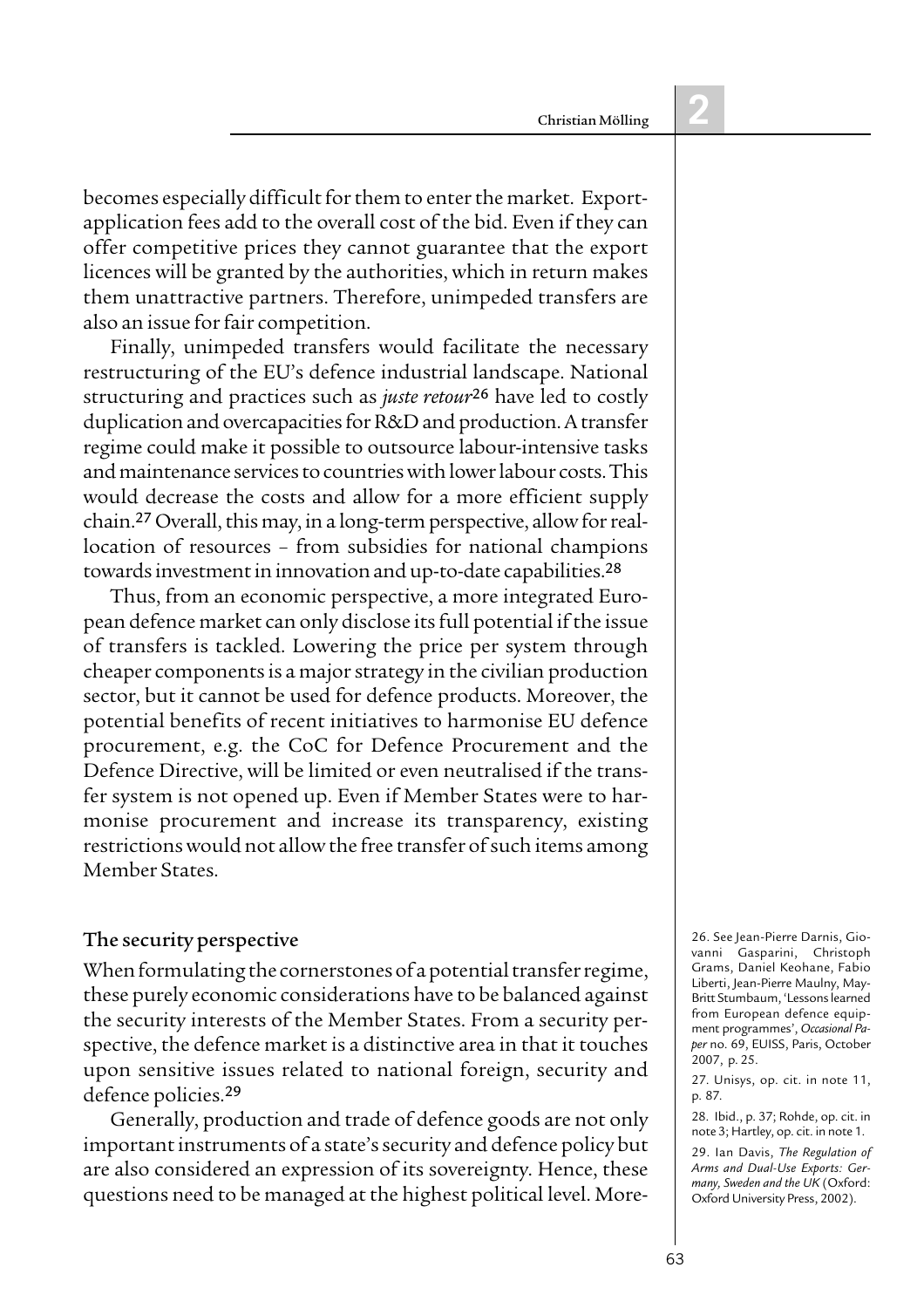becomes especially difficult for them to enter the market. Exportapplication fees add to the overall cost of the bid. Even if they can offer competitive prices they cannot guarantee that the export licences will be granted by the authorities, which in return makes them unattractive partners. Therefore, unimpeded transfers are also an issue for fair competition.

Finally, unimpeded transfers would facilitate the necessary restructuring of the EU's defence industrial landscape. National structuring and practices such as *juste retour*<sup>26</sup> have led to costly duplication and overcapacities for R&D and production. A transfer regime could make it possible to outsource labour-intensive tasks and maintenance services to countries with lower labour costs. This would decrease the costs and allow for a more efficient supply chain.<sup>27</sup> Overall, this may, in a long-term perspective, allow for reallocation of resources – from subsidies for national champions towards investment in innovation and up-to-date capabilities.<sup>28</sup>

Thus, from an economic perspective, a more integrated European defence market can only disclose its full potential if the issue of transfers is tackled. Lowering the price per system through cheaper components is a major strategy in the civilian production sector, but it cannot be used for defence products. Moreover, the potential benefits of recent initiatives to harmonise EU defence procurement, e.g. the CoC for Defence Procurement and the Defence Directive, will be limited or even neutralised if the transfer system is not opened up. Even if Member States were to harmonise procurement and increase its transparency, existing restrictions would not allow the free transfer of such items among Member States.

#### The security perspective

When formulating the cornerstones of a potential transfer regime, these purely economic considerations have to be balanced against the security interests of the Member States. From a security perspective, the defence market is a distinctive area in that it touches upon sensitive issues related to national foreign, security and defence policies.<sup>29</sup>

Generally, production and trade of defence goods are not only important instruments of a state's security and defence policy but are also considered an expression of its sovereignty. Hence, these questions need to be managed at the highest political level. More-

26. See Jean-Pierre Darnis, Giovanni Gasparini, Christoph Grams, Daniel Keohane, Fabio Liberti, Jean-Pierre Maulny, May-Britt Stumbaum, 'Lessons learned from European defence equipment programmes', *Occasional Paper* no. 69, EUISS, Paris, October 2007, p. 25.

27. Unisys, op. cit. in note 11, p. 87.

28. Ibid., p. 37; Rohde, op. cit. in note 3; Hartley, op. cit. in note 1.

29. Ian Davis, *The Regulation of Arms and Dual-Use Exports: Germany, Sweden and the UK* (Oxford: Oxford University Press, 2002).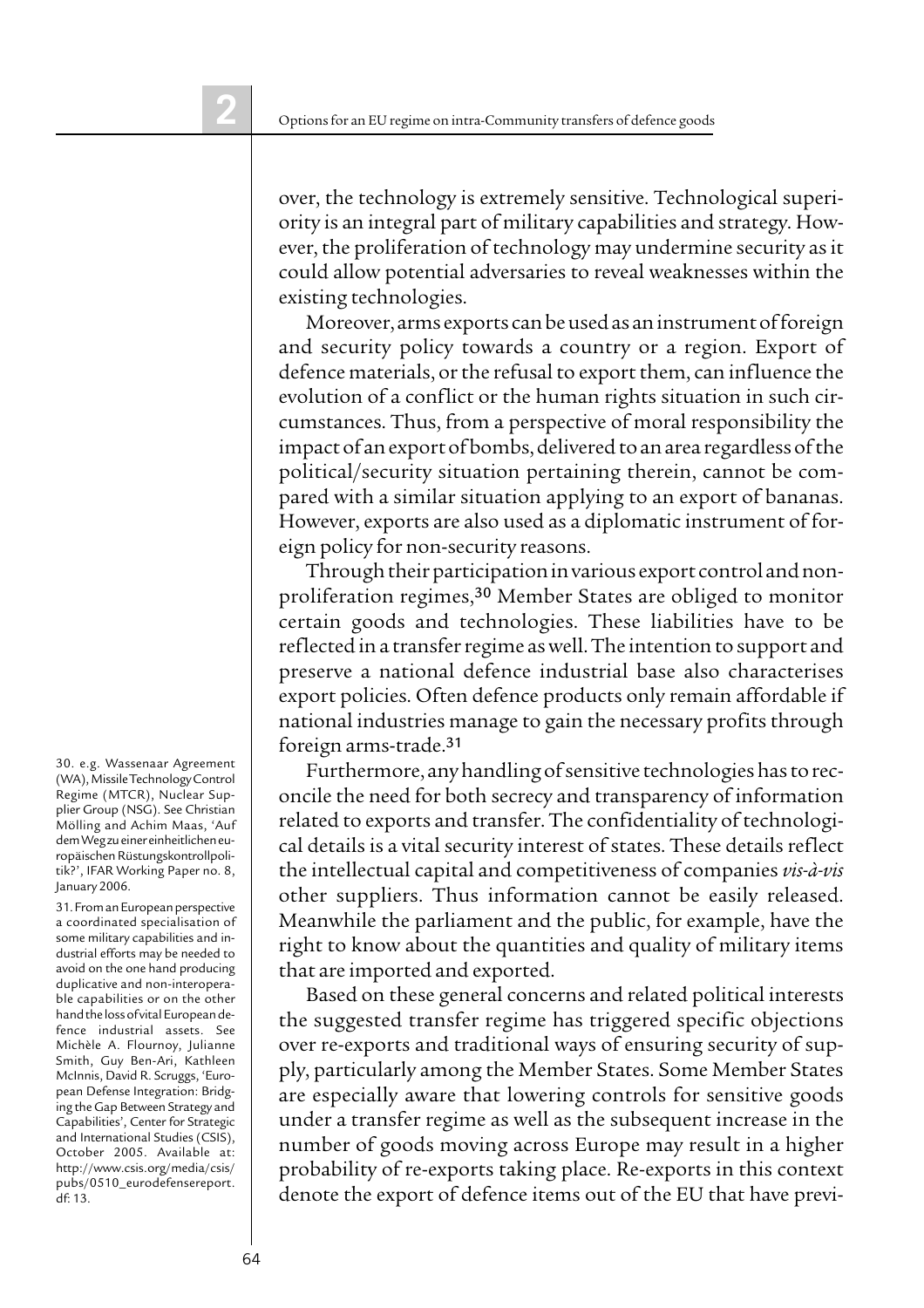over, the technology is extremely sensitive. Technological superiority is an integral part of military capabilities and strategy. However, the proliferation of technology may undermine security as it could allow potential adversaries to reveal weaknesses within the existing technologies.

Moreover, arms exports can be used as an instrument of foreign and security policy towards a country or a region. Export of defence materials, or the refusal to export them, can influence the evolution of a conflict or the human rights situation in such circumstances. Thus, from a perspective of moral responsibility the impact of an export of bombs, delivered to an area regardless of the political/security situation pertaining therein, cannot be compared with a similar situation applying to an export of bananas. However, exports are also used as a diplomatic instrument of foreign policy for non-security reasons.

Through their participation in various export control and nonproliferation regimes,<sup>30</sup> Member States are obliged to monitor certain goods and technologies. These liabilities have to be reflected in a transfer regime as well. The intention to support and preserve a national defence industrial base also characterises export policies. Often defence products only remain affordable if national industries manage to gain the necessary profits through foreign arms-trade.<sup>31</sup>

Furthermore, any handling of sensitive technologies has to reconcile the need for both secrecy and transparency of information related to exports and transfer. The confidentiality of technological details is a vital security interest of states. These details reflect the intellectual capital and competitiveness of companies *vis-à-vis* other suppliers. Thus information cannot be easily released. Meanwhile the parliament and the public, for example, have the right to know about the quantities and quality of military items that are imported and exported.

Based on these general concerns and related political interests the suggested transfer regime has triggered specific objections over re-exports and traditional ways of ensuring security of supply, particularly among the Member States. Some Member States are especially aware that lowering controls for sensitive goods under a transfer regime as well as the subsequent increase in the number of goods moving across Europe may result in a higher probability of re-exports taking place. Re-exports in this context denote the export of defence items out of the EU that have previ-

30. e.g. Wassenaar Agreement (WA), Missile Technology Control Regime (MTCR), Nuclear Supplier Group (NSG). See Christian Mölling and Achim Maas, 'Auf dem Weg zu einer einheitlichen europäischen Rüstungskontrollpolitik?', IFAR Working Paper no. 8, January 2006.

31. From an European perspective a coordinated specialisation of some military capabilities and industrial efforts may be needed to avoid on the one hand producing duplicative and non-interoperable capabilities or on the other hand the loss of vital European defence industrial assets. See Michèle A. Flournoy, Julianne Smith, Guy Ben-Ari, Kathleen McInnis, David R. Scruggs, 'European Defense Integration: Bridging the Gap Between Strategy and Capabilities', Center for Strategic and International Studies (CSIS), October 2005. Available at: http://www.csis.org/media/csis/ pubs/0510\_eurodefensereport. df: 13.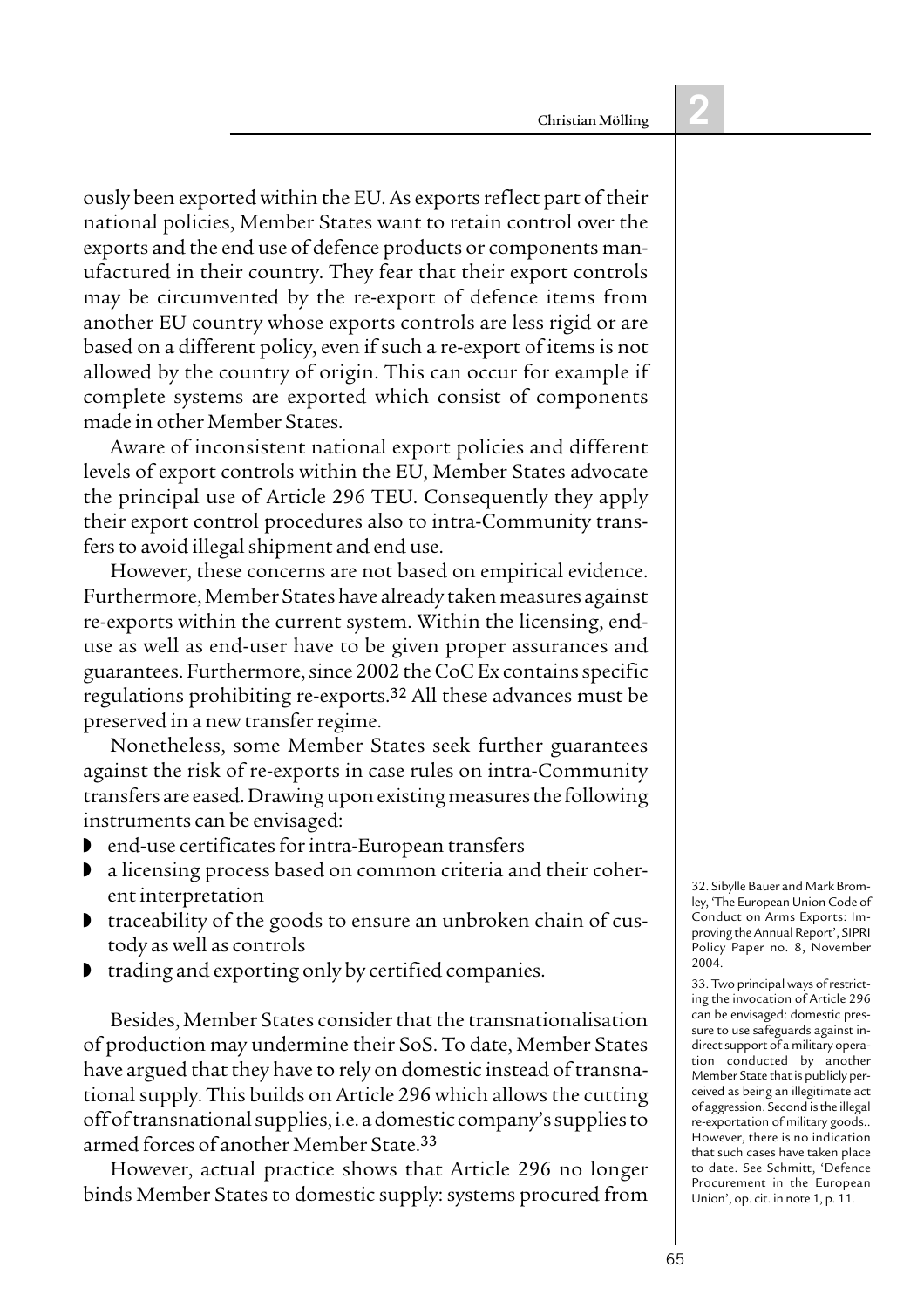ously been exported within the EU. As exports reflect part of their national policies, Member States want to retain control over the exports and the end use of defence products or components manufactured in their country. They fear that their export controls may be circumvented by the re-export of defence items from another EU country whose exports controls are less rigid or are based on a different policy, even if such a re-export of items is not allowed by the country of origin. This can occur for example if complete systems are exported which consist of components made in other Member States.

Aware of inconsistent national export policies and different levels of export controls within the EU, Member States advocate the principal use of Article 296 TEU. Consequently they apply their export control procedures also to intra-Community transfers to avoid illegal shipment and end use.

However, these concerns are not based on empirical evidence. Furthermore, Member States have already taken measures against re-exports within the current system. Within the licensing, enduse as well as end-user have to be given proper assurances and guarantees. Furthermore, since 2002 the CoC Ex contains specific regulations prohibiting re-exports.<sup>32</sup> All these advances must be preserved in a new transfer regime.

Nonetheless, some Member States seek further guarantees against the risk of re-exports in case rules on intra-Community transfers are eased. Drawing upon existing measures the following instruments can be envisaged:

- $\blacksquare$  end-use certificates for intra-European transfers
- **D** a licensing process based on common criteria and their coherent interpretation
- I traceability of the goods to ensure an unbroken chain of custody as well as controls
- $\triangleright$  trading and exporting only by certified companies.

Besides, Member States consider that the transnationalisation of production may undermine their SoS. To date, Member States have argued that they have to rely on domestic instead of transnational supply. This builds on Article 296 which allows the cutting off of transnational supplies, i.e. a domestic company's supplies to armed forces of another Member State.<sup>33</sup>

However, actual practice shows that Article 296 no longer binds Member States to domestic supply: systems procured from 32. Sibylle Bauer and Mark Bromley, 'The European Union Code of Conduct on Arms Exports: Improving the Annual Report', SIPRI Policy Paper no. 8, November 2004.

33. Two principal ways of restricting the invocation of Article 296 can be envisaged: domestic pressure to use safeguards against indirect support of a military operation conducted by another Member State that is publicly perceived as being an illegitimate act of aggression. Second is the illegal re-exportation of military goods.. However, there is no indication that such cases have taken place to date. See Schmitt, 'Defence Procurement in the European Union', op. cit. in note 1, p. 11.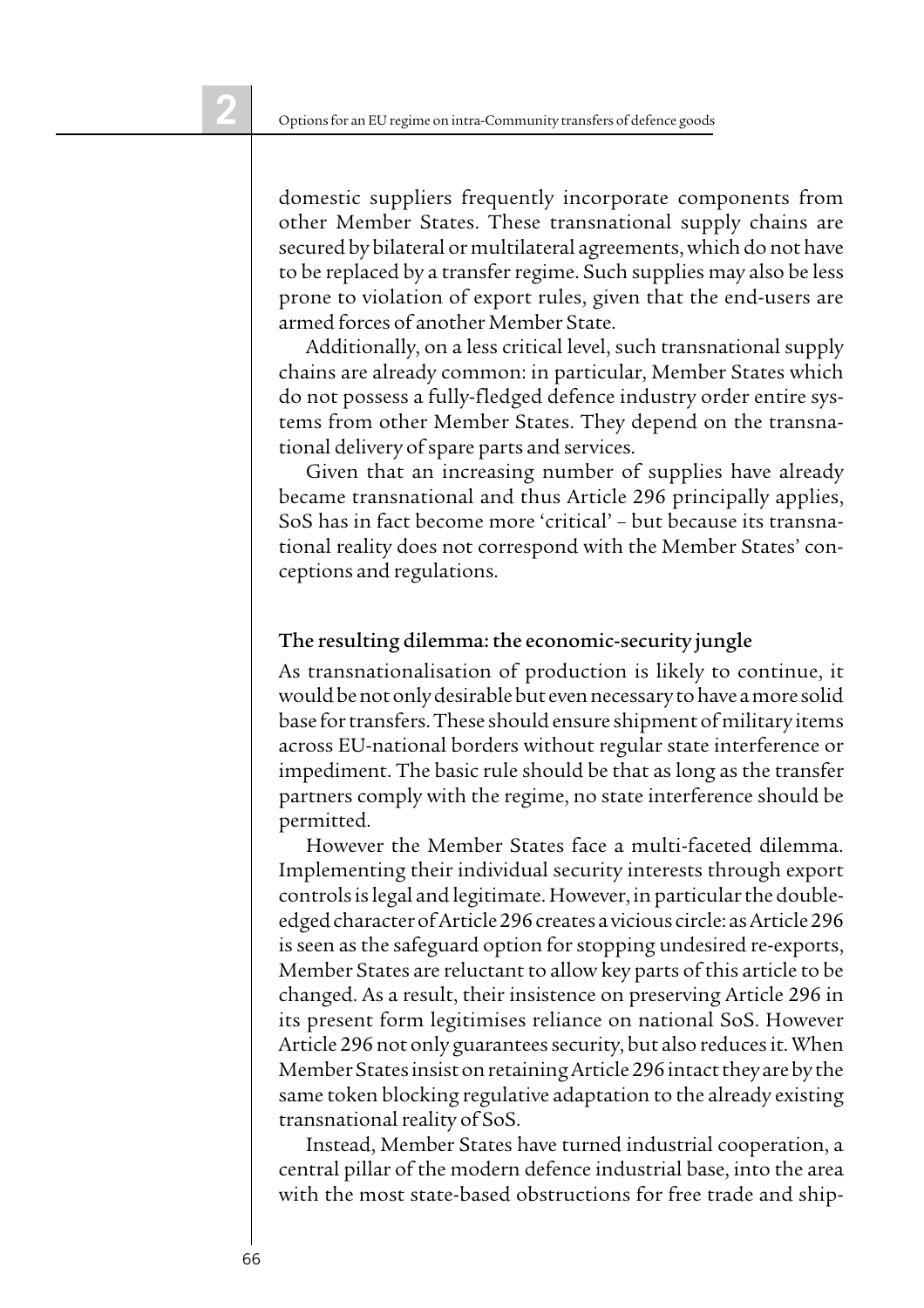domestic suppliers frequently incorporate components from other Member States. These transnational supply chains are secured by bilateral or multilateral agreements, which do not have to be replaced by a transfer regime. Such supplies may also be less prone to violation of export rules, given that the end-users are armed forces of another Member State.

Additionally, on a less critical level, such transnational supply chains are already common: in particular, Member States which do not possess a fully-fledged defence industry order entire systems from other Member States. They depend on the transnational delivery of spare parts and services.

Given that an increasing number of supplies have already became transnational and thus Article 296 principally applies, SoS has in fact become more 'critical' – but because its transnational reality does not correspond with the Member States' conceptions and regulations.

#### The resulting dilemma: the economic-security jungle

As transnationalisation of production is likely to continue, it would be not only desirable but even necessary to have a more solid base for transfers. These should ensure shipment of military items across EU-national borders without regular state interference or impediment. The basic rule should be that as long as the transfer partners comply with the regime, no state interference should be permitted.

However the Member States face a multi-faceted dilemma. Implementing their individual security interests through export controls is legal and legitimate. However, in particular the doubleedged character of Article 296 creates a vicious circle: as Article 296 is seen as the safeguard option for stopping undesired re-exports, Member States are reluctant to allow key parts of this article to be changed. As a result, their insistence on preserving Article 296 in its present form legitimises reliance on national SoS. However Article 296 not only guarantees security, but also reduces it. When Member States insist on retaining Article 296 intact they are by the same token blocking regulative adaptation to the already existing transnational reality of SoS.

Instead, Member States have turned industrial cooperation, a central pillar of the modern defence industrial base, into the area with the most state-based obstructions for free trade and ship-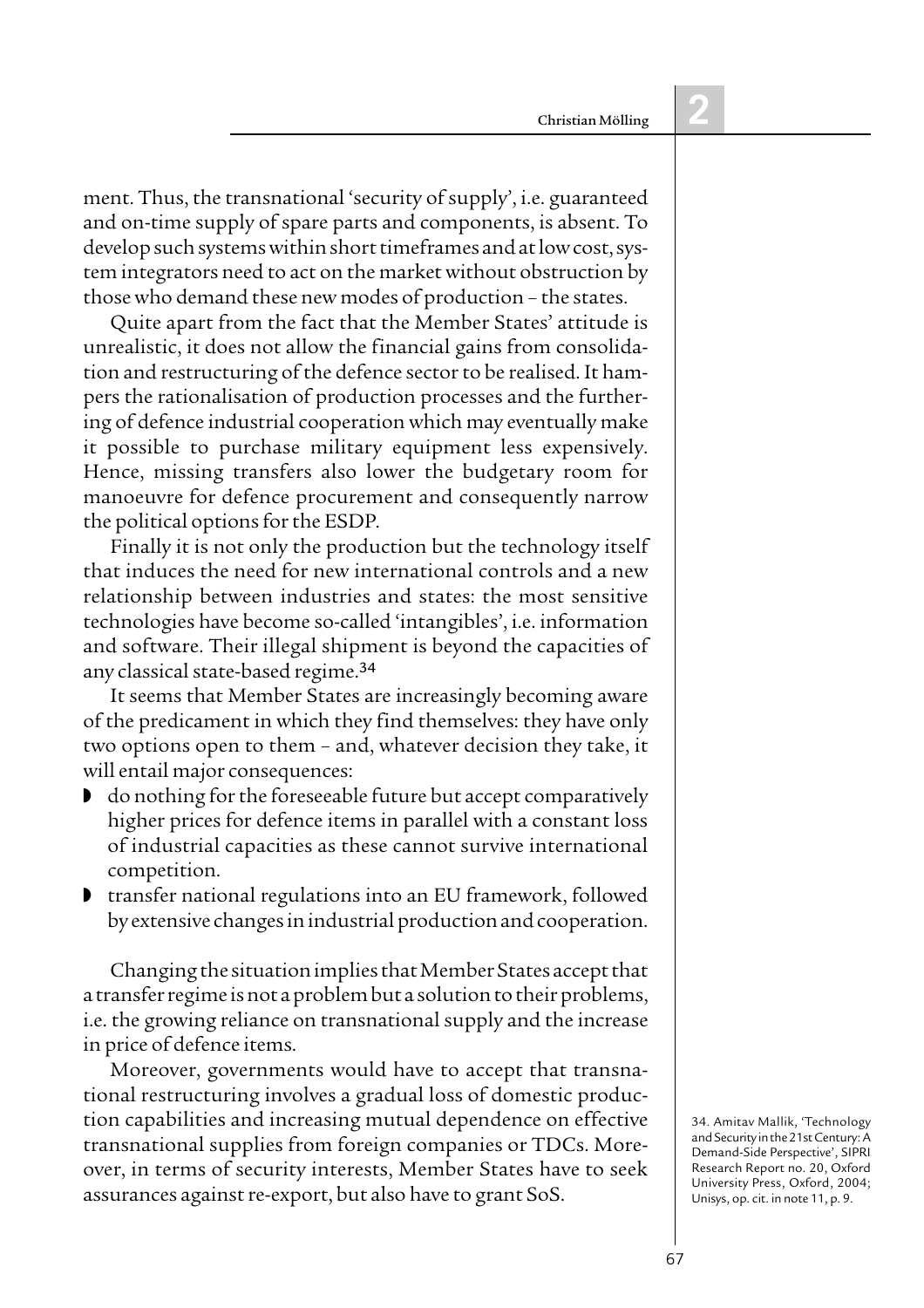ment. Thus, the transnational 'security of supply', i.e. guaranteed and on-time supply of spare parts and components, is absent. To develop such systems within short timeframes and at low cost, system integrators need to act on the market without obstruction by those who demand these new modes of production – the states.

Quite apart from the fact that the Member States' attitude is unrealistic, it does not allow the financial gains from consolidation and restructuring of the defence sector to be realised. It hampers the rationalisation of production processes and the furthering of defence industrial cooperation which may eventually make it possible to purchase military equipment less expensively. Hence, missing transfers also lower the budgetary room for manoeuvre for defence procurement and consequently narrow the political options for the ESDP.

Finally it is not only the production but the technology itself that induces the need for new international controls and a new relationship between industries and states: the most sensitive technologies have become so-called 'intangibles', i.e. information and software. Their illegal shipment is beyond the capacities of any classical state-based regime.<sup>34</sup>

It seems that Member States are increasingly becoming aware of the predicament in which they find themselves: they have only two options open to them – and, whatever decision they take, it will entail major consequences:

- $\Box$  do nothing for the foreseeable future but accept comparatively higher prices for defence items in parallel with a constant loss of industrial capacities as these cannot survive international competition.
- I transfer national regulations into an EU framework, followed by extensive changes in industrial production and cooperation.

Changing the situation implies that Member States accept that a transfer regime is not a problem but a solution to their problems, i.e. the growing reliance on transnational supply and the increase in price of defence items.

Moreover, governments would have to accept that transnational restructuring involves a gradual loss of domestic production capabilities and increasing mutual dependence on effective transnational supplies from foreign companies or TDCs. Moreover, in terms of security interests, Member States have to seek assurances against re-export, but also have to grant SoS.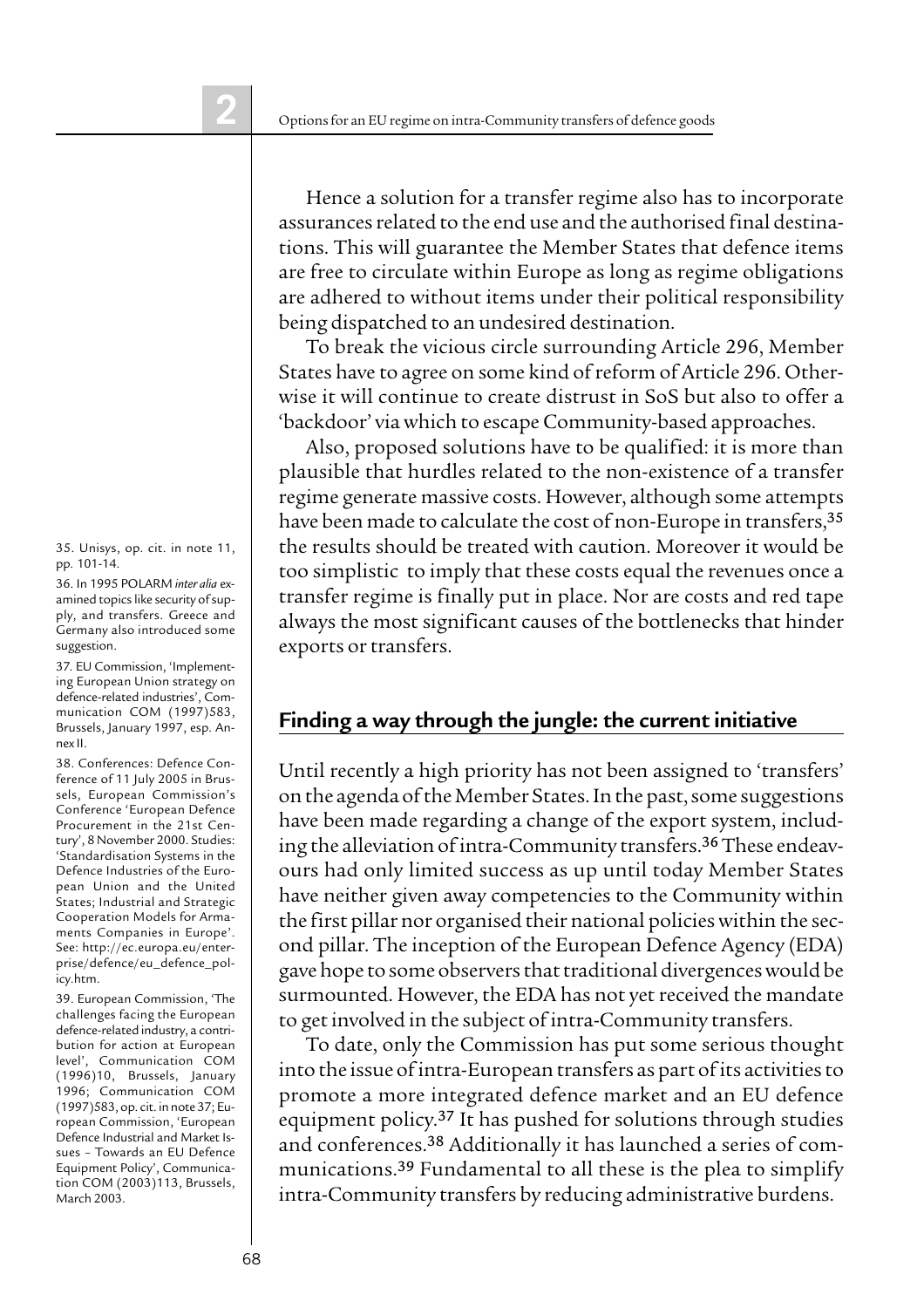Hence a solution for a transfer regime also has to incorporate assurances related to the end use and the authorised final destinations. This will guarantee the Member States that defence items are free to circulate within Europe as long as regime obligations are adhered to without items under their political responsibility being dispatched to an undesired destination.

To break the vicious circle surrounding Article 296, Member States have to agree on some kind of reform of Article 296. Otherwise it will continue to create distrust in SoS but also to offer a 'backdoor' via which to escape Community-based approaches.

Also, proposed solutions have to be qualified: it is more than plausible that hurdles related to the non-existence of a transfer regime generate massive costs. However, although some attempts have been made to calculate the cost of non-Europe in transfers, 35 the results should be treated with caution. Moreover it would be too simplistic to imply that these costs equal the revenues once a transfer regime is finally put in place. Nor are costs and red tape always the most significant causes of the bottlenecks that hinder exports or transfers.

#### **Finding a way through the jungle: the current initiative**

Until recently a high priority has not been assigned to 'transfers' on the agenda of the Member States. In the past, some suggestions have been made regarding a change of the export system, including the alleviation of intra-Community transfers.<sup>36</sup> These endeavours had only limited success as up until today Member States have neither given away competencies to the Community within the first pillar nor organised their national policies within the second pillar. The inception of the European Defence Agency (EDA) gave hope to some observers that traditional divergences would be surmounted. However, the EDA has not yet received the mandate to get involved in the subject of intra-Community transfers.

To date, only the Commission has put some serious thought into the issue of intra-European transfers as part of its activities to promote a more integrated defence market and an EU defence equipment policy.<sup>37</sup> It has pushed for solutions through studies and conferences.<sup>38</sup> Additionally it has launched a series of communications.<sup>39</sup> Fundamental to all these is the plea to simplify intra-Community transfers by reducing administrative burdens.

35. Unisys, op. cit. in note 11, pp. 101-14.

36. In 1995 POLARM *inter alia* examined topics like security of supply, and transfers. Greece and Germany also introduced some suggestion.

37. EU Commission, 'Implementing European Union strategy on defence-related industries', Communication COM (1997)583, Brussels, January 1997, esp. Annex II.

38. Conferences: Defence Conference of 11 July 2005 in Brussels, European Commission's Conference 'European Defence Procurement in the 21st Century', 8 November 2000. Studies: 'Standardisation Systems in the Defence Industries of the European Union and the United States; Industrial and Strategic Cooperation Models for Armaments Companies in Europe'. See: http://ec.europa.eu/enterprise/defence/eu\_defence\_policy.htm.

39. European Commission, 'The challenges facing the European defence-related industry, a contribution for action at European level', Communication COM (1996)10, Brussels, January 1996; Communication COM (1997)583, op. cit. in note 37; European Commission, 'European Defence Industrial and Market Issues – Towards an EU Defence Equipment Policy', Communication COM (2003)113, Brussels, March 2003.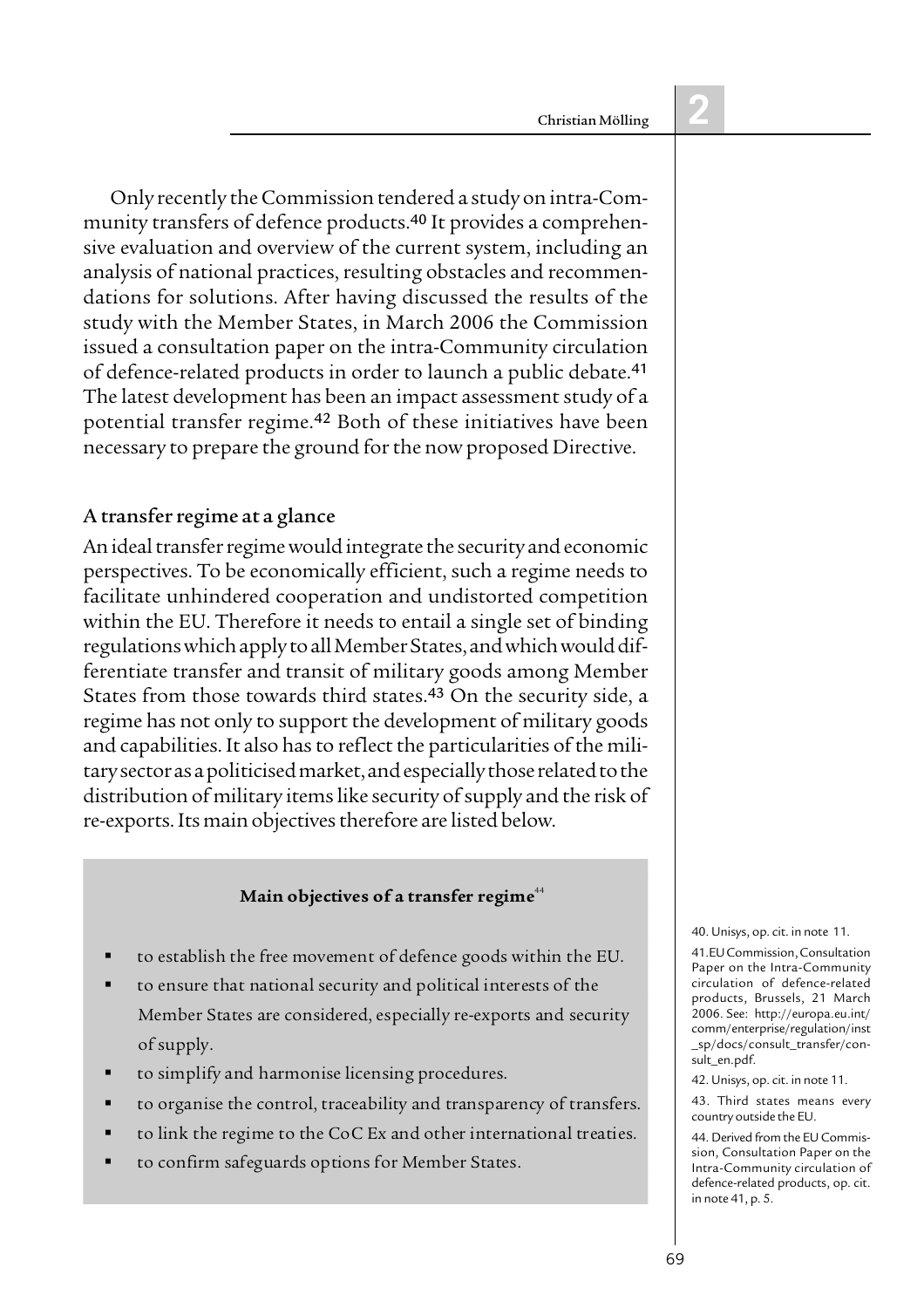Only recently the Commission tendered a study on intra-Community transfers of defence products.<sup>40</sup> It provides a comprehensive evaluation and overview of the current system, including an analysis of national practices, resulting obstacles and recommendations for solutions. After having discussed the results of the study with the Member States, in March 2006 the Commission issued a consultation paper on the intra-Community circulation of defence-related products in order to launch a public debate.<sup>41</sup> The latest development has been an impact assessment study of a potential transfer regime.<sup>42</sup> Both of these initiatives have been necessary to prepare the ground for the now proposed Directive.

#### A transfer regime at a glance

An ideal transfer regime would integrate the security and economic perspectives. To be economically efficient, such a regime needs to facilitate unhindered cooperation and undistorted competition within the EU. Therefore it needs to entail a single set of binding regulations which apply to all Member States, and which would differentiate transfer and transit of military goods among Member States from those towards third states.<sup>43</sup> On the security side, a regime has not only to support the development of military goods and capabilities. It also has to reflect the particularities of the military sector as a politicised market, and especially those related to the distribution of military items like security of supply and the risk of re-exports. Its main objectives therefore are listed below.

#### **Main objectives of a transfer regime**<sup>44</sup>

- to establish the free movement of defence goods within the EU.
- to ensure that national security and political interests of the Member States are considered, especially re-exports and security of supply.
- to simplify and harmonise licensing procedures.
- to organise the control, traceability and transparency of transfers.
- to link the regime to the CoC Ex and other international treaties.
- to confirm safeguards options for Member States.

#### 40. Unisys, op. cit. in note 11.

41.EU Commission, Consultation Paper on the Intra-Community circulation of defence-related products, Brussels, 21 March 2006. See: http://europa.eu.int/ comm/enterprise/regulation/inst \_sp/docs/consult\_transfer/consult\_en.pdf.

42. Unisys, op. cit. in note 11.

43. Third states means every country outside the EU.

44. Derived from the EU Commission, Consultation Paper on the Intra-Community circulation of defence-related products, op. cit. in note 41, p. 5.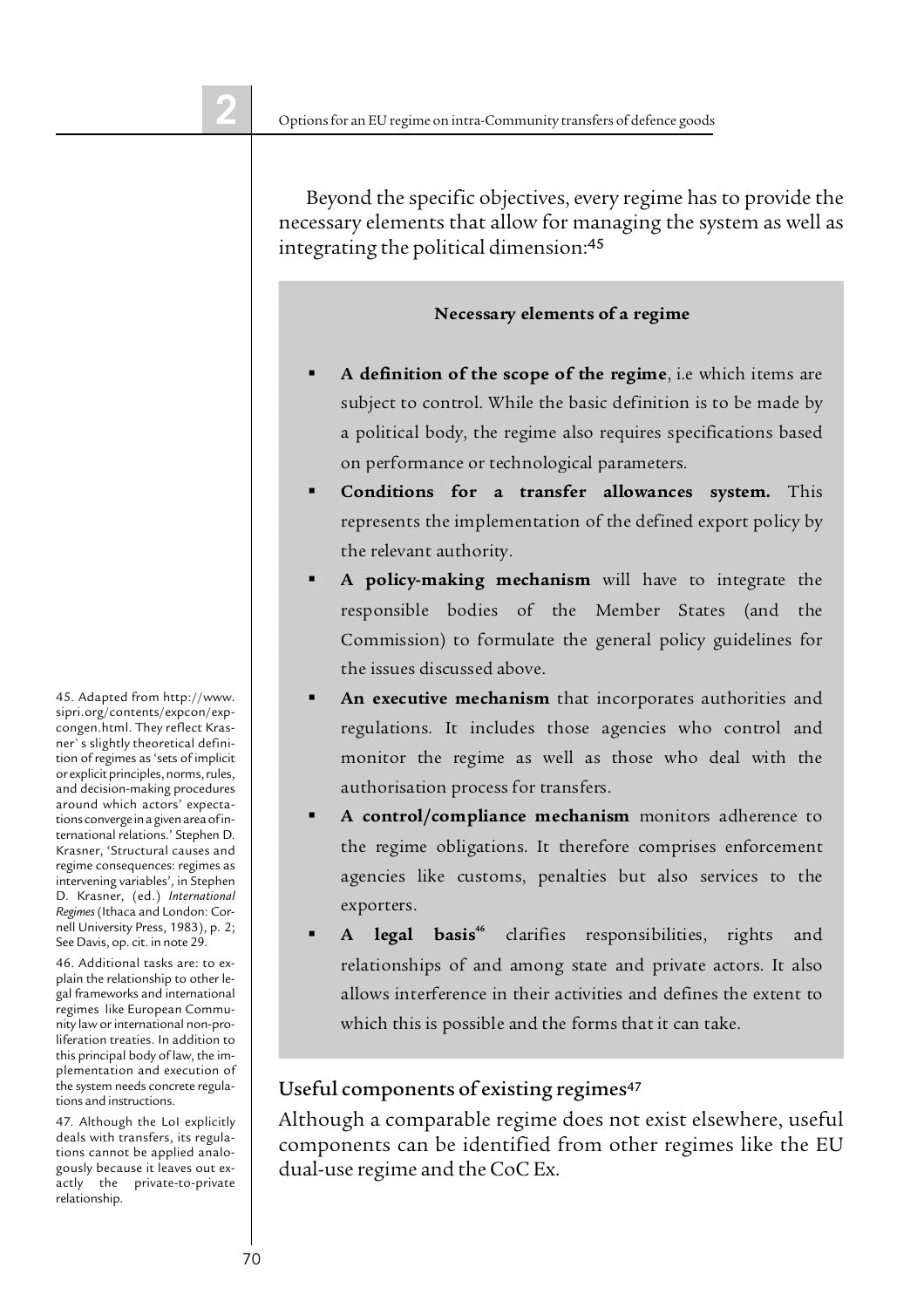Beyond the specific objectives, every regime has to provide the necessary elements that allow for managing the system as well as integrating the political dimension:<sup>45</sup>

#### **Necessary elements of a regime**

- **A definition of the scope of the regime**, i.e which items are subject to control. While the basic definition is to be made by a political body, the regime also requires specifications based on performance or technological parameters.
- **Conditions for a transfer allowances system.** This represents the implementation of the defined export policy by the relevant authority.
- **A policy-making mechanism** will have to integrate the responsible bodies of the Member States (and the Commission) to formulate the general policy guidelines for the issues discussed above.
- **An executive mechanism** that incorporates authorities and regulations. It includes those agencies who control and monitor the regime as well as those who deal with the authorisation process for transfers.
- **A control/compliance mechanism** monitors adherence to the regime obligations. It therefore comprises enforcement agencies like customs, penalties but also services to the exporters.
- **A** legal basis<sup>46</sup> clarifies responsibilities, rights and relationships of and among state and private actors. It also allows interference in their activities and defines the extent to which this is possible and the forms that it can take.

#### Useful components of existing regimes<sup>47</sup>

Although a comparable regime does not exist elsewhere, useful components can be identified from other regimes like the EU dual-use regime and the CoC Ex.

45. Adapted from http://www. sipri.org/contents/expcon/expcongen.html. They reflect Krasner`s slightly theoretical definition of regimes as 'sets of implicit or explicit principles, norms, rules, and decision-making procedures around which actors' expectations converge in a given area of international relations.' Stephen D. Krasner, 'Structural causes and regime consequences: regimes as intervening variables', in Stephen D. Krasner, (ed.) *International Regimes*(Ithaca and London: Cornell University Press, 1983), p. 2; See Davis, op. cit. in note 29.

**2**

46. Additional tasks are: to explain the relationship to other legal frameworks and international regimes like European Community law or international non-proliferation treaties. In addition to this principal body of law, the implementation and execution of the system needs concrete regulations and instructions.

47. Although the LoI explicitly deals with transfers, its regulations cannot be applied analogously because it leaves out exactly the private-to-private relationship.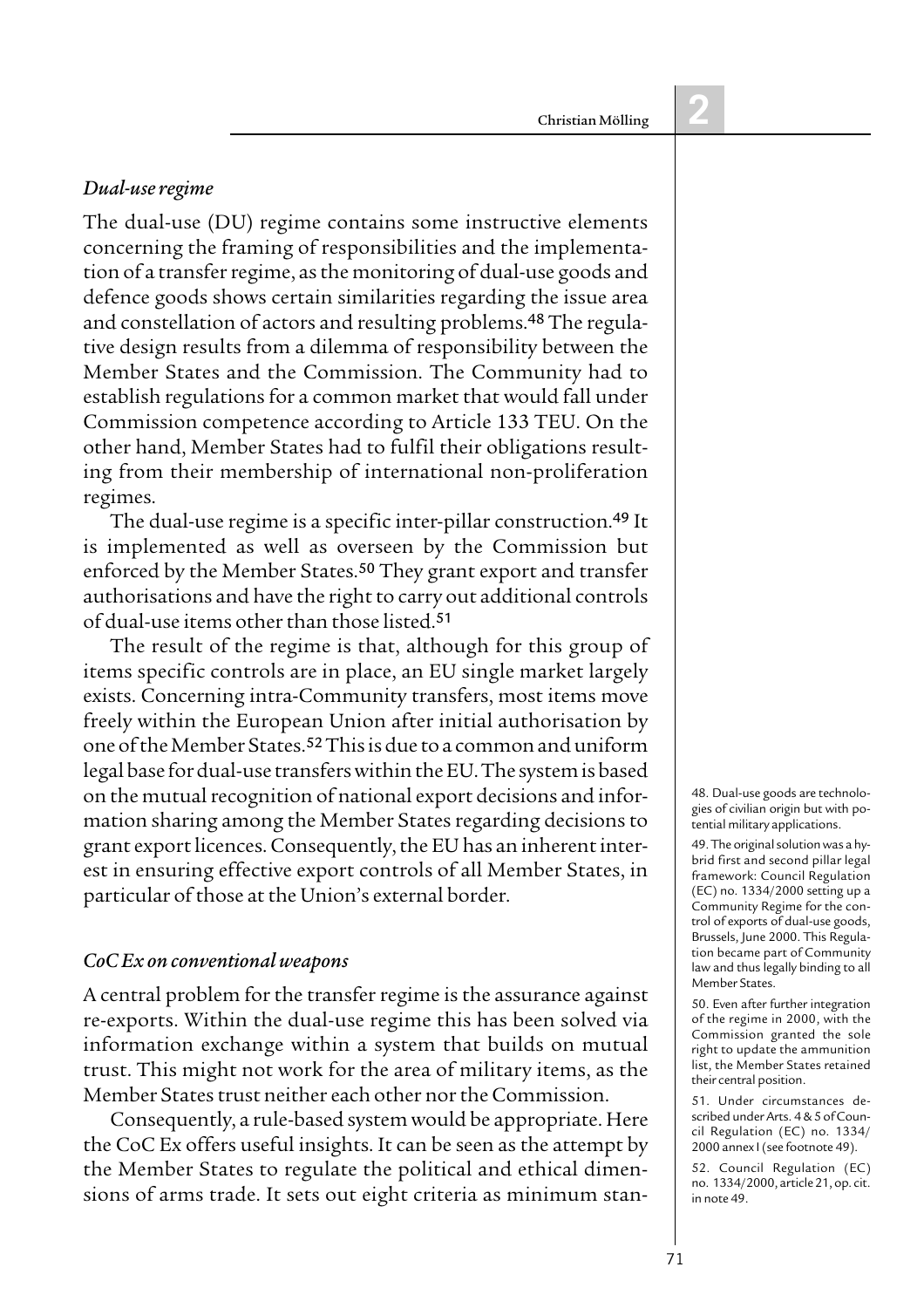#### *Dual-use regime*

The dual-use (DU) regime contains some instructive elements concerning the framing of responsibilities and the implementation of a transfer regime, as the monitoring of dual-use goods and defence goods shows certain similarities regarding the issue area and constellation of actors and resulting problems.<sup>48</sup> The regulative design results from a dilemma of responsibility between the Member States and the Commission. The Community had to establish regulations for a common market that would fall under Commission competence according to Article 133 TEU. On the other hand, Member States had to fulfil their obligations resulting from their membership of international non-proliferation regimes.

The dual-use regime is a specific inter-pillar construction.<sup>49</sup> It is implemented as well as overseen by the Commission but enforced by the Member States.<sup>50</sup> They grant export and transfer authorisations and have the right to carry out additional controls of dual-use items other than those listed.<sup>51</sup>

The result of the regime is that, although for this group of items specific controls are in place, an EU single market largely exists. Concerning intra-Community transfers, most items move freely within the European Union after initial authorisation by one of the Member States.52This is due to a common and uniform legal base for dual-use transfers within the EU. The system is based on the mutual recognition of national export decisions and information sharing among the Member States regarding decisions to grant export licences. Consequently, the EU has an inherent interest in ensuring effective export controls of all Member States, in particular of those at the Union's external border.

#### *CoC Ex on conventional weapons*

A central problem for the transfer regime is the assurance against re-exports. Within the dual-use regime this has been solved via information exchange within a system that builds on mutual trust. This might not work for the area of military items, as the Member States trust neither each other nor the Commission.

Consequently, a rule-based system would be appropriate. Here the CoC Ex offers useful insights. It can be seen as the attempt by the Member States to regulate the political and ethical dimensions of arms trade. It sets out eight criteria as minimum stan48. Dual-use goods are technologies of civilian origin but with potential military applications.

49. The original solution was a hybrid first and second pillar legal framework: Council Regulation (EC) no. 1334/2000 setting up a Community Regime for the control of exports of dual-use goods, Brussels, June 2000. This Regulation became part of Community law and thus legally binding to all Member States.

50. Even after further integration of the regime in 2000, with the Commission granted the sole right to update the ammunition list, the Member States retained their central position.

51. Under circumstances described under Arts. 4 & 5 of Council Regulation (EC) no. 1334/ 2000 annex I (see footnote 49).

52. Council Regulation (EC) no. 1334/2000, article 21, op. cit. in note 49.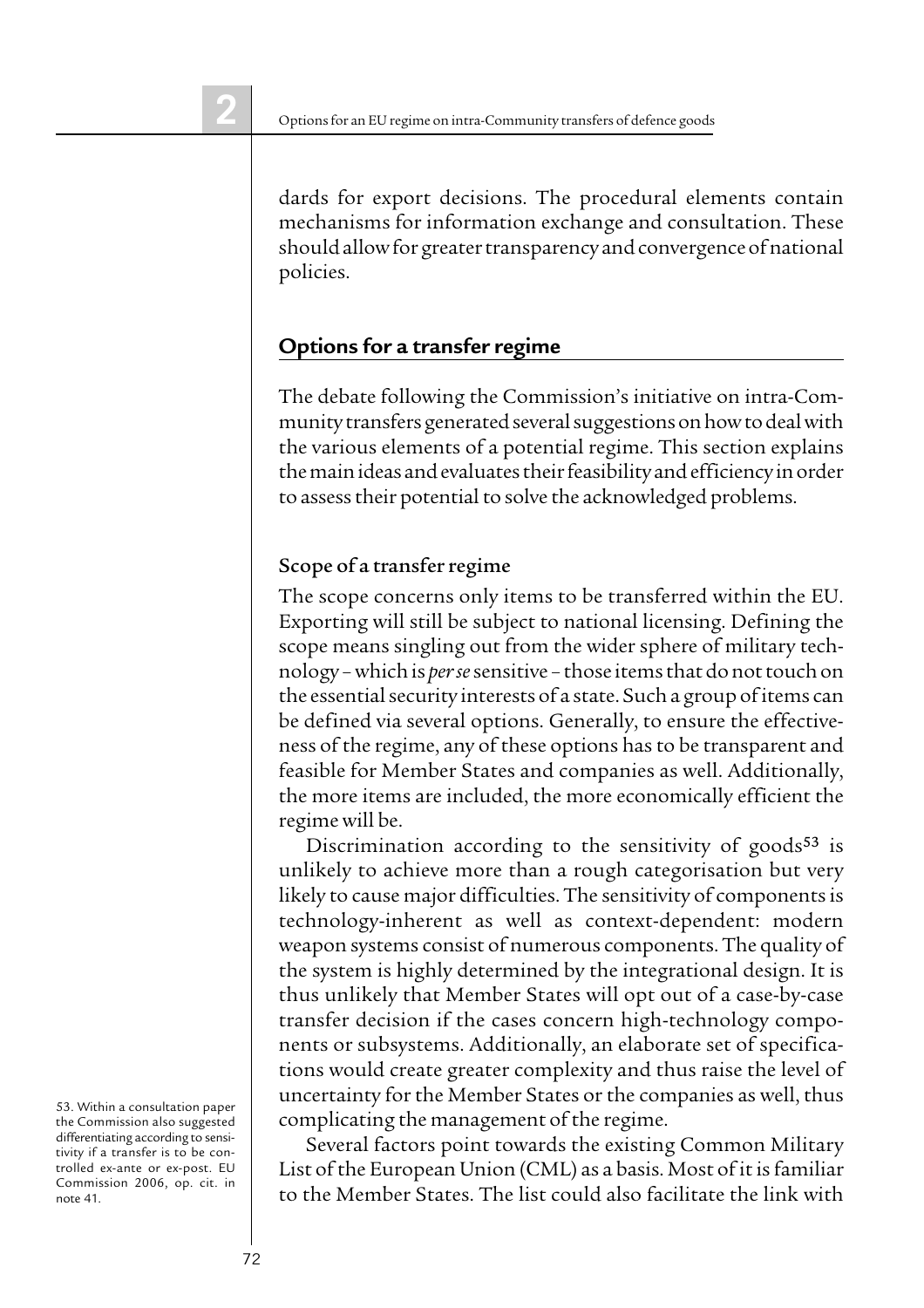dards for export decisions. The procedural elements contain mechanisms for information exchange and consultation. These should allow for greater transparency and convergence of national policies.

# **Options for a transfer regime**

The debate following the Commission's initiative on intra-Community transfers generated several suggestions on how to deal with the various elements of a potential regime. This section explains the main ideas and evaluates their feasibility and efficiency in order to assess their potential to solve the acknowledged problems.

# Scope of a transfer regime

The scope concerns only items to be transferred within the EU. Exporting will still be subject to national licensing. Defining the scope means singling out from the wider sphere of military technology – which is *per se*sensitive – those items that do not touch on the essential security interests of a state. Such a group of items can be defined via several options. Generally, to ensure the effectiveness of the regime, any of these options has to be transparent and feasible for Member States and companies as well. Additionally, the more items are included, the more economically efficient the regime will be.

Discrimination according to the sensitivity of goods<sup>53</sup> is unlikely to achieve more than a rough categorisation but very likely to cause major difficulties. The sensitivity of components is technology-inherent as well as context-dependent: modern weapon systems consist of numerous components. The quality of the system is highly determined by the integrational design. It is thus unlikely that Member States will opt out of a case-by-case transfer decision if the cases concern high-technology components or subsystems. Additionally, an elaborate set of specifications would create greater complexity and thus raise the level of uncertainty for the Member States or the companies as well, thus complicating the management of the regime.

Several factors point towards the existing Common Military List of the European Union (CML) as a basis. Most of it is familiar to the Member States. The list could also facilitate the link with

72

**2**

<sup>53.</sup> Within a consultation paper the Commission also suggested differentiating according to sensitivity if a transfer is to be controlled ex-ante or ex-post. EU Commission 2006, op. cit. in note 41.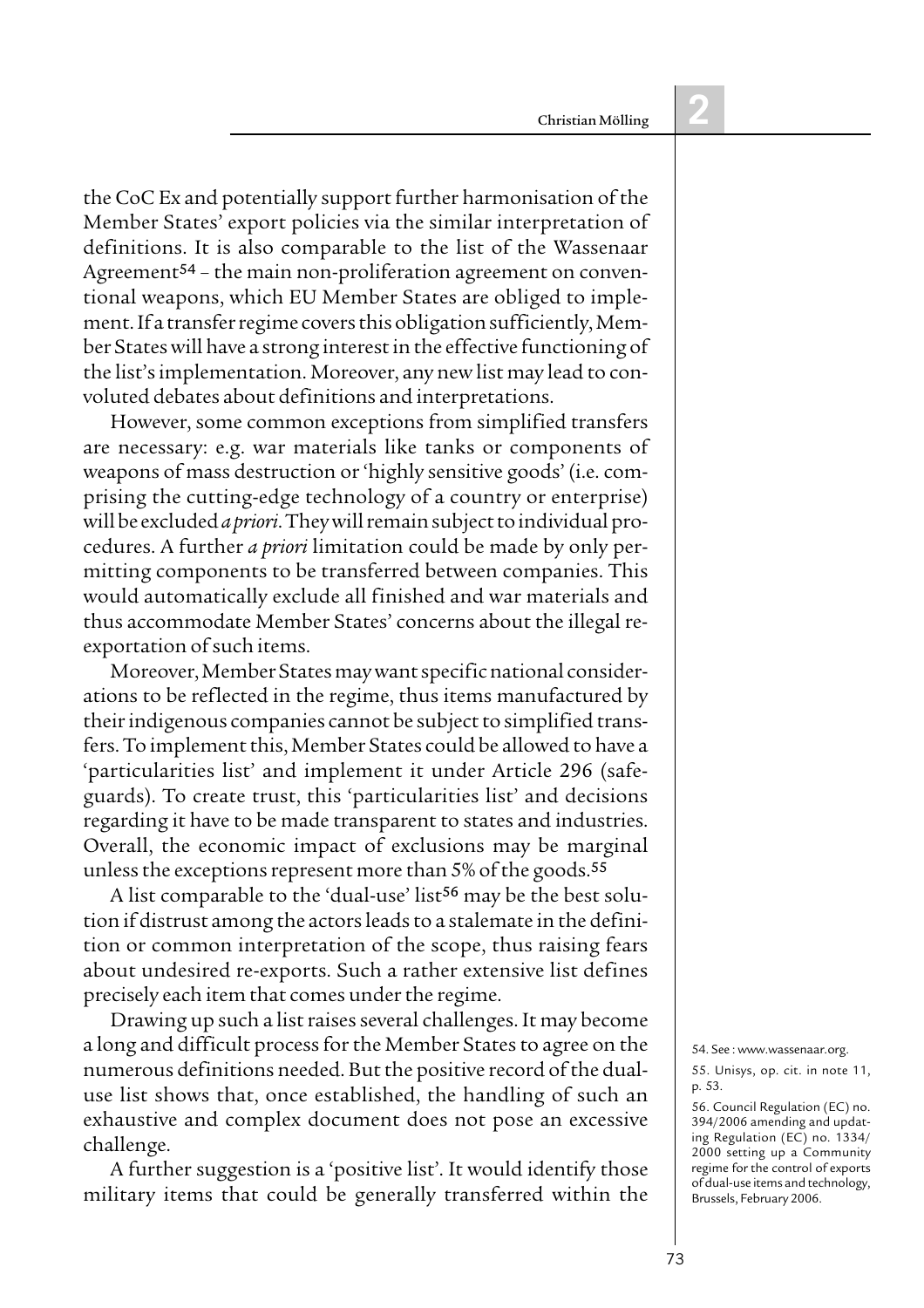the CoC Ex and potentially support further harmonisation of the Member States' export policies via the similar interpretation of definitions. It is also comparable to the list of the Wassenaar Agreement<sup>54</sup> – the main non-proliferation agreement on conventional weapons, which EU Member States are obliged to implement. If a transfer regime covers this obligation sufficiently, Member States will have a strong interest in the effective functioning of the list's implementation. Moreover, any new list may lead to convoluted debates about definitions and interpretations.

However, some common exceptions from simplified transfers are necessary: e.g. war materials like tanks or components of weapons of mass destruction or 'highly sensitive goods' (i.e. comprising the cutting-edge technology of a country or enterprise) will be excluded *a priori*. They will remain subject to individual procedures. A further *a priori* limitation could be made by only permitting components to be transferred between companies. This would automatically exclude all finished and war materials and thus accommodate Member States' concerns about the illegal reexportation of such items.

Moreover, Member States may want specific national considerations to be reflected in the regime, thus items manufactured by their indigenous companies cannot be subject to simplified transfers. To implement this, Member States could be allowed to have a 'particularities list' and implement it under Article 296 (safeguards). To create trust, this 'particularities list' and decisions regarding it have to be made transparent to states and industries. Overall, the economic impact of exclusions may be marginal unless the exceptions represent more than 5% of the goods.<sup>55</sup>

A list comparable to the 'dual-use' list<sup>56</sup> may be the best solution if distrust among the actors leads to a stalemate in the definition or common interpretation of the scope, thus raising fears about undesired re-exports. Such a rather extensive list defines precisely each item that comes under the regime.

Drawing up such a list raises several challenges. It may become a long and difficult process for the Member States to agree on the numerous definitions needed. But the positive record of the dualuse list shows that, once established, the handling of such an exhaustive and complex document does not pose an excessive challenge.

A further suggestion is a 'positive list'. It would identify those military items that could be generally transferred within the

<sup>54.</sup> See : www.wassenaar.org.

<sup>55.</sup> Unisys, op. cit. in note 11, p. 53.

<sup>56.</sup> Council Regulation (EC) no. 394/2006 amending and updating Regulation (EC) no. 1334/ 2000 setting up a Community regime for the control of exports of dual-use items and technology, Brussels, February 2006.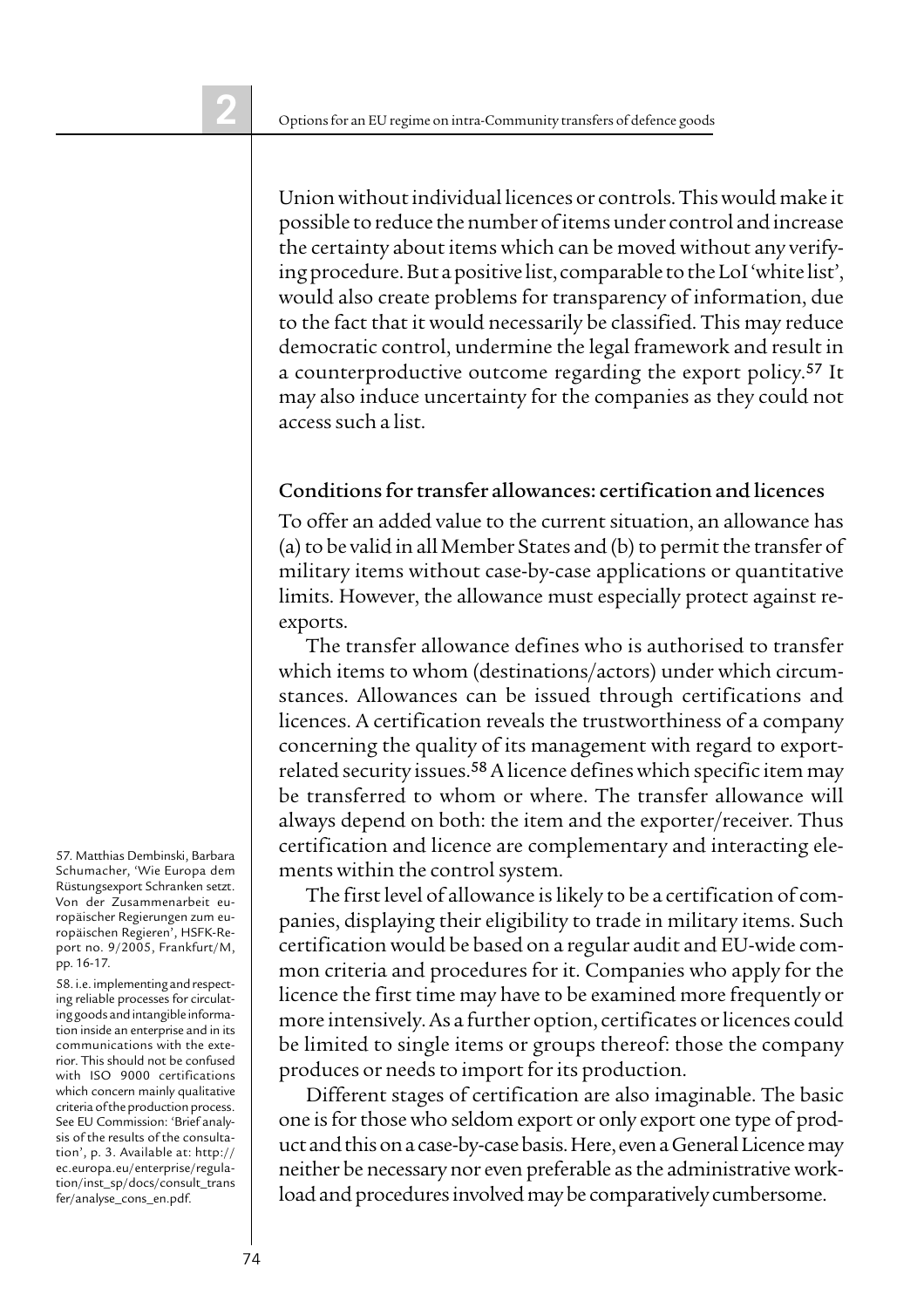Union without individual licences or controls. This would make it possible to reduce the number of items under control and increase the certainty about items which can be moved without any verifying procedure. But a positive list, comparable to the LoI 'white list', would also create problems for transparency of information, due to the fact that it would necessarily be classified. This may reduce democratic control, undermine the legal framework and result in a counterproductive outcome regarding the export policy.<sup>57</sup> It may also induce uncertainty for the companies as they could not access such a list.

#### Conditions for transfer allowances: certification and licences

To offer an added value to the current situation, an allowance has (a) to be valid in all Member States and (b) to permit the transfer of military items without case-by-case applications or quantitative limits. However, the allowance must especially protect against reexports.

The transfer allowance defines who is authorised to transfer which items to whom (destinations/actors) under which circumstances. Allowances can be issued through certifications and licences. A certification reveals the trustworthiness of a company concerning the quality of its management with regard to exportrelated security issues.58A licence defines which specific item may be transferred to whom or where. The transfer allowance will always depend on both: the item and the exporter/receiver. Thus certification and licence are complementary and interacting elements within the control system.

The first level of allowance is likely to be a certification of companies, displaying their eligibility to trade in military items. Such certification would be based on a regular audit and EU-wide common criteria and procedures for it. Companies who apply for the licence the first time may have to be examined more frequently or more intensively. As a further option, certificates or licences could be limited to single items or groups thereof: those the company produces or needs to import for its production.

Different stages of certification are also imaginable. The basic one is for those who seldom export or only export one type of product and this on a case-by-case basis. Here, even a General Licence may neither be necessary nor even preferable as the administrative workload and procedures involved may be comparatively cumbersome.

57. Matthias Dembinski, Barbara Schumacher, 'Wie Europa dem Rüstungsexport Schranken setzt. Von der Zusammenarbeit europäischer Regierungen zum europäischen Regieren', HSFK-Report no. 9/2005, Frankfurt/M, pp. 16-17.

58. i.e. implementing and respecting reliable processes for circulating goods and intangible information inside an enterprise and in its communications with the exterior. This should not be confused with ISO 9000 certifications which concern mainly qualitative criteria of the production process. See EU Commission: 'Brief analysis of the results of the consultation', p. 3. Available at: http:// ec.europa.eu/enterprise/regulation/inst\_sp/docs/consult\_trans fer/analyse\_cons\_en.pdf.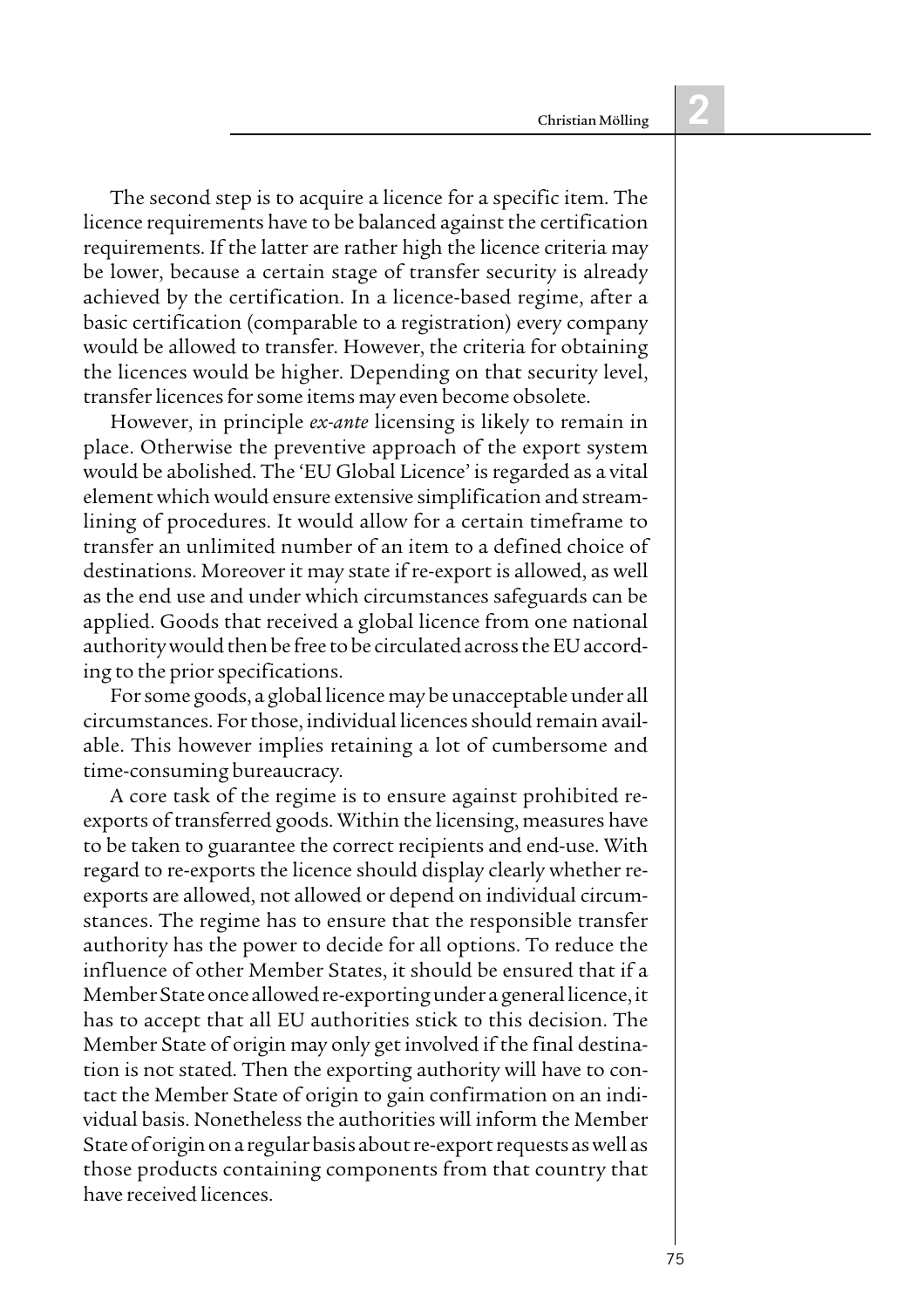The second step is to acquire a licence for a specific item. The licence requirements have to be balanced against the certification requirements. If the latter are rather high the licence criteria may be lower, because a certain stage of transfer security is already achieved by the certification. In a licence-based regime, after a basic certification (comparable to a registration) every company would be allowed to transfer. However, the criteria for obtaining the licences would be higher. Depending on that security level, transfer licences for some items may even become obsolete.

However, in principle *ex-ante* licensing is likely to remain in place. Otherwise the preventive approach of the export system would be abolished. The 'EU Global Licence' is regarded as a vital element which would ensure extensive simplification and streamlining of procedures. It would allow for a certain timeframe to transfer an unlimited number of an item to a defined choice of destinations. Moreover it may state if re-export is allowed, as well as the end use and under which circumstances safeguards can be applied. Goods that received a global licence from one national authority would then be free to be circulated across the EU according to the prior specifications.

For some goods, a global licence may be unacceptable under all circumstances. For those, individual licences should remain available. This however implies retaining a lot of cumbersome and time-consuming bureaucracy.

A core task of the regime is to ensure against prohibited reexports of transferred goods. Within the licensing, measures have to be taken to guarantee the correct recipients and end-use. With regard to re-exports the licence should display clearly whether reexports are allowed, not allowed or depend on individual circumstances. The regime has to ensure that the responsible transfer authority has the power to decide for all options. To reduce the influence of other Member States, it should be ensured that if a Member State once allowed re-exporting under a general licence, it has to accept that all EU authorities stick to this decision. The Member State of origin may only get involved if the final destination is not stated. Then the exporting authority will have to contact the Member State of origin to gain confirmation on an individual basis. Nonetheless the authorities will inform the Member State of origin on a regular basis about re-export requests as well as those products containing components from that country that have received licences.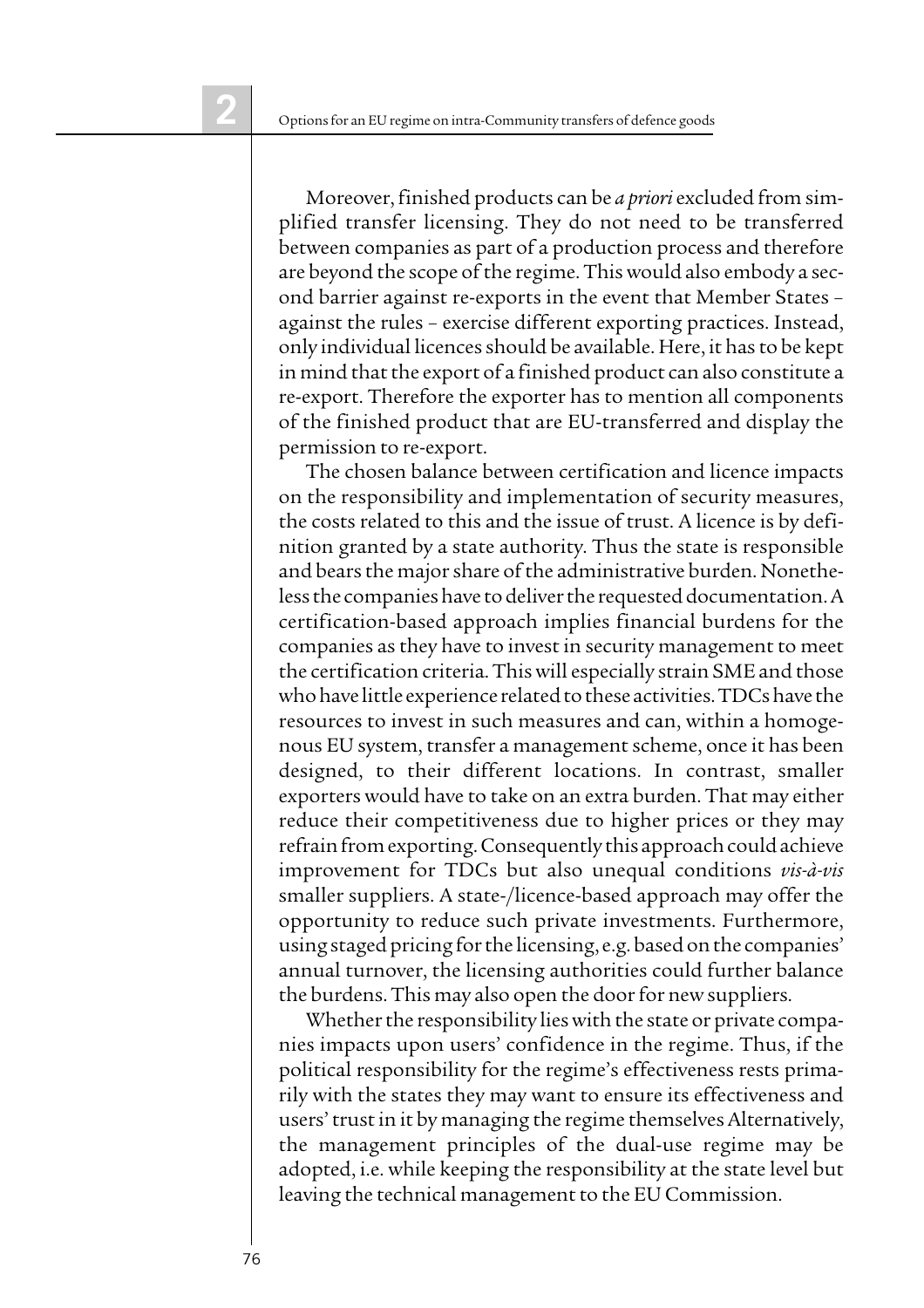Moreover, finished products can be *a priori* excluded from simplified transfer licensing. They do not need to be transferred between companies as part of a production process and therefore are beyond the scope of the regime. This would also embody a second barrier against re-exports in the event that Member States – against the rules – exercise different exporting practices. Instead, only individual licences should be available. Here, it has to be kept in mind that the export of a finished product can also constitute a re-export. Therefore the exporter has to mention all components of the finished product that are EU-transferred and display the permission to re-export.

The chosen balance between certification and licence impacts on the responsibility and implementation of security measures, the costs related to this and the issue of trust. A licence is by definition granted by a state authority. Thus the state is responsible and bears the major share of the administrative burden. Nonetheless the companies have to deliver the requested documentation. A certification-based approach implies financial burdens for the companies as they have to invest in security management to meet the certification criteria. This will especially strain SME and those who have little experience related to these activities. TDCs have the resources to invest in such measures and can, within a homogenous EU system, transfer a management scheme, once it has been designed, to their different locations. In contrast, smaller exporters would have to take on an extra burden. That may either reduce their competitiveness due to higher prices or they may refrain from exporting. Consequently this approach could achieve improvement for TDCs but also unequal conditions *vis-à-vis* smaller suppliers. A state-/licence-based approach may offer the opportunity to reduce such private investments. Furthermore, using staged pricing for the licensing, e.g. based on the companies' annual turnover, the licensing authorities could further balance the burdens. This may also open the door for new suppliers.

Whether the responsibility lies with the state or private companies impacts upon users' confidence in the regime. Thus, if the political responsibility for the regime's effectiveness rests primarily with the states they may want to ensure its effectiveness and users' trust in it by managing the regime themselves Alternatively, the management principles of the dual-use regime may be adopted, i.e. while keeping the responsibility at the state level but leaving the technical management to the EU Commission.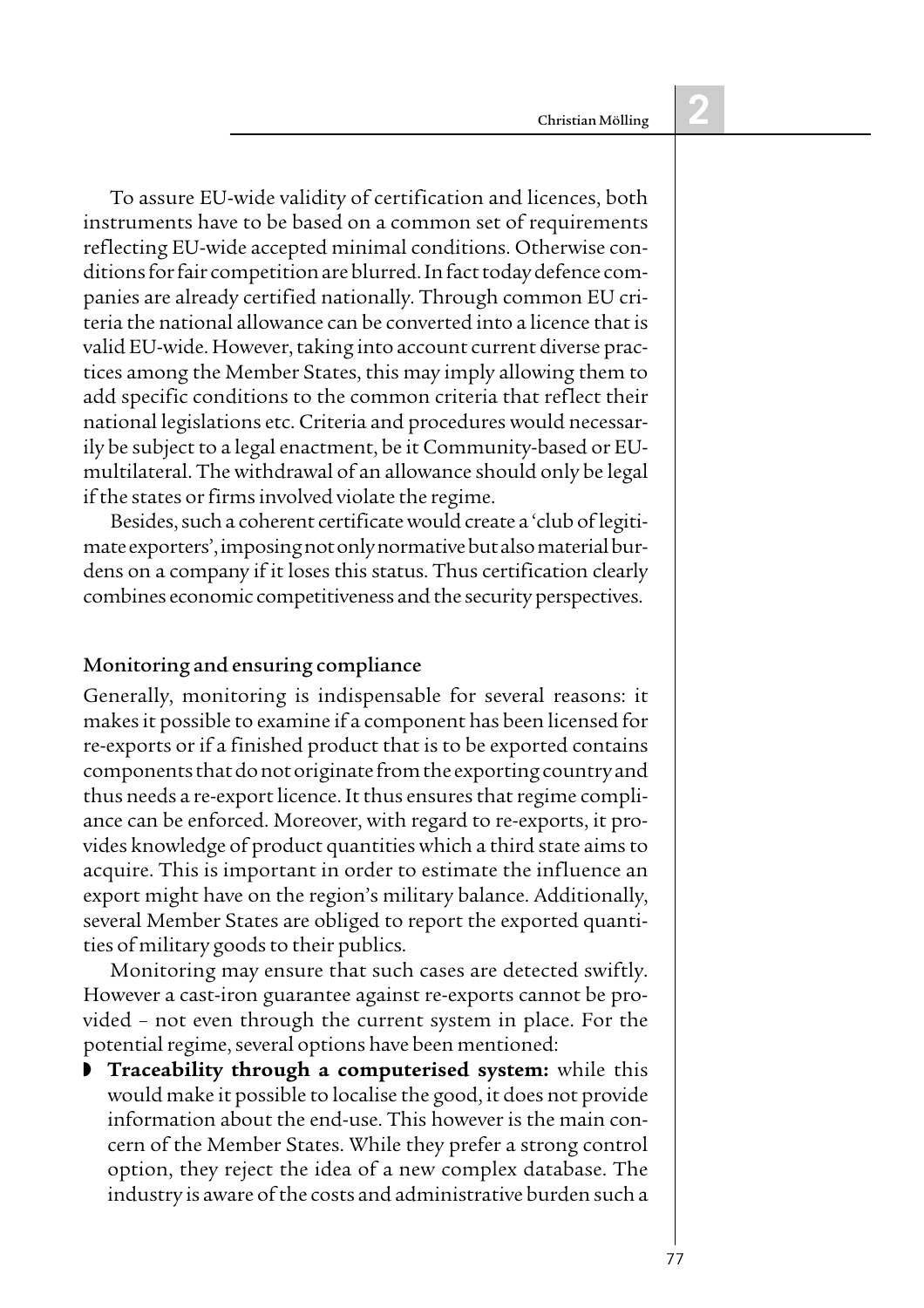To assure EU-wide validity of certification and licences, both instruments have to be based on a common set of requirements reflecting EU-wide accepted minimal conditions. Otherwise conditions for fair competition are blurred. In fact today defence companies are already certified nationally. Through common EU criteria the national allowance can be converted into a licence that is valid EU-wide. However, taking into account current diverse practices among the Member States, this may imply allowing them to add specific conditions to the common criteria that reflect their national legislations etc. Criteria and procedures would necessarily be subject to a legal enactment, be it Community-based or EUmultilateral. The withdrawal of an allowance should only be legal if the states or firms involved violate the regime.

Besides, such a coherent certificate would create a 'club of legitimate exporters', imposing not only normative but also material burdens on a company if it loses this status. Thus certification clearly combines economic competitiveness and the security perspectives.

#### Monitoring and ensuring compliance

Generally, monitoring is indispensable for several reasons: it makes it possible to examine if a component has been licensed for re-exports or if a finished product that is to be exported contains components that do not originate from the exporting country and thus needs a re-export licence. It thus ensures that regime compliance can be enforced. Moreover, with regard to re-exports, it provides knowledge of product quantities which a third state aims to acquire. This is important in order to estimate the influence an export might have on the region's military balance. Additionally, several Member States are obliged to report the exported quantities of military goods to their publics.

Monitoring may ensure that such cases are detected swiftly. However a cast-iron guarantee against re-exports cannot be provided – not even through the current system in place. For the potential regime, several options have been mentioned:

**Traceability through a computerised system:** while this would make it possible to localise the good, it does not provide information about the end-use. This however is the main concern of the Member States. While they prefer a strong control option, they reject the idea of a new complex database. The industry is aware of the costs and administrative burden such a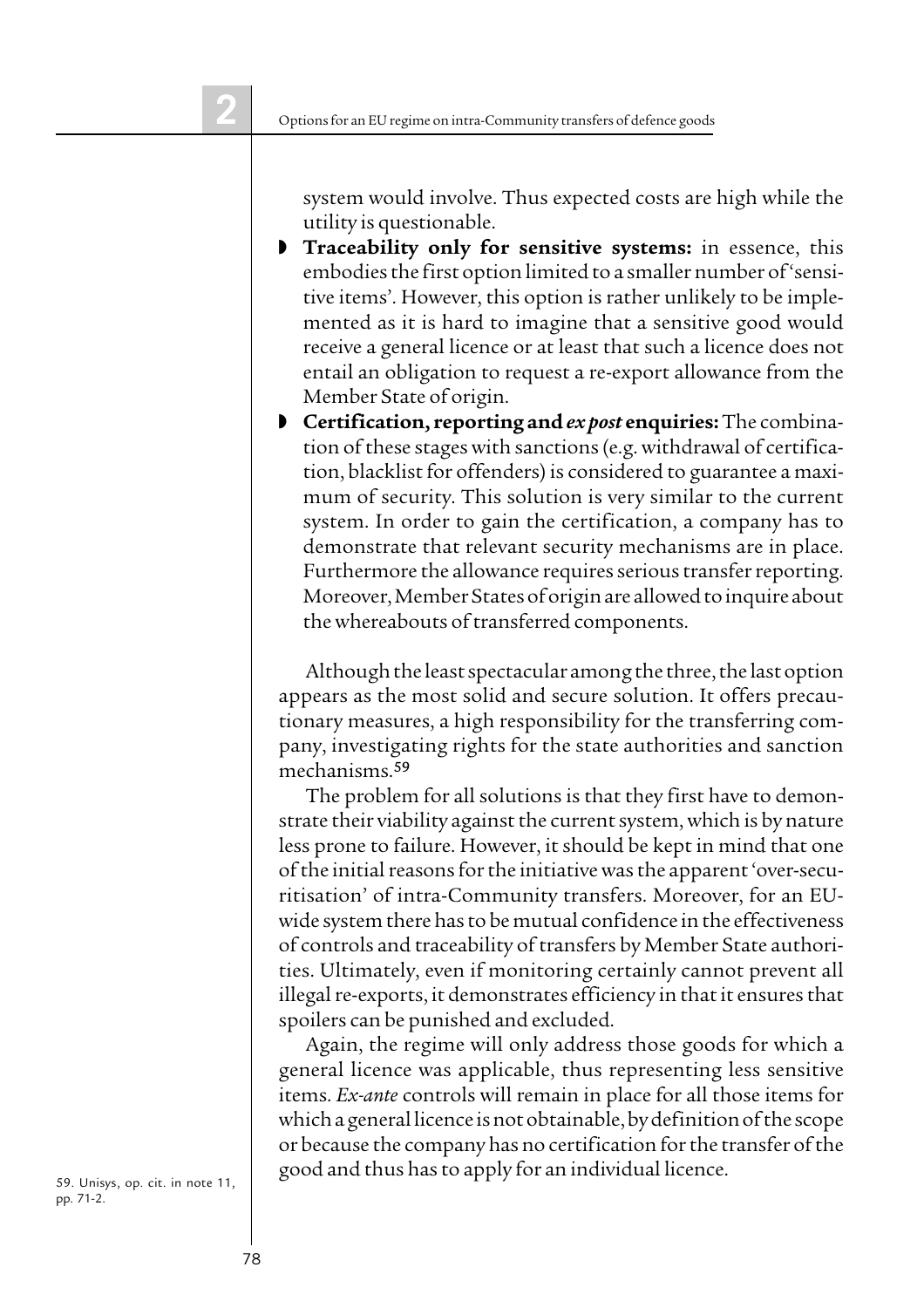system would involve. Thus expected costs are high while the utility is questionable.

- **P** Traceability only for sensitive systems: in essence, this embodies the first option limited to a smaller number of 'sensitive items'. However, this option is rather unlikely to be implemented as it is hard to imagine that a sensitive good would receive a general licence or at least that such a licence does not entail an obligation to request a re-export allowance from the Member State of origin.
- **D** Certification, reporting and *ex post* enquiries: The combination of these stages with sanctions (e.g. withdrawal of certification, blacklist for offenders) is considered to guarantee a maximum of security. This solution is very similar to the current system. In order to gain the certification, a company has to demonstrate that relevant security mechanisms are in place. Furthermore the allowance requires serious transfer reporting. Moreover, Member States of origin are allowed to inquire about the whereabouts of transferred components.

Although the least spectacular among the three, the last option appears as the most solid and secure solution. It offers precautionary measures, a high responsibility for the transferring company, investigating rights for the state authorities and sanction mechanisms.<sup>59</sup>

The problem for all solutions is that they first have to demonstrate their viability against the current system, which is by nature less prone to failure. However, it should be kept in mind that one of the initial reasons for the initiative was the apparent 'over-securitisation' of intra-Community transfers. Moreover, for an EUwide system there has to be mutual confidence in the effectiveness of controls and traceability of transfers by Member State authorities. Ultimately, even if monitoring certainly cannot prevent all illegal re-exports, it demonstrates efficiency in that it ensures that spoilers can be punished and excluded.

Again, the regime will only address those goods for which a general licence was applicable, thus representing less sensitive items. *Ex-ante* controls will remain in place for all those items for which a general licence is not obtainable, by definition of the scope or because the company has no certification for the transfer of the good and thus has to apply for an individual licence.

59. Unisys, op. cit. in note 11, pp. 71-2.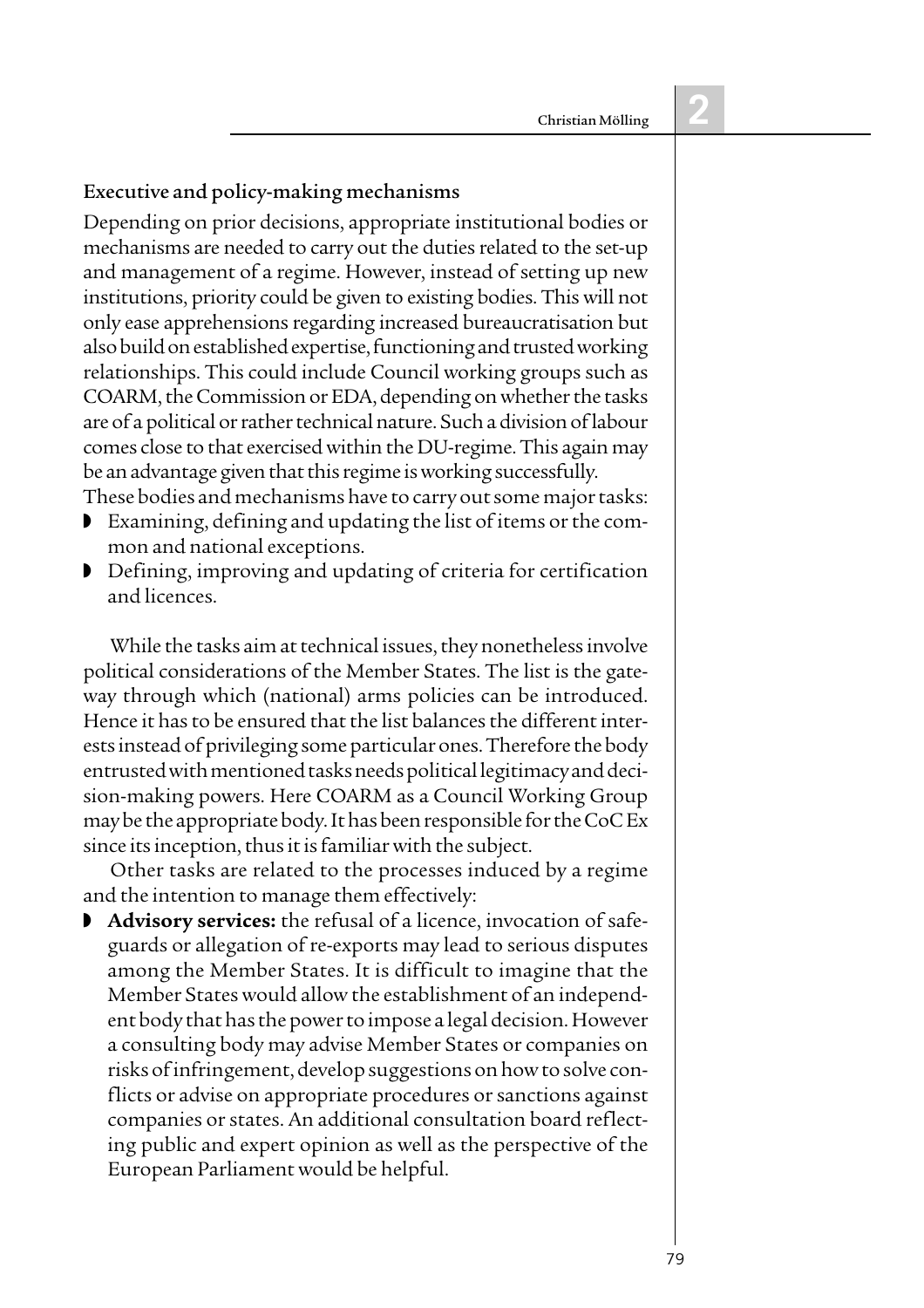#### Executive and policy-making mechanisms

Depending on prior decisions, appropriate institutional bodies or mechanisms are needed to carry out the duties related to the set-up and management of a regime. However, instead of setting up new institutions, priority could be given to existing bodies. This will not only ease apprehensions regarding increased bureaucratisation but also build on established expertise, functioning and trusted working relationships. This could include Council working groups such as COARM, the Commission or EDA, depending on whether the tasks are of a political or rather technical nature. Such a division of labour comes close to that exercised within the DU-regime. This again may be an advantage given that this regime is working successfully.

- These bodies and mechanisms have to carry out some major tasks:  $\blacktriangleright$  Examining, defining and updating the list of items or the common and national exceptions.
- D Defining, improving and updating of criteria for certification and licences.

While the tasks aim at technical issues, they nonetheless involve political considerations of the Member States. The list is the gateway through which (national) arms policies can be introduced. Hence it has to be ensured that the list balances the different interests instead of privileging some particular ones. Therefore the body entrusted with mentioned tasks needs political legitimacy and decision-making powers. Here COARM as a Council Working Group may be the appropriate body. It has been responsible for the CoC Ex since its inception, thus it is familiar with the subject.

Other tasks are related to the processes induced by a regime and the intention to manage them effectively:

Advisory services: the refusal of a licence, invocation of safeguards or allegation of re-exports may lead to serious disputes among the Member States. It is difficult to imagine that the Member States would allow the establishment of an independent body that has the power to impose a legal decision. However a consulting body may advise Member States or companies on risks of infringement, develop suggestions on how to solve conflicts or advise on appropriate procedures or sanctions against companies or states. An additional consultation board reflecting public and expert opinion as well as the perspective of the European Parliament would be helpful.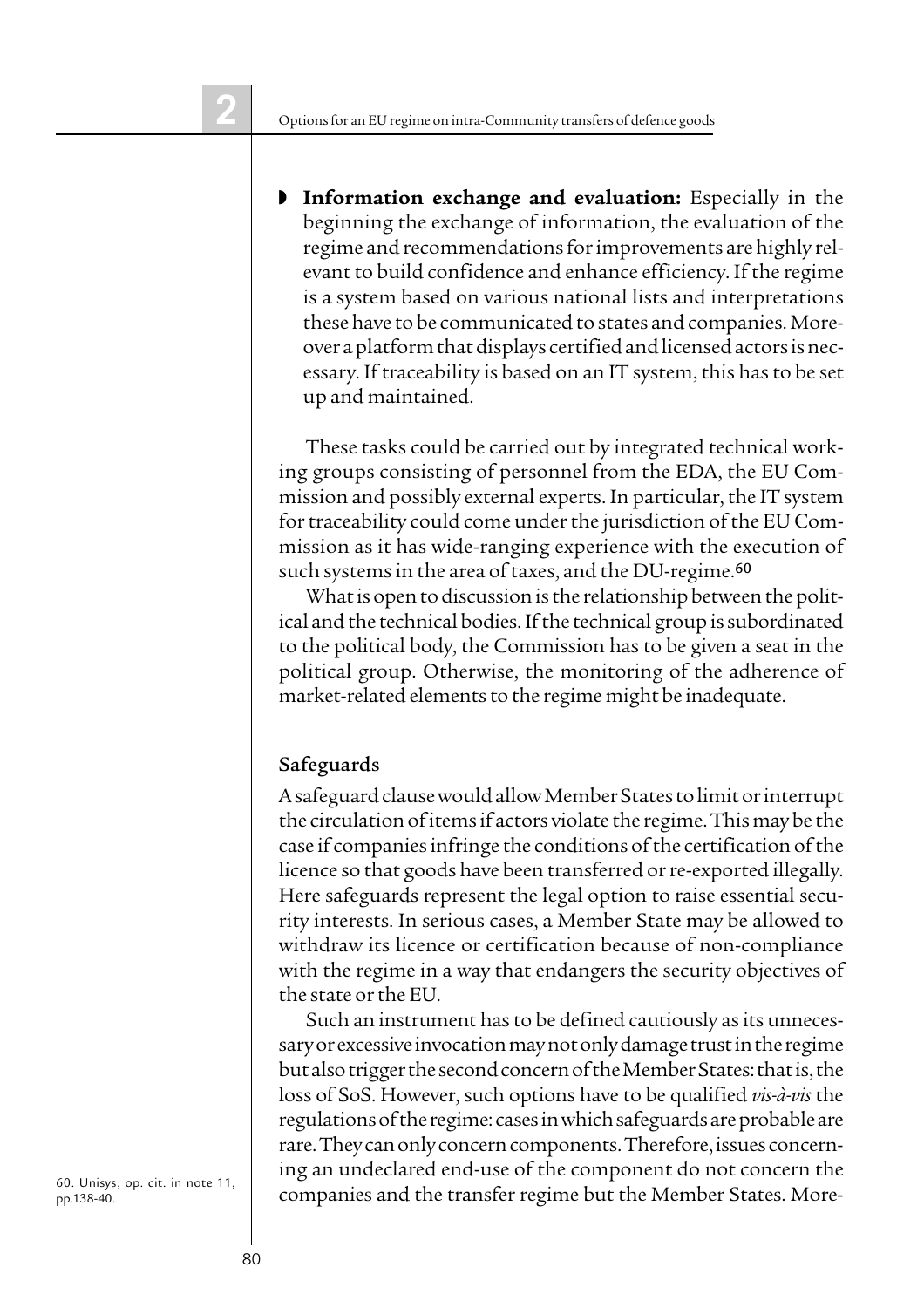**Information exchange and evaluation:** Especially in the beginning the exchange of information, the evaluation of the regime and recommendations for improvements are highly relevant to build confidence and enhance efficiency. If the regime is a system based on various national lists and interpretations these have to be communicated to states and companies. Moreover a platform that displays certified and licensed actors is necessary. If traceability is based on an IT system, this has to be set up and maintained.

These tasks could be carried out by integrated technical working groups consisting of personnel from the EDA, the EU Commission and possibly external experts. In particular, the IT system for traceability could come under the jurisdiction of the EU Commission as it has wide-ranging experience with the execution of such systems in the area of taxes, and the DU-regime.<sup>60</sup>

What is open to discussion is the relationship between the political and the technical bodies. If the technical group is subordinated to the political body, the Commission has to be given a seat in the political group. Otherwise, the monitoring of the adherence of market-related elements to the regime might be inadequate.

# Safeguards

A safeguard clause would allow Member States to limit or interrupt the circulation of items if actors violate the regime. This may be the case if companies infringe the conditions of the certification of the licence so that goods have been transferred or re-exported illegally. Here safeguards represent the legal option to raise essential security interests. In serious cases, a Member State may be allowed to withdraw its licence or certification because of non-compliance with the regime in a way that endangers the security objectives of the state or the EU.

Such an instrument has to be defined cautiously as its unnecessary or excessive invocation may not only damage trust in the regime but also trigger the second concern of the Member States: that is, the loss of SoS. However, such options have to be qualified *vis-à-vis* the regulations of the regime: cases in which safeguards are probable are rare. They can only concern components. Therefore, issues concerning an undeclared end-use of the component do not concern the companies and the transfer regime but the Member States. More-

60. Unisys, op. cit. in note 11, pp.138-40.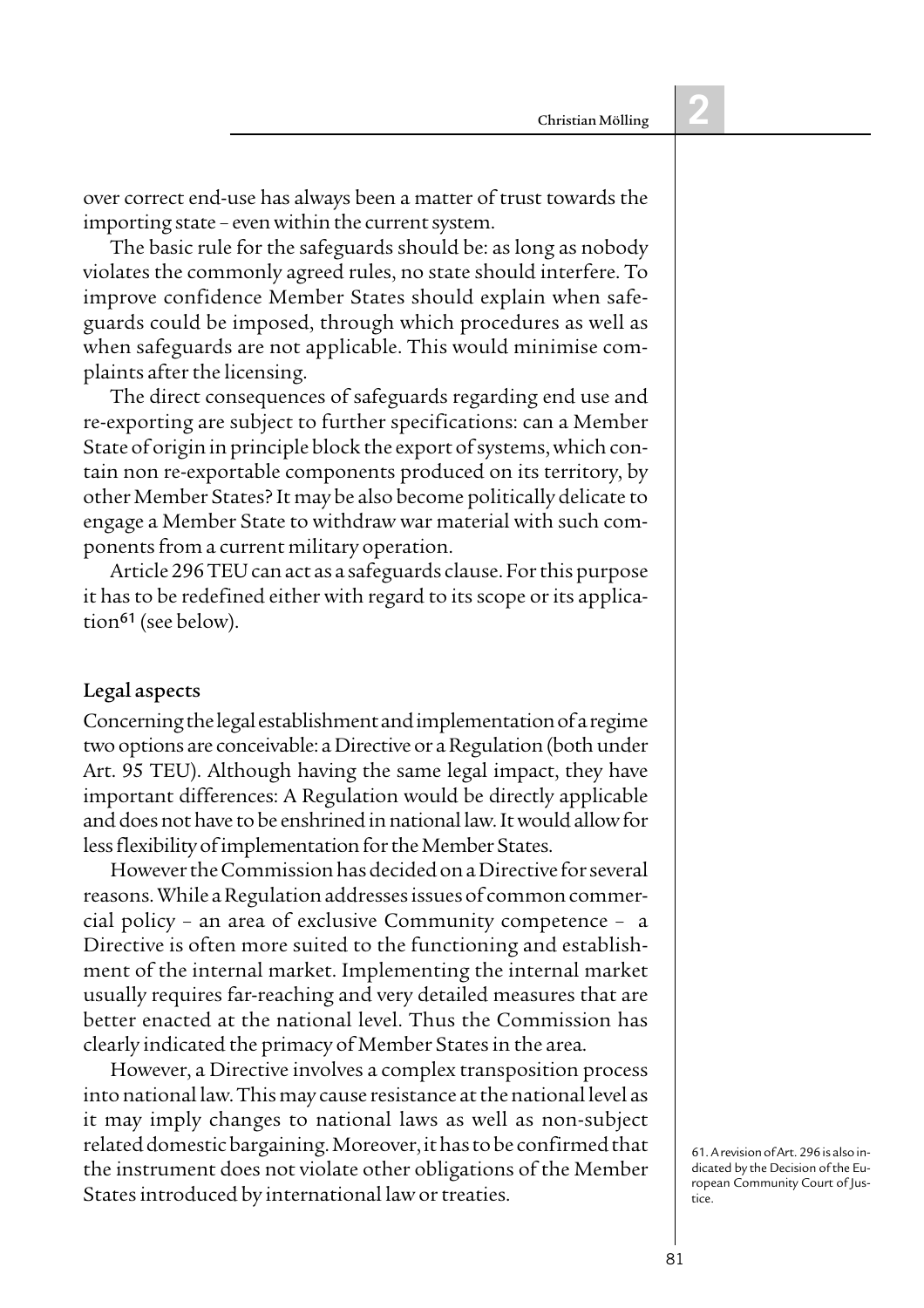over correct end-use has always been a matter of trust towards the importing state – even within the current system.

The basic rule for the safeguards should be: as long as nobody violates the commonly agreed rules, no state should interfere. To improve confidence Member States should explain when safeguards could be imposed, through which procedures as well as when safeguards are not applicable. This would minimise complaints after the licensing.

The direct consequences of safeguards regarding end use and re-exporting are subject to further specifications: can a Member State of origin in principle block the export of systems, which contain non re-exportable components produced on its territory, by other Member States? It may be also become politically delicate to engage a Member State to withdraw war material with such components from a current military operation.

Article 296 TEU can act as a safeguards clause. For this purpose it has to be redefined either with regard to its scope or its application<sup>61</sup> (see below).

#### Legal aspects

Concerning the legal establishment and implementation of a regime two options are conceivable: a Directive or a Regulation (both under Art. 95 TEU). Although having the same legal impact, they have important differences: A Regulation would be directly applicable and does not have to be enshrined in national law. It would allow for less flexibility of implementation for the Member States.

However the Commission has decided on a Directive for several reasons. While a Regulation addresses issues of common commercial policy – an area of exclusive Community competence – a Directive is often more suited to the functioning and establishment of the internal market. Implementing the internal market usually requires far-reaching and very detailed measures that are better enacted at the national level. Thus the Commission has clearly indicated the primacy of Member States in the area.

However, a Directive involves a complex transposition process into national law. This may cause resistance at the national level as it may imply changes to national laws as well as non-subject related domestic bargaining. Moreover, it has to be confirmed that the instrument does not violate other obligations of the Member States introduced by international law or treaties.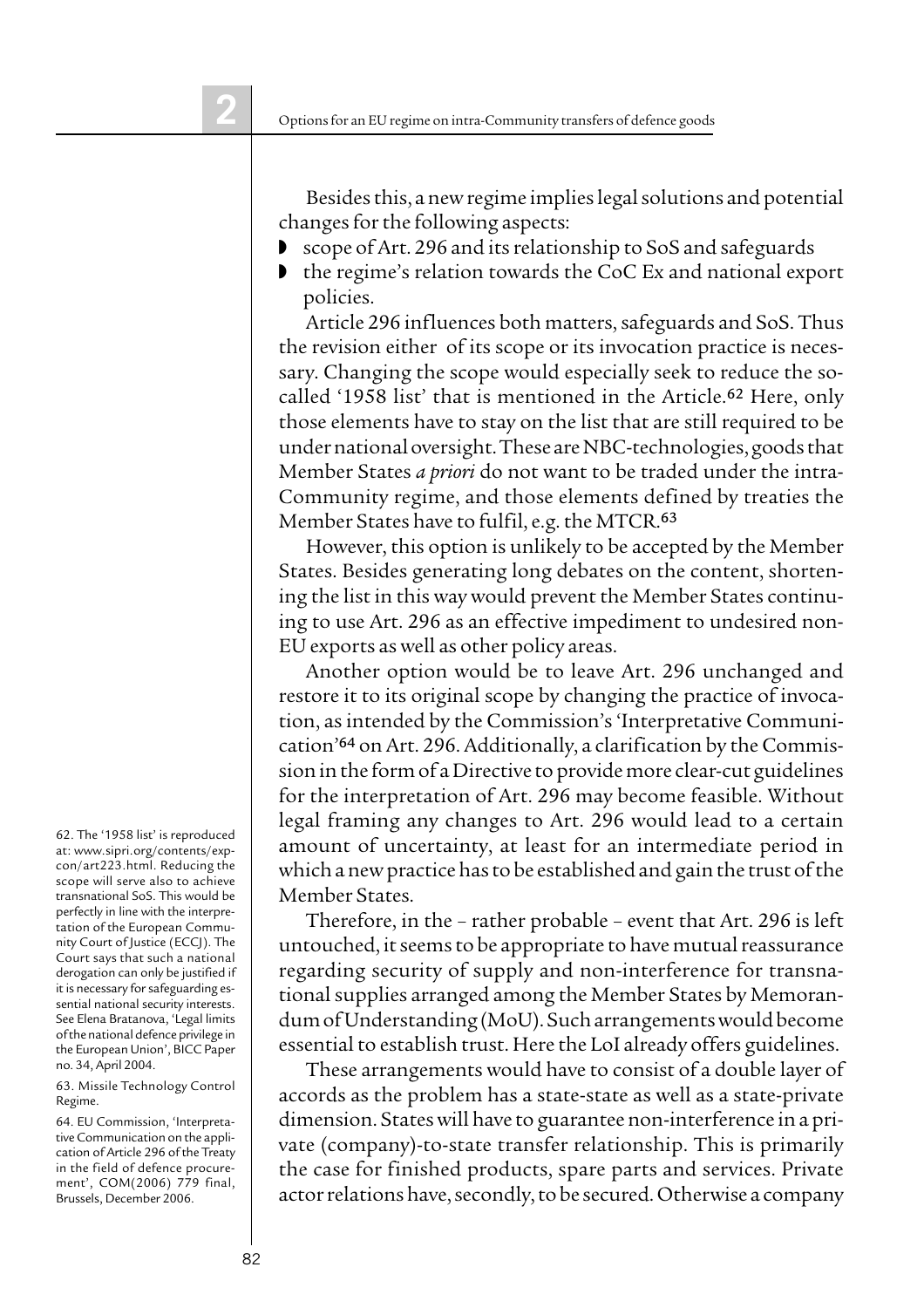Besides this, a new regime implies legal solutions and potential changes for the following aspects:

- scope of Art. 296 and its relationship to SoS and safeguards
- $\blacktriangleright$  the regime's relation towards the CoC Ex and national export policies.

Article 296 influences both matters, safeguards and SoS. Thus the revision either of its scope or its invocation practice is necessary. Changing the scope would especially seek to reduce the socalled '1958 list' that is mentioned in the Article.<sup>62</sup> Here, only those elements have to stay on the list that are still required to be under national oversight. These are NBC-technologies, goods that Member States *a priori* do not want to be traded under the intra-Community regime, and those elements defined by treaties the Member States have to fulfil, e.g. the MTCR.<sup>63</sup>

However, this option is unlikely to be accepted by the Member States. Besides generating long debates on the content, shortening the list in this way would prevent the Member States continuing to use Art. 296 as an effective impediment to undesired non-EU exports as well as other policy areas.

Another option would be to leave Art. 296 unchanged and restore it to its original scope by changing the practice of invocation, as intended by the Commission's 'Interpretative Communication'<sup>64</sup> on Art. 296. Additionally, a clarification by the Commission in the form of a Directive to provide more clear-cut guidelines for the interpretation of Art. 296 may become feasible. Without legal framing any changes to Art. 296 would lead to a certain amount of uncertainty, at least for an intermediate period in which a new practice has to be established and gain the trust of the Member States.

Therefore, in the – rather probable – event that Art. 296 is left untouched, it seems to be appropriate to have mutual reassurance regarding security of supply and non-interference for transnational supplies arranged among the Member States by Memorandum of Understanding (MoU). Such arrangements would become essential to establish trust. Here the LoI already offers guidelines.

These arrangements would have to consist of a double layer of accords as the problem has a state-state as well as a state-private dimension. States will have to guarantee non-interference in a private (company)-to-state transfer relationship. This is primarily the case for finished products, spare parts and services. Private actor relations have, secondly, to be secured. Otherwise a company

62. The '1958 list' is reproduced at: www.sipri.org/contents/expcon/art223.html. Reducing the scope will serve also to achieve transnational SoS. This would be perfectly in line with the interpretation of the European Community Court of Justice (ECCJ). The Court says that such a national derogation can only be justified if it is necessary for safeguarding essential national security interests. See Elena Bratanova, 'Legal limits of the national defence privilege in the European Union', BICC Paper no. 34, April 2004.

63. Missile Technology Control Regime.

64. EU Commission, 'Interpretative Communication on the application of Article 296 of the Treaty in the field of defence procurement', COM(2006) 779 final, Brussels, December 2006.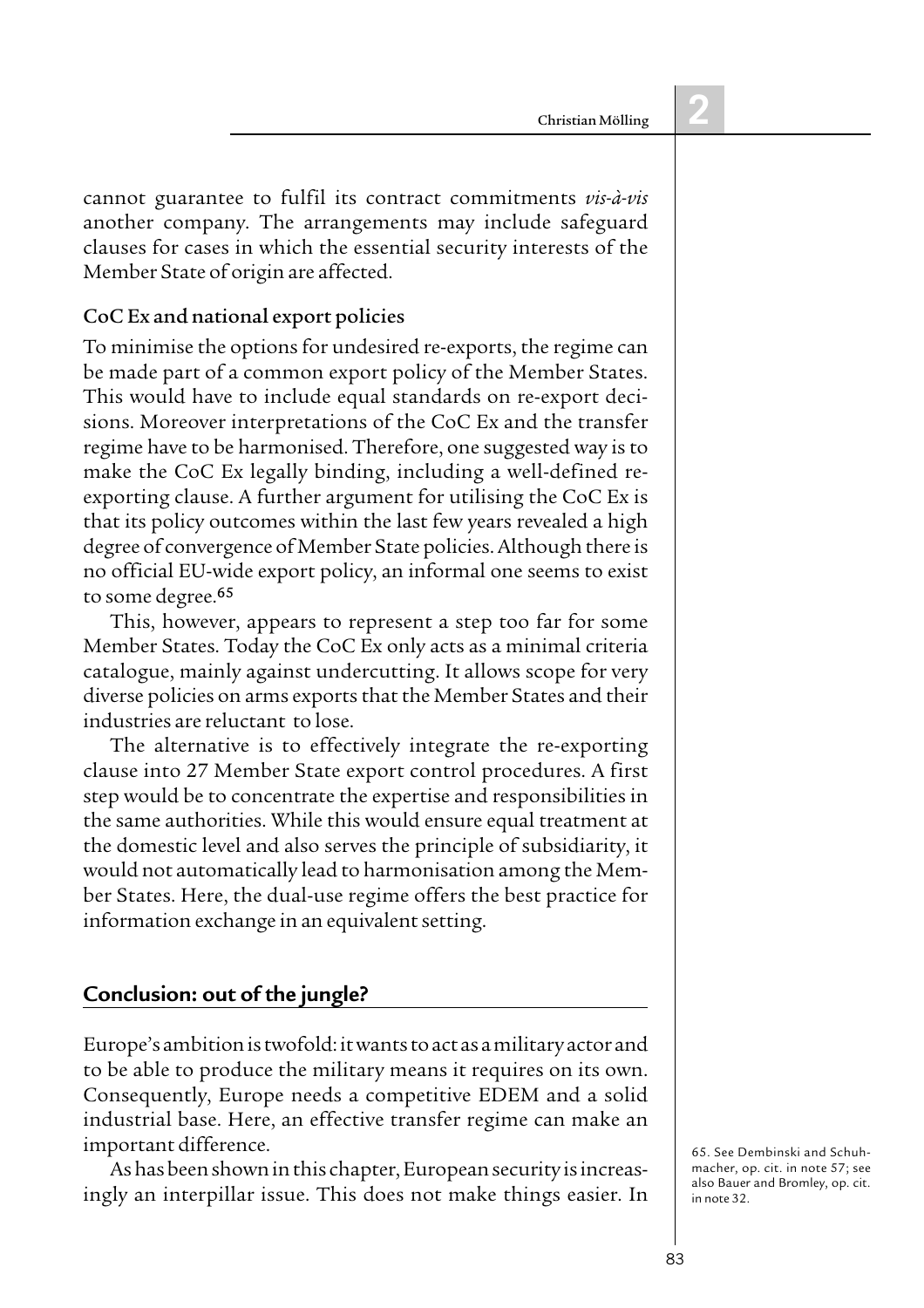cannot guarantee to fulfil its contract commitments *vis-à-vis* another company. The arrangements may include safeguard clauses for cases in which the essential security interests of the Member State of origin are affected.

# CoC Ex and national export policies

To minimise the options for undesired re-exports, the regime can be made part of a common export policy of the Member States. This would have to include equal standards on re-export decisions. Moreover interpretations of the CoC Ex and the transfer regime have to be harmonised. Therefore, one suggested way is to make the CoC Ex legally binding, including a well-defined reexporting clause. A further argument for utilising the CoC Ex is that its policy outcomes within the last few years revealed a high degree of convergence of Member State policies. Although there is no official EU-wide export policy, an informal one seems to exist to some degree.<sup>65</sup>

This, however, appears to represent a step too far for some Member States. Today the CoC Ex only acts as a minimal criteria catalogue, mainly against undercutting. It allows scope for very diverse policies on arms exports that the Member States and their industries are reluctant to lose.

The alternative is to effectively integrate the re-exporting clause into 27 Member State export control procedures. A first step would be to concentrate the expertise and responsibilities in the same authorities. While this would ensure equal treatment at the domestic level and also serves the principle of subsidiarity, it would not automatically lead to harmonisation among the Member States. Here, the dual-use regime offers the best practice for information exchange in an equivalent setting.

# **Conclusion: out of the jungle?**

Europe's ambition is twofold: it wants to act as a military actor and to be able to produce the military means it requires on its own. Consequently, Europe needs a competitive EDEM and a solid industrial base. Here, an effective transfer regime can make an important difference.

As has been shown in this chapter, European security is increasingly an interpillar issue. This does not make things easier. In 65. See Dembinski and Schuhmacher, op. cit. in note 57; see also Bauer and Bromley, op. cit. in note 32.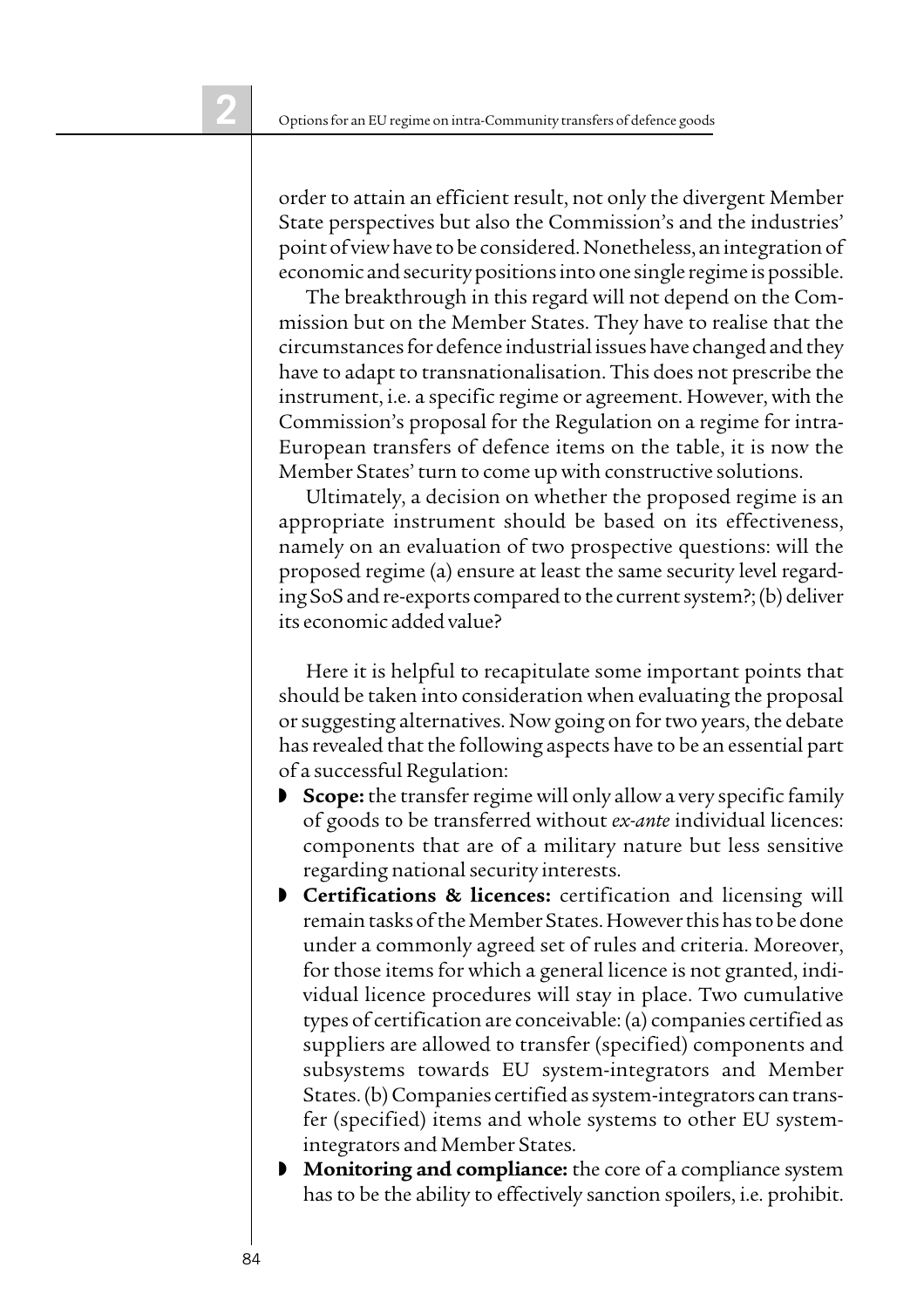order to attain an efficient result, not only the divergent Member State perspectives but also the Commission's and the industries' point of view have to be considered. Nonetheless, an integration of economic and security positions into one single regime is possible.

The breakthrough in this regard will not depend on the Commission but on the Member States. They have to realise that the circumstances for defence industrial issues have changed and they have to adapt to transnationalisation. This does not prescribe the instrument, i.e. a specific regime or agreement. However, with the Commission's proposal for the Regulation on a regime for intra-European transfers of defence items on the table, it is now the Member States' turn to come up with constructive solutions.

Ultimately, a decision on whether the proposed regime is an appropriate instrument should be based on its effectiveness, namely on an evaluation of two prospective questions: will the proposed regime (a) ensure at least the same security level regarding SoS and re-exports compared to the current system?; (b) deliver its economic added value?

Here it is helpful to recapitulate some important points that should be taken into consideration when evaluating the proposal or suggesting alternatives. Now going on for two years, the debate has revealed that the following aspects have to be an essential part of a successful Regulation:

- **Scope:** the transfer regime will only allow a very specific family of goods to be transferred without *ex-ante* individual licences: components that are of a military nature but less sensitive regarding national security interests.
- **Certifications & licences:** certification and licensing will remain tasks of the Member States. However this has to be done under a commonly agreed set of rules and criteria. Moreover, for those items for which a general licence is not granted, individual licence procedures will stay in place. Two cumulative types of certification are conceivable: (a) companies certified as suppliers are allowed to transfer (specified) components and subsystems towards EU system-integrators and Member States. (b) Companies certified as system-integrators can transfer (specified) items and whole systems to other EU systemintegrators and Member States.
- **Monitoring and compliance:** the core of a compliance system has to be the ability to effectively sanction spoilers, i.e. prohibit.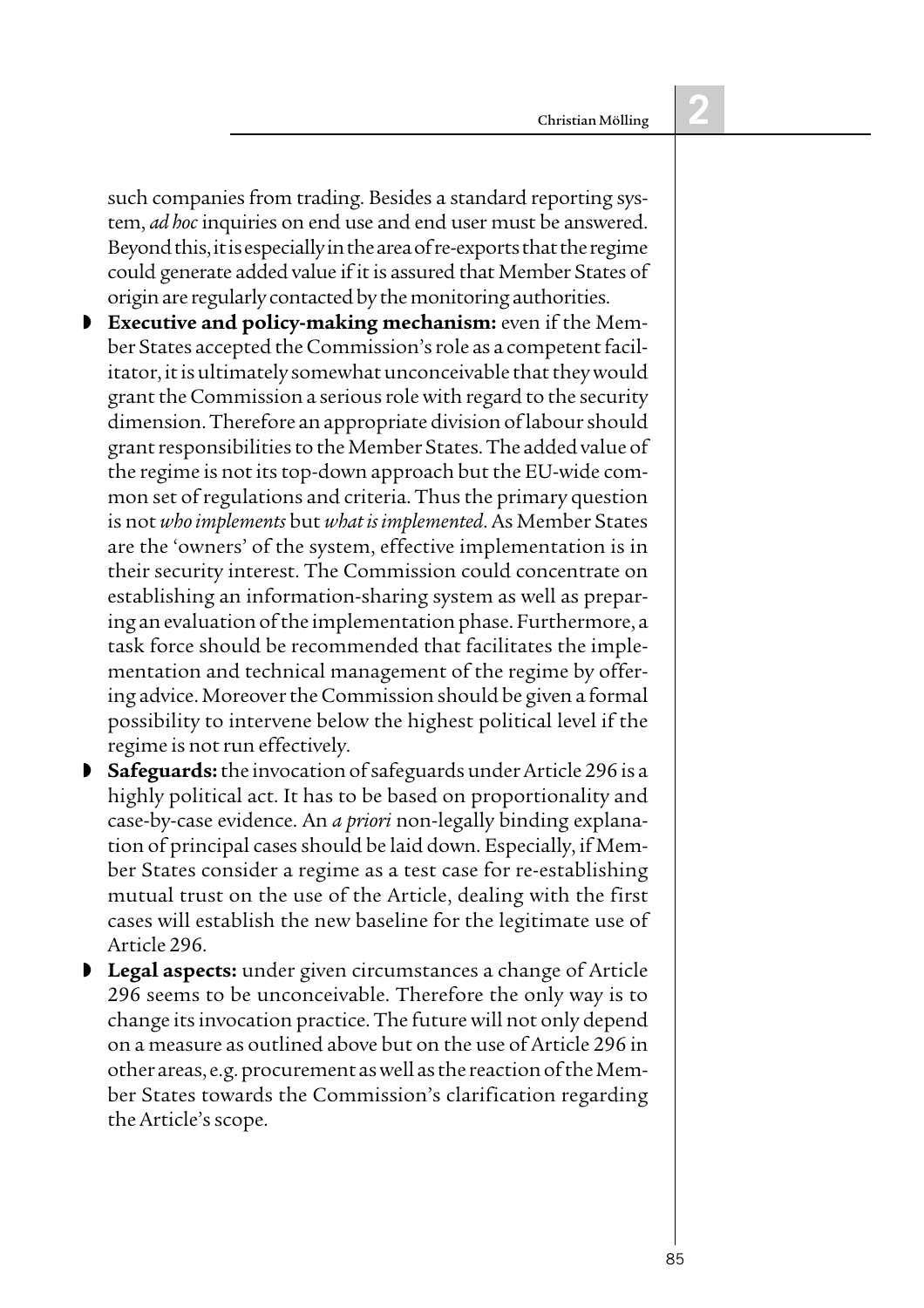such companies from trading. Besides a standard reporting system, *ad hoc* inquiries on end use and end user must be answered. Beyond this, it is especially in the area of re-exports that the regime could generate added value if it is assured that Member States of origin are regularly contacted by the monitoring authorities.

- **Executive and policy-making mechanism:** even if the Member States accepted the Commission's role as a competent facilitator, it is ultimately somewhat unconceivable that they would grant the Commission a serious role with regard to the security dimension. Therefore an appropriate division of labour should grant responsibilities to the Member States. The added value of the regime is not its top-down approach but the EU-wide common set of regulations and criteria. Thus the primary question is not *who implements* but *what is implemented*. As Member States are the 'owners' of the system, effective implementation is in their security interest. The Commission could concentrate on establishing an information-sharing system as well as preparing an evaluation of the implementation phase. Furthermore, a task force should be recommended that facilitates the implementation and technical management of the regime by offering advice. Moreover the Commission should be given a formal possibility to intervene below the highest political level if the regime is not run effectively.
- **Safeguards:** the invocation of safeguards under Article 296 is a highly political act. It has to be based on proportionality and case-by-case evidence. An *a priori* non-legally binding explanation of principal cases should be laid down. Especially, if Member States consider a regime as a test case for re-establishing mutual trust on the use of the Article, dealing with the first cases will establish the new baseline for the legitimate use of Article 296.
- **Example 20** Legal aspects: under given circumstances a change of Article 296 seems to be unconceivable. Therefore the only way is to change its invocation practice. The future will not only depend on a measure as outlined above but on the use of Article 296 in other areas, e.g. procurement as well as the reaction of the Member States towards the Commission's clarification regarding the Article's scope.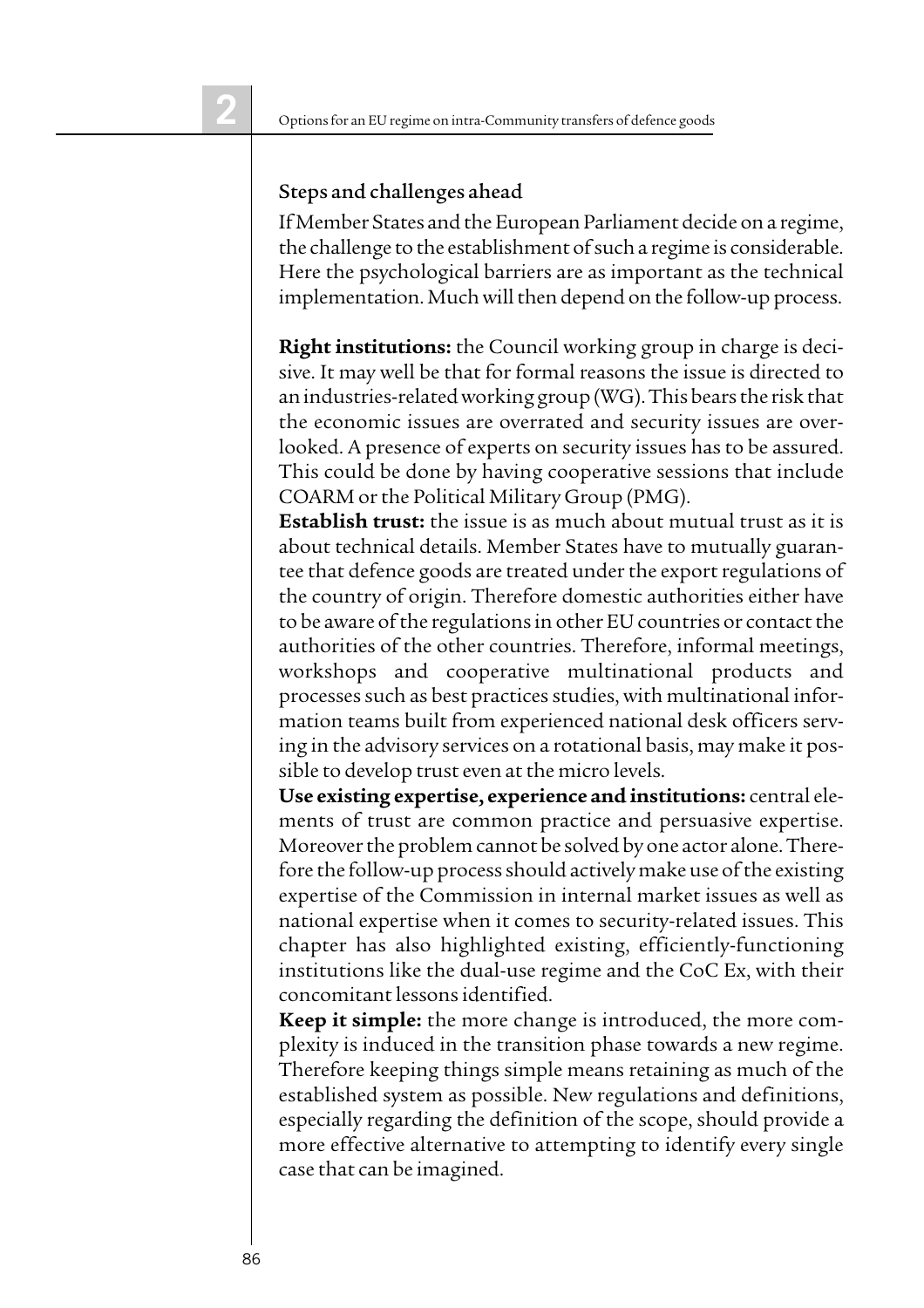# Steps and challenges ahead

If Member States and the European Parliament decide on a regime, the challenge to the establishment of such a regime is considerable. Here the psychological barriers are as important as the technical implementation. Much will then depend on the follow-up process.

**Right institutions:** the Council working group in charge is decisive. It may well be that for formal reasons the issue is directed to an industries-related working group (WG). This bears the risk that the economic issues are overrated and security issues are overlooked. A presence of experts on security issues has to be assured. This could be done by having cooperative sessions that include COARM or the Political Military Group (PMG).

**Establish trust:** the issue is as much about mutual trust as it is about technical details. Member States have to mutually guarantee that defence goods are treated under the export regulations of the country of origin. Therefore domestic authorities either have to be aware of the regulations in other EU countries or contact the authorities of the other countries. Therefore, informal meetings, workshops and cooperative multinational products and processes such as best practices studies, with multinational information teams built from experienced national desk officers serving in the advisory services on a rotational basis, may make it possible to develop trust even at the micro levels.

**Use existing expertise, experience and institutions:** central elements of trust are common practice and persuasive expertise. Moreover the problem cannot be solved by one actor alone. Therefore the follow-up process should actively make use of the existing expertise of the Commission in internal market issues as well as national expertise when it comes to security-related issues. This chapter has also highlighted existing, efficiently-functioning institutions like the dual-use regime and the CoC Ex, with their concomitant lessons identified.

**Keep it simple:** the more change is introduced, the more complexity is induced in the transition phase towards a new regime. Therefore keeping things simple means retaining as much of the established system as possible. New regulations and definitions, especially regarding the definition of the scope, should provide a more effective alternative to attempting to identify every single case that can be imagined.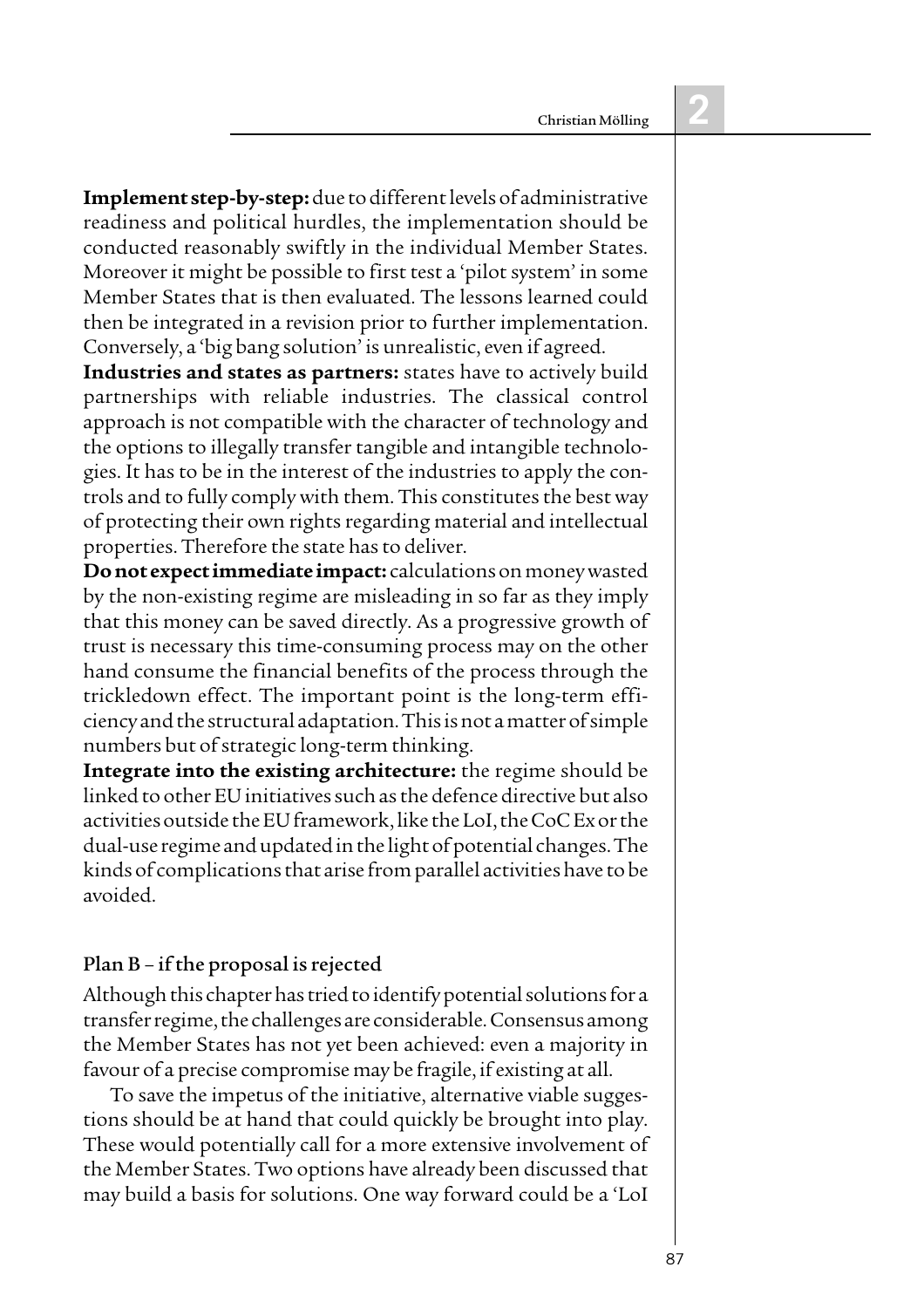**Implement step-by-step:**due to different levels of administrative readiness and political hurdles, the implementation should be conducted reasonably swiftly in the individual Member States. Moreover it might be possible to first test a 'pilot system' in some Member States that is then evaluated. The lessons learned could then be integrated in a revision prior to further implementation. Conversely, a 'big bang solution' is unrealistic, even if agreed.

**Industries and states as partners:** states have to actively build partnerships with reliable industries. The classical control approach is not compatible with the character of technology and the options to illegally transfer tangible and intangible technologies. It has to be in the interest of the industries to apply the controls and to fully comply with them. This constitutes the best way of protecting their own rights regarding material and intellectual properties. Therefore the state has to deliver.

**Do not expect immediate impact:** calculations on money wasted by the non-existing regime are misleading in so far as they imply that this money can be saved directly. As a progressive growth of trust is necessary this time-consuming process may on the other hand consume the financial benefits of the process through the trickledown effect. The important point is the long-term efficiency and the structural adaptation. This is not a matter of simple numbers but of strategic long-term thinking.

**Integrate into the existing architecture:** the regime should be linked to other EU initiatives such as the defence directive but also activities outside the EU framework, like the LoI, the CoC Ex or the dual-use regime and updated in the light of potential changes. The kinds of complications that arise from parallel activities have to be avoided.

#### Plan B – if the proposal is rejected

Although this chapter has tried to identify potential solutions for a transfer regime, the challenges are considerable. Consensus among the Member States has not yet been achieved: even a majority in favour of a precise compromise may be fragile, if existing at all.

To save the impetus of the initiative, alternative viable suggestions should be at hand that could quickly be brought into play. These would potentially call for a more extensive involvement of the Member States. Two options have already been discussed that may build a basis for solutions. One way forward could be a 'LoI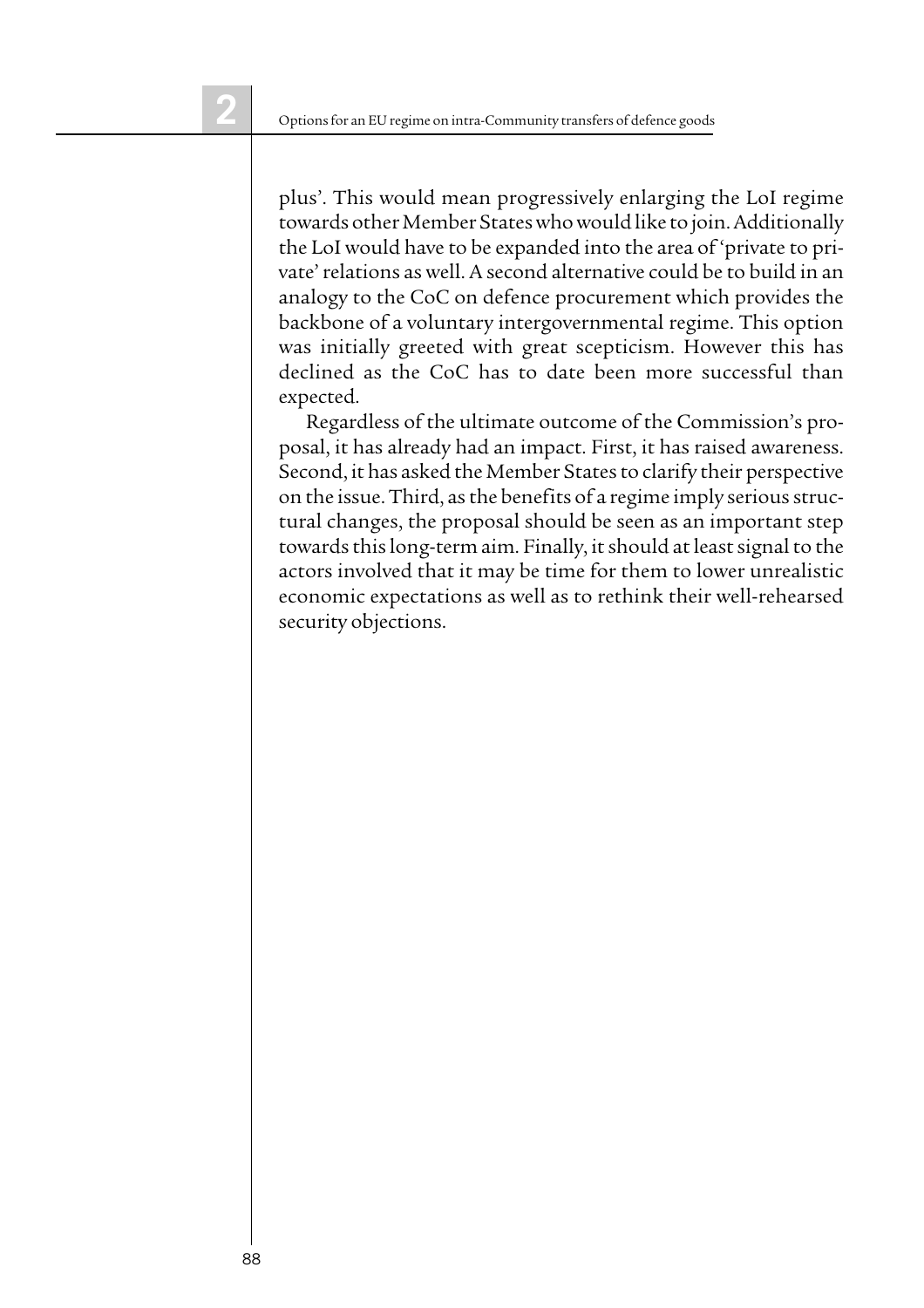plus'. This would mean progressively enlarging the LoI regime towards other Member States who would like to join. Additionally the LoI would have to be expanded into the area of 'private to private' relations as well. A second alternative could be to build in an analogy to the CoC on defence procurement which provides the backbone of a voluntary intergovernmental regime. This option was initially greeted with great scepticism. However this has declined as the CoC has to date been more successful than expected.

Regardless of the ultimate outcome of the Commission's proposal, it has already had an impact. First, it has raised awareness. Second, it has asked the Member States to clarify their perspective on the issue. Third, as the benefits of a regime imply serious structural changes, the proposal should be seen as an important step towards this long-term aim. Finally, it should at least signal to the actors involved that it may be time for them to lower unrealistic economic expectations as well as to rethink their well-rehearsed security objections.

**2**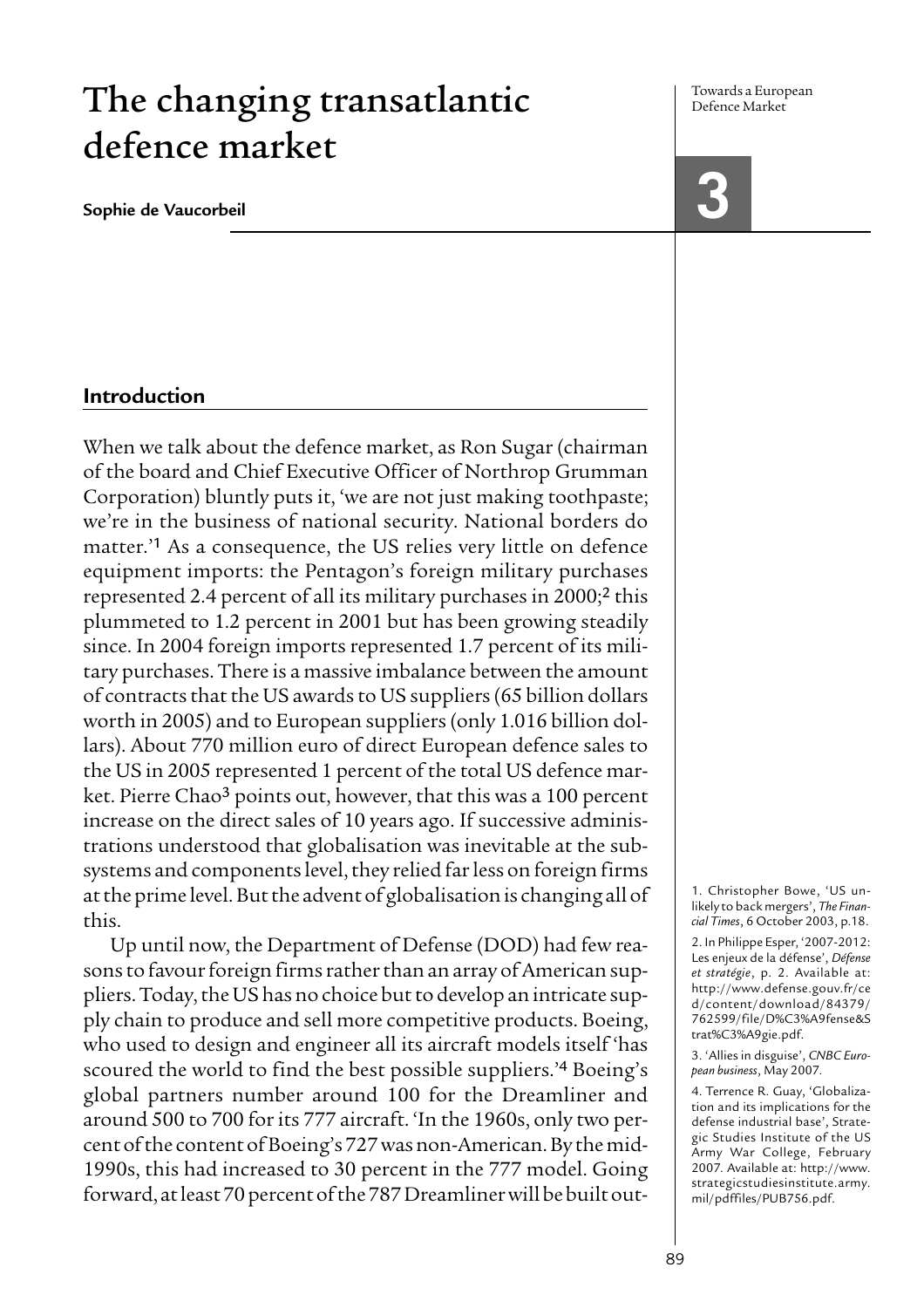# The changing transatlantic defence market

**Sophie de Vaucorbeil**

Towards a European Defence Market

# **3**

# **Introduction**

When we talk about the defence market, as Ron Sugar (chairman of the board and Chief Executive Officer of Northrop Grumman Corporation) bluntly puts it, 'we are not just making toothpaste; we're in the business of national security. National borders do matter.'<sup>1</sup> As a consequence, the US relies very little on defence equipment imports: the Pentagon's foreign military purchases represented 2.4 percent of all its military purchases in 2000;<sup>2</sup> this plummeted to 1.2 percent in 2001 but has been growing steadily since. In 2004 foreign imports represented 1.7 percent of its military purchases. There is a massive imbalance between the amount of contracts that the US awards to US suppliers (65 billion dollars worth in 2005) and to European suppliers (only 1.016 billion dollars). About 770 million euro of direct European defence sales to the US in 2005 represented 1 percent of the total US defence market. Pierre Chao<sup>3</sup> points out, however, that this was a 100 percent increase on the direct sales of 10 years ago. If successive administrations understood that globalisation was inevitable at the subsystems and components level, they relied far less on foreign firms at the prime level. But the advent of globalisation is changing all of this.

Up until now, the Department of Defense (DOD) had few reasons to favour foreign firms rather than an array of American suppliers. Today, the US has no choice but to develop an intricate supply chain to produce and sell more competitive products. Boeing, who used to design and engineer all its aircraft models itself 'has scoured the world to find the best possible suppliers.'<sup>4</sup> Boeing's global partners number around 100 for the Dreamliner and around 500 to 700 for its 777 aircraft. 'In the 1960s, only two percent of the content of Boeing's 727 was non-American. By the mid-1990s, this had increased to 30 percent in the 777 model. Going forward, at least 70 percent of the 787 Dreamliner will be built out-

1. Christopher Bowe, 'US unlikely to back mergers', *The Financial Times*, 6 October 2003, p.18.

2. In Philippe Esper, '2007-2012: Les enjeux de la défense', *Défense et stratégie*, p. 2. Available at: http://www.defense.gouv.fr/ce d/content/download/84379/ 762599/file/D%C3%A9fense&S trat%C3%A9gie.pdf.

3. 'Allies in disguise', *CNBC European business*, May 2007.

4. Terrence R. Guay, 'Globalization and its implications for the defense industrial base', Strategic Studies Institute of the US Army War College, February 2007. Available at: http://www. strategicstudiesinstitute.army. mil/pdffiles/PUB756.pdf.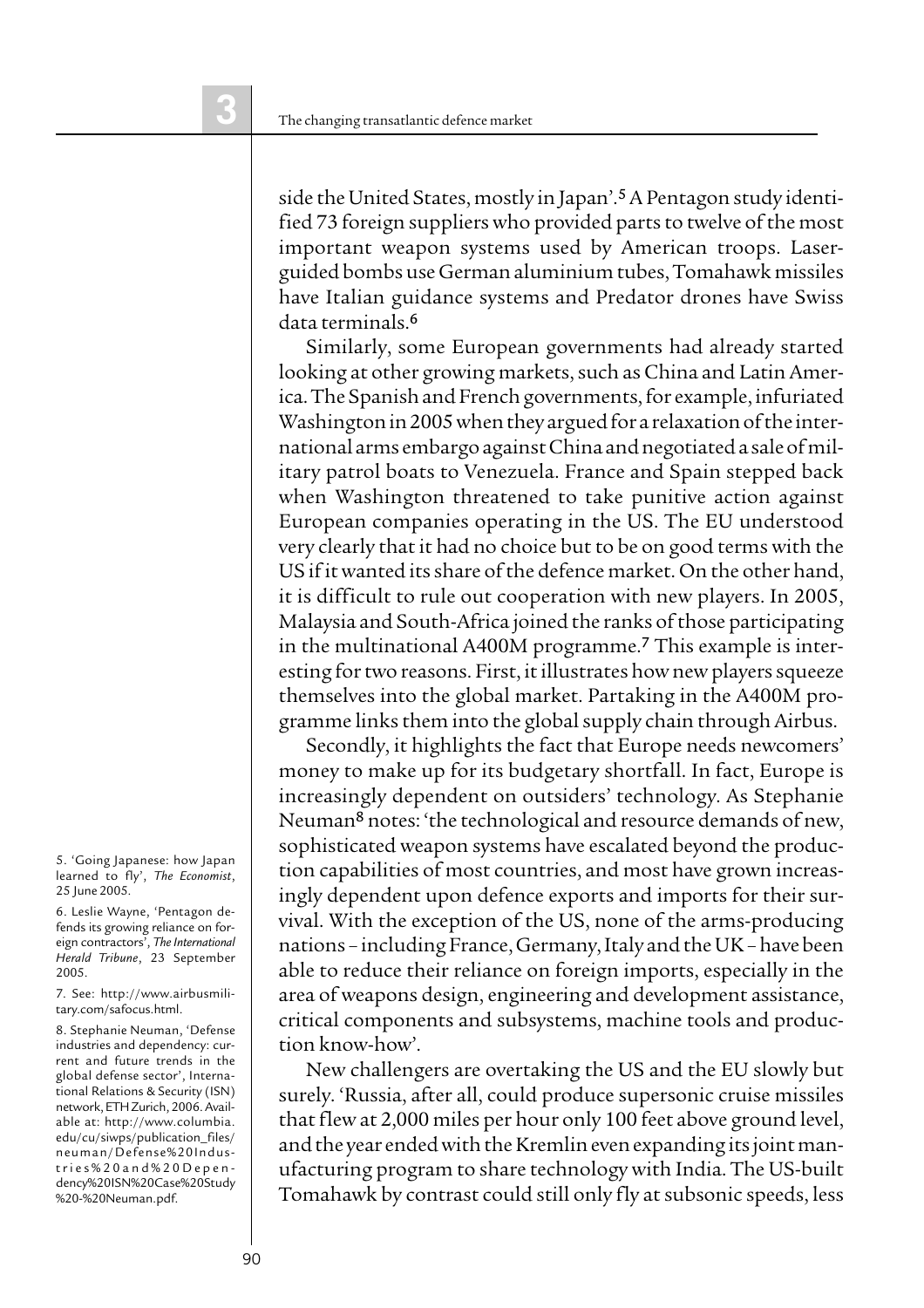side the United States, mostly in Japan'.<sup>5</sup> A Pentagon study identified 73 foreign suppliers who provided parts to twelve of the most important weapon systems used by American troops. Laserguided bombs use German aluminium tubes, Tomahawk missiles have Italian guidance systems and Predator drones have Swiss data terminals.<sup>6</sup>

Similarly, some European governments had already started looking at other growing markets, such as China and Latin America. The Spanish and French governments, for example, infuriated Washington in 2005 when they argued for a relaxation of the international arms embargo against China and negotiated a sale of military patrol boats to Venezuela. France and Spain stepped back when Washington threatened to take punitive action against European companies operating in the US. The EU understood very clearly that it had no choice but to be on good terms with the US if it wanted its share of the defence market. On the other hand, it is difficult to rule out cooperation with new players. In 2005, Malaysia and South-Africa joined the ranks of those participating in the multinational A400M programme.<sup>7</sup> This example is interesting for two reasons. First, it illustrates how new players squeeze themselves into the global market. Partaking in the A400M programme links them into the global supply chain through Airbus.

Secondly, it highlights the fact that Europe needs newcomers' money to make up for its budgetary shortfall. In fact, Europe is increasingly dependent on outsiders' technology. As Stephanie Neuman<sup>8</sup> notes: 'the technological and resource demands of new, sophisticated weapon systems have escalated beyond the production capabilities of most countries, and most have grown increasingly dependent upon defence exports and imports for their survival. With the exception of the US, none of the arms-producing nations – including France, Germany, Italy and the UK – have been able to reduce their reliance on foreign imports, especially in the area of weapons design, engineering and development assistance, critical components and subsystems, machine tools and production know-how'.

New challengers are overtaking the US and the EU slowly but surely. 'Russia, after all, could produce supersonic cruise missiles that flew at 2,000 miles per hour only 100 feet above ground level, and the year ended with the Kremlin even expanding its joint manufacturing program to share technology with India. The US-built Tomahawk by contrast could still only fly at subsonic speeds, less

5. 'Going Japanese: how Japan learned to fly', *The Economist*, 25 June 2005.

6. Leslie Wayne, 'Pentagon defends its growing reliance on foreign contractors', *The International Herald Tribune*, 23 September 2005.

7. See: http://www.airbusmilitary.com/safocus.html.

8. Stephanie Neuman, 'Defense industries and dependency: current and future trends in the global defense sector', International Relations & Security (ISN) network, ETH Zurich, 2006. Available at: http://www.columbia. edu/cu/siwps/publication\_files/ neuman/Defense%20Industries%20and%20Dependency%20ISN%20Case%20Study %20-%20Neuman.pdf.

**3**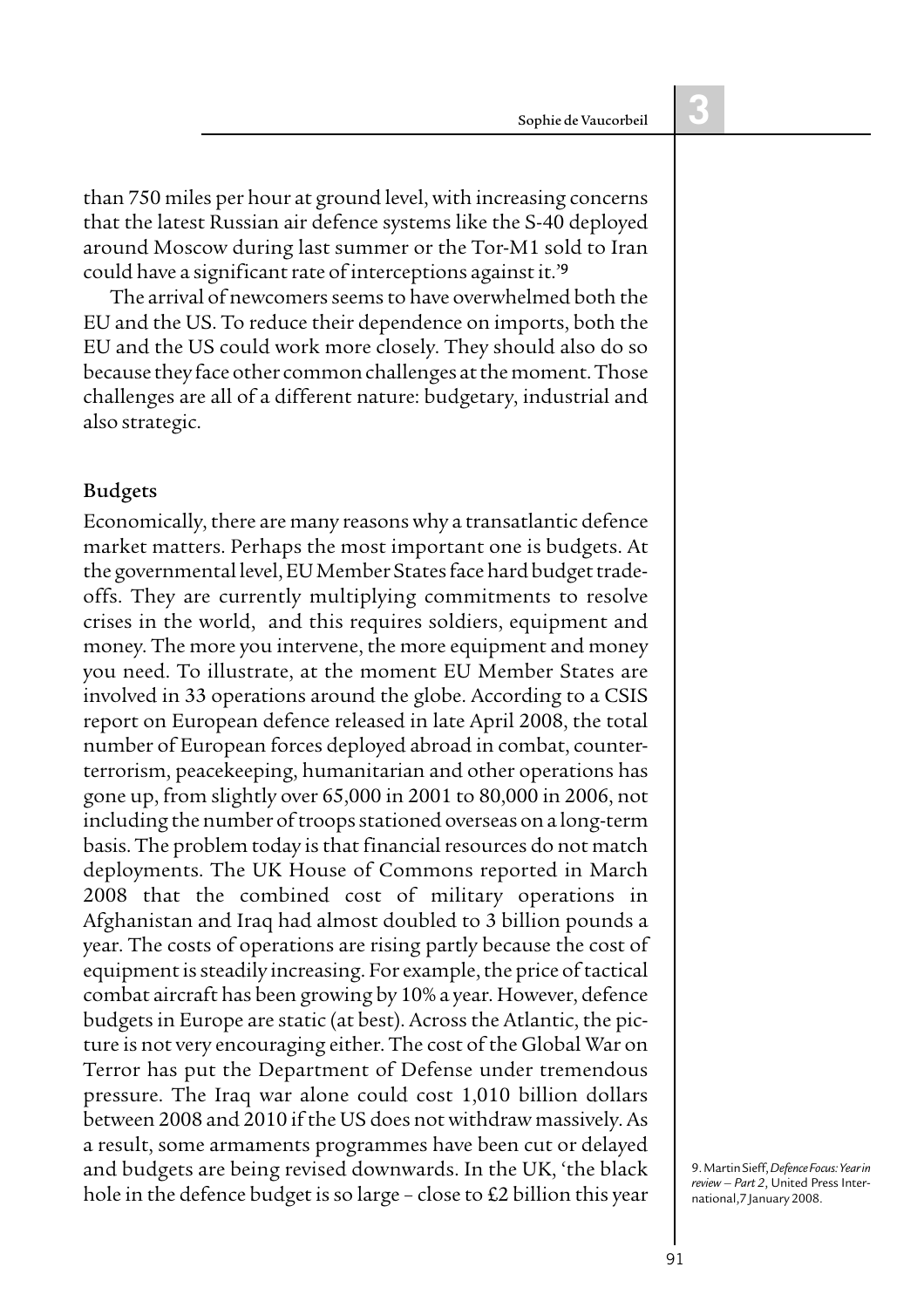than 750 miles per hour at ground level, with increasing concerns that the latest Russian air defence systems like the S-40 deployed around Moscow during last summer or the Tor-M1 sold to Iran could have a significant rate of interceptions against it.'<sup>9</sup>

The arrival of newcomers seems to have overwhelmed both the EU and the US. To reduce their dependence on imports, both the EU and the US could work more closely. They should also do so because they face other common challenges at the moment. Those challenges are all of a different nature: budgetary, industrial and also strategic.

#### Budgets

Economically, there are many reasons why a transatlantic defence market matters. Perhaps the most important one is budgets. At the governmental level, EU Member States face hard budget tradeoffs. They are currently multiplying commitments to resolve crises in the world, and this requires soldiers, equipment and money. The more you intervene, the more equipment and money you need. To illustrate, at the moment EU Member States are involved in 33 operations around the globe. According to a CSIS report on European defence released in late April 2008, the total number of European forces deployed abroad in combat, counterterrorism, peacekeeping, humanitarian and other operations has gone up, from slightly over 65,000 in 2001 to 80,000 in 2006, not including the number of troops stationed overseas on a long-term basis. The problem today is that financial resources do not match deployments. The UK House of Commons reported in March 2008 that the combined cost of military operations in Afghanistan and Iraq had almost doubled to 3 billion pounds a year. The costs of operations are rising partly because the cost of equipment is steadily increasing. For example, the price of tactical combat aircraft has been growing by 10% a year. However, defence budgets in Europe are static (at best). Across the Atlantic, the picture is not very encouraging either. The cost of the Global War on Terror has put the Department of Defense under tremendous pressure. The Iraq war alone could cost 1,010 billion dollars between 2008 and 2010 if the US does not withdraw massively. As a result, some armaments programmes have been cut or delayed and budgets are being revised downwards. In the UK, 'the black hole in the defence budget is so large – close to £2 billion this year

<sup>9.</sup> Martin Sieff, *Defence Focus: Year in review – Part 2*, United Press International,7 January 2008.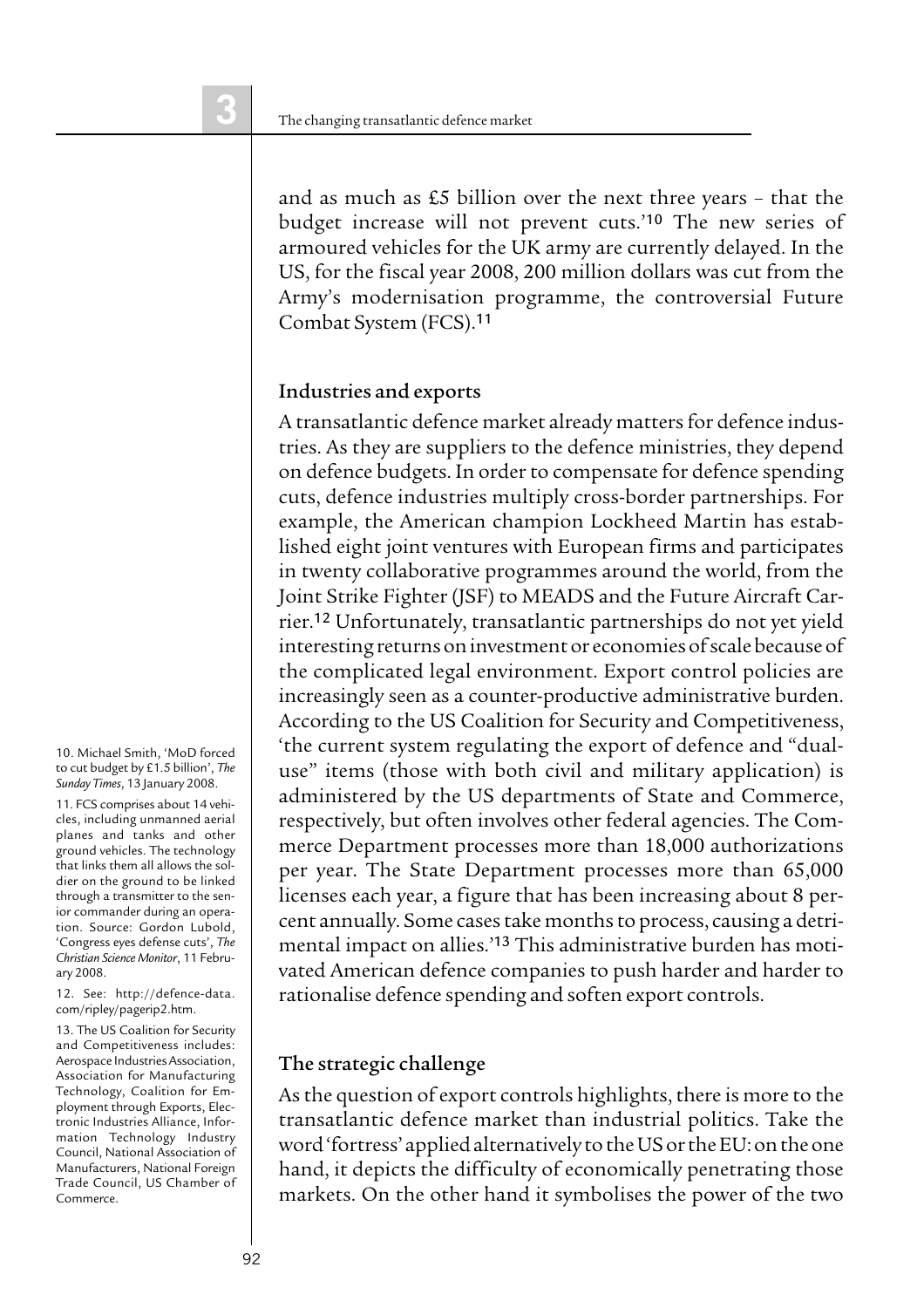and as much as £5 billion over the next three years – that the budget increase will not prevent cuts.'<sup>10</sup> The new series of armoured vehicles for the UK army are currently delayed. In the US, for the fiscal year 2008, 200 million dollars was cut from the Army's modernisation programme, the controversial Future Combat System (FCS).<sup>11</sup>

#### Industries and exports

A transatlantic defence market already matters for defence industries. As they are suppliers to the defence ministries, they depend on defence budgets. In order to compensate for defence spending cuts, defence industries multiply cross-border partnerships. For example, the American champion Lockheed Martin has established eight joint ventures with European firms and participates in twenty collaborative programmes around the world, from the Joint Strike Fighter (JSF) to MEADS and the Future Aircraft Carrier.<sup>12</sup> Unfortunately, transatlantic partnerships do not yet yield interesting returns on investment or economies of scale because of the complicated legal environment. Export control policies are increasingly seen as a counter-productive administrative burden. According to the US Coalition for Security and Competitiveness, 'the current system regulating the export of defence and "dualuse" items (those with both civil and military application) is administered by the US departments of State and Commerce, respectively, but often involves other federal agencies. The Commerce Department processes more than 18,000 authorizations per year. The State Department processes more than 65,000 licenses each year, a figure that has been increasing about 8 percent annually. Some cases take months to process, causing a detrimental impact on allies.'<sup>13</sup> This administrative burden has motivated American defence companies to push harder and harder to rationalise defence spending and soften export controls.

# The strategic challenge

As the question of export controls highlights, there is more to the transatlantic defence market than industrial politics. Take the word 'fortress' applied alternatively to the US or the EU: on the one hand, it depicts the difficulty of economically penetrating those markets. On the other hand it symbolises the power of the two

10. Michael Smith, 'MoD forced to cut budget by £1.5 billion', *The Sunday Times*, 13 January 2008.

11. FCS comprises about 14 vehicles, including unmanned aerial planes and tanks and other ground vehicles. The technology that links them all allows the soldier on the ground to be linked through a transmitter to the senior commander during an operation. Source: Gordon Lubold, 'Congress eyes defense cuts', *The Christian Science Monitor*, 11 February 2008.

12. See: http://defence-data. com/ripley/pagerip2.htm.

13. The US Coalition for Security and Competitiveness includes: Aerospace Industries Association, Association for Manufacturing Technology, Coalition for Employment through Exports, Electronic Industries Alliance, Information Technology Industry Council, National Association of Manufacturers, National Foreign Trade Council, US Chamber of Commerce.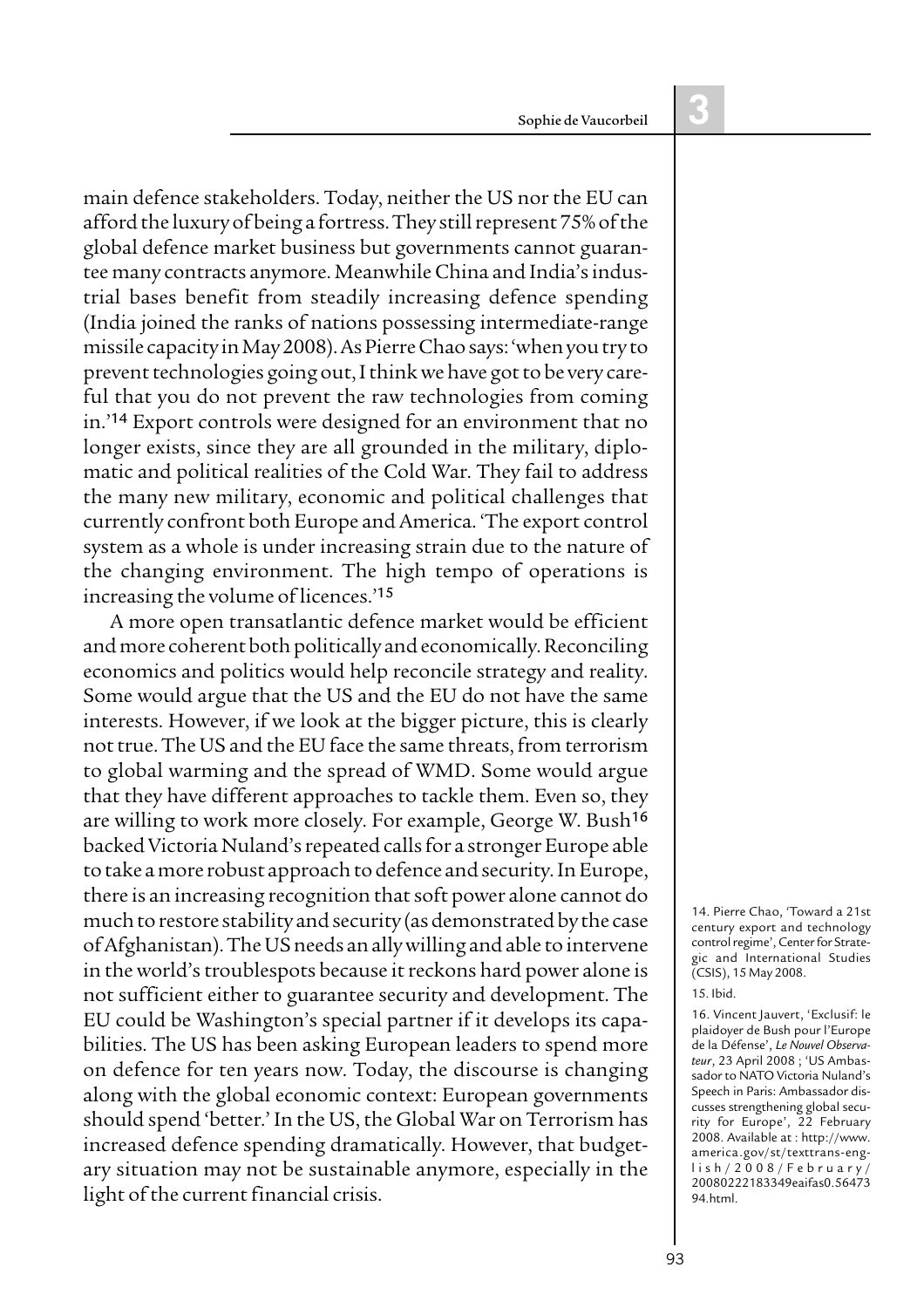main defence stakeholders. Today, neither the US nor the EU can afford the luxury of being a fortress. They still represent 75% of the global defence market business but governments cannot guarantee many contracts anymore. Meanwhile China and India's industrial bases benefit from steadily increasing defence spending (India joined the ranks of nations possessing intermediate-range missile capacity in May 2008). As Pierre Chao says: 'when you try to prevent technologies going out, I think we have got to be very careful that you do not prevent the raw technologies from coming in.'<sup>14</sup> Export controls were designed for an environment that no longer exists, since they are all grounded in the military, diplomatic and political realities of the Cold War. They fail to address the many new military, economic and political challenges that currently confront both Europe and America. 'The export control system as a whole is under increasing strain due to the nature of the changing environment. The high tempo of operations is increasing the volume of licences.'<sup>15</sup>

A more open transatlantic defence market would be efficient and more coherent both politically and economically. Reconciling economics and politics would help reconcile strategy and reality. Some would argue that the US and the EU do not have the same interests. However, if we look at the bigger picture, this is clearly not true. The US and the EU face the same threats, from terrorism to global warming and the spread of WMD. Some would argue that they have different approaches to tackle them. Even so, they are willing to work more closely. For example, George W. Bush<sup>16</sup> backed Victoria Nuland's repeated calls for a stronger Europe able to take a more robust approach to defence and security. In Europe, there is an increasing recognition that soft power alone cannot do much to restore stability and security (as demonstrated by the case of Afghanistan). The US needs an ally willing and able to intervene in the world's troublespots because it reckons hard power alone is not sufficient either to guarantee security and development. The EU could be Washington's special partner if it develops its capabilities. The US has been asking European leaders to spend more on defence for ten years now. Today, the discourse is changing along with the global economic context: European governments should spend 'better.' In the US, the Global War on Terrorism has increased defence spending dramatically. However, that budgetary situation may not be sustainable anymore, especially in the light of the current financial crisis.

14. Pierre Chao, 'Toward a 21st century export and technology control regime', Center for Strategic and International Studies (CSIS), 15 May 2008.

15. Ibid.

16. Vincent Jauvert, 'Exclusif: le plaidoyer de Bush pour l'Europe de la Défense', *Le Nouvel Observateur*, 23 April 2008 ; 'US Ambassador to NATO Victoria Nuland's Speech in Paris: Ambassador discusses strengthening global security for Europe', 22 February 2008. Available at : http://www. america.gov/st/texttrans-english/2008/February/ 20080222183349eaifas0.56473 94.html.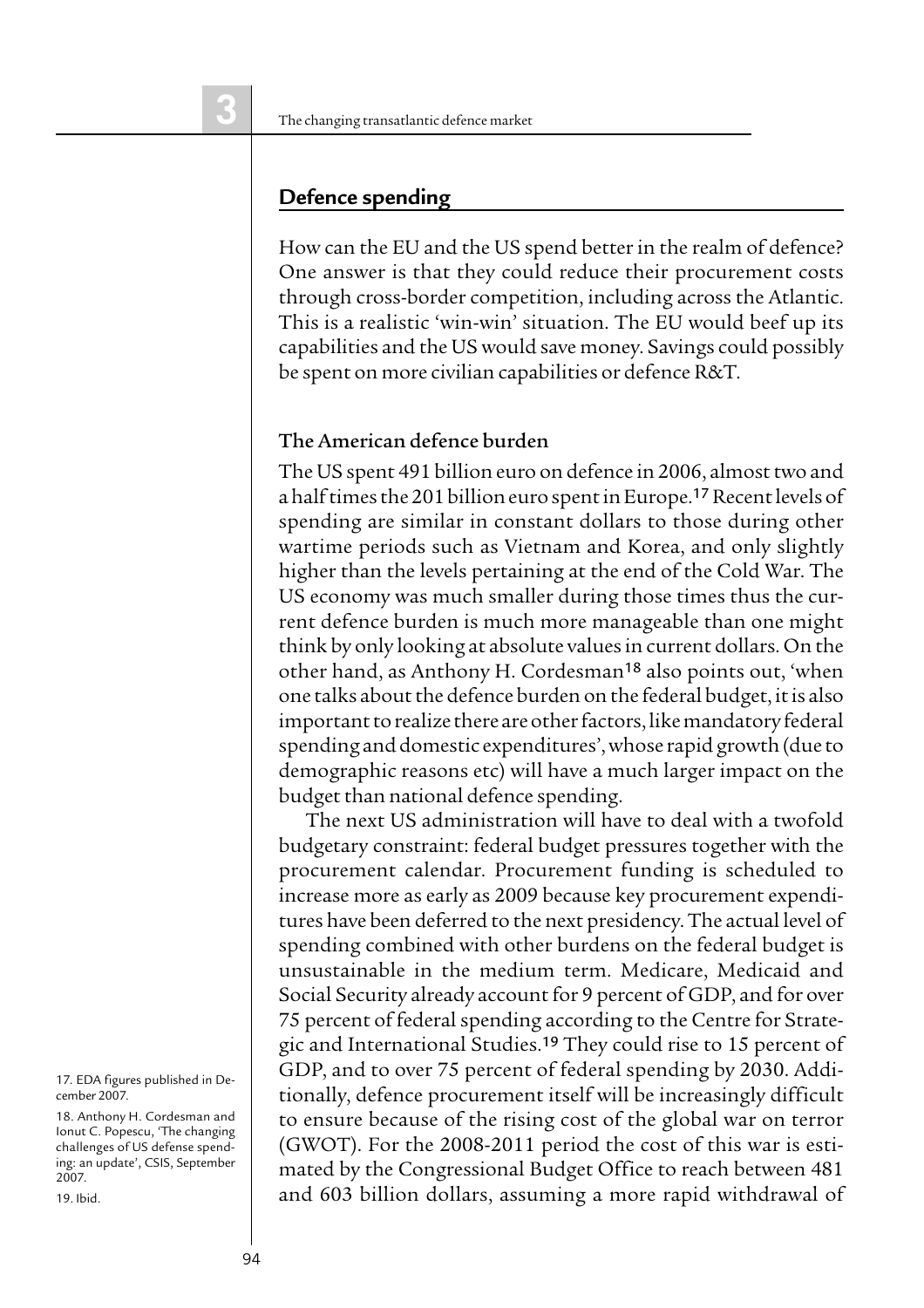#### **Defence spending**

**3**

How can the EU and the US spend better in the realm of defence? One answer is that they could reduce their procurement costs through cross-border competition, including across the Atlantic. This is a realistic 'win-win' situation. The EU would beef up its capabilities and the US would save money. Savings could possibly be spent on more civilian capabilities or defence R&T.

#### The American defence burden

The US spent 491 billion euro on defence in 2006, almost two and a half times the 201 billion euro spent in Europe.<sup>17</sup> Recent levels of spending are similar in constant dollars to those during other wartime periods such as Vietnam and Korea, and only slightly higher than the levels pertaining at the end of the Cold War. The US economy was much smaller during those times thus the current defence burden is much more manageable than one might think by only looking at absolute values in current dollars. On the other hand, as Anthony H. Cordesman<sup>18</sup> also points out, 'when one talks about the defence burden on the federal budget, it is also important to realize there are other factors, like mandatory federal spending and domestic expenditures', whose rapid growth (due to demographic reasons etc) will have a much larger impact on the budget than national defence spending.

The next US administration will have to deal with a twofold budgetary constraint: federal budget pressures together with the procurement calendar. Procurement funding is scheduled to increase more as early as 2009 because key procurement expenditures have been deferred to the next presidency. The actual level of spending combined with other burdens on the federal budget is unsustainable in the medium term. Medicare, Medicaid and Social Security already account for 9 percent of GDP, and for over 75 percent of federal spending according to the Centre for Strategic and International Studies.<sup>19</sup> They could rise to 15 percent of GDP, and to over 75 percent of federal spending by 2030. Additionally, defence procurement itself will be increasingly difficult to ensure because of the rising cost of the global war on terror (GWOT). For the 2008-2011 period the cost of this war is estimated by the Congressional Budget Office to reach between 481 and 603 billion dollars, assuming a more rapid withdrawal of

17. EDA figures published in December 2007.

18. Anthony H. Cordesman and Ionut C. Popescu, 'The changing challenges of US defense spending: an update', CSIS, September 2007.

19. Ibid.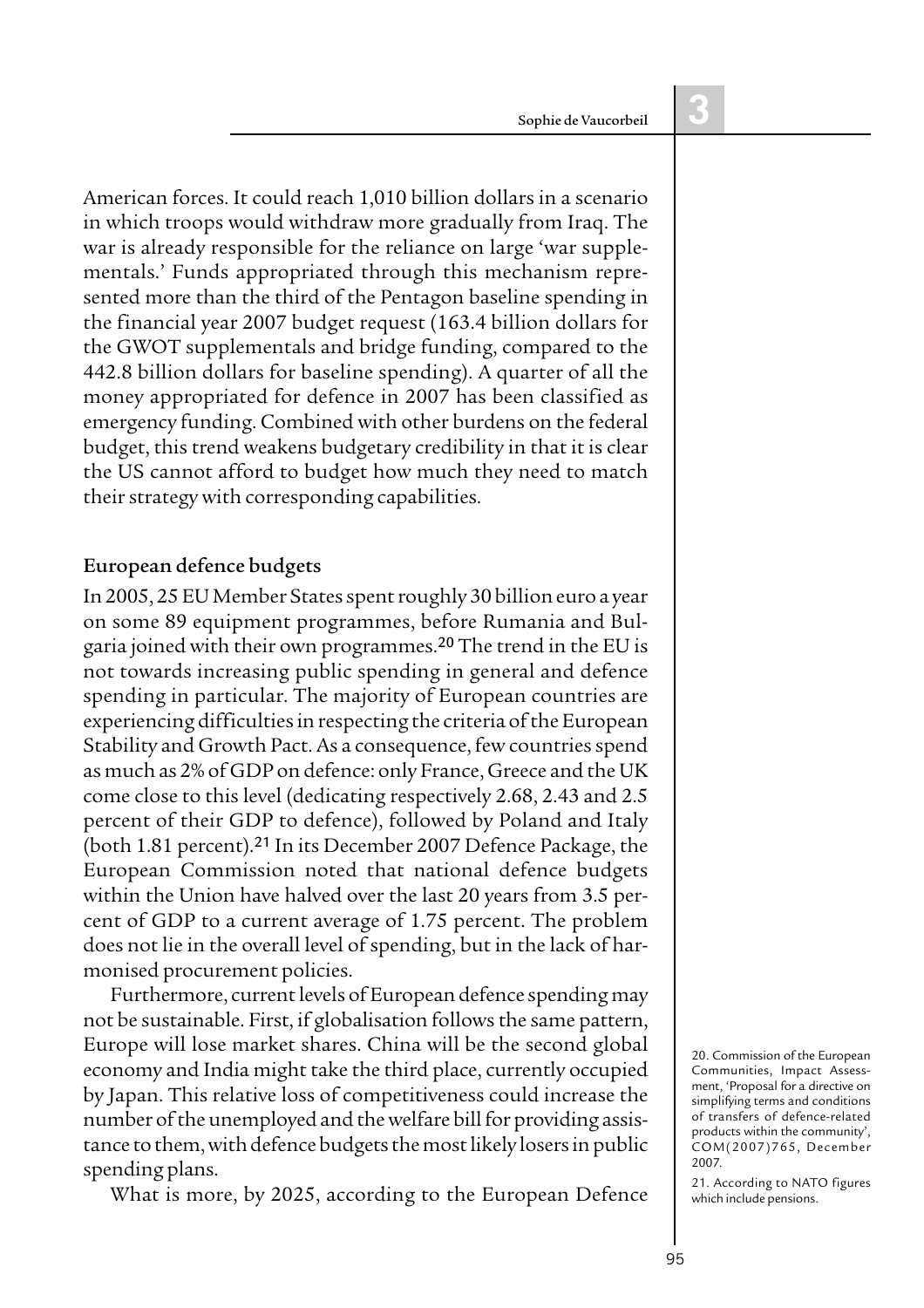American forces. It could reach 1,010 billion dollars in a scenario in which troops would withdraw more gradually from Iraq. The war is already responsible for the reliance on large 'war supplementals.' Funds appropriated through this mechanism represented more than the third of the Pentagon baseline spending in the financial year 2007 budget request (163.4 billion dollars for the GWOT supplementals and bridge funding, compared to the 442.8 billion dollars for baseline spending). A quarter of all the money appropriated for defence in 2007 has been classified as emergency funding. Combined with other burdens on the federal budget, this trend weakens budgetary credibility in that it is clear the US cannot afford to budget how much they need to match their strategy with corresponding capabilities.

# European defence budgets

In 2005, 25 EU Member States spent roughly 30 billion euro a year on some 89 equipment programmes, before Rumania and Bulgaria joined with their own programmes.<sup>20</sup> The trend in the EU is not towards increasing public spending in general and defence spending in particular. The majority of European countries are experiencing difficulties in respecting the criteria of the European Stability and Growth Pact. As a consequence, few countries spend as much as 2% of GDP on defence: only France, Greece and the UK come close to this level (dedicating respectively 2.68, 2.43 and 2.5 percent of their GDP to defence), followed by Poland and Italy (both 1.81 percent).<sup>21</sup> In its December 2007 Defence Package, the European Commission noted that national defence budgets within the Union have halved over the last 20 years from 3.5 percent of GDP to a current average of 1.75 percent. The problem does not lie in the overall level of spending, but in the lack of harmonised procurement policies.

Furthermore, current levels of European defence spending may not be sustainable. First, if globalisation follows the same pattern, Europe will lose market shares. China will be the second global economy and India might take the third place, currently occupied by Japan. This relative loss of competitiveness could increase the number of the unemployed and the welfare bill for providing assistance to them, with defence budgets the most likely losers in public spending plans.

What is more, by 2025, according to the European Defence

<sup>20.</sup> Commission of the European Communities, Impact Assessment, 'Proposal for a directive on simplifying terms and conditions of transfers of defence-related products within the community', COM(2007)765, December 2007.

<sup>21.</sup> According to NATO figures which include pensions.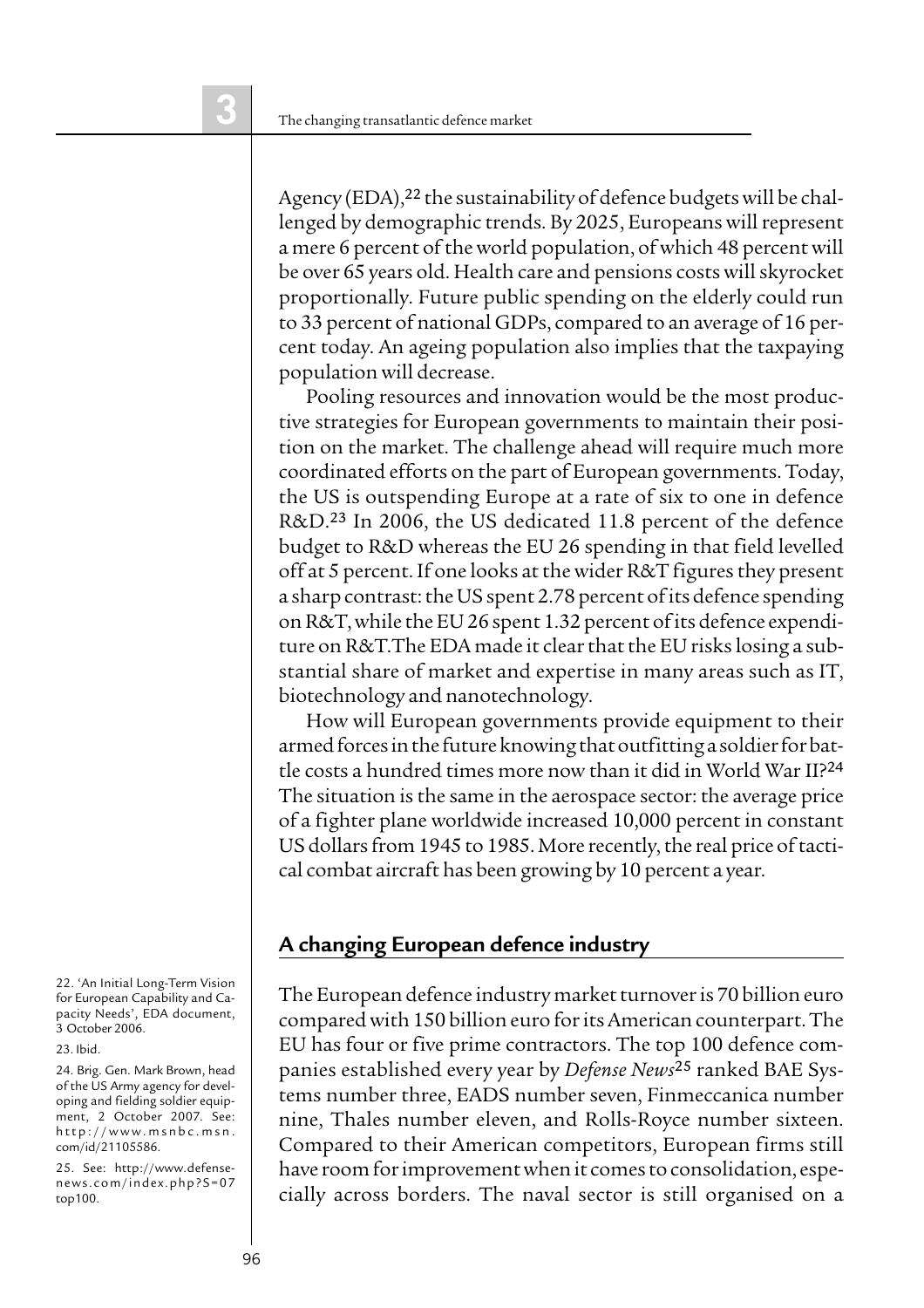Agency (EDA),<sup>22</sup> the sustainability of defence budgets will be challenged by demographic trends. By 2025, Europeans will represent a mere 6 percent of the world population, of which 48 percent will be over 65 years old. Health care and pensions costs will skyrocket proportionally. Future public spending on the elderly could run to 33 percent of national GDPs, compared to an average of 16 percent today. An ageing population also implies that the taxpaying population will decrease.

Pooling resources and innovation would be the most productive strategies for European governments to maintain their position on the market. The challenge ahead will require much more coordinated efforts on the part of European governments. Today, the US is outspending Europe at a rate of six to one in defence R&D.<sup>23</sup> In 2006, the US dedicated 11.8 percent of the defence budget to R&D whereas the EU 26 spending in that field levelled off at 5 percent. If one looks at the wider R&T figures they present a sharp contrast: the US spent 2.78 percent of its defence spending on R&T, while the EU 26 spent 1.32 percent of its defence expenditure on R&T.The EDA made it clear that the EU risks losing a substantial share of market and expertise in many areas such as IT, biotechnology and nanotechnology.

How will European governments provide equipment to their armed forces in the future knowing that outfitting a soldier for battle costs a hundred times more now than it did in World War II?<sup>24</sup> The situation is the same in the aerospace sector: the average price of a fighter plane worldwide increased 10,000 percent in constant US dollars from 1945 to 1985. More recently, the real price of tactical combat aircraft has been growing by 10 percent a year.

# **A changing European defence industry**

The European defence industry market turnover is 70 billion euro compared with 150 billion euro for its American counterpart. The EU has four or five prime contractors. The top 100 defence companies established every year by *Defense News*<sup>25</sup> ranked BAE Systems number three, EADS number seven, Finmeccanica number nine, Thales number eleven, and Rolls-Royce number sixteen. Compared to their American competitors, European firms still have room for improvement when it comes to consolidation, especially across borders. The naval sector is still organised on a

22. 'An Initial Long-Term Vision for European Capability and Capacity Needs', EDA document, 3 October 2006.

23. Ibid.

24. Brig. Gen. Mark Brown, head of the US Army agency for developing and fielding soldier equipment, 2 October 2007. See: http://www.msnbc.msn. com/id/21105586.

25. See: http://www.defensenews.com/index.php?S=07 top100.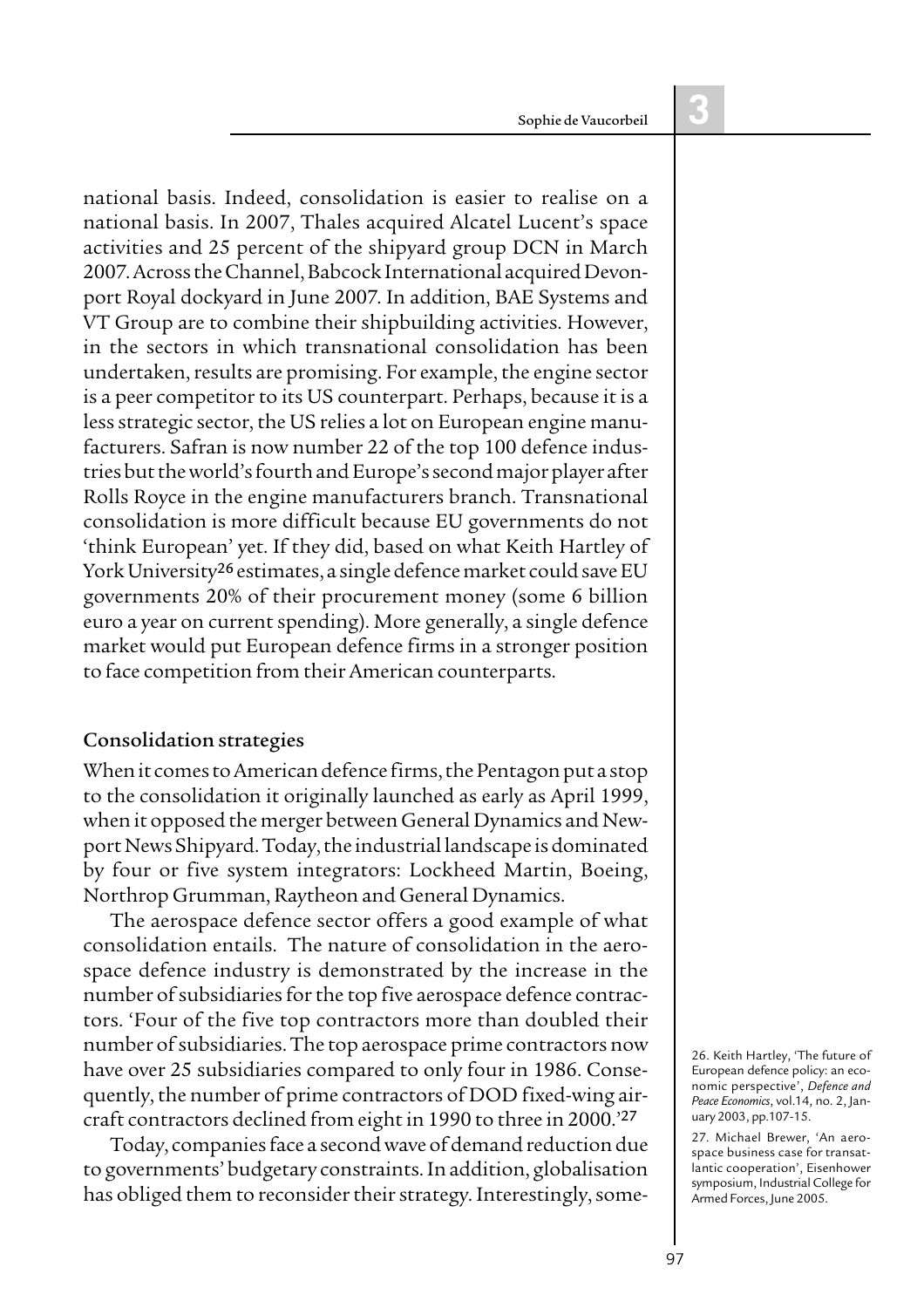national basis. Indeed, consolidation is easier to realise on a national basis. In 2007, Thales acquired Alcatel Lucent's space activities and 25 percent of the shipyard group DCN in March 2007. Across the Channel, Babcock International acquired Devonport Royal dockyard in June 2007. In addition, BAE Systems and VT Group are to combine their shipbuilding activities. However, in the sectors in which transnational consolidation has been undertaken, results are promising. For example, the engine sector is a peer competitor to its US counterpart. Perhaps, because it is a less strategic sector, the US relies a lot on European engine manufacturers. Safran is now number 22 of the top 100 defence industries but the world's fourth and Europe's second major player after Rolls Royce in the engine manufacturers branch. Transnational consolidation is more difficult because EU governments do not 'think European' yet. If they did, based on what Keith Hartley of York University<sup>26</sup> estimates, a single defence market could save EU governments 20% of their procurement money (some 6 billion euro a year on current spending). More generally, a single defence market would put European defence firms in a stronger position to face competition from their American counterparts.

#### Consolidation strategies

When it comes to American defence firms, the Pentagon put a stop to the consolidation it originally launched as early as April 1999, when it opposed the merger between General Dynamics and Newport News Shipyard. Today, the industrial landscape is dominated by four or five system integrators: Lockheed Martin, Boeing, Northrop Grumman, Raytheon and General Dynamics.

The aerospace defence sector offers a good example of what consolidation entails. The nature of consolidation in the aerospace defence industry is demonstrated by the increase in the number of subsidiaries for the top five aerospace defence contractors. 'Four of the five top contractors more than doubled their number of subsidiaries. The top aerospace prime contractors now have over 25 subsidiaries compared to only four in 1986. Consequently, the number of prime contractors of DOD fixed-wing aircraft contractors declined from eight in 1990 to three in 2000.'<sup>27</sup>

Today, companies face a second wave of demand reduction due to governments' budgetary constraints. In addition, globalisation has obliged them to reconsider their strategy. Interestingly, some-

<sup>26.</sup> Keith Hartley, 'The future of European defence policy: an economic perspective', *Defence and Peace Economics*, vol.14, no. 2, January 2003, pp.107-15.

<sup>27.</sup> Michael Brewer, 'An aerospace business case for transatlantic cooperation', Eisenhower symposium, Industrial College for Armed Forces, June 2005.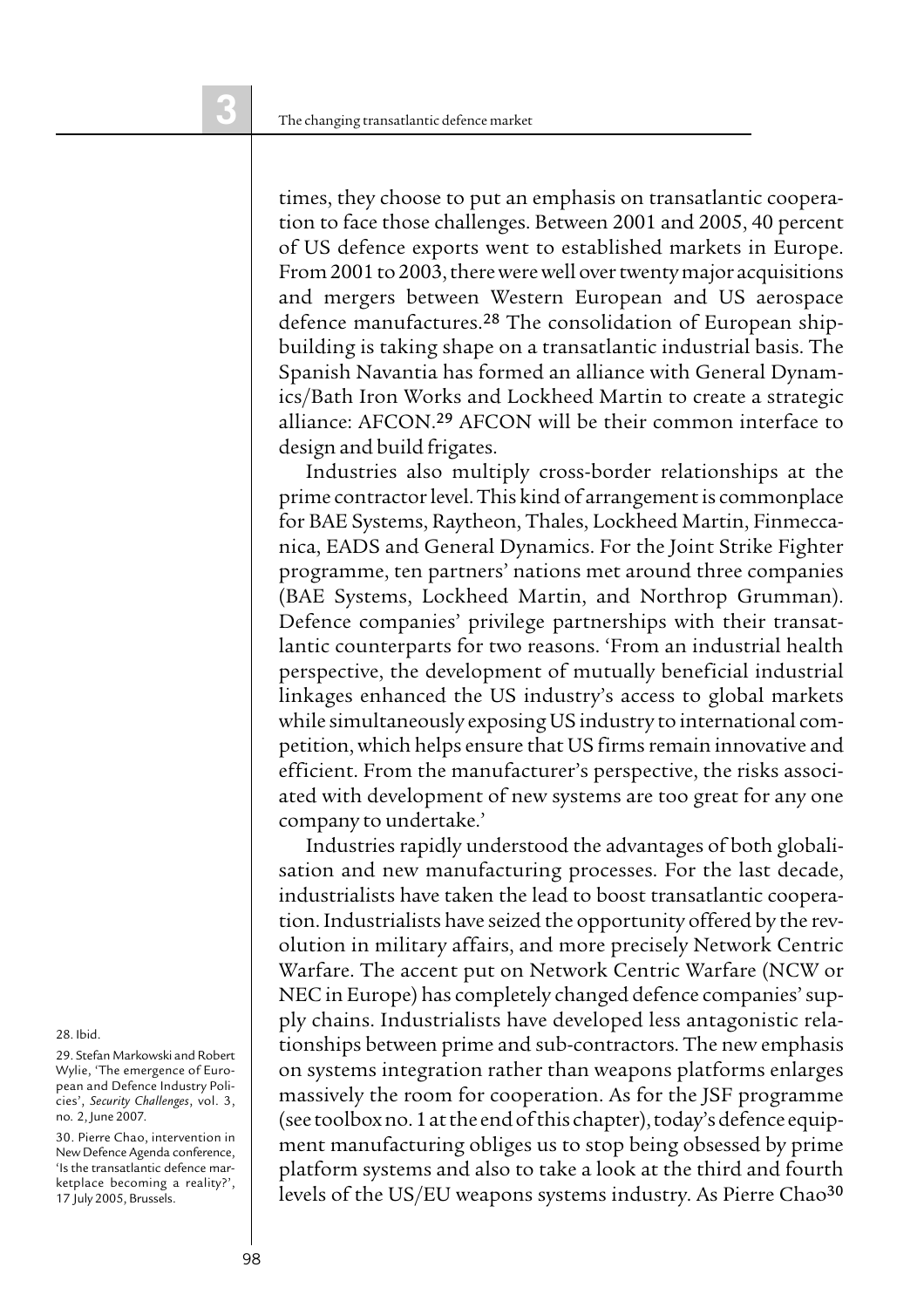times, they choose to put an emphasis on transatlantic cooperation to face those challenges. Between 2001 and 2005, 40 percent of US defence exports went to established markets in Europe. From 2001 to 2003, there were well over twenty major acquisitions and mergers between Western European and US aerospace defence manufactures.<sup>28</sup> The consolidation of European shipbuilding is taking shape on a transatlantic industrial basis. The Spanish Navantia has formed an alliance with General Dynamics/Bath Iron Works and Lockheed Martin to create a strategic alliance: AFCON.<sup>29</sup> AFCON will be their common interface to design and build frigates.

Industries also multiply cross-border relationships at the prime contractor level. This kind of arrangement is commonplace for BAE Systems, Raytheon, Thales, Lockheed Martin, Finmeccanica, EADS and General Dynamics. For the Joint Strike Fighter programme, ten partners' nations met around three companies (BAE Systems, Lockheed Martin, and Northrop Grumman). Defence companies' privilege partnerships with their transatlantic counterparts for two reasons. 'From an industrial health perspective, the development of mutually beneficial industrial linkages enhanced the US industry's access to global markets while simultaneously exposing US industry to international competition, which helps ensure that US firms remain innovative and efficient. From the manufacturer's perspective, the risks associated with development of new systems are too great for any one company to undertake.'

Industries rapidly understood the advantages of both globalisation and new manufacturing processes. For the last decade, industrialists have taken the lead to boost transatlantic cooperation. Industrialists have seized the opportunity offered by the revolution in military affairs, and more precisely Network Centric Warfare. The accent put on Network Centric Warfare (NCW or NEC in Europe) has completely changed defence companies' supply chains. Industrialists have developed less antagonistic relationships between prime and sub-contractors. The new emphasis on systems integration rather than weapons platforms enlarges massively the room for cooperation. As for the JSF programme (see toolbox no. 1 at the end of this chapter), today's defence equipment manufacturing obliges us to stop being obsessed by prime platform systems and also to take a look at the third and fourth levels of the US/EU weapons systems industry. As Pierre Chao<sup>30</sup>

28. Ibid.

29. Stefan Markowski and Robert Wylie, 'The emergence of European and Defence Industry Policies', *Security Challenges*, vol. 3, no. 2, June 2007.

30. Pierre Chao, intervention in New Defence Agenda conference, 'Is the transatlantic defence marketplace becoming a reality?', 17 July 2005, Brussels.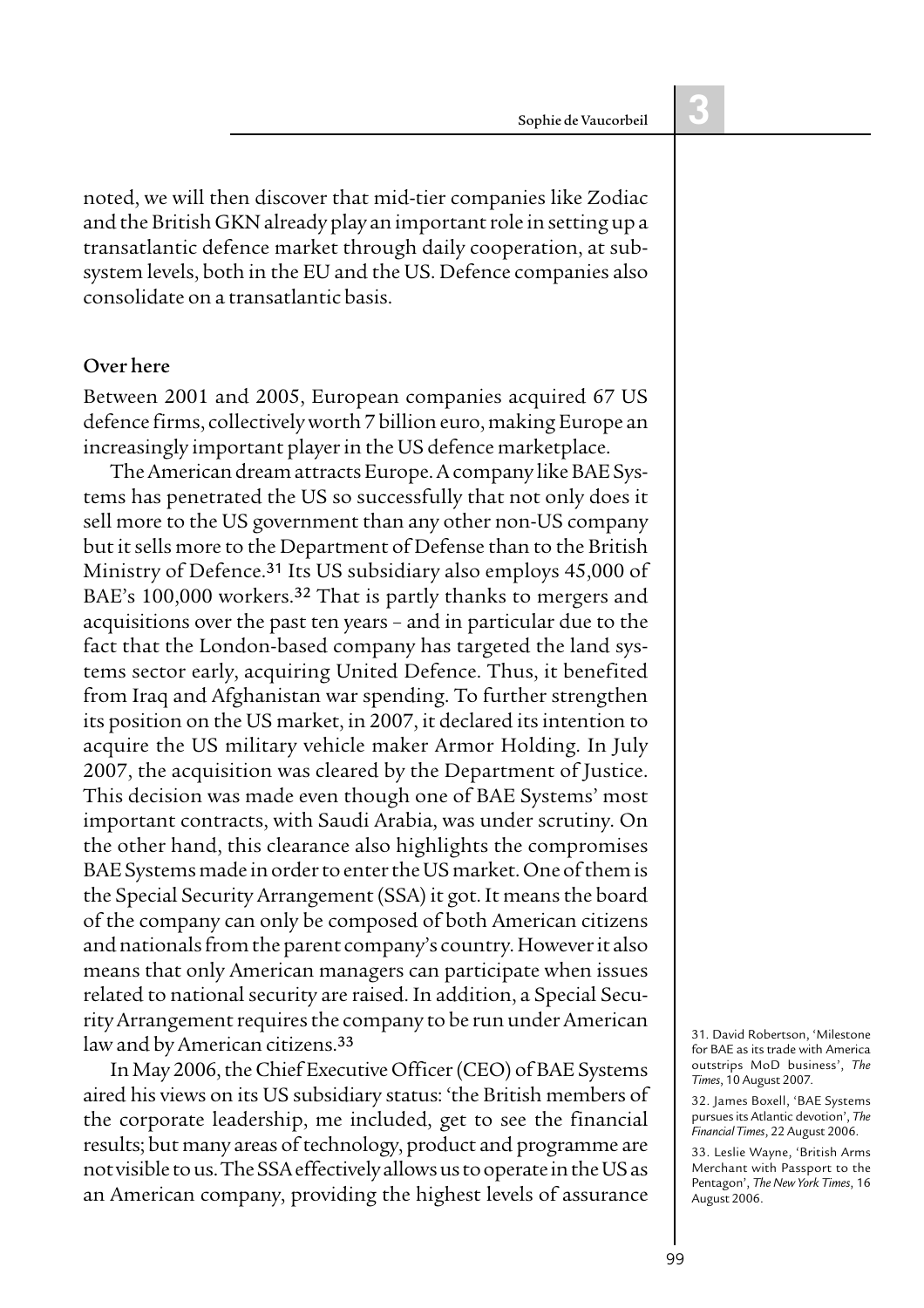noted, we will then discover that mid-tier companies like Zodiac and the British GKN already play an important role in setting up a transatlantic defence market through daily cooperation, at subsystem levels, both in the EU and the US. Defence companies also consolidate on a transatlantic basis.

#### Over here

Between 2001 and 2005, European companies acquired 67 US defence firms, collectively worth 7 billion euro, making Europe an increasingly important player in the US defence marketplace.

The American dream attracts Europe. A company like BAE Systems has penetrated the US so successfully that not only does it sell more to the US government than any other non-US company but it sells more to the Department of Defense than to the British Ministry of Defence.<sup>31</sup> Its US subsidiary also employs 45,000 of BAE's 100,000 workers.<sup>32</sup> That is partly thanks to mergers and acquisitions over the past ten years – and in particular due to the fact that the London-based company has targeted the land systems sector early, acquiring United Defence. Thus, it benefited from Iraq and Afghanistan war spending. To further strengthen its position on the US market, in 2007, it declared its intention to acquire the US military vehicle maker Armor Holding. In July 2007, the acquisition was cleared by the Department of Justice. This decision was made even though one of BAE Systems' most important contracts, with Saudi Arabia, was under scrutiny. On the other hand, this clearance also highlights the compromises BAE Systems made in order to enter the US market. One of them is the Special Security Arrangement (SSA) it got. It means the board of the company can only be composed of both American citizens and nationals from the parent company's country. However it also means that only American managers can participate when issues related to national security are raised. In addition, a Special Security Arrangement requires the company to be run under American law and by American citizens.<sup>33</sup>

In May 2006, the Chief Executive Officer (CEO) of BAE Systems aired his views on its US subsidiary status: 'the British members of the corporate leadership, me included, get to see the financial results; but many areas of technology, product and programme are not visible to us. The SSA effectively allows us to operate in the US as an American company, providing the highest levels of assurance

<sup>31.</sup> David Robertson, 'Milestone for BAE as its trade with America outstrips MoD business', *The Times*, 10 August 2007.

<sup>32.</sup> James Boxell, 'BAE Systems pursues its Atlantic devotion', *The Financial Times*, 22 August 2006.

<sup>33.</sup> Leslie Wayne, 'British Arms Merchant with Passport to the Pentagon', *The New York Times*, 16 August 2006.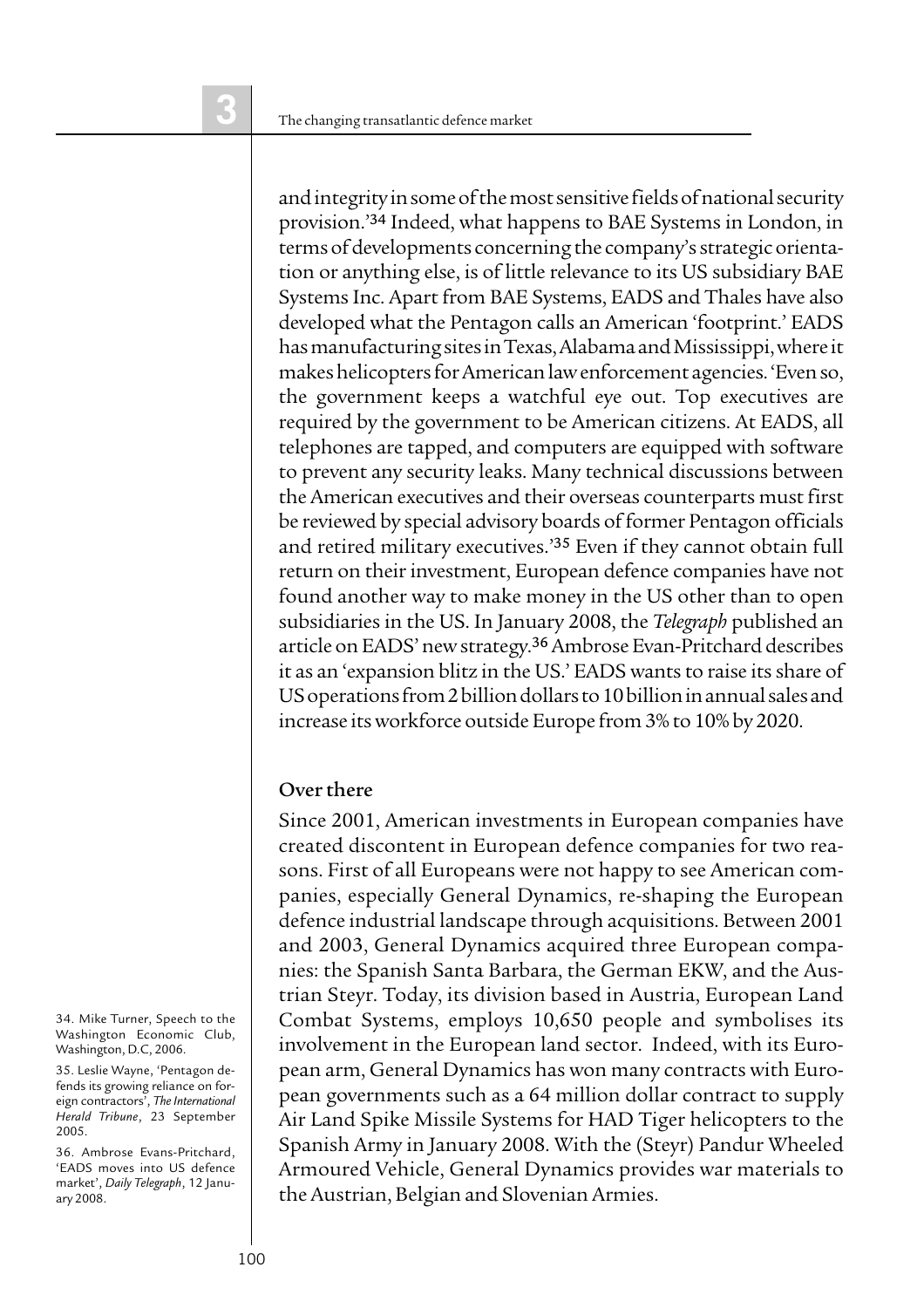and integrity in some of the most sensitive fields of national security provision.'<sup>34</sup> Indeed, what happens to BAE Systems in London, in terms of developments concerning the company's strategic orientation or anything else, is of little relevance to its US subsidiary BAE Systems Inc. Apart from BAE Systems, EADS and Thales have also developed what the Pentagon calls an American 'footprint.' EADS has manufacturing sites in Texas, Alabama and Mississippi, where it makes helicopters for American law enforcement agencies. 'Even so, the government keeps a watchful eye out. Top executives are required by the government to be American citizens. At EADS, all telephones are tapped, and computers are equipped with software to prevent any security leaks. Many technical discussions between the American executives and their overseas counterparts must first be reviewed by special advisory boards of former Pentagon officials and retired military executives.'<sup>35</sup> Even if they cannot obtain full return on their investment, European defence companies have not found another way to make money in the US other than to open subsidiaries in the US. In January 2008, the *Telegraph* published an article on EADS' new strategy.36Ambrose Evan-Pritchard describes it as an 'expansion blitz in the US.' EADS wants to raise its share of US operations from 2 billion dollars to 10 billion in annual sales and increase its workforce outside Europe from 3% to 10% by 2020.

#### Over there

Since 2001, American investments in European companies have created discontent in European defence companies for two reasons. First of all Europeans were not happy to see American companies, especially General Dynamics, re-shaping the European defence industrial landscape through acquisitions. Between 2001 and 2003, General Dynamics acquired three European companies: the Spanish Santa Barbara, the German EKW, and the Austrian Steyr. Today, its division based in Austria, European Land Combat Systems, employs 10,650 people and symbolises its involvement in the European land sector. Indeed, with its European arm, General Dynamics has won many contracts with European governments such as a 64 million dollar contract to supply Air Land Spike Missile Systems for HAD Tiger helicopters to the Spanish Army in January 2008. With the (Steyr) Pandur Wheeled Armoured Vehicle, General Dynamics provides war materials to the Austrian, Belgian and Slovenian Armies.

34. Mike Turner, Speech to the Washington Economic Club, Washington, D.C, 2006.

35. Leslie Wayne, 'Pentagon defends its growing reliance on foreign contractors', *The International Herald Tribune*, 23 September 2005.

36. Ambrose Evans-Pritchard, 'EADS moves into US defence market', *Daily Telegraph*, 12 January 2008.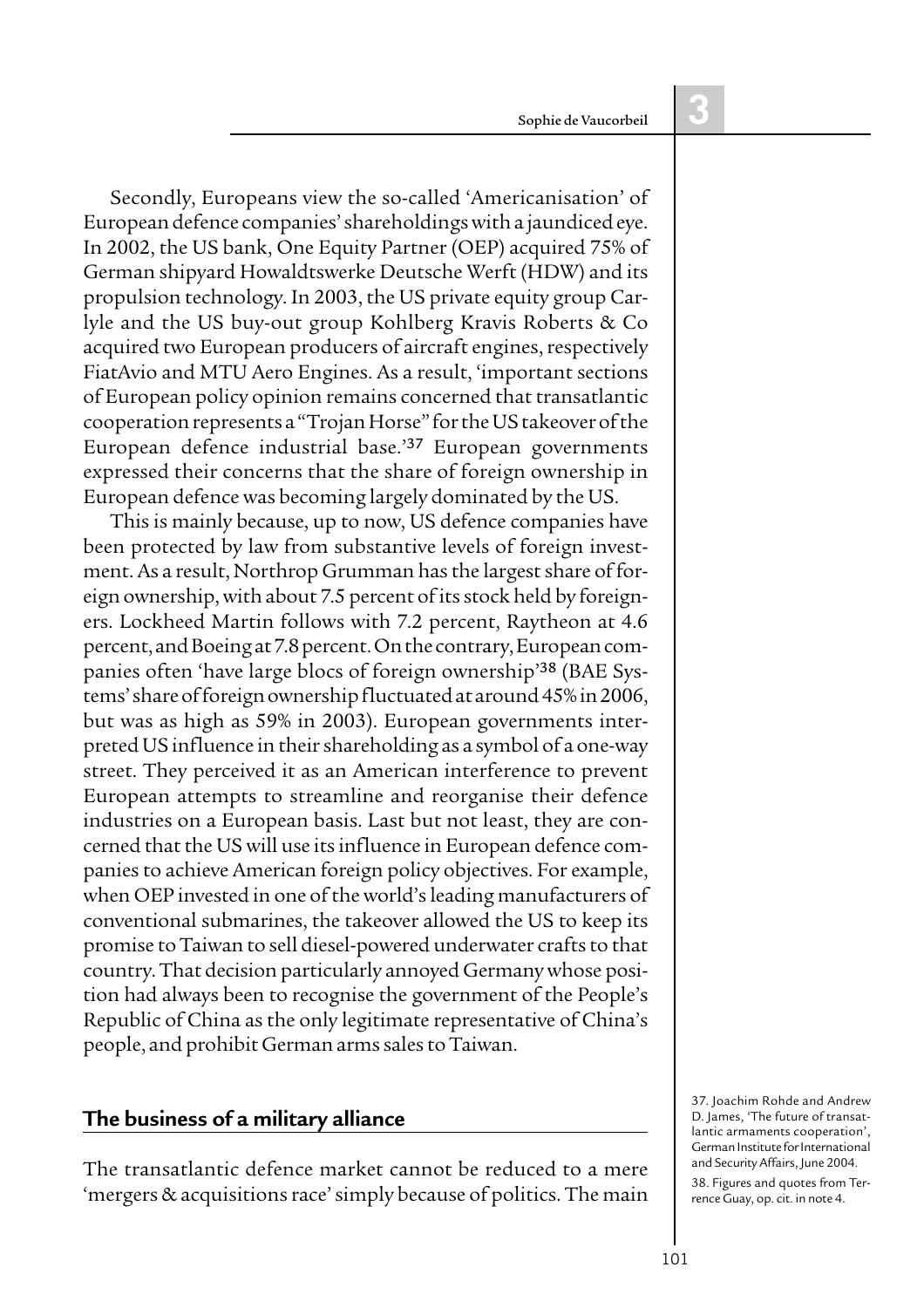Secondly, Europeans view the so-called 'Americanisation' of European defence companies' shareholdings with a jaundiced eye. In 2002, the US bank, One Equity Partner (OEP) acquired 75% of German shipyard Howaldtswerke Deutsche Werft (HDW) and its propulsion technology. In 2003, the US private equity group Carlyle and the US buy-out group Kohlberg Kravis Roberts & Co acquired two European producers of aircraft engines, respectively FiatAvio and MTU Aero Engines. As a result, 'important sections of European policy opinion remains concerned that transatlantic cooperation represents a "Trojan Horse" for the US takeover of the European defence industrial base.'<sup>37</sup> European governments expressed their concerns that the share of foreign ownership in European defence was becoming largely dominated by the US.

This is mainly because, up to now, US defence companies have been protected by law from substantive levels of foreign investment. As a result, Northrop Grumman has the largest share of foreign ownership, with about 7.5 percent of its stock held by foreigners. Lockheed Martin follows with 7.2 percent, Raytheon at 4.6 percent, and Boeing at 7.8 percent. On the contrary, European companies often 'have large blocs of foreign ownership'<sup>38</sup> (BAE Systems' share of foreign ownership fluctuated at around 45% in 2006, but was as high as 59% in 2003). European governments interpreted US influence in their shareholding as a symbol of a one-way street. They perceived it as an American interference to prevent European attempts to streamline and reorganise their defence industries on a European basis. Last but not least, they are concerned that the US will use its influence in European defence companies to achieve American foreign policy objectives. For example, when OEP invested in one of the world's leading manufacturers of conventional submarines, the takeover allowed the US to keep its promise to Taiwan to sell diesel-powered underwater crafts to that country. That decision particularly annoyed Germany whose position had always been to recognise the government of the People's Republic of China as the only legitimate representative of China's people, and prohibit German arms sales to Taiwan.

#### **The business of a military alliance**

The transatlantic defence market cannot be reduced to a mere 'mergers & acquisitions race' simply because of politics. The main

38. Figures and quotes from Terrence Guay, op. cit. in note 4.

<sup>37.</sup> Joachim Rohde and Andrew D. James, 'The future of transatlantic armaments cooperation', German Institute for International and Security Affairs, June 2004.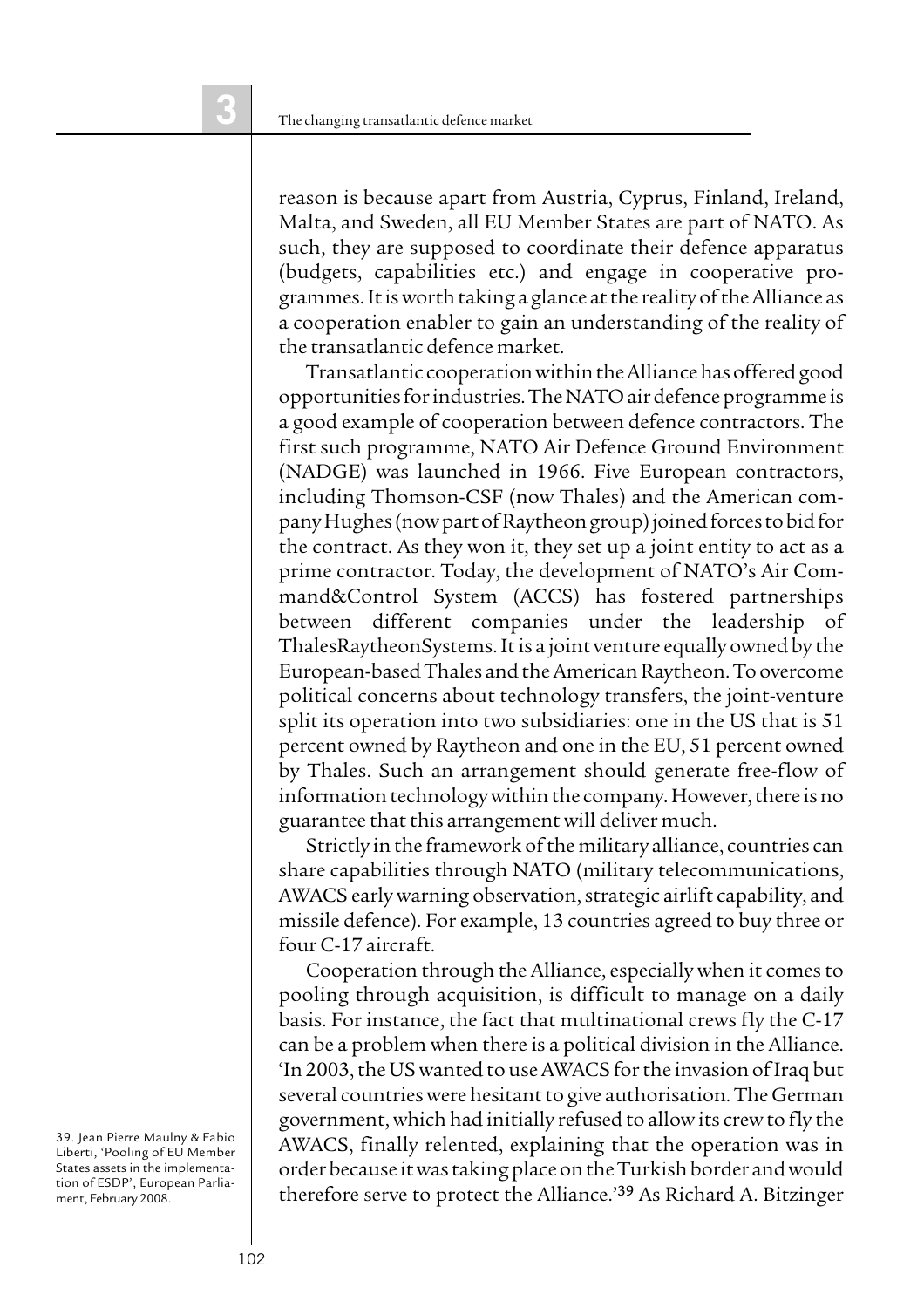reason is because apart from Austria, Cyprus, Finland, Ireland, Malta, and Sweden, all EU Member States are part of NATO. As such, they are supposed to coordinate their defence apparatus (budgets, capabilities etc.) and engage in cooperative programmes. It is worth taking a glance at the reality of the Alliance as a cooperation enabler to gain an understanding of the reality of the transatlantic defence market.

Transatlantic cooperation within the Alliance has offered good opportunities for industries. The NATO air defence programme is a good example of cooperation between defence contractors. The first such programme, NATO Air Defence Ground Environment (NADGE) was launched in 1966. Five European contractors, including Thomson-CSF (now Thales) and the American company Hughes (now part of Raytheon group) joined forces to bid for the contract. As they won it, they set up a joint entity to act as a prime contractor. Today, the development of NATO's Air Command&Control System (ACCS) has fostered partnerships between different companies under the leadership of ThalesRaytheonSystems. It is a joint venture equally owned by the European-based Thales and the American Raytheon. To overcome political concerns about technology transfers, the joint-venture split its operation into two subsidiaries: one in the US that is 51 percent owned by Raytheon and one in the EU, 51 percent owned by Thales. Such an arrangement should generate free-flow of information technology within the company. However, there is no guarantee that this arrangement will deliver much.

Strictly in the framework of the military alliance, countries can share capabilities through NATO (military telecommunications, AWACS early warning observation, strategic airlift capability, and missile defence). For example, 13 countries agreed to buy three or four C-17 aircraft.

Cooperation through the Alliance, especially when it comes to pooling through acquisition, is difficult to manage on a daily basis. For instance, the fact that multinational crews fly the C-17 can be a problem when there is a political division in the Alliance. 'In 2003, the US wanted to use AWACS for the invasion of Iraq but several countries were hesitant to give authorisation. The German government, which had initially refused to allow its crew to fly the AWACS, finally relented, explaining that the operation was in order because it was taking place on the Turkish border and would therefore serve to protect the Alliance.'<sup>39</sup> As Richard A. Bitzinger

<sup>39.</sup> Jean Pierre Maulny & Fabio Liberti, 'Pooling of EU Member States assets in the implementation of ESDP', European Parliament, February 2008.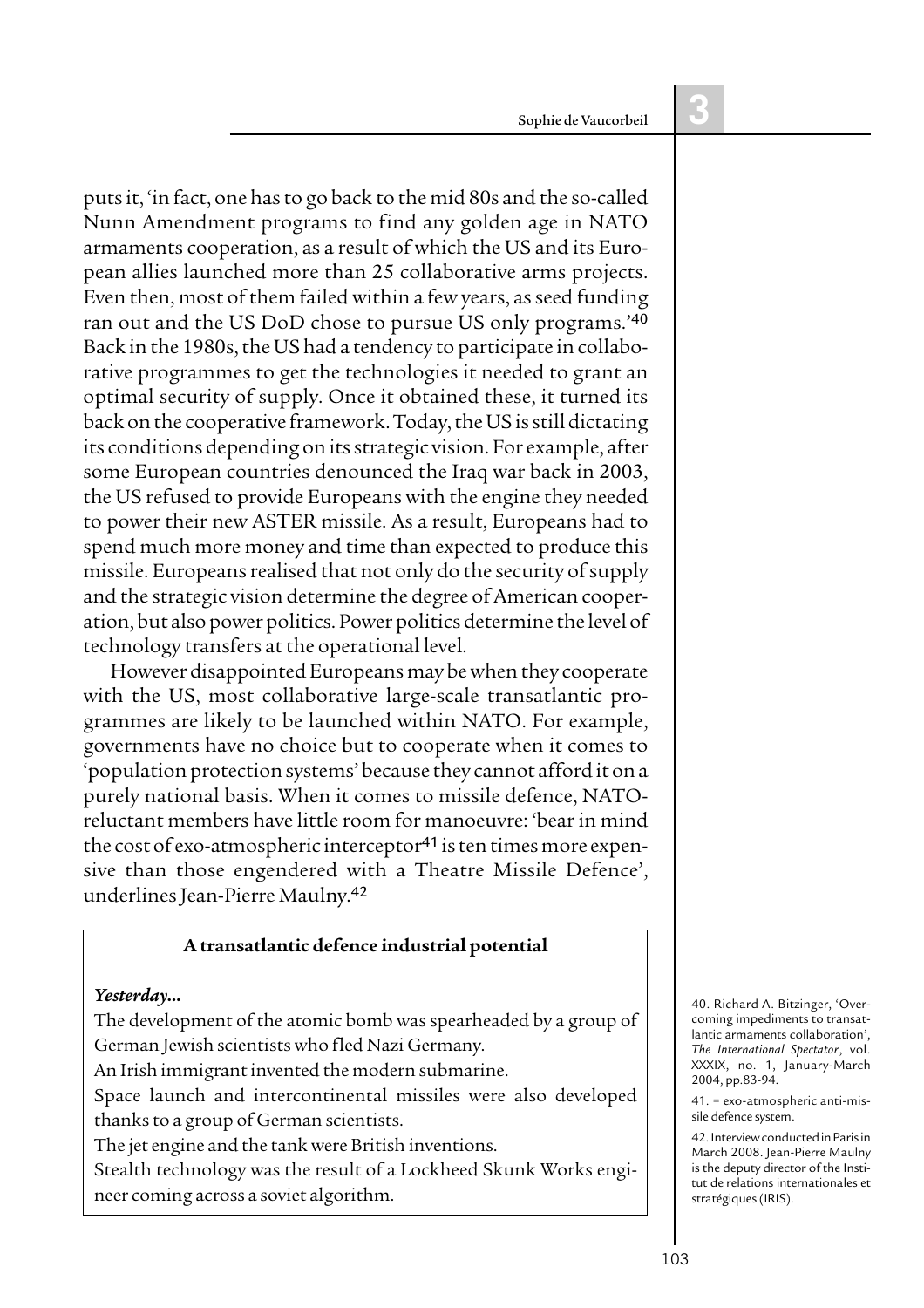puts it, 'in fact, one has to go back to the mid 80s and the so-called Nunn Amendment programs to find any golden age in NATO armaments cooperation, as a result of which the US and its European allies launched more than 25 collaborative arms projects. Even then, most of them failed within a few years, as seed funding ran out and the US DoD chose to pursue US only programs.'<sup>40</sup> Back in the 1980s, the US had a tendency to participate in collaborative programmes to get the technologies it needed to grant an optimal security of supply. Once it obtained these, it turned its back on the cooperative framework. Today, the US is still dictating its conditions depending on its strategic vision. For example, after some European countries denounced the Iraq war back in 2003, the US refused to provide Europeans with the engine they needed to power their new ASTER missile. As a result, Europeans had to spend much more money and time than expected to produce this missile. Europeans realised that not only do the security of supply and the strategic vision determine the degree of American cooperation, but also power politics. Power politics determine the level of technology transfers at the operational level.

However disappointed Europeans may be when they cooperate with the US, most collaborative large-scale transatlantic programmes are likely to be launched within NATO. For example, governments have no choice but to cooperate when it comes to 'population protection systems' because they cannot afford it on a purely national basis. When it comes to missile defence, NATOreluctant members have little room for manoeuvre: 'bear in mind the cost of exo-atmospheric interceptor<sup>41</sup> is ten times more expensive than those engendered with a Theatre Missile Defence', underlines Jean-Pierre Maulny.<sup>42</sup>

#### **A transatlantic defence industrial potential**

#### *Yesterday…*

The development of the atomic bomb was spearheaded by a group of German Jewish scientists who fled Nazi Germany.

An Irish immigrant invented the modern submarine.

Space launch and intercontinental missiles were also developed thanks to a group of German scientists.

The jet engine and the tank were British inventions.

Stealth technology was the result of a Lockheed Skunk Works engineer coming across a soviet algorithm.

40. Richard A. Bitzinger, 'Overcoming impediments to transatlantic armaments collaboration', *The International Spectator*, vol. XXXIX, no. 1, January-March 2004, pp.83-94.

41. = exo-atmospheric anti-missile defence system.

42. Interview conducted in Paris in March 2008. Jean-Pierre Maulny is the deputy director of the Institut de relations internationales et stratégiques (IRIS).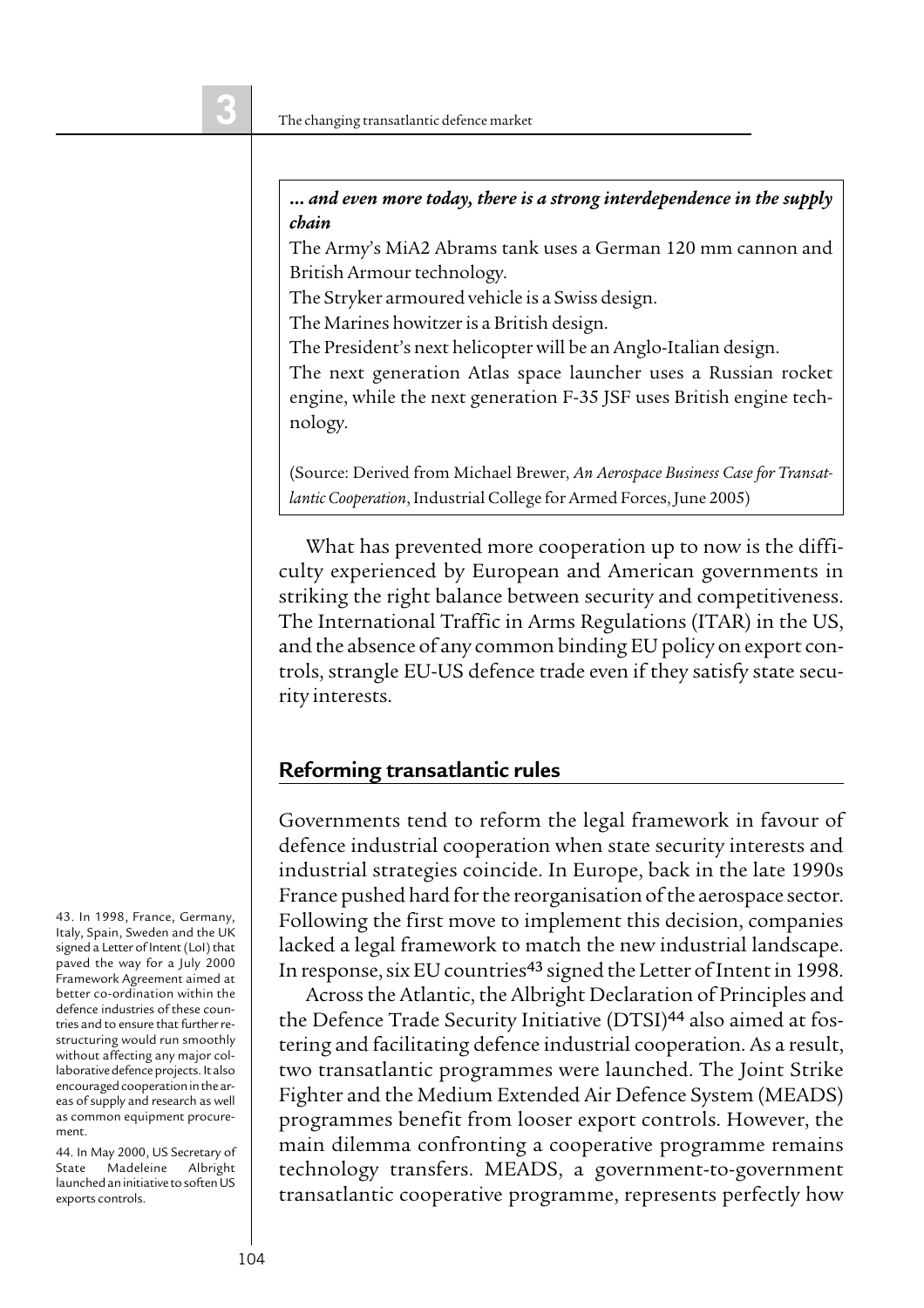**…** *and even more today, there is a strong interdependence in the supply chain*

The Army's MiA2 Abrams tank uses a German 120 mm cannon and British Armour technology.

The Stryker armoured vehicle is a Swiss design.

The Marines howitzer is a British design.

The President's next helicopter will be an Anglo-Italian design.

The next generation Atlas space launcher uses a Russian rocket engine, while the next generation F-35 JSF uses British engine technology.

(Source: Derived from Michael Brewer, *An Aerospace Business Case for Transatlantic Cooperation*, Industrial College for Armed Forces, June 2005)

What has prevented more cooperation up to now is the difficulty experienced by European and American governments in striking the right balance between security and competitiveness. The International Traffic in Arms Regulations (ITAR) in the US, and the absence of any common binding EU policy on export controls, strangle EU-US defence trade even if they satisfy state security interests.

# **Reforming transatlantic rules**

Governments tend to reform the legal framework in favour of defence industrial cooperation when state security interests and industrial strategies coincide. In Europe, back in the late 1990s France pushed hard for the reorganisation of the aerospace sector. Following the first move to implement this decision, companies lacked a legal framework to match the new industrial landscape. In response, six EU countries<sup>43</sup> signed the Letter of Intent in 1998.

Across the Atlantic, the Albright Declaration of Principles and the Defence Trade Security Initiative (DTSI)<sup>44</sup> also aimed at fostering and facilitating defence industrial cooperation. As a result, two transatlantic programmes were launched. The Joint Strike Fighter and the Medium Extended Air Defence System (MEADS) programmes benefit from looser export controls. However, the main dilemma confronting a cooperative programme remains technology transfers. MEADS, a government-to-government transatlantic cooperative programme, represents perfectly how

43. In 1998, France, Germany, Italy, Spain, Sweden and the UK signed a Letter of Intent (LoI) that paved the way for a July 2000 Framework Agreement aimed at better co-ordination within the defence industries of these countries and to ensure that further restructuring would run smoothly without affecting any major collaborative defence projects. It also encouraged cooperation in the areas of supply and research as well as common equipment procurement.

44. In May 2000, US Secretary of State Madeleine Albright launched an initiative to soften US exports controls.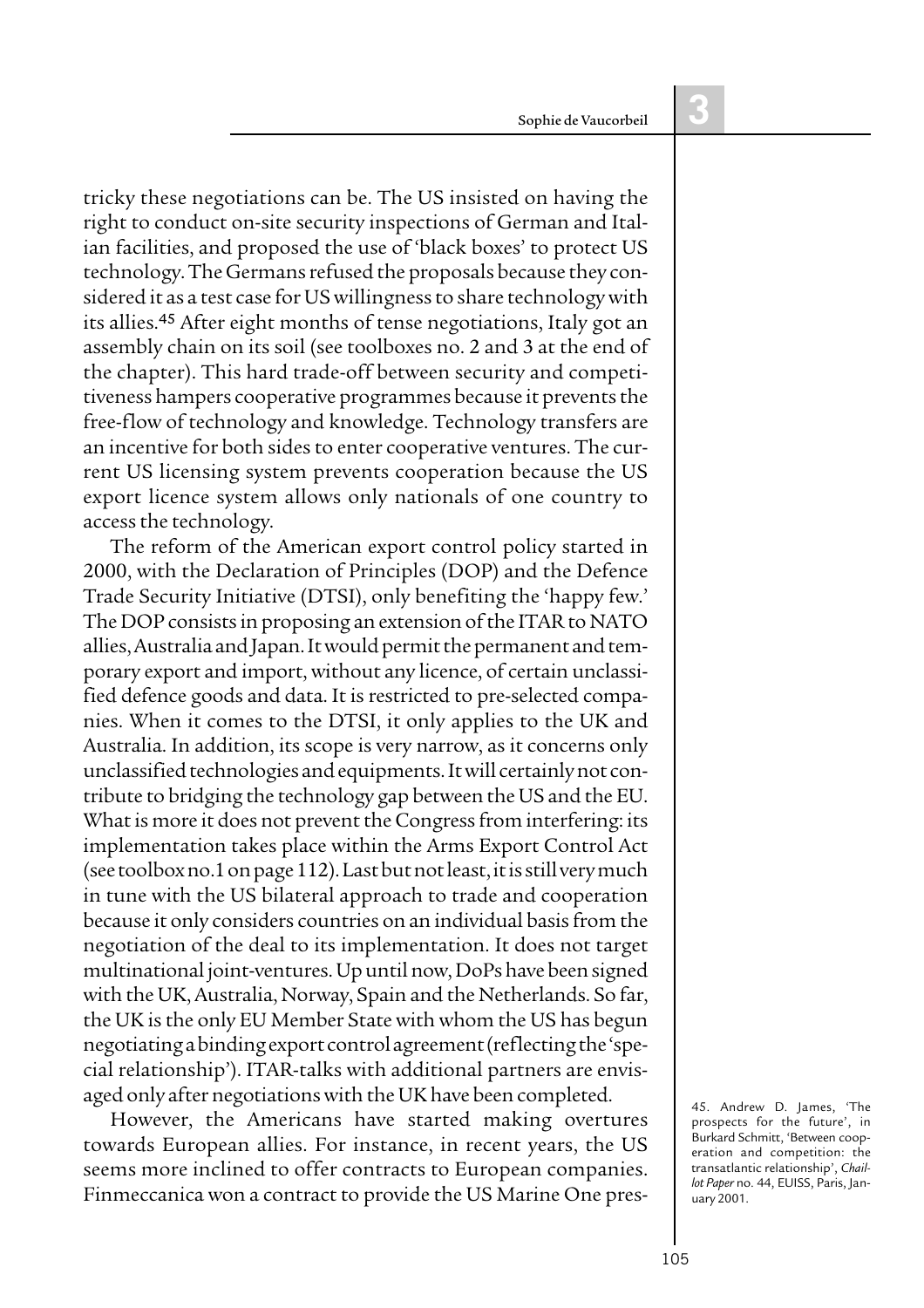tricky these negotiations can be. The US insisted on having the right to conduct on-site security inspections of German and Italian facilities, and proposed the use of 'black boxes' to protect US technology. The Germans refused the proposals because they considered it as a test case for US willingness to share technology with its allies.<sup>45</sup> After eight months of tense negotiations, Italy got an assembly chain on its soil (see toolboxes no. 2 and 3 at the end of the chapter). This hard trade-off between security and competitiveness hampers cooperative programmes because it prevents the free-flow of technology and knowledge. Technology transfers are an incentive for both sides to enter cooperative ventures. The current US licensing system prevents cooperation because the US export licence system allows only nationals of one country to access the technology.

The reform of the American export control policy started in 2000, with the Declaration of Principles (DOP) and the Defence Trade Security Initiative (DTSI), only benefiting the 'happy few.' The DOP consists in proposing an extension of the ITAR to NATO allies, Australia and Japan. It would permit the permanent and temporary export and import, without any licence, of certain unclassified defence goods and data. It is restricted to pre-selected companies. When it comes to the DTSI, it only applies to the UK and Australia. In addition, its scope is very narrow, as it concerns only unclassified technologies and equipments. It will certainly not contribute to bridging the technology gap between the US and the EU. What is more it does not prevent the Congress from interfering: its implementation takes place within the Arms Export Control Act (see toolbox no.1 on page 112). Last but not least, it is still very much in tune with the US bilateral approach to trade and cooperation because it only considers countries on an individual basis from the negotiation of the deal to its implementation. It does not target multinational joint-ventures. Up until now, DoPs have been signed with the UK, Australia, Norway, Spain and the Netherlands. So far, the UK is the only EU Member State with whom the US has begun negotiating a binding export control agreement (reflecting the 'special relationship'). ITAR-talks with additional partners are envisaged only after negotiations with the UK have been completed.

However, the Americans have started making overtures towards European allies. For instance, in recent years, the US seems more inclined to offer contracts to European companies. Finmeccanica won a contract to provide the US Marine One pres45. Andrew D. James, 'The prospects for the future', in Burkard Schmitt, 'Between cooperation and competition: the transatlantic relationship', *Chaillot Paper* no. 44, EUISS, Paris, January 2001.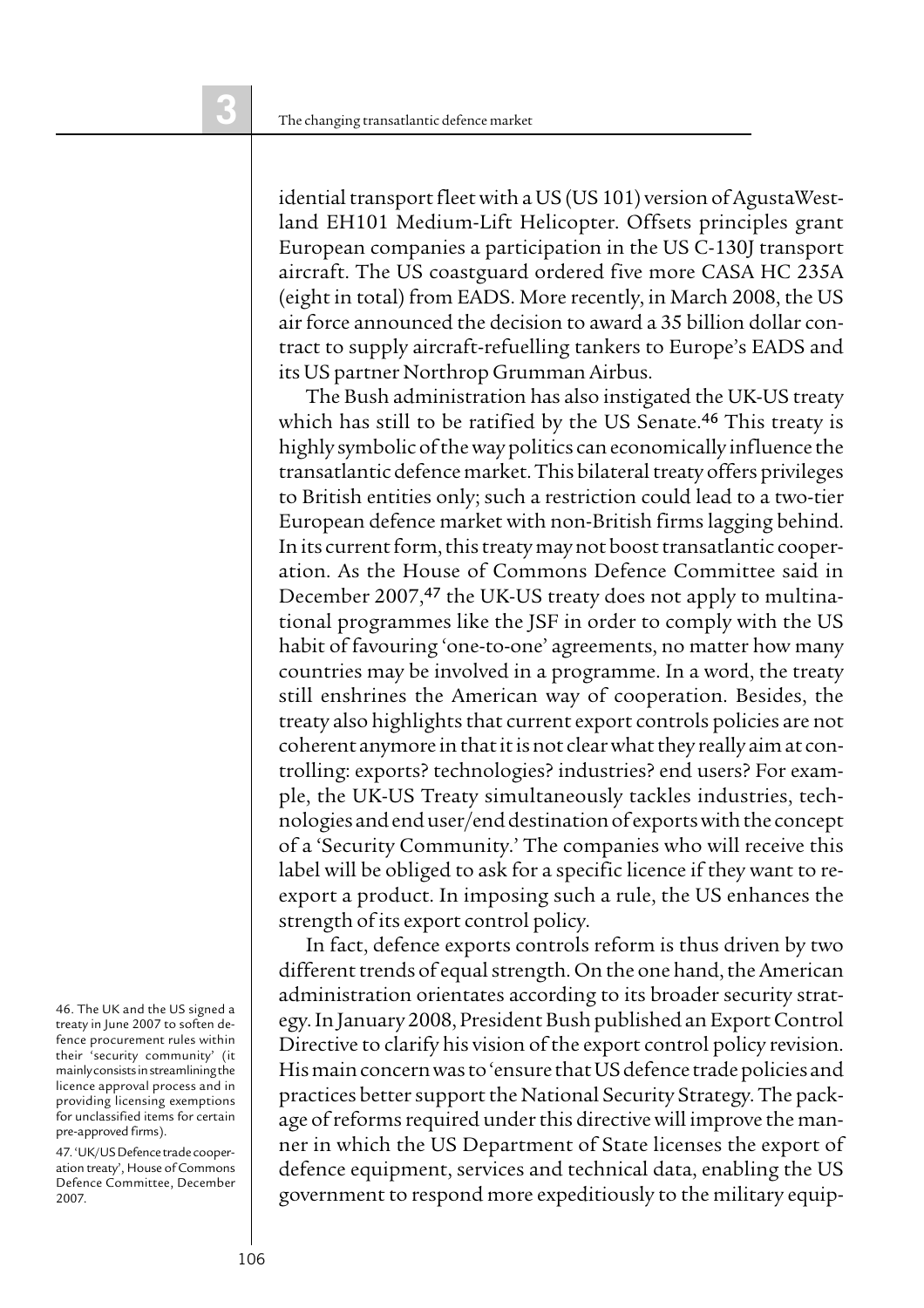idential transport fleet with a US (US 101) version of AgustaWestland EH101 Medium-Lift Helicopter. Offsets principles grant European companies a participation in the US C-130J transport aircraft. The US coastguard ordered five more CASA HC 235A (eight in total) from EADS. More recently, in March 2008, the US air force announced the decision to award a 35 billion dollar contract to supply aircraft-refuelling tankers to Europe's EADS and its US partner Northrop Grumman Airbus.

The Bush administration has also instigated the UK-US treaty which has still to be ratified by the US Senate.<sup>46</sup> This treaty is highly symbolic of the way politics can economically influence the transatlantic defence market. This bilateral treaty offers privileges to British entities only; such a restriction could lead to a two-tier European defence market with non-British firms lagging behind. In its current form, this treaty may not boost transatlantic cooperation. As the House of Commons Defence Committee said in December 2007,<sup>47</sup> the UK-US treaty does not apply to multinational programmes like the JSF in order to comply with the US habit of favouring 'one-to-one' agreements, no matter how many countries may be involved in a programme. In a word, the treaty still enshrines the American way of cooperation. Besides, the treaty also highlights that current export controls policies are not coherent anymore in that it is not clear what they really aim at controlling: exports? technologies? industries? end users? For example, the UK-US Treaty simultaneously tackles industries, technologies and end user/end destination of exports with the concept of a 'Security Community.' The companies who will receive this label will be obliged to ask for a specific licence if they want to reexport a product. In imposing such a rule, the US enhances the strength of its export control policy.

In fact, defence exports controls reform is thus driven by two different trends of equal strength. On the one hand, the American administration orientates according to its broader security strategy. In January 2008, President Bush published an Export Control Directive to clarify his vision of the export control policy revision. His main concern was to 'ensure that US defence trade policies and practices better support the National Security Strategy. The package of reforms required under this directive will improve the manner in which the US Department of State licenses the export of defence equipment, services and technical data, enabling the US government to respond more expeditiously to the military equip-

46. The UK and the US signed a treaty in June 2007 to soften defence procurement rules within their 'security community' (it mainly consists in streamlining the licence approval process and in providing licensing exemptions for unclassified items for certain pre-approved firms).

47. 'UK/US Defence trade cooperation treaty', House of Commons Defence Committee, December 2007.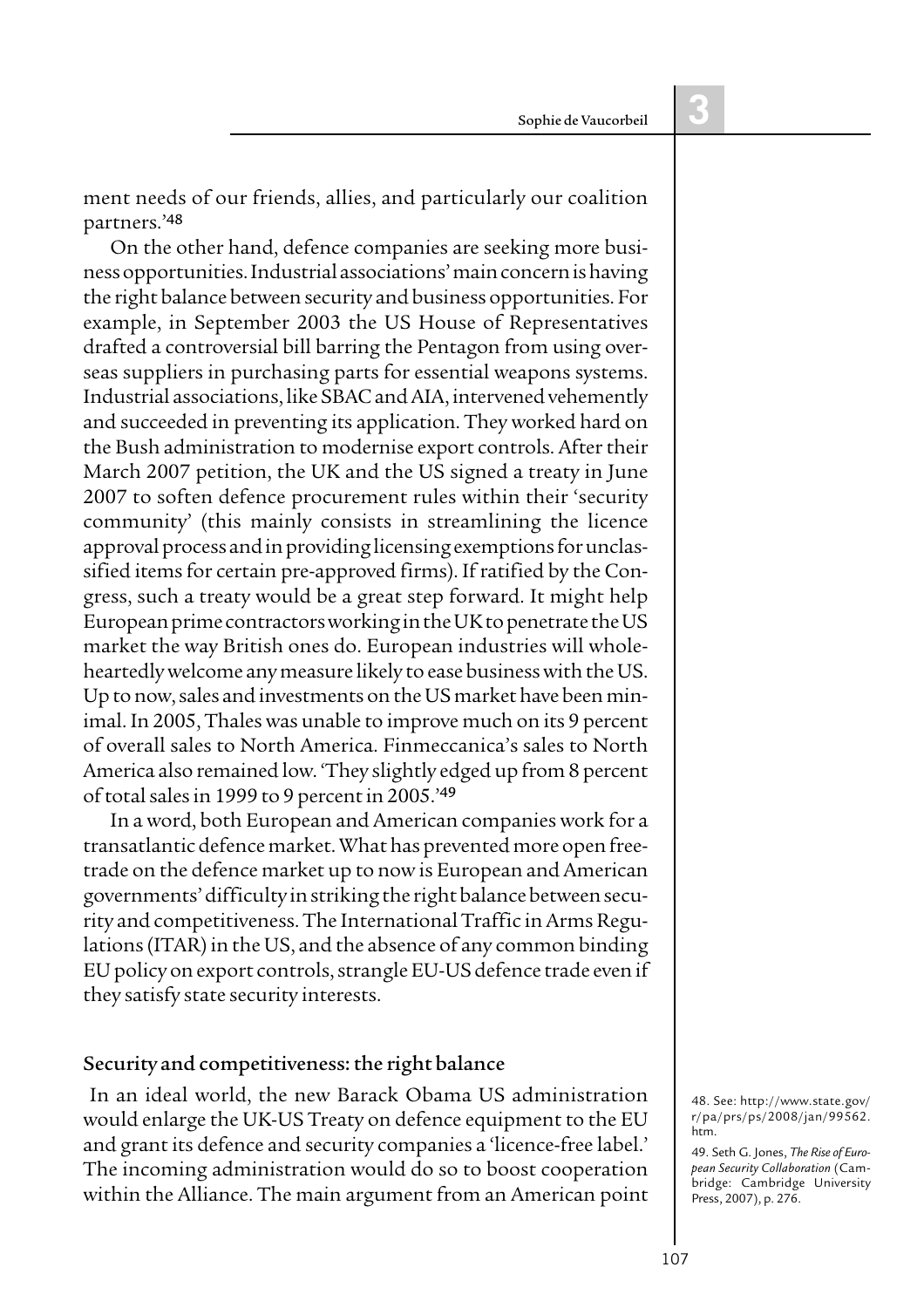On the other hand, defence companies are seeking more business opportunities. Industrial associations' main concern is having the right balance between security and business opportunities. For example, in September 2003 the US House of Representatives drafted a controversial bill barring the Pentagon from using overseas suppliers in purchasing parts for essential weapons systems. Industrial associations, like SBAC and AIA, intervened vehemently and succeeded in preventing its application. They worked hard on the Bush administration to modernise export controls. After their March 2007 petition, the UK and the US signed a treaty in June 2007 to soften defence procurement rules within their 'security community' (this mainly consists in streamlining the licence approval process and in providing licensing exemptions for unclassified items for certain pre-approved firms). If ratified by the Congress, such a treaty would be a great step forward. It might help European prime contractors working in the UK to penetrate the US market the way British ones do. European industries will wholeheartedly welcome any measure likely to ease business with the US. Up to now, sales and investments on the US market have been minimal. In 2005, Thales was unable to improve much on its 9 percent of overall sales to North America. Finmeccanica's sales to North America also remained low. 'They slightly edged up from 8 percent of total sales in 1999 to 9 percent in 2005.'<sup>49</sup>

In a word, both European and American companies work for a transatlantic defence market. What has prevented more open freetrade on the defence market up to now is European and American governments' difficulty in striking the right balance between security and competitiveness. The International Traffic in Arms Regulations (ITAR) in the US, and the absence of any common binding EU policy on export controls, strangle EU-US defence trade even if they satisfy state security interests.

#### Security and competitiveness: the right balance

In an ideal world, the new Barack Obama US administration would enlarge the UK-US Treaty on defence equipment to the EU and grant its defence and security companies a 'licence-free label.' The incoming administration would do so to boost cooperation within the Alliance. The main argument from an American point

48. See: http://www.state.gov/ r/pa/prs/ps/2008/jan/99562. htm.

<sup>49.</sup> Seth G. Jones, *The Rise of European Security Collaboration* (Cambridge: Cambridge University Press, 2007), p. 276.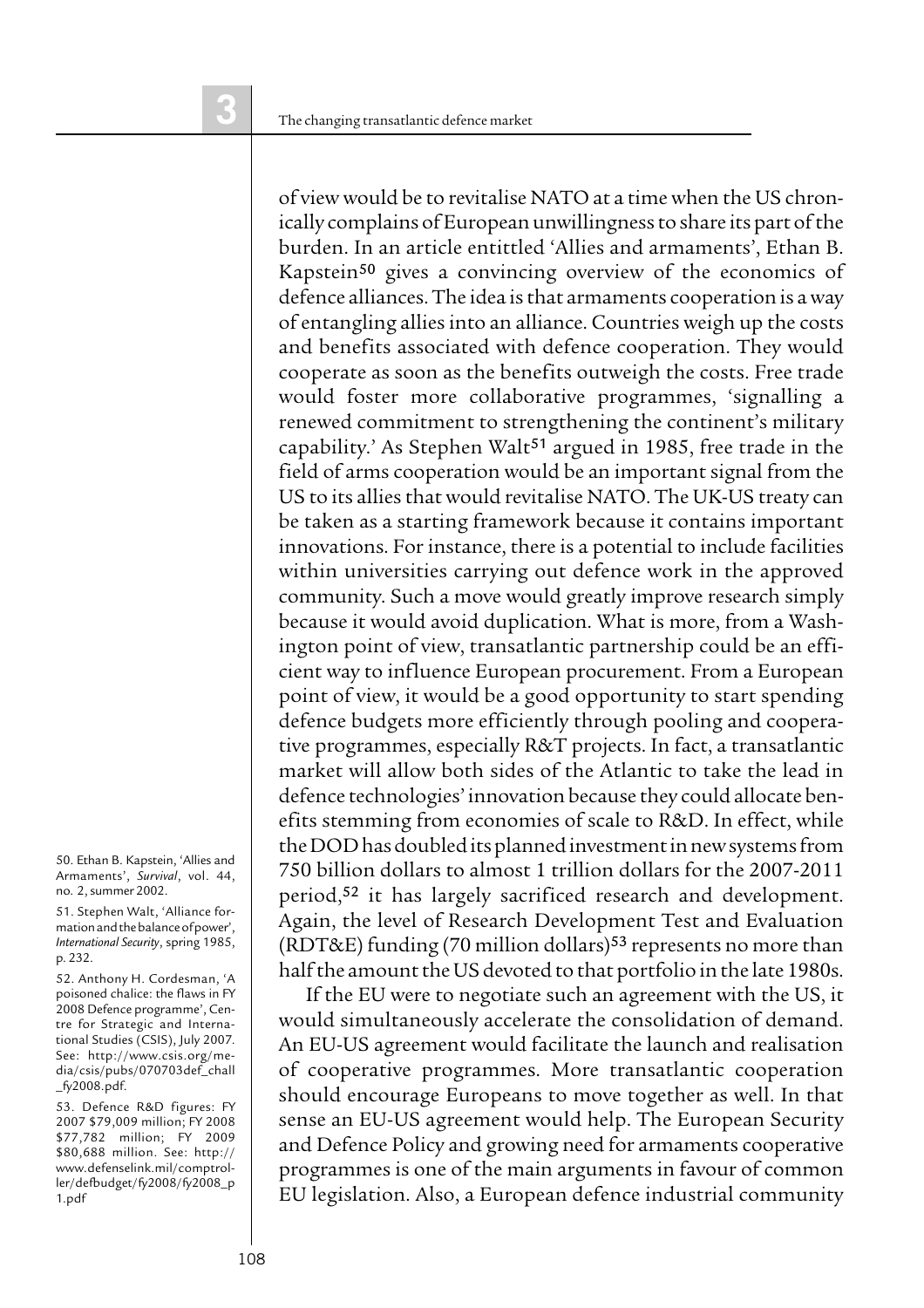of view would be to revitalise NATO at a time when the US chronically complains of European unwillingness to share its part of the burden. In an article entittled 'Allies and armaments', Ethan B. Kapstein<sup>50</sup> gives a convincing overview of the economics of defence alliances. The idea is that armaments cooperation is a way of entangling allies into an alliance. Countries weigh up the costs and benefits associated with defence cooperation. They would cooperate as soon as the benefits outweigh the costs. Free trade would foster more collaborative programmes, 'signalling a renewed commitment to strengthening the continent's military capability.' As Stephen Walt<sup>51</sup> argued in 1985, free trade in the field of arms cooperation would be an important signal from the US to its allies that would revitalise NATO. The UK-US treaty can be taken as a starting framework because it contains important innovations. For instance, there is a potential to include facilities within universities carrying out defence work in the approved community. Such a move would greatly improve research simply because it would avoid duplication. What is more, from a Washington point of view, transatlantic partnership could be an efficient way to influence European procurement. From a European point of view, it would be a good opportunity to start spending defence budgets more efficiently through pooling and cooperative programmes, especially R&T projects. In fact, a transatlantic market will allow both sides of the Atlantic to take the lead in defence technologies' innovation because they could allocate benefits stemming from economies of scale to R&D. In effect, while the DOD has doubled its planned investment in new systems from 750 billion dollars to almost 1 trillion dollars for the 2007-2011 period,<sup>52</sup> it has largely sacrificed research and development. Again, the level of Research Development Test and Evaluation (RDT&E) funding (70 million dollars)<sup>53</sup> represents no more than half the amount the US devoted to that portfolio in the late 1980s.

If the EU were to negotiate such an agreement with the US, it would simultaneously accelerate the consolidation of demand. An EU-US agreement would facilitate the launch and realisation of cooperative programmes. More transatlantic cooperation should encourage Europeans to move together as well. In that sense an EU-US agreement would help. The European Security and Defence Policy and growing need for armaments cooperative programmes is one of the main arguments in favour of common EU legislation. Also, a European defence industrial community

50. Ethan B. Kapstein, 'Allies and Armaments', *Survival*, vol. 44, no. 2, summer 2002.

51. Stephen Walt, 'Alliance formation and the balance of power', *International Security*, spring 1985, p. 232.

52. Anthony H. Cordesman, 'A poisoned chalice: the flaws in FY 2008 Defence programme', Centre for Strategic and International Studies (CSIS), July 2007. See: http://www.csis.org/media/csis/pubs/070703def\_chall \_fy2008.pdf.

53. Defence R&D figures: FY 2007 \$79,009 million; FY 2008 \$77,782 million; FY 2009 \$80,688 million. See: http:// www.defenselink.mil/comptroller/defbudget/fy2008/fy2008\_p 1.pdf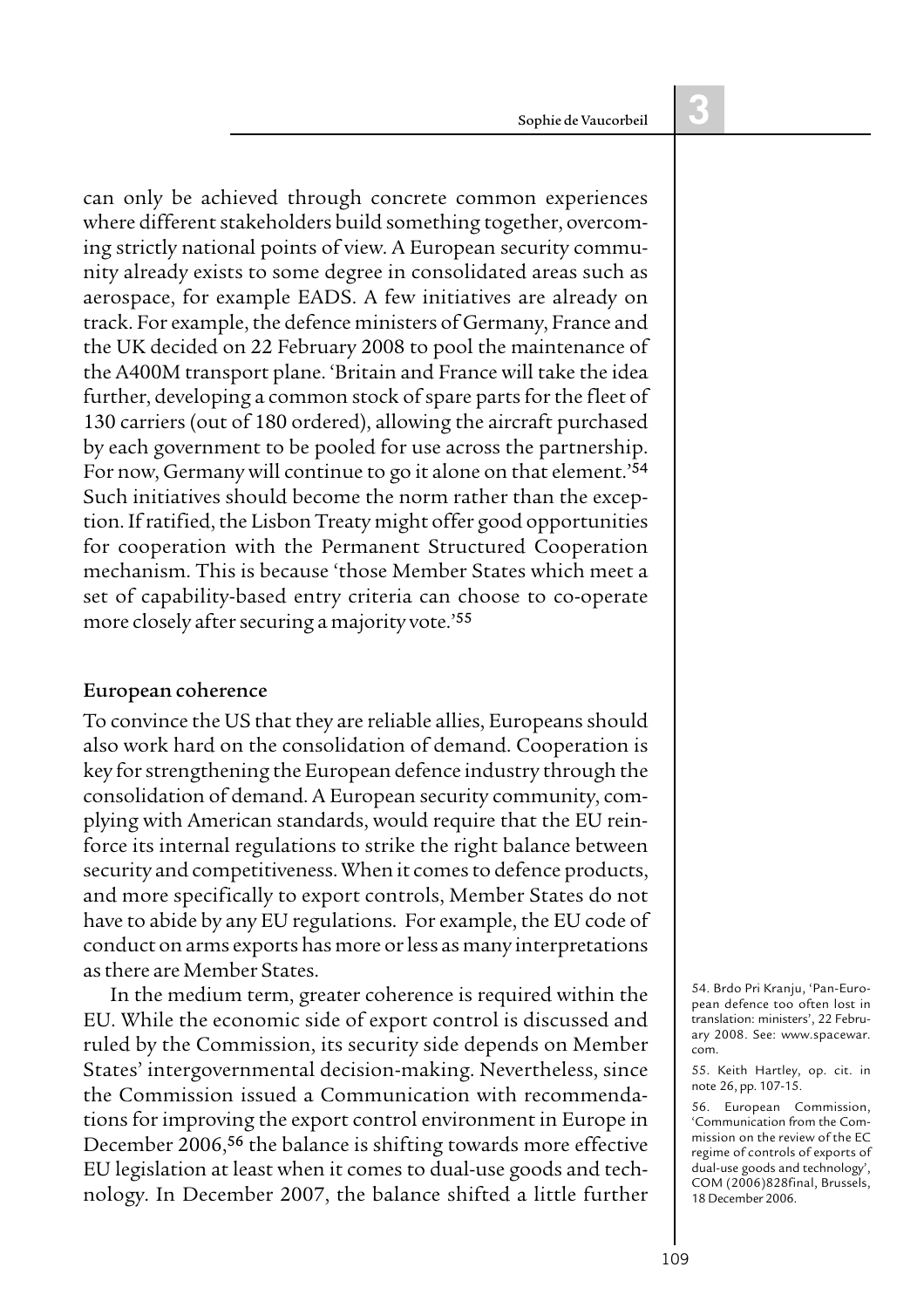can only be achieved through concrete common experiences where different stakeholders build something together, overcoming strictly national points of view. A European security community already exists to some degree in consolidated areas such as aerospace, for example EADS. A few initiatives are already on track. For example, the defence ministers of Germany, France and the UK decided on 22 February 2008 to pool the maintenance of the A400M transport plane. 'Britain and France will take the idea further, developing a common stock of spare parts for the fleet of 130 carriers (out of 180 ordered), allowing the aircraft purchased by each government to be pooled for use across the partnership. For now, Germany will continue to go it alone on that element.'<sup>54</sup> Such initiatives should become the norm rather than the exception. If ratified, the Lisbon Treaty might offer good opportunities for cooperation with the Permanent Structured Cooperation mechanism. This is because 'those Member States which meet a set of capability-based entry criteria can choose to co-operate more closely after securing a majority vote.'<sup>55</sup>

#### European coherence

To convince the US that they are reliable allies, Europeans should also work hard on the consolidation of demand. Cooperation is key for strengthening the European defence industry through the consolidation of demand. A European security community, complying with American standards, would require that the EU reinforce its internal regulations to strike the right balance between security and competitiveness. When it comes to defence products, and more specifically to export controls, Member States do not have to abide by any EU regulations. For example, the EU code of conduct on arms exports has more or less as many interpretations as there are Member States.

In the medium term, greater coherence is required within the EU. While the economic side of export control is discussed and ruled by the Commission, its security side depends on Member States' intergovernmental decision-making. Nevertheless, since the Commission issued a Communication with recommendations for improving the export control environment in Europe in December 2006,<sup>56</sup> the balance is shifting towards more effective EU legislation at least when it comes to dual-use goods and technology. In December 2007, the balance shifted a little further 54. Brdo Pri Kranju, 'Pan-European defence too often lost in translation: ministers', 22 February 2008. See: www.spacewar. com.

<sup>55.</sup> Keith Hartley, op. cit. in note 26, pp. 107-15.

<sup>56.</sup> European Commission, 'Communication from the Commission on the review of the EC regime of controls of exports of dual-use goods and technology', COM (2006)828final, Brussels, 18 December 2006.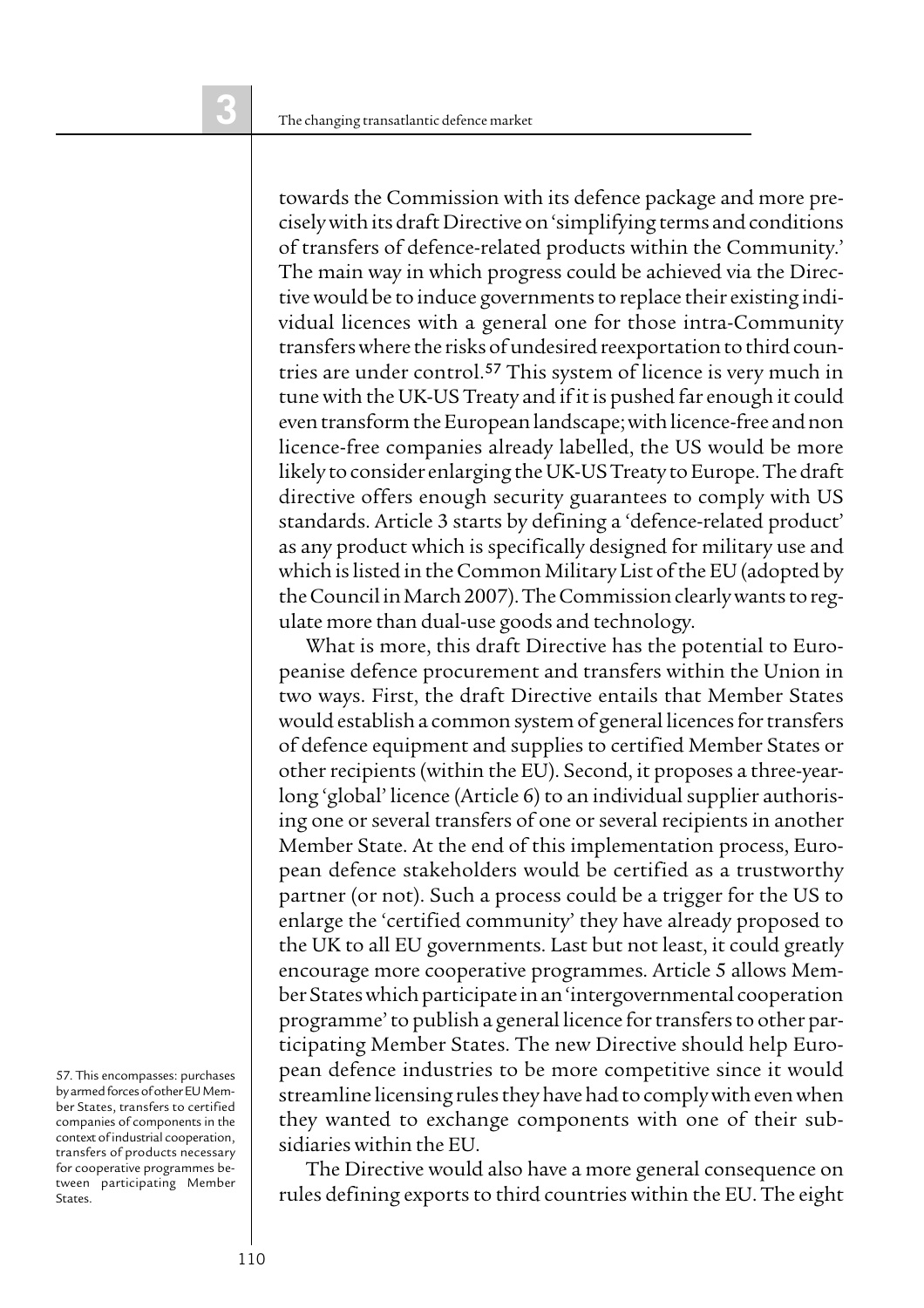towards the Commission with its defence package and more precisely with its draft Directive on 'simplifying terms and conditions of transfers of defence-related products within the Community.' The main way in which progress could be achieved via the Directive would be to induce governments to replace their existing individual licences with a general one for those intra-Community transfers where the risks of undesired reexportation to third countries are under control.<sup>57</sup> This system of licence is very much in tune with the UK-US Treaty and if it is pushed far enough it could even transform the European landscape; with licence-free and non licence-free companies already labelled, the US would be more likely to consider enlarging the UK-US Treaty to Europe. The draft directive offers enough security guarantees to comply with US standards. Article 3 starts by defining a 'defence-related product' as any product which is specifically designed for military use and which is listed in the Common Military List of the EU (adopted by the Council in March 2007). The Commission clearly wants to regulate more than dual-use goods and technology.

What is more, this draft Directive has the potential to Europeanise defence procurement and transfers within the Union in two ways. First, the draft Directive entails that Member States would establish a common system of general licences for transfers of defence equipment and supplies to certified Member States or other recipients (within the EU). Second, it proposes a three-yearlong 'global' licence (Article 6) to an individual supplier authorising one or several transfers of one or several recipients in another Member State. At the end of this implementation process, European defence stakeholders would be certified as a trustworthy partner (or not). Such a process could be a trigger for the US to enlarge the 'certified community' they have already proposed to the UK to all EU governments. Last but not least, it could greatly encourage more cooperative programmes. Article 5 allows Member States which participate in an 'intergovernmental cooperation programme' to publish a general licence for transfers to other participating Member States. The new Directive should help European defence industries to be more competitive since it would streamline licensing rules they have had to comply with even when they wanted to exchange components with one of their subsidiaries within the EU.

The Directive would also have a more general consequence on rules defining exports to third countries within the EU. The eight

<sup>57.</sup> This encompasses: purchases by armed forces of other EU Member States, transfers to certified companies of components in the context of industrial cooperation, transfers of products necessary for cooperative programmes between participating Member States.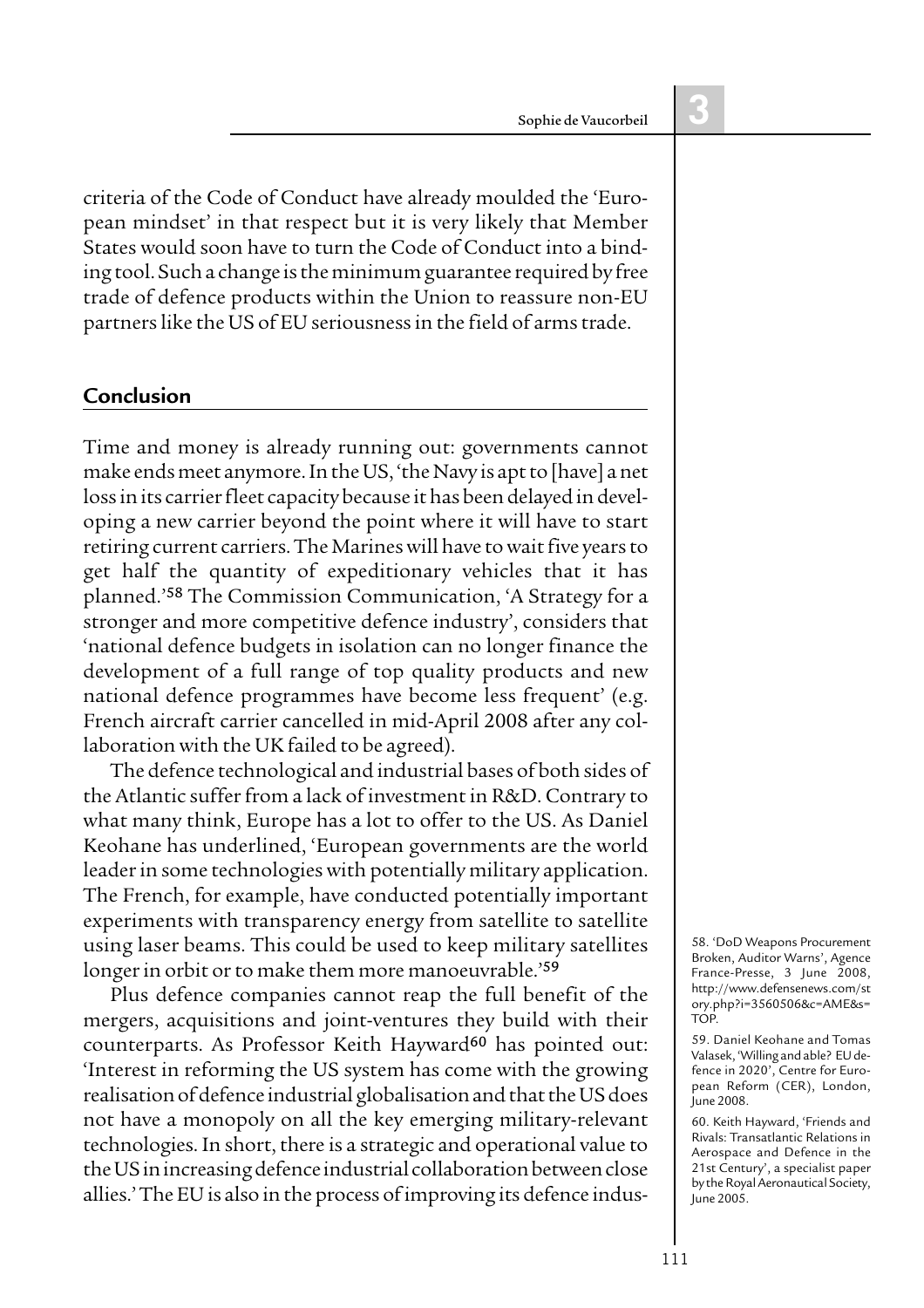criteria of the Code of Conduct have already moulded the 'European mindset' in that respect but it is very likely that Member States would soon have to turn the Code of Conduct into a binding tool. Such a change is the minimum guarantee required by free trade of defence products within the Union to reassure non-EU partners like the US of EU seriousness in the field of arms trade.

#### **Conclusion**

Time and money is already running out: governments cannot make ends meet anymore. In the US, 'the Navy is apt to [have] a net loss in its carrier fleet capacity because it has been delayed in developing a new carrier beyond the point where it will have to start retiring current carriers. The Marines will have to wait five years to get half the quantity of expeditionary vehicles that it has planned.'<sup>58</sup> The Commission Communication, 'A Strategy for a stronger and more competitive defence industry', considers that 'national defence budgets in isolation can no longer finance the development of a full range of top quality products and new national defence programmes have become less frequent' (e.g. French aircraft carrier cancelled in mid-April 2008 after any collaboration with the UK failed to be agreed).

The defence technological and industrial bases of both sides of the Atlantic suffer from a lack of investment in R&D. Contrary to what many think, Europe has a lot to offer to the US. As Daniel Keohane has underlined, 'European governments are the world leader in some technologies with potentially military application. The French, for example, have conducted potentially important experiments with transparency energy from satellite to satellite using laser beams. This could be used to keep military satellites longer in orbit or to make them more manoeuvrable.<sup>'59</sup>

Plus defence companies cannot reap the full benefit of the mergers, acquisitions and joint-ventures they build with their counterparts. As Professor Keith Hayward<sup>60</sup> has pointed out: 'Interest in reforming the US system has come with the growing realisation of defence industrial globalisation and that the US does not have a monopoly on all the key emerging military-relevant technologies. In short, there is a strategic and operational value to the US in increasing defence industrial collaboration between close allies.' The EU is also in the process of improving its defence indus-

58. 'DoD Weapons Procurement Broken, Auditor Warns', Agence France-Presse, 3 June 2008, http://www.defensenews.com/st ory.php?i=3560506&c=AME&s= TOP.

<sup>59.</sup> Daniel Keohane and Tomas Valasek, 'Willing and able? EU defence in 2020', Centre for European Reform (CER), London, June 2008.

<sup>60.</sup> Keith Hayward, 'Friends and Rivals: Transatlantic Relations in Aerospace and Defence in the 21st Century', a specialist paper by the Royal Aeronautical Society, June 2005.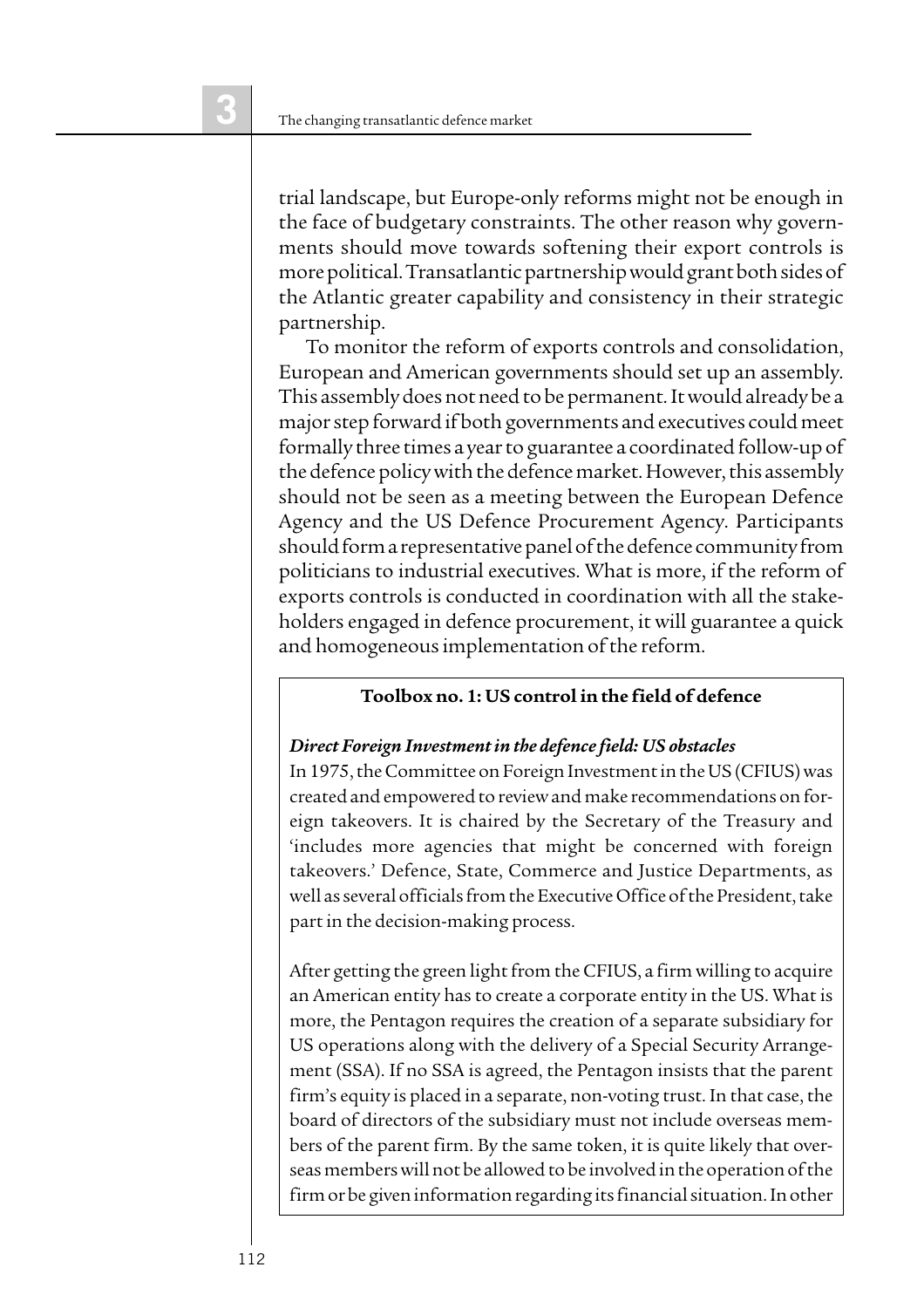trial landscape, but Europe-only reforms might not be enough in the face of budgetary constraints. The other reason why governments should move towards softening their export controls is more political. Transatlantic partnership would grant both sides of the Atlantic greater capability and consistency in their strategic partnership.

To monitor the reform of exports controls and consolidation, European and American governments should set up an assembly. This assembly does not need to be permanent. It would already be a major step forward if both governments and executives could meet formally three times a year to guarantee a coordinated follow-up of the defence policy with the defence market. However, this assembly should not be seen as a meeting between the European Defence Agency and the US Defence Procurement Agency. Participants should form a representative panel of the defence community from politicians to industrial executives. What is more, if the reform of exports controls is conducted in coordination with all the stakeholders engaged in defence procurement, it will guarantee a quick and homogeneous implementation of the reform.

#### **Toolbox no. 1: US control in the field of defence**

#### *Direct Foreign Investment in the defence field: US obstacles*

In 1975, the Committee on Foreign Investment in the US (CFIUS) was created and empowered to review and make recommendations on foreign takeovers. It is chaired by the Secretary of the Treasury and 'includes more agencies that might be concerned with foreign takeovers.' Defence, State, Commerce and Justice Departments, as well as several officials from the Executive Office of the President, take part in the decision-making process.

After getting the green light from the CFIUS, a firm willing to acquire an American entity has to create a corporate entity in the US. What is more, the Pentagon requires the creation of a separate subsidiary for US operations along with the delivery of a Special Security Arrangement (SSA). If no SSA is agreed, the Pentagon insists that the parent firm's equity is placed in a separate, non-voting trust. In that case, the board of directors of the subsidiary must not include overseas members of the parent firm. By the same token, it is quite likely that overseas members will not be allowed to be involved in the operation of the firm or be given information regarding its financial situation. In other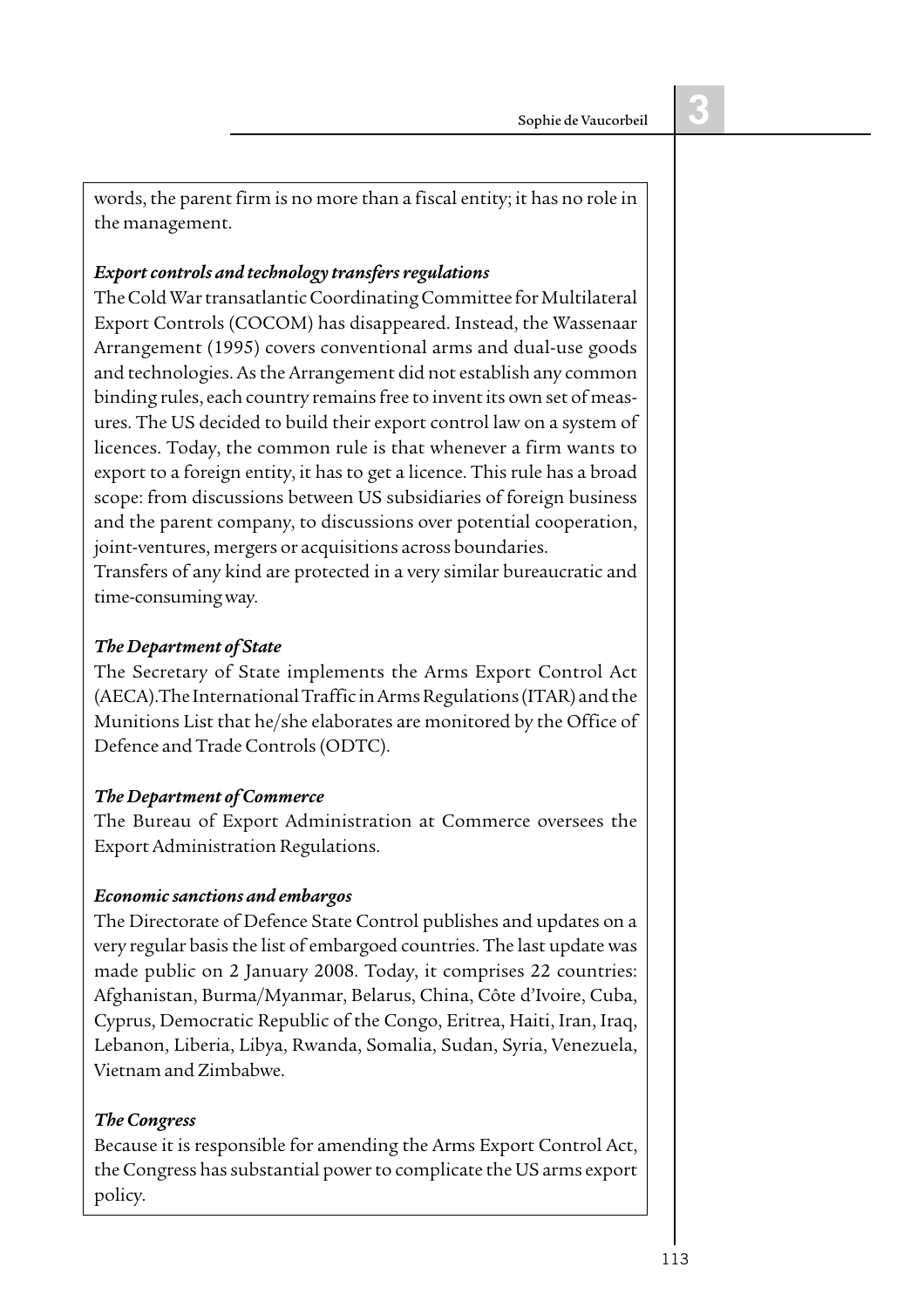words, the parent firm is no more than a fiscal entity; it has no role in the management.

#### *Export controls and technology transfers regulations*

The Cold War transatlantic Coordinating Committee for Multilateral Export Controls (COCOM) has disappeared. Instead, the Wassenaar Arrangement (1995) covers conventional arms and dual-use goods and technologies. As the Arrangement did not establish any common binding rules, each country remains free to invent its own set of measures. The US decided to build their export control law on a system of licences. Today, the common rule is that whenever a firm wants to export to a foreign entity, it has to get a licence. This rule has a broad scope: from discussions between US subsidiaries of foreign business and the parent company, to discussions over potential cooperation, joint-ventures, mergers or acquisitions across boundaries.

Transfers of any kind are protected in a very similar bureaucratic and time-consuming way.

### *The Department of State*

The Secretary of State implements the Arms Export Control Act (AECA).The International Traffic in Arms Regulations (ITAR) and the Munitions List that he/she elaborates are monitored by the Office of Defence and Trade Controls (ODTC).

#### *The Department of Commerce*

The Bureau of Export Administration at Commerce oversees the Export Administration Regulations.

## *Economic sanctions and embargos*

The Directorate of Defence State Control publishes and updates on a very regular basis the list of embargoed countries. The last update was made public on 2 January 2008. Today, it comprises 22 countries: Afghanistan, Burma/Myanmar, Belarus, China, Côte d'Ivoire, Cuba, Cyprus, Democratic Republic of the Congo, Eritrea, Haiti, Iran, Iraq, Lebanon, Liberia, Libya, Rwanda, Somalia, Sudan, Syria, Venezuela, Vietnam and Zimbabwe.

#### *The Congress*

Because it is responsible for amending the Arms Export Control Act, the Congress has substantial power to complicate the US arms export policy.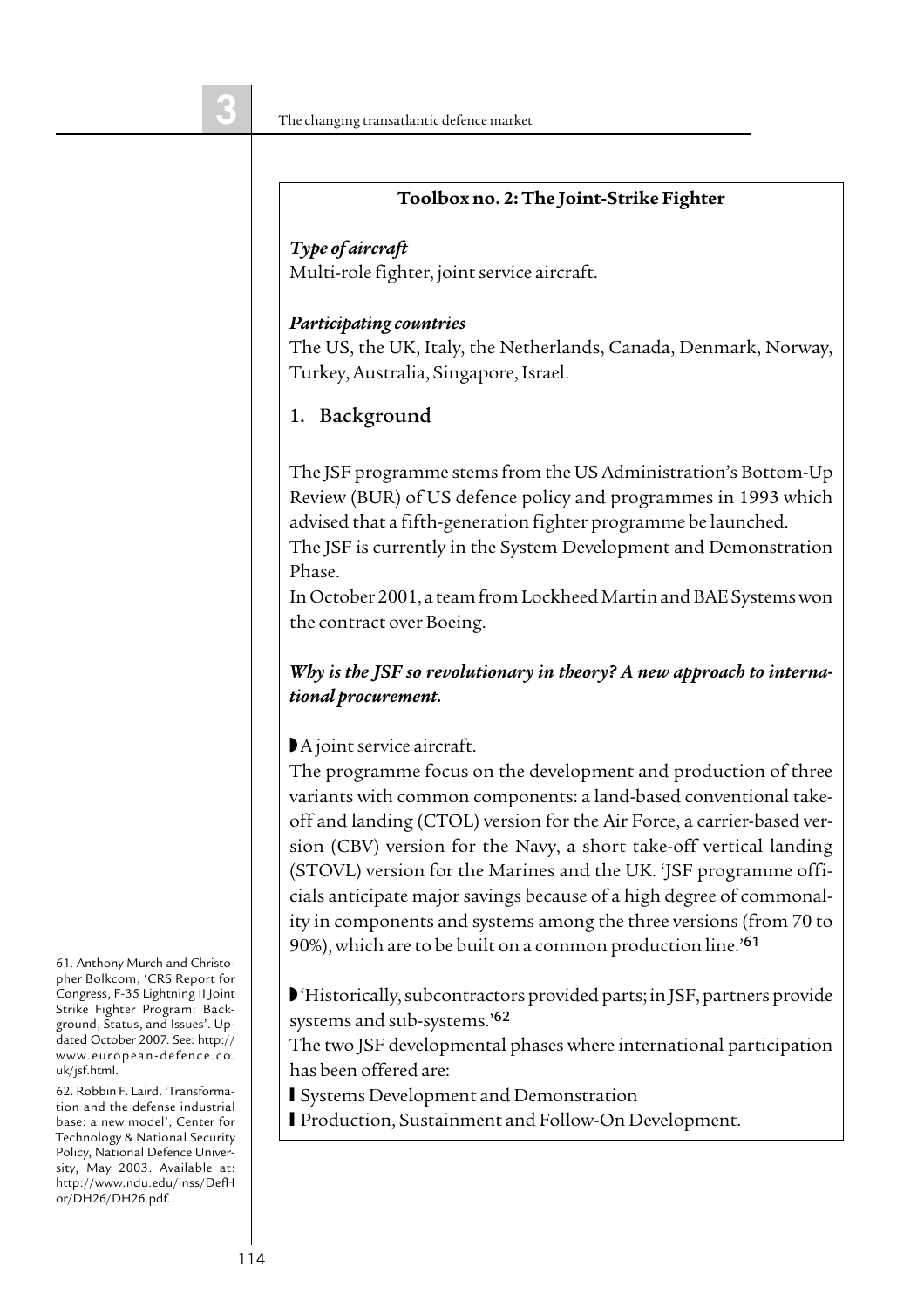# *Type of aircraft*

Multi-role fighter, joint service aircraft.

### *Participating countries*

The US, the UK, Italy, the Netherlands, Canada, Denmark, Norway, Turkey, Australia, Singapore, Israel.

## 1. Background

The JSF programme stems from the US Administration's Bottom-Up Review (BUR) of US defence policy and programmes in 1993 which advised that a fifth-generation fighter programme be launched. The JSF is currently in the System Development and Demonstration Phase.

In October 2001, a team from Lockheed Martin and BAE Systems won the contract over Boeing.

*Why is the JSF so revolutionary in theory? A new approach to international procurement.*

A joint service aircraft.

The programme focus on the development and production of three variants with common components: a land-based conventional takeoff and landing (CTOL) version for the Air Force, a carrier-based version (CBV) version for the Navy, a short take-off vertical landing (STOVL) version for the Marines and the UK. 'JSF programme officials anticipate major savings because of a high degree of commonality in components and systems among the three versions (from 70 to 90%), which are to be built on a common production line.'61

 $\blacktriangleright$  'Historically, subcontractors provided parts; in JSF, partners provide systems and sub-systems.'62

The two JSF developmental phases where international participation has been offered are:

\ Systems Development and Demonstration

\ Production, Sustainment and Follow-On Development.

61. Anthony Murch and Christopher Bolkcom, 'CRS Report for Congress, F-35 Lightning II Joint Strike Fighter Program: Background, Status, and Issues'. Updated October 2007. See: http:// www.european-defence.co. uk/jsf.html.

62. Robbin F. Laird. 'Transformation and the defense industrial base: a new model', Center for Technology & National Security Policy, National Defence University, May 2003. Available at: http://www.ndu.edu/inss/DefH or/DH26/DH26.pdf.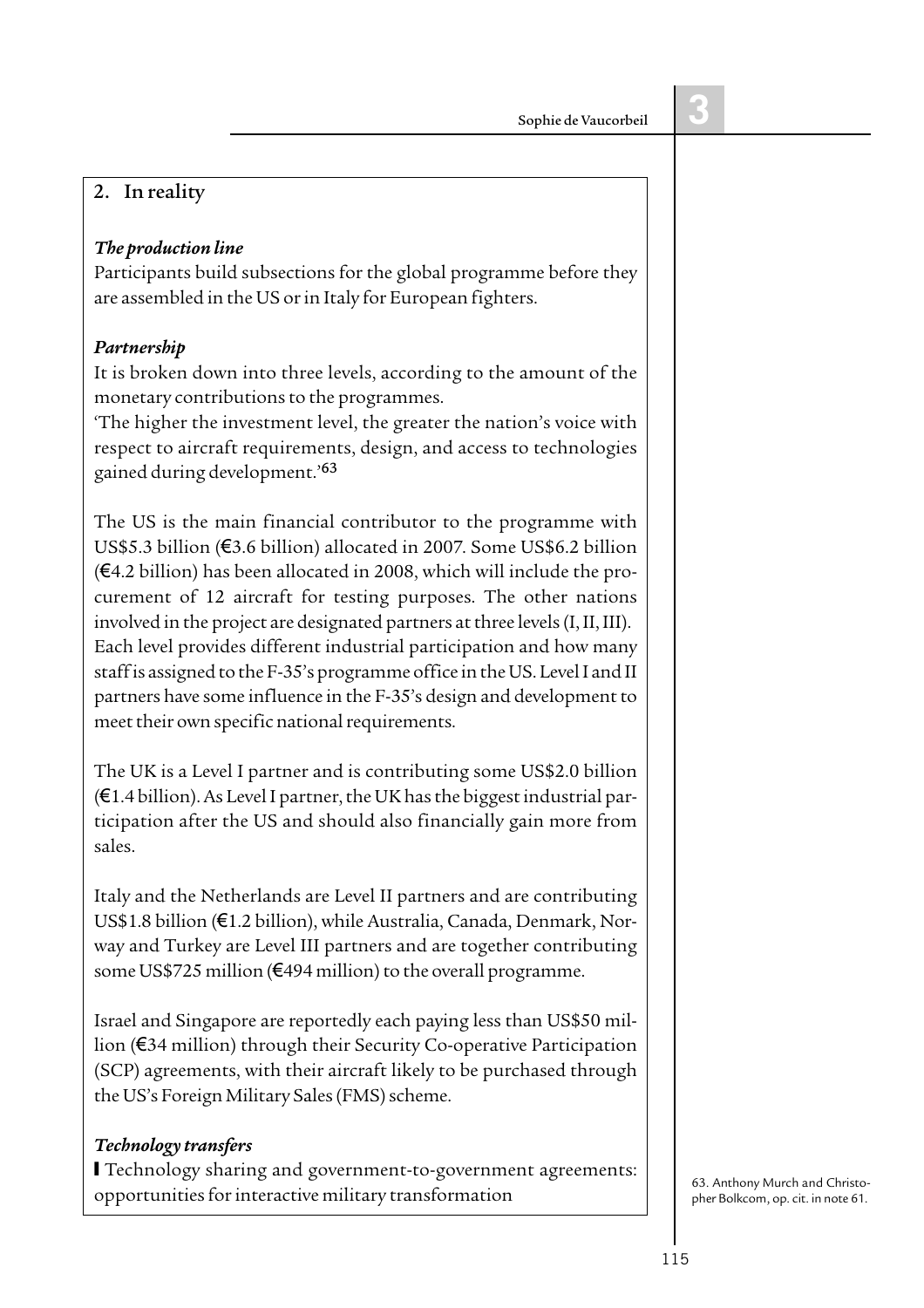## 2. In reality

#### *The production line*

Participants build subsections for the global programme before they are assembled in the US or in Italy for European fighters.

#### *Partnership*

It is broken down into three levels, according to the amount of the monetary contributions to the programmes.

'The higher the investment level, the greater the nation's voice with respect to aircraft requirements, design, and access to technologies gained during development.'63

The US is the main financial contributor to the programme with US\$5.3 billion (€3.6 billion) allocated in 2007. Some US\$6.2 billion  $(€4.2 billion)$  has been allocated in 2008, which will include the procurement of 12 aircraft for testing purposes. The other nations involved in the project are designated partners at three levels (I, II, III). Each level provides different industrial participation and how many staff is assigned to the F-35's programme office in the US. Level I and II partners have some influence in the F-35's design and development to meet their own specific national requirements.

The UK is a Level I partner and is contributing some US\$2.0 billion (€1.4 billion). As Level I partner, the UK has the biggest industrial participation after the US and should also financially gain more from sales.

Italy and the Netherlands are Level II partners and are contributing US\$1.8 billion (€1.2 billion), while Australia, Canada, Denmark, Norway and Turkey are Level III partners and are together contributing some US\$725 million (€494 million) to the overall programme.

Israel and Singapore are reportedly each paying less than US\$50 million (€34 million) through their Security Co-operative Participation (SCP) agreements, with their aircraft likely to be purchased through the US's Foreign Military Sales (FMS) scheme.

#### *Technology transfers*

\ Technology sharing and government-to-government agreements: opportunities for interactive military transformation

63. Anthony Murch and Christopher Bolkcom, op. cit. in note 61.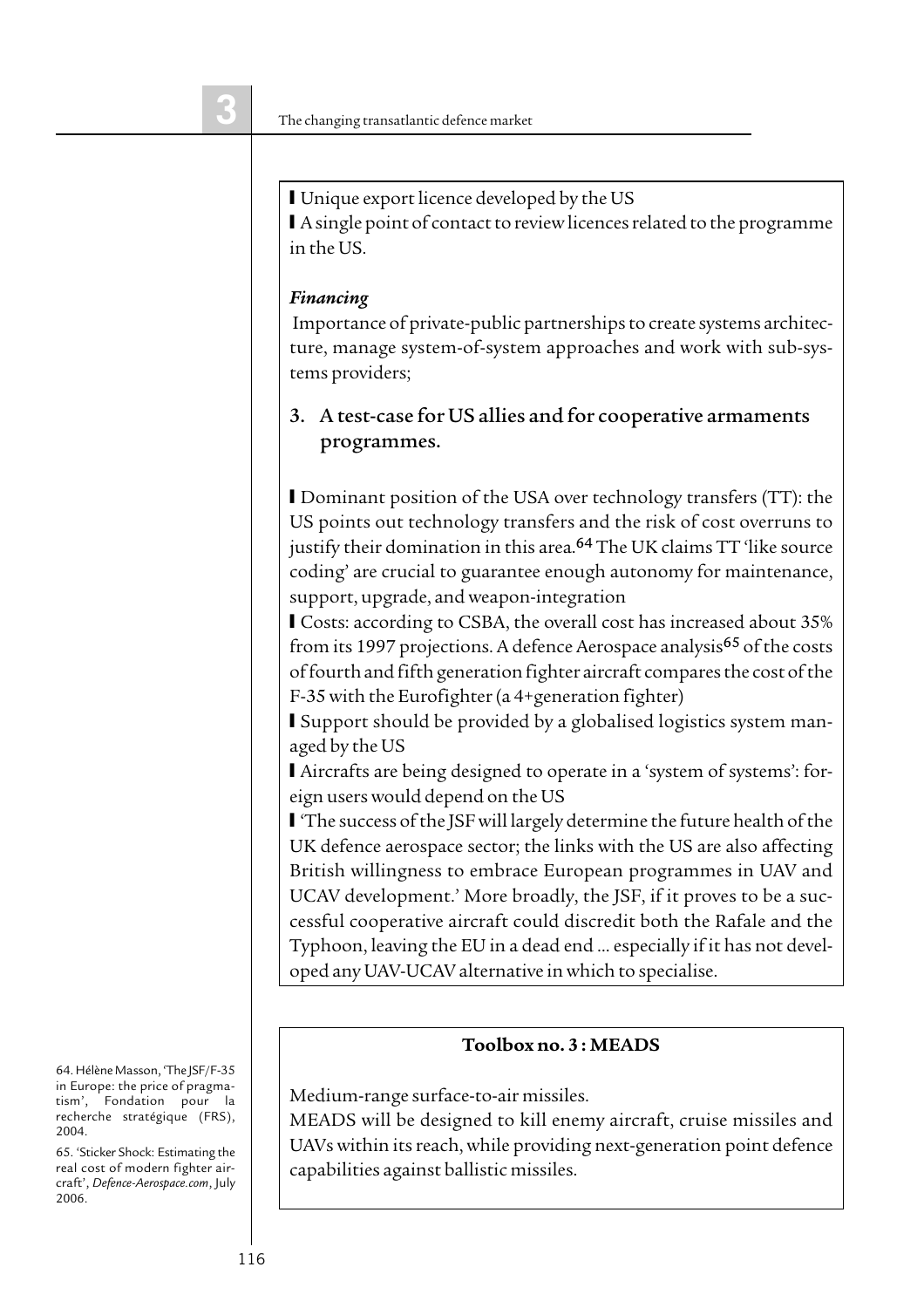#### Unique export licence developed by the US

\ A single point of contact to review licences related to the programme in the US.

#### *Financing*

**3**

Importance of private-public partnerships to create systems architecture, manage system-of-system approaches and work with sub-systems providers;

### 3. A test-case for US allies and for cooperative armaments programmes.

\ Dominant position of the USA over technology transfers (TT): the US points out technology transfers and the risk of cost overruns to justify their domination in this area.<sup>64</sup> The UK claims TT 'like source coding' are crucial to guarantee enough autonomy for maintenance, support, upgrade, and weapon-integration

\ Costs: according to CSBA, the overall cost has increased about 35% from its 1997 projections. A defence Aerospace analysis<sup>65</sup> of the costs of fourth and fifth generation fighter aircraft compares the cost of the F-35 with the Eurofighter (a 4+generation fighter)

\ Support should be provided by a globalised logistics system managed by the US

\ Aircrafts are being designed to operate in a 'system of systems': foreign users would depend on the US

\ 'The success of the JSF will largely determine the future health of the UK defence aerospace sector; the links with the US are also affecting British willingness to embrace European programmes in UAV and UCAV development.' More broadly, the JSF, if it proves to be a successful cooperative aircraft could discredit both the Rafale and the Typhoon, leaving the EU in a dead end … especially if it has not developed any UAV-UCAV alternative in which to specialise.

#### **Toolbox no. 3 : MEADS**

Medium-range surface-to-air missiles.

MEADS will be designed to kill enemy aircraft, cruise missiles and UAVs within its reach, while providing next-generation point defence capabilities against ballistic missiles.

64. Hélène Masson, 'The JSF/F-35 in Europe: the price of pragmatism', Fondation pour la recherche stratégique (FRS), 2004.

65. 'Sticker Shock: Estimating the real cost of modern fighter aircraft', *Defence-Aerospace.com*, July 2006.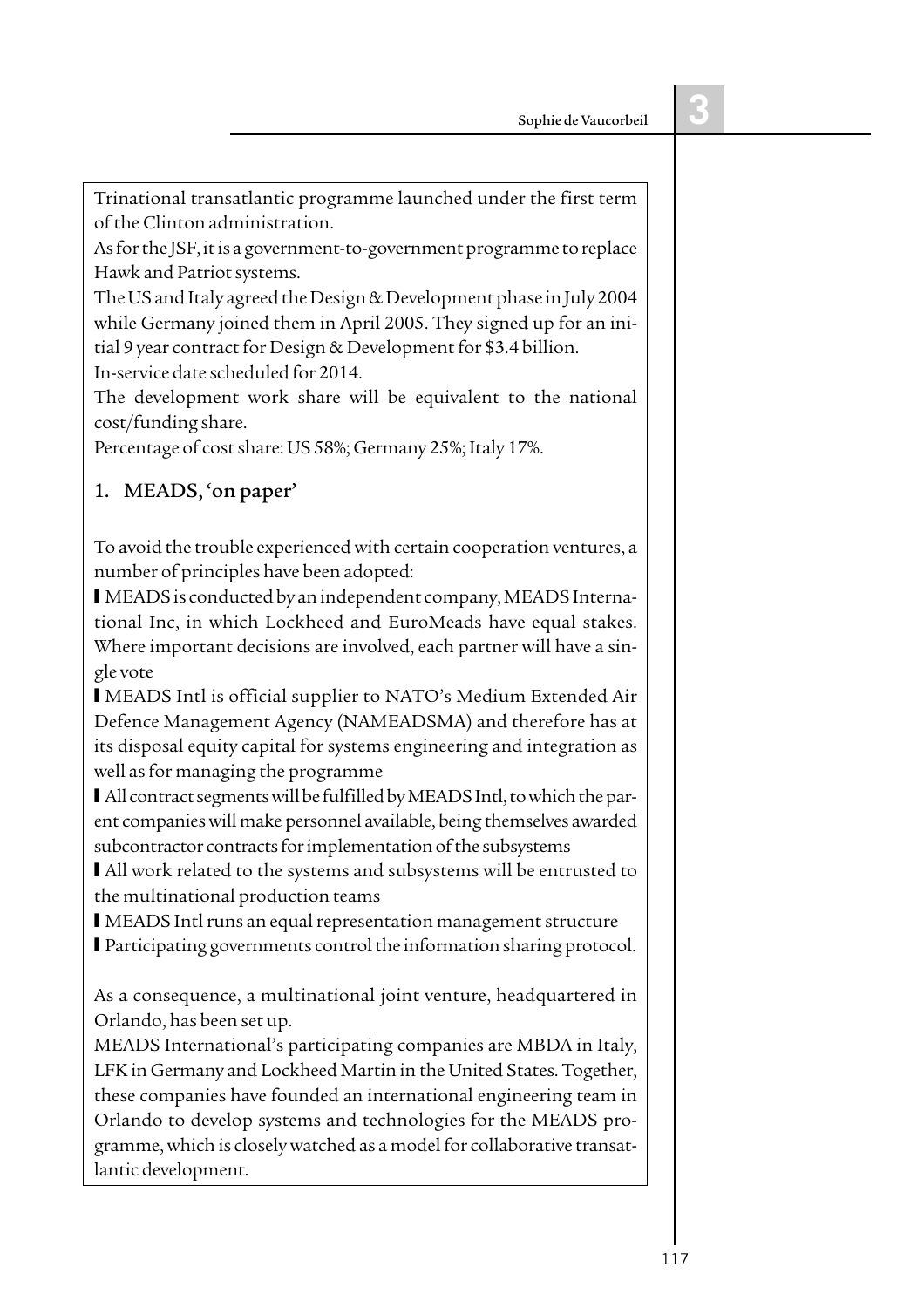As for the JSF, it is a government-to-government programme to replace Hawk and Patriot systems.

The US and Italy agreed the Design & Development phase in July 2004 while Germany joined them in April 2005. They signed up for an initial 9 year contract for Design & Development for \$3.4 billion. In-service date scheduled for 2014.

The development work share will be equivalent to the national cost/funding share.

Percentage of cost share: US 58%; Germany 25%; Italy 17%.

## 1. MEADS, 'on paper'

To avoid the trouble experienced with certain cooperation ventures, a number of principles have been adopted:

\ MEADS is conducted by an independent company, MEADS International Inc, in which Lockheed and EuroMeads have equal stakes. Where important decisions are involved, each partner will have a single vote

\ MEADS Intl is official supplier to NATO's Medium Extended Air Defence Management Agency (NAMEADSMA) and therefore has at its disposal equity capital for systems engineering and integration as well as for managing the programme

\ All contract segments will be fulfilled by MEADS Intl, to which the parent companies will make personnel available, being themselves awarded subcontractor contracts for implementation of the subsystems

\ All work related to the systems and subsystems will be entrusted to the multinational production teams

\ MEADS Intl runs an equal representation management structure

\ Participating governments control the information sharing protocol.

As a consequence, a multinational joint venture, headquartered in Orlando, has been set up.

MEADS International's participating companies are MBDA in Italy, LFK in Germany and Lockheed Martin in the United States. Together, these companies have founded an international engineering team in Orlando to develop systems and technologies for the MEADS programme, which is closely watched as a model for collaborative transatlantic development.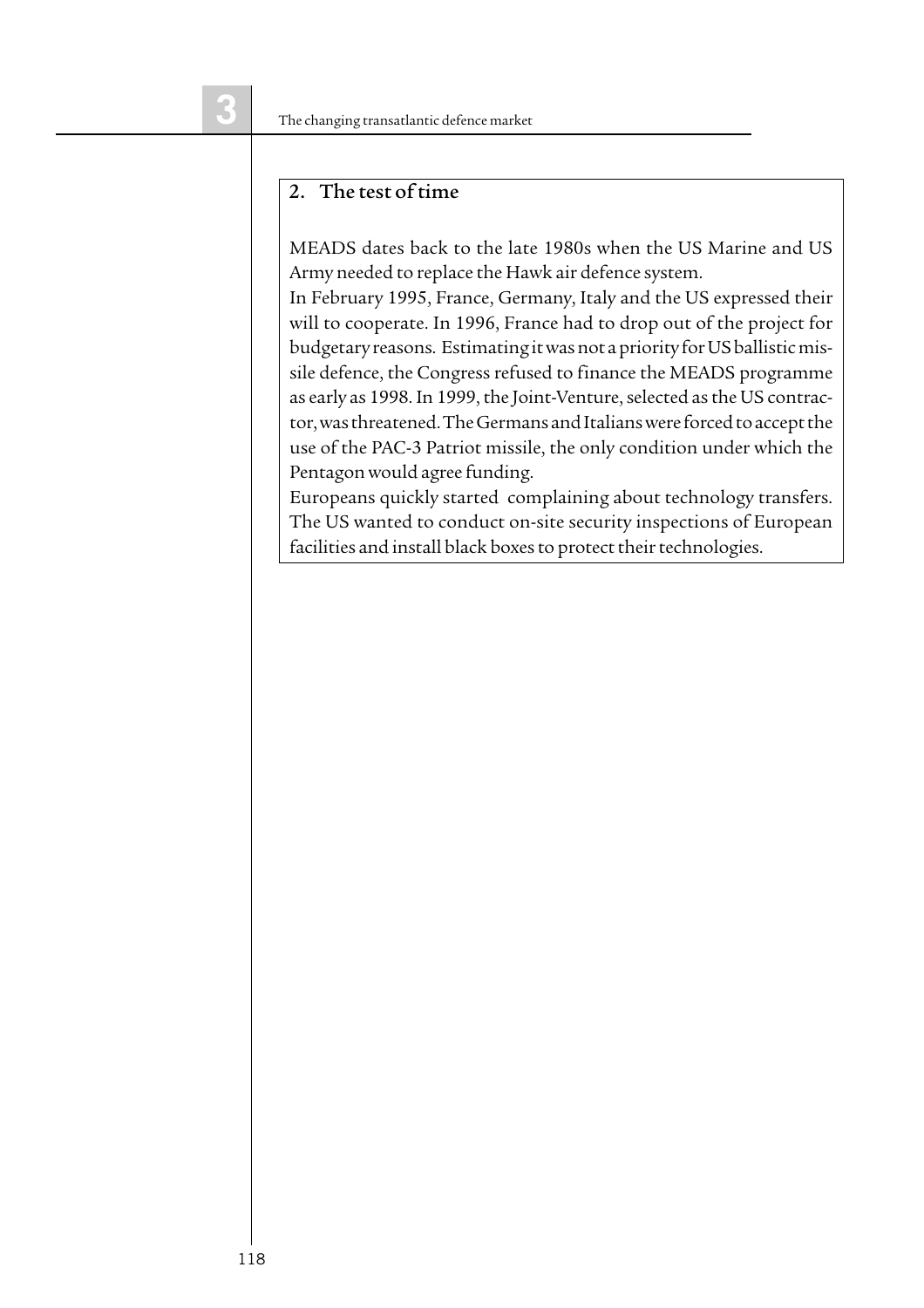#### 2. The test of time

**3**

MEADS dates back to the late 1980s when the US Marine and US Army needed to replace the Hawk air defence system.

In February 1995, France, Germany, Italy and the US expressed their will to cooperate. In 1996, France had to drop out of the project for budgetary reasons. Estimating it was not a priority for US ballistic missile defence, the Congress refused to finance the MEADS programme as early as 1998. In 1999, the Joint-Venture, selected as the US contractor, was threatened. The Germans and Italians were forced to accept the use of the PAC-3 Patriot missile, the only condition under which the Pentagon would agree funding.

Europeans quickly started complaining about technology transfers. The US wanted to conduct on-site security inspections of European facilities and install black boxes to protect their technologies.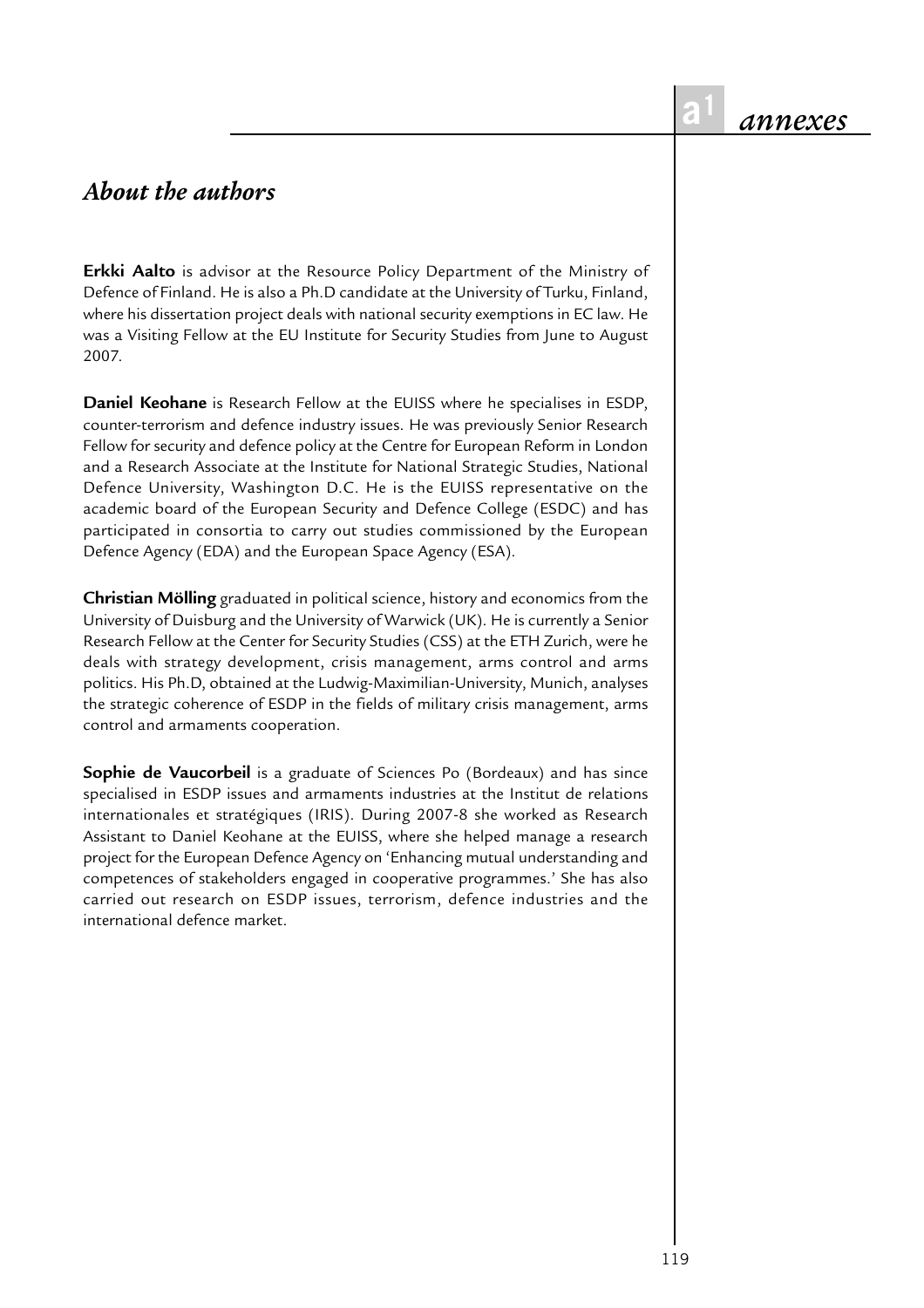**a1**

# *About the authors*

**Erkki Aalto** is advisor at the Resource Policy Department of the Ministry of Defence of Finland. He is also a Ph.D candidate at the University of Turku, Finland, where his dissertation project deals with national security exemptions in EC law. He was a Visiting Fellow at the EU Institute for Security Studies from June to August 2007.

**Daniel Keohane** is Research Fellow at the EUISS where he specialises in ESDP, counter-terrorism and defence industry issues. He was previously Senior Research Fellow for security and defence policy at the Centre for European Reform in London and a Research Associate at the Institute for National Strategic Studies, National Defence University, Washington D.C. He is the EUISS representative on the academic board of the European Security and Defence College (ESDC) and has participated in consortia to carry out studies commissioned by the European Defence Agency (EDA) and the European Space Agency (ESA).

**Christian Mölling** graduated in political science, history and economics from the University of Duisburg and the University of Warwick (UK). He is currently a Senior Research Fellow at the Center for Security Studies (CSS) at the ETH Zurich, were he deals with strategy development, crisis management, arms control and arms politics. His Ph.D, obtained at the Ludwig-Maximilian-University, Munich, analyses the strategic coherence of ESDP in the fields of military crisis management, arms control and armaments cooperation.

**Sophie de Vaucorbeil** is a graduate of Sciences Po (Bordeaux) and has since specialised in ESDP issues and armaments industries at the Institut de relations internationales et stratégiques (IRIS). During 2007-8 she worked as Research Assistant to Daniel Keohane at the EUISS, where she helped manage a research project for the European Defence Agency on 'Enhancing mutual understanding and competences of stakeholders engaged in cooperative programmes.' She has also carried out research on ESDP issues, terrorism, defence industries and the international defence market.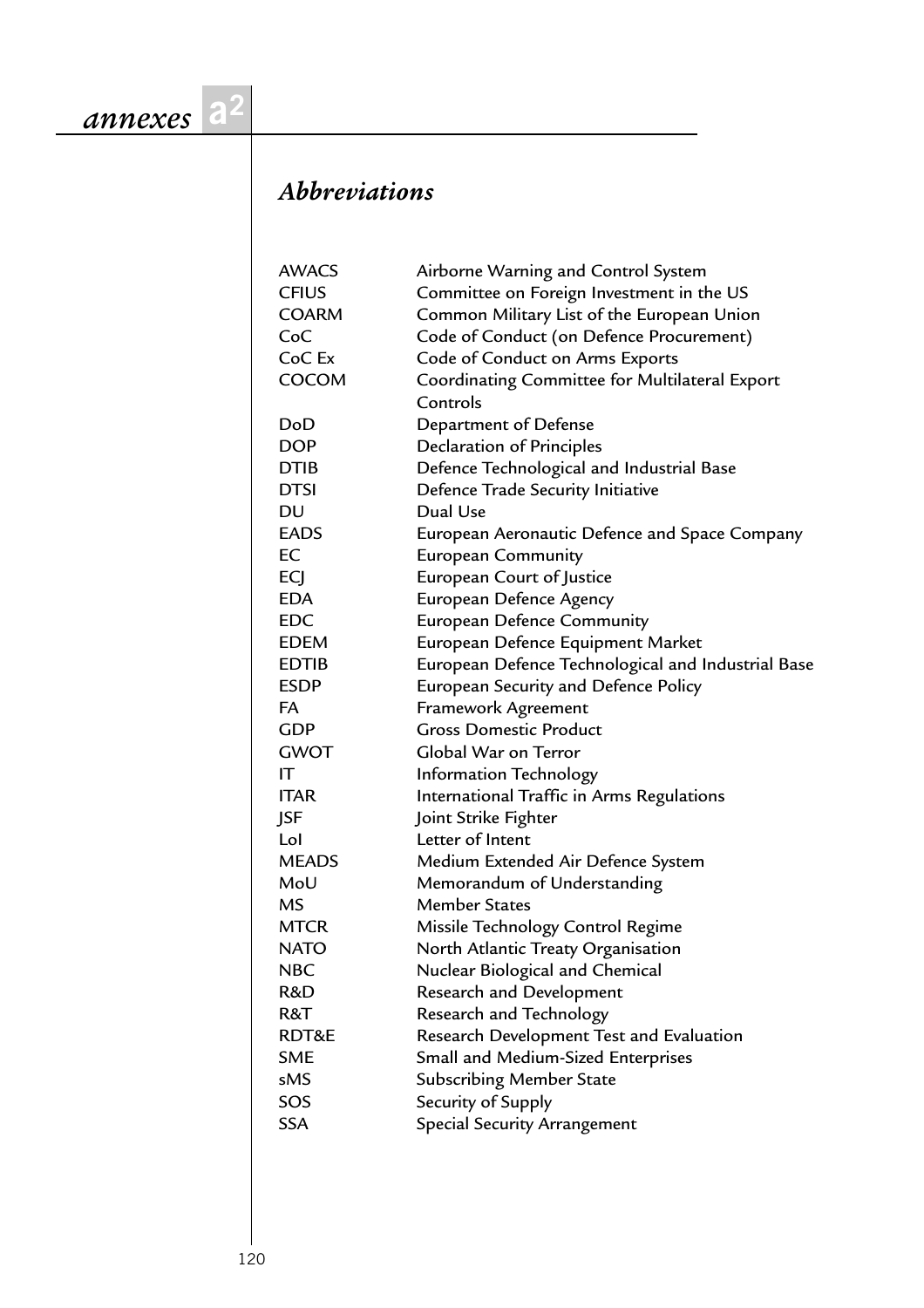# *annexes*

**a2**

# *Abbreviations*

| <b>AWACS</b> | Airborne Warning and Control System                |
|--------------|----------------------------------------------------|
| <b>CFIUS</b> | Committee on Foreign Investment in the US          |
| <b>COARM</b> | Common Military List of the European Union         |
| CoC          | Code of Conduct (on Defence Procurement)           |
| CoC Ex       | Code of Conduct on Arms Exports                    |
| <b>COCOM</b> | Coordinating Committee for Multilateral Export     |
|              | Controls                                           |
| DoD          | Department of Defense                              |
| <b>DOP</b>   | <b>Declaration of Principles</b>                   |
| <b>DTIB</b>  | Defence Technological and Industrial Base          |
| <b>DTSI</b>  | Defence Trade Security Initiative                  |
| DU           | Dual Use                                           |
| EADS         | European Aeronautic Defence and Space Company      |
| EC           | <b>European Community</b>                          |
| ECJ          | European Court of Justice                          |
| <b>EDA</b>   | European Defence Agency                            |
| <b>EDC</b>   | <b>European Defence Community</b>                  |
| <b>EDEM</b>  | European Defence Equipment Market                  |
| <b>EDTIB</b> | European Defence Technological and Industrial Base |
| <b>ESDP</b>  | European Security and Defence Policy               |
| FA           | Framework Agreement                                |
| <b>GDP</b>   | <b>Gross Domestic Product</b>                      |
| <b>GWOT</b>  | Global War on Terror                               |
| IT.          | <b>Information Technology</b>                      |
| <b>ITAR</b>  | International Traffic in Arms Regulations          |
| JSF          | Joint Strike Fighter                               |
| Lol          | Letter of Intent                                   |
| <b>MEADS</b> | Medium Extended Air Defence System                 |
| MoU          | Memorandum of Understanding                        |
| МS           | <b>Member States</b>                               |
| <b>MTCR</b>  | Missile Technology Control Regime                  |
| <b>NATO</b>  | North Atlantic Treaty Organisation                 |
| NBC          | Nuclear Biological and Chemical                    |
| R&D          | Research and Development                           |
| R&T          | Research and Technology                            |
| RDT&E        | Research Development Test and Evaluation           |
| <b>SME</b>   | <b>Small and Medium-Sized Enterprises</b>          |
| sMS          | <b>Subscribing Member State</b>                    |
| SOS          | Security of Supply                                 |
| <b>SSA</b>   | <b>Special Security Arrangement</b>                |
|              |                                                    |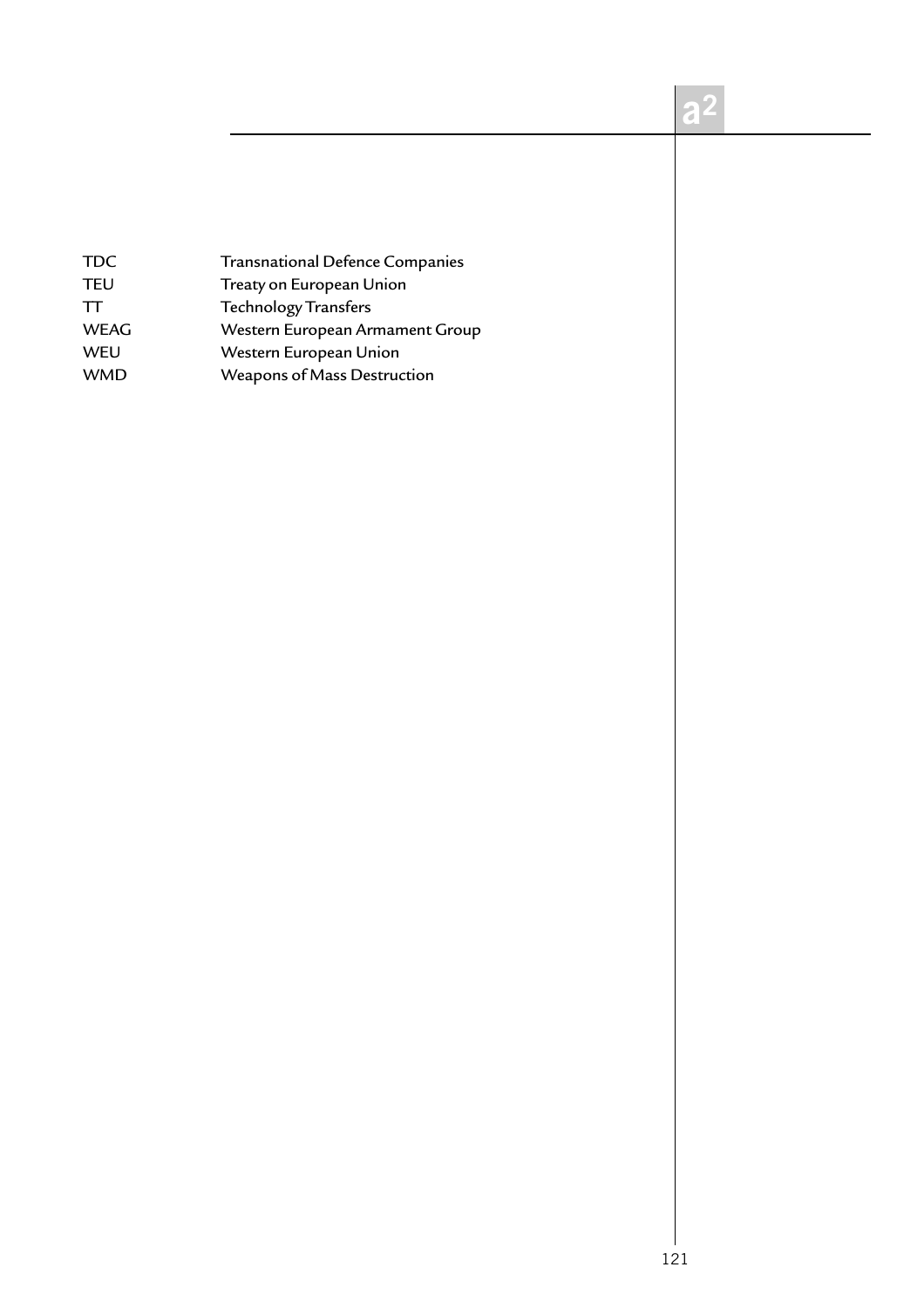# **a12**

| TDC.        | <b>Transnational Defence Companies</b> |
|-------------|----------------------------------------|
| TEU         | Treaty on European Union               |
| TT          | <b>Technology Transfers</b>            |
| <b>WEAG</b> | Western European Armament Group        |
| WEU         | Western European Union                 |
| <b>WMD</b>  | Weapons of Mass Destruction            |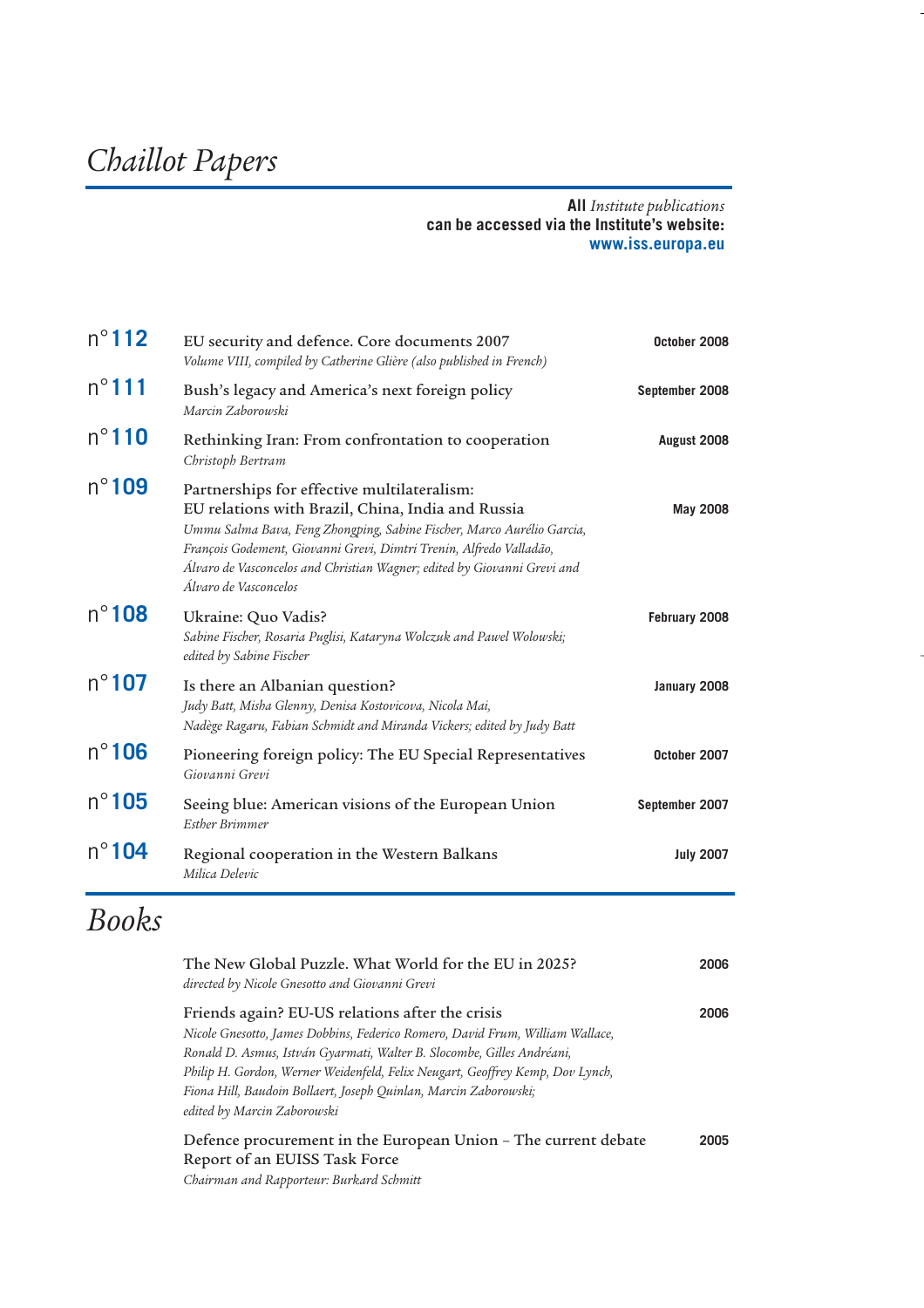# *Chaillot Papers*

#### **All** *Institute publications* **can be accessed via the Institute's website: www.iss.europa.eu**

| $n^{\circ}$ 112        | EU security and defence. Core documents 2007<br>Volume VIII, compiled by Catherine Glière (also published in French)                                                                                                                                                                                                                                   | October 2008     |
|------------------------|--------------------------------------------------------------------------------------------------------------------------------------------------------------------------------------------------------------------------------------------------------------------------------------------------------------------------------------------------------|------------------|
| $n^{\circ}$ 111        | Bush's legacy and America's next foreign policy<br>Marcin Zaborowski                                                                                                                                                                                                                                                                                   | September 2008   |
| $n^{\circ}$ 110        | Rethinking Iran: From confrontation to cooperation<br>Christoph Bertram                                                                                                                                                                                                                                                                                | August 2008      |
| $n^{\circ}$ 109        | Partnerships for effective multilateralism:<br>EU relations with Brazil, China, India and Russia<br>Ummu Salma Bava, Feng Zhongping, Sabine Fischer, Marco Aurélio Garcia,<br>François Godement, Giovanni Grevi, Dimtri Trenin, Alfredo Valladão,<br>Álvaro de Vasconcelos and Christian Wagner; edited by Giovanni Grevi and<br>Álvaro de Vasconcelos | May 2008         |
| $n^{\circ}$ 108        | Ukraine: Quo Vadis?<br>Sabine Fischer, Rosaria Puglisi, Kataryna Wolczuk and Pawel Wolowski;<br>edited by Sabine Fischer                                                                                                                                                                                                                               | February 2008    |
| $n^{\circ}$ 107        | Is there an Albanian question?<br>Judy Batt, Misha Glenny, Denisa Kostovicova, Nicola Mai,<br>Nadège Ragaru, Fabian Schmidt and Miranda Vickers; edited by Judy Batt                                                                                                                                                                                   | January 2008     |
| $n^{\circ}$ 106        | Pioneering foreign policy: The EU Special Representatives<br>Giovanni Grevi                                                                                                                                                                                                                                                                            | October 2007     |
| $n^{\circ}$ <b>105</b> | Seeing blue: American visions of the European Union<br><b>Esther Brimmer</b>                                                                                                                                                                                                                                                                           | September 2007   |
| $n^{\circ}$ 104        | Regional cooperation in the Western Balkans<br>Milica Delevic                                                                                                                                                                                                                                                                                          | <b>July 2007</b> |

# *Books*

| The New Global Puzzle. What World for the EU in 2025?<br>directed by Nicole Gnesotto and Giovanni Grevi                                                                                                                                                                                                                                                                                        | 2006 |
|------------------------------------------------------------------------------------------------------------------------------------------------------------------------------------------------------------------------------------------------------------------------------------------------------------------------------------------------------------------------------------------------|------|
| Friends again? EU-US relations after the crisis<br>Nicole Gnesotto, James Dobbins, Federico Romero, David Frum, William Wallace,<br>Ronald D. Asmus, István Gyarmati, Walter B. Slocombe, Gilles Andréani,<br>Philip H. Gordon, Werner Weidenfeld, Felix Neugart, Geoffrey Kemp, Dov Lynch,<br>Fiona Hill, Baudoin Bollaert, Joseph Quinlan, Marcin Zaborowski;<br>edited by Marcin Zaborowski | 2006 |
| Defence procurement in the European Union - The current debate<br>Report of an EUISS Task Force                                                                                                                                                                                                                                                                                                | 2005 |

*Chairman and Rapporteur: Burkard Schmitt*